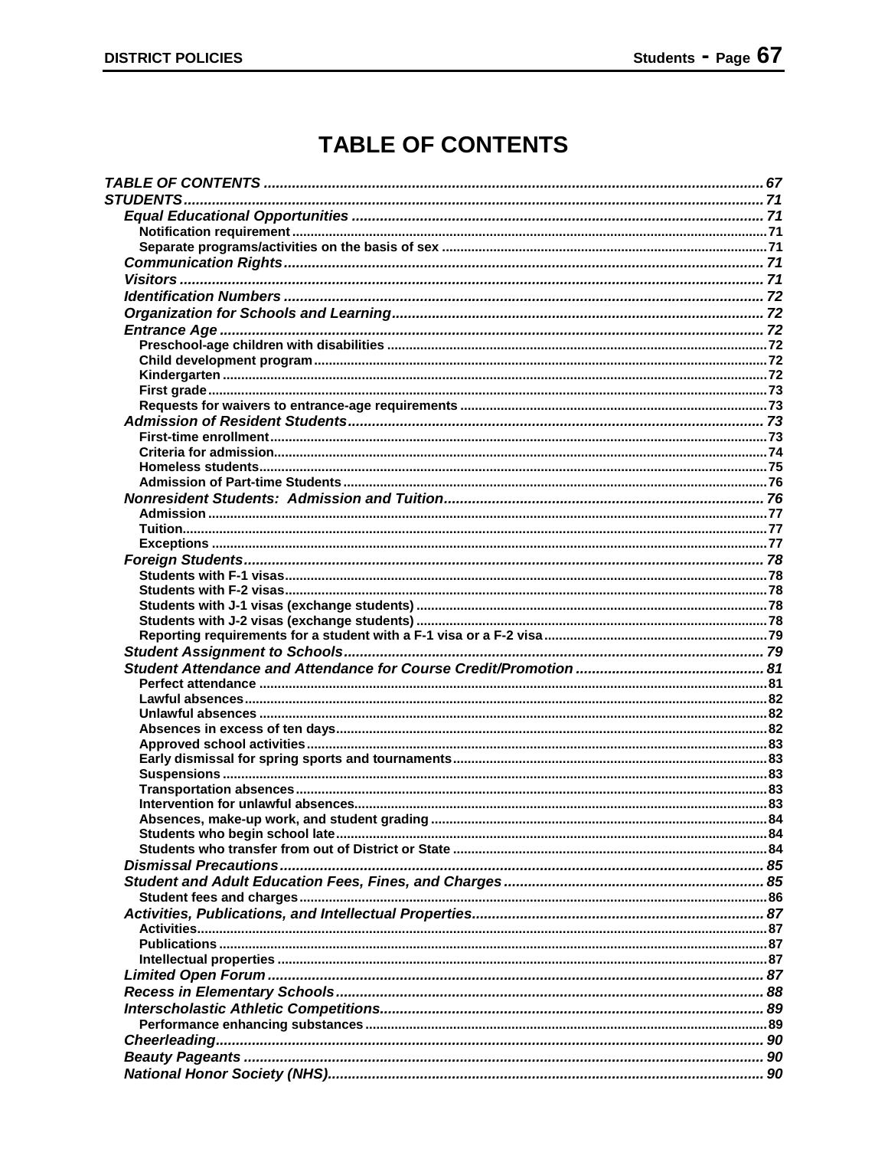# **TABLE OF CONTENTS**

<span id="page-0-0"></span>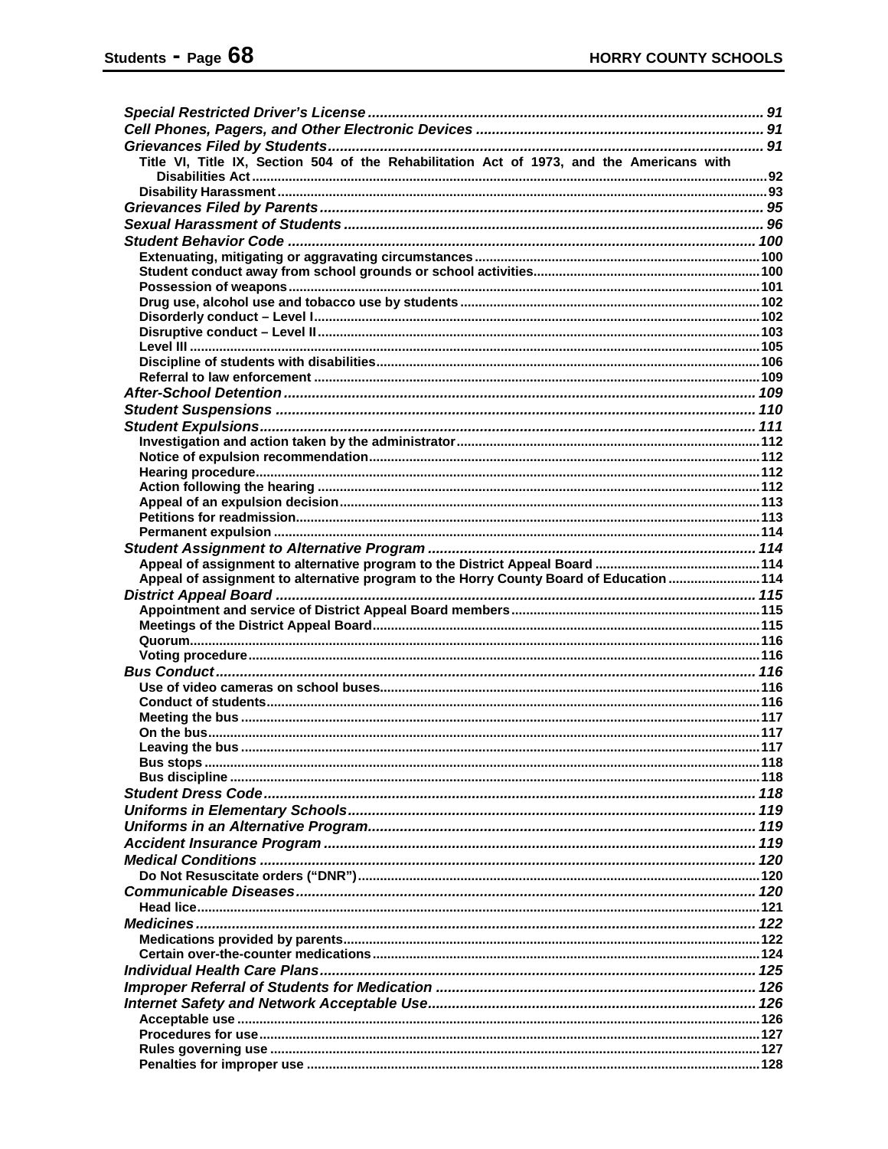| Title VI, Title IX, Section 504 of the Rehabilitation Act of 1973, and the Americans with |  |
|-------------------------------------------------------------------------------------------|--|
|                                                                                           |  |
|                                                                                           |  |
|                                                                                           |  |
|                                                                                           |  |
|                                                                                           |  |
|                                                                                           |  |
|                                                                                           |  |
|                                                                                           |  |
|                                                                                           |  |
|                                                                                           |  |
|                                                                                           |  |
|                                                                                           |  |
|                                                                                           |  |
|                                                                                           |  |
|                                                                                           |  |
|                                                                                           |  |
|                                                                                           |  |
|                                                                                           |  |
|                                                                                           |  |
|                                                                                           |  |
|                                                                                           |  |
|                                                                                           |  |
|                                                                                           |  |
|                                                                                           |  |
|                                                                                           |  |
| Appeal of assignment to alternative program to the Horry County Board of Education 114    |  |
|                                                                                           |  |
|                                                                                           |  |
|                                                                                           |  |
|                                                                                           |  |
|                                                                                           |  |
|                                                                                           |  |
|                                                                                           |  |
|                                                                                           |  |
|                                                                                           |  |
|                                                                                           |  |
|                                                                                           |  |
|                                                                                           |  |
|                                                                                           |  |
|                                                                                           |  |
|                                                                                           |  |
|                                                                                           |  |
|                                                                                           |  |
|                                                                                           |  |
|                                                                                           |  |
|                                                                                           |  |
|                                                                                           |  |
|                                                                                           |  |
|                                                                                           |  |
|                                                                                           |  |
|                                                                                           |  |
|                                                                                           |  |
|                                                                                           |  |
|                                                                                           |  |
|                                                                                           |  |
|                                                                                           |  |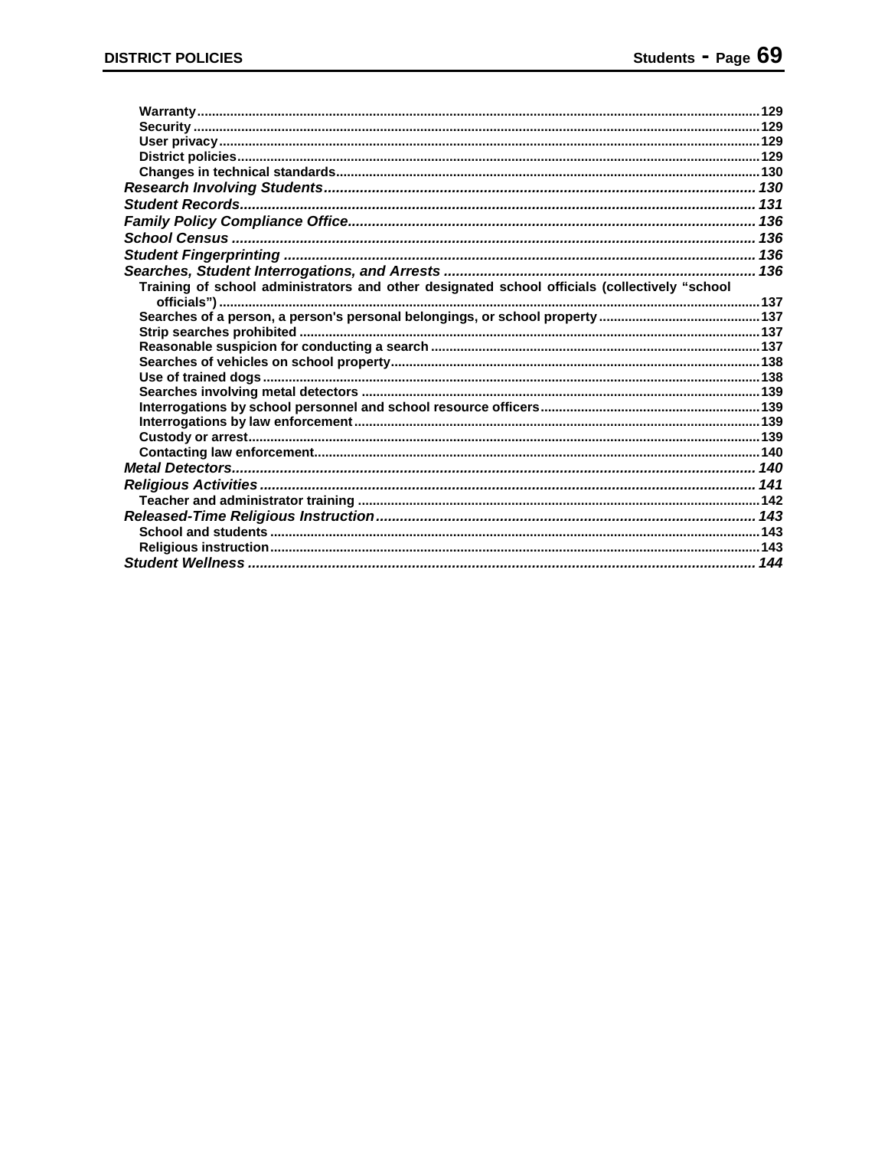| Training of school administrators and other designated school officials (collectively "school |  |
|-----------------------------------------------------------------------------------------------|--|
|                                                                                               |  |
|                                                                                               |  |
|                                                                                               |  |
|                                                                                               |  |
|                                                                                               |  |
|                                                                                               |  |
|                                                                                               |  |
|                                                                                               |  |
|                                                                                               |  |
|                                                                                               |  |
|                                                                                               |  |
|                                                                                               |  |
|                                                                                               |  |
|                                                                                               |  |
|                                                                                               |  |
|                                                                                               |  |
|                                                                                               |  |
|                                                                                               |  |
|                                                                                               |  |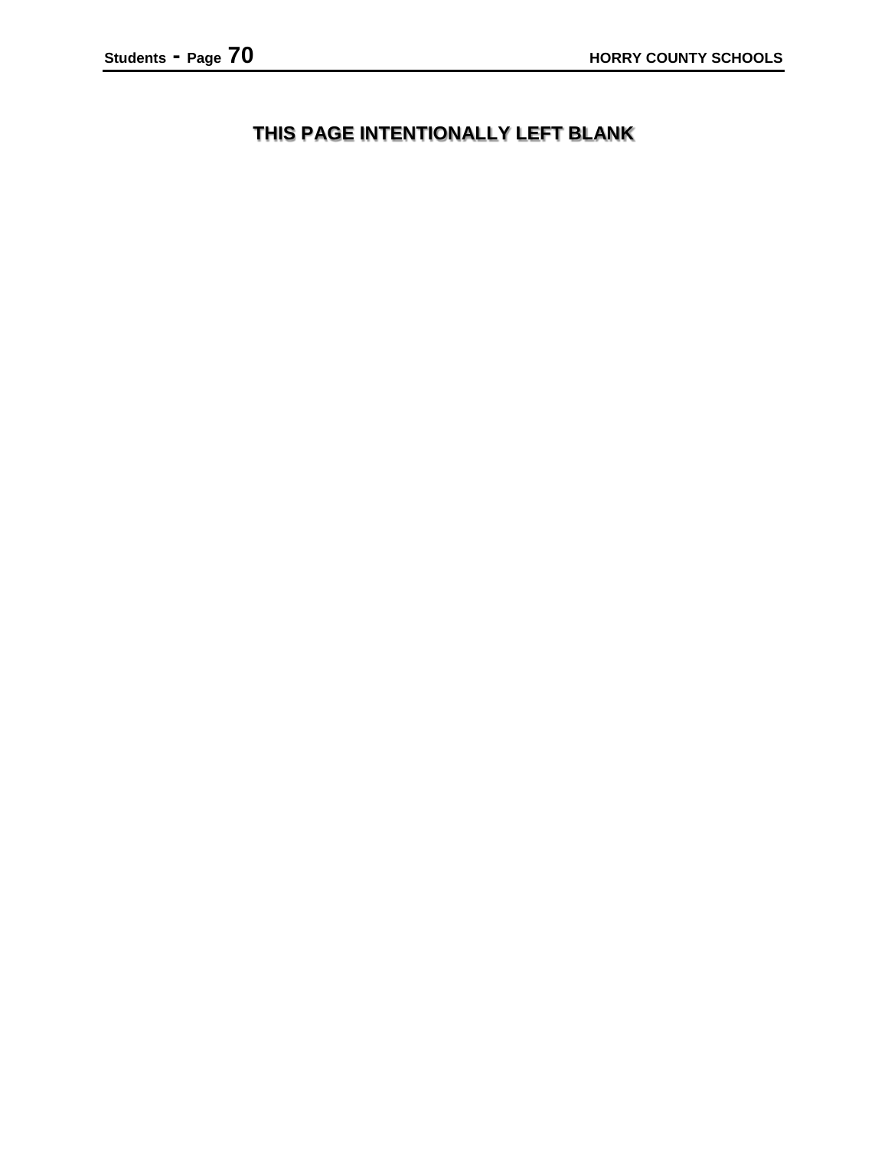**THIS PAGE INTENTIONALLY LEFT BLANK**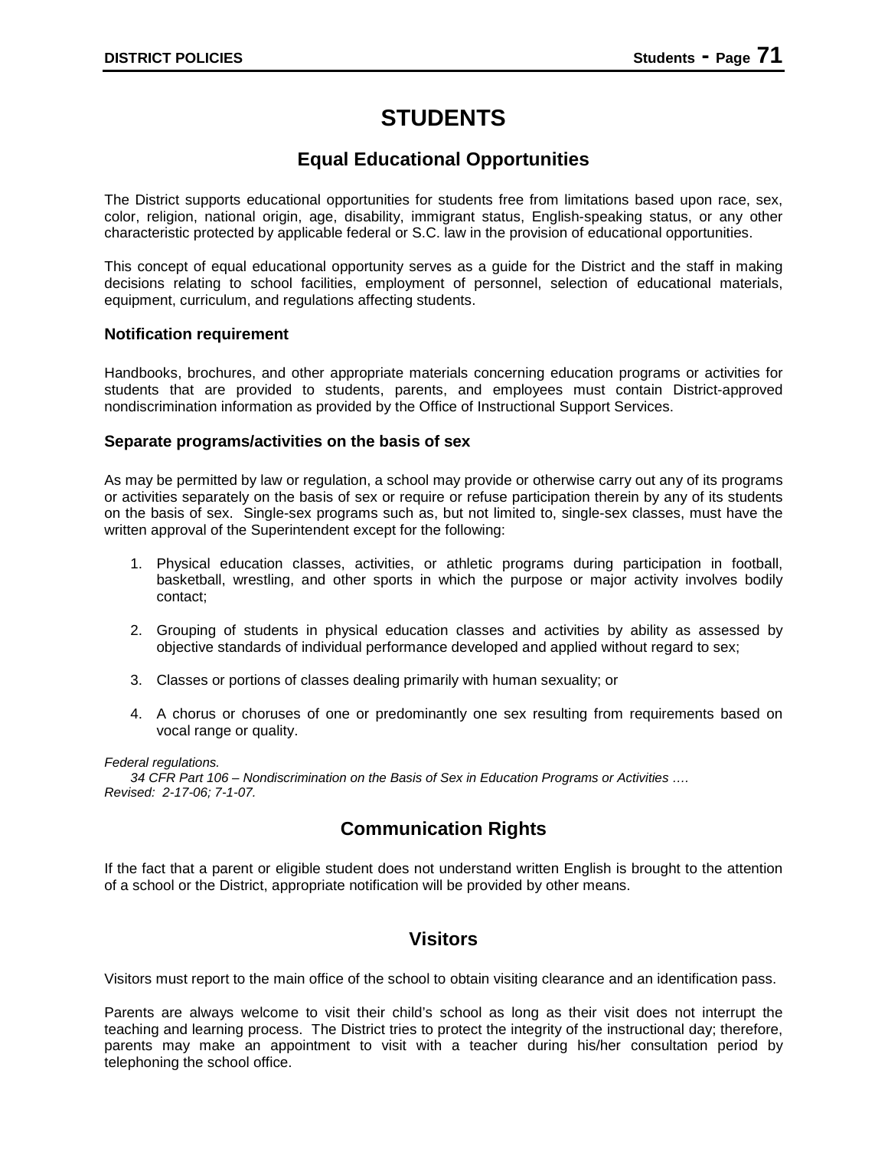# **STUDENTS**

# **Equal Educational Opportunities**

<span id="page-4-1"></span><span id="page-4-0"></span>The District supports educational opportunities for students free from limitations based upon race, sex, color, religion, national origin, age, disability, immigrant status, English-speaking status, or any other characteristic protected by applicable federal or S.C. law in the provision of educational opportunities.

This concept of equal educational opportunity serves as a guide for the District and the staff in making decisions relating to school facilities, employment of personnel, selection of educational materials, equipment, curriculum, and regulations affecting students.

## <span id="page-4-2"></span>**Notification requirement**

Handbooks, brochures, and other appropriate materials concerning education programs or activities for students that are provided to students, parents, and employees must contain District-approved nondiscrimination information as provided by the Office of Instructional Support Services.

## <span id="page-4-3"></span>**Separate programs/activities on the basis of sex**

As may be permitted by law or regulation, a school may provide or otherwise carry out any of its programs or activities separately on the basis of sex or require or refuse participation therein by any of its students on the basis of sex. Single-sex programs such as, but not limited to, single-sex classes, must have the written approval of the Superintendent except for the following:

- 1. Physical education classes, activities, or athletic programs during participation in football, basketball, wrestling, and other sports in which the purpose or major activity involves bodily contact;
- 2. Grouping of students in physical education classes and activities by ability as assessed by objective standards of individual performance developed and applied without regard to sex;
- 3. Classes or portions of classes dealing primarily with human sexuality; or
- 4. A chorus or choruses of one or predominantly one sex resulting from requirements based on vocal range or quality.

#### *Federal regulations.*

<span id="page-4-4"></span>*34 CFR Part 106 – Nondiscrimination on the Basis of Sex in Education Programs or Activities …. Revised: 2-17-06; 7-1-07.*

# **Communication Rights**

<span id="page-4-5"></span>If the fact that a parent or eligible student does not understand written English is brought to the attention of a school or the District, appropriate notification will be provided by other means.

# **Visitors**

Visitors must report to the main office of the school to obtain visiting clearance and an identification pass.

Parents are always welcome to visit their child's school as long as their visit does not interrupt the teaching and learning process. The District tries to protect the integrity of the instructional day; therefore, parents may make an appointment to visit with a teacher during his/her consultation period by telephoning the school office.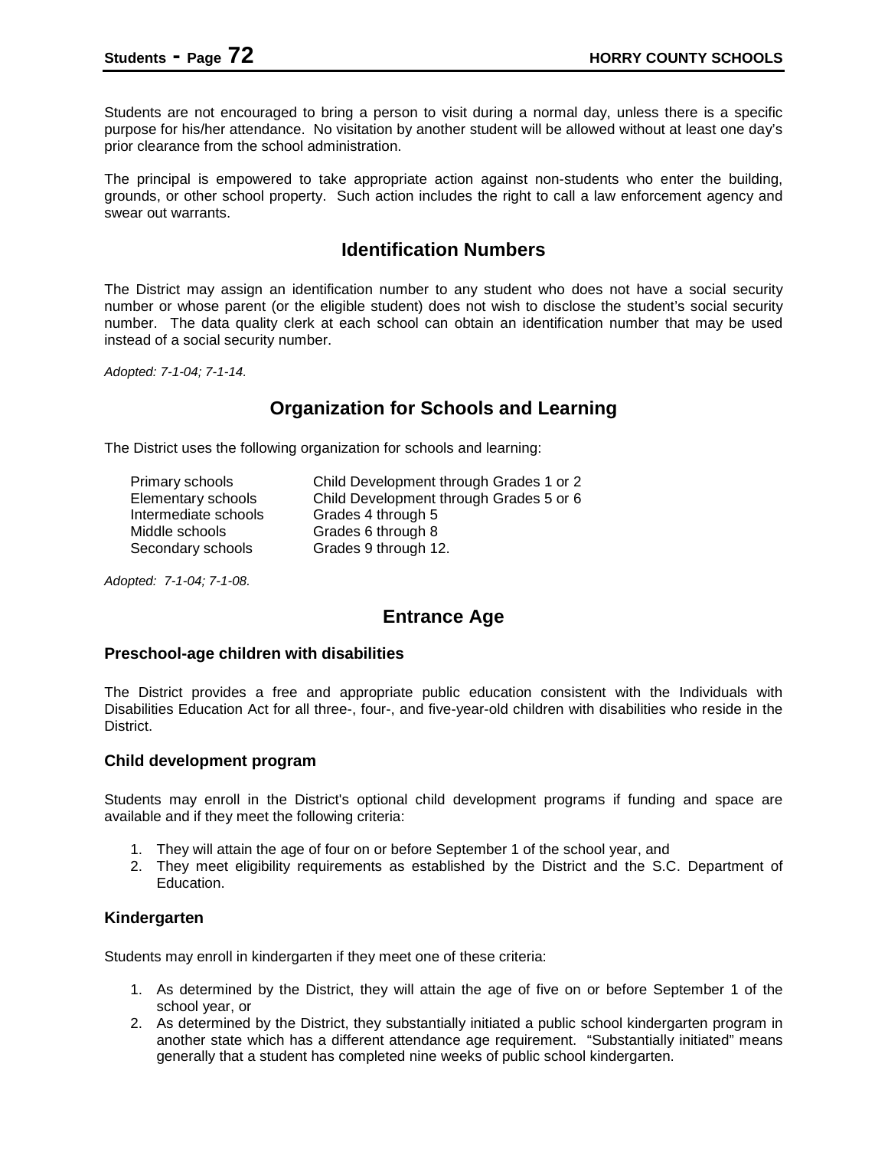Students are not encouraged to bring a person to visit during a normal day, unless there is a specific purpose for his/her attendance. No visitation by another student will be allowed without at least one day's prior clearance from the school administration.

<span id="page-5-0"></span>The principal is empowered to take appropriate action against non-students who enter the building, grounds, or other school property. Such action includes the right to call a law enforcement agency and swear out warrants.

# **Identification Numbers**

The District may assign an identification number to any student who does not have a social security number or whose parent (or the eligible student) does not wish to disclose the student's social security number. The data quality clerk at each school can obtain an identification number that may be used instead of a social security number.

<span id="page-5-1"></span>*Adopted: 7-1-04; 7-1-14.*

# **Organization for Schools and Learning**

The District uses the following organization for schools and learning:

| Primary schools      | Child Development through Grades 1 or 2 |
|----------------------|-----------------------------------------|
| Elementary schools   | Child Development through Grades 5 or 6 |
| Intermediate schools | Grades 4 through 5                      |
| Middle schools       | Grades 6 through 8                      |
| Secondary schools    | Grades 9 through 12.                    |

<span id="page-5-2"></span>*Adopted: 7-1-04; 7-1-08.*

# **Entrance Age**

#### <span id="page-5-3"></span>**Preschool-age children with disabilities**

The District provides a free and appropriate public education consistent with the Individuals with Disabilities Education Act for all three-, four-, and five-year-old children with disabilities who reside in the District.

## <span id="page-5-4"></span>**Child development program**

Students may enroll in the District's optional child development programs if funding and space are available and if they meet the following criteria:

- 1. They will attain the age of four on or before September 1 of the school year, and
- 2. They meet eligibility requirements as established by the District and the S.C. Department of Education.

## <span id="page-5-5"></span>**Kindergarten**

Students may enroll in kindergarten if they meet one of these criteria:

- 1. As determined by the District, they will attain the age of five on or before September 1 of the school year, or
- 2. As determined by the District, they substantially initiated a public school kindergarten program in another state which has a different attendance age requirement. "Substantially initiated" means generally that a student has completed nine weeks of public school kindergarten.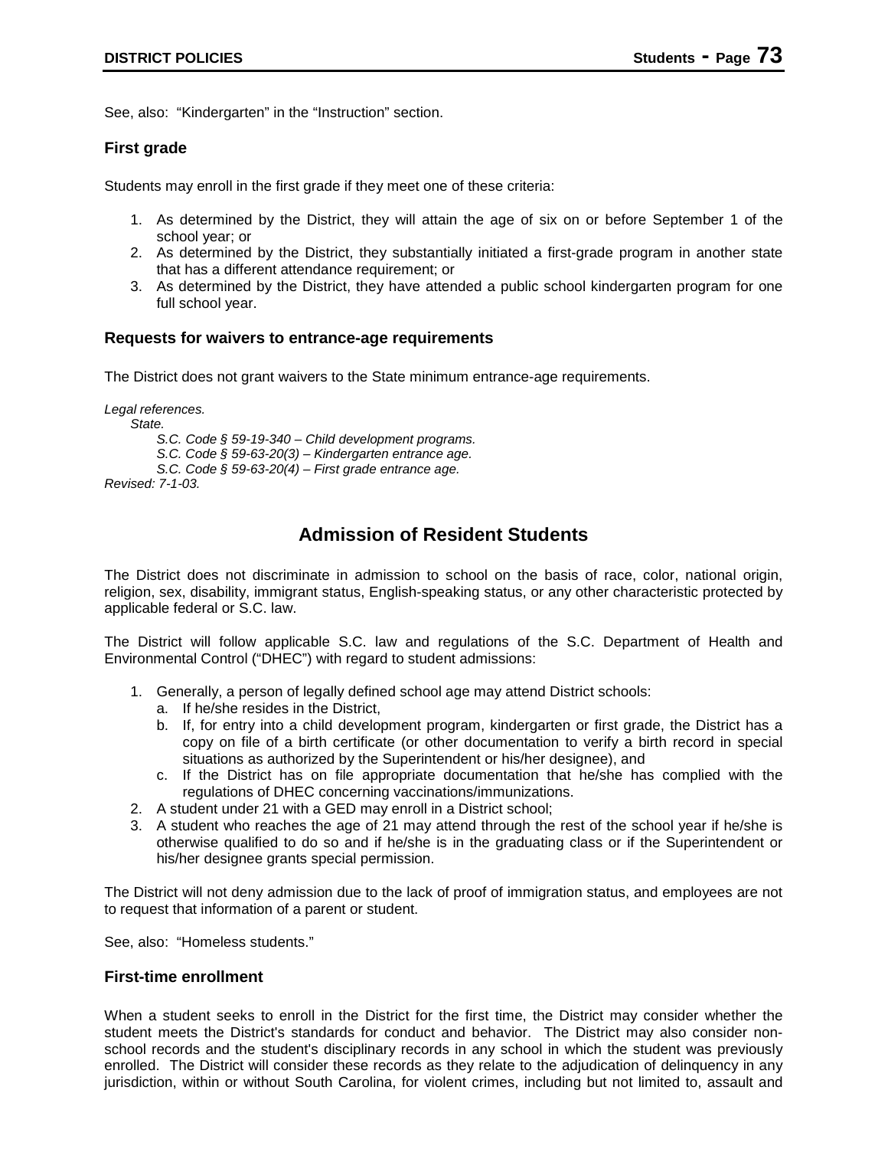<span id="page-6-0"></span>See, also: "Kindergarten" in the "Instruction" section.

# **First grade**

Students may enroll in the first grade if they meet one of these criteria:

- 1. As determined by the District, they will attain the age of six on or before September 1 of the school year; or
- 2. As determined by the District, they substantially initiated a first-grade program in another state that has a different attendance requirement; or
- 3. As determined by the District, they have attended a public school kindergarten program for one full school year.

### <span id="page-6-1"></span>**Requests for waivers to entrance-age requirements**

The District does not grant waivers to the State minimum entrance-age requirements.

*Legal references.*

*State.*

*S.C. Code § 59-19-340 – Child development programs.*

*S.C. Code § 59-63-20(3) – Kindergarten entrance age.*

*S.C. Code § 59-63-20(4) – First grade entrance age.*

<span id="page-6-2"></span>*Revised: 7-1-03.*

# **Admission of Resident Students**

The District does not discriminate in admission to school on the basis of race, color, national origin, religion, sex, disability, immigrant status, English-speaking status, or any other characteristic protected by applicable federal or S.C. law.

The District will follow applicable S.C. law and regulations of the S.C. Department of Health and Environmental Control ("DHEC") with regard to student admissions:

- 1. Generally, a person of legally defined school age may attend District schools:
	- a. If he/she resides in the District,
	- b. If, for entry into a child development program, kindergarten or first grade, the District has a copy on file of a birth certificate (or other documentation to verify a birth record in special situations as authorized by the Superintendent or his/her designee), and
	- c. If the District has on file appropriate documentation that he/she has complied with the regulations of DHEC concerning vaccinations/immunizations.
- 2. A student under 21 with a GED may enroll in a District school;
- 3. A student who reaches the age of 21 may attend through the rest of the school year if he/she is otherwise qualified to do so and if he/she is in the graduating class or if the Superintendent or his/her designee grants special permission.

The District will not deny admission due to the lack of proof of immigration status, and employees are not to request that information of a parent or student.

<span id="page-6-3"></span>See, also: "Homeless students."

## **First-time enrollment**

When a student seeks to enroll in the District for the first time, the District may consider whether the student meets the District's standards for conduct and behavior. The District may also consider nonschool records and the student's disciplinary records in any school in which the student was previously enrolled. The District will consider these records as they relate to the adjudication of delinquency in any jurisdiction, within or without South Carolina, for violent crimes, including but not limited to, assault and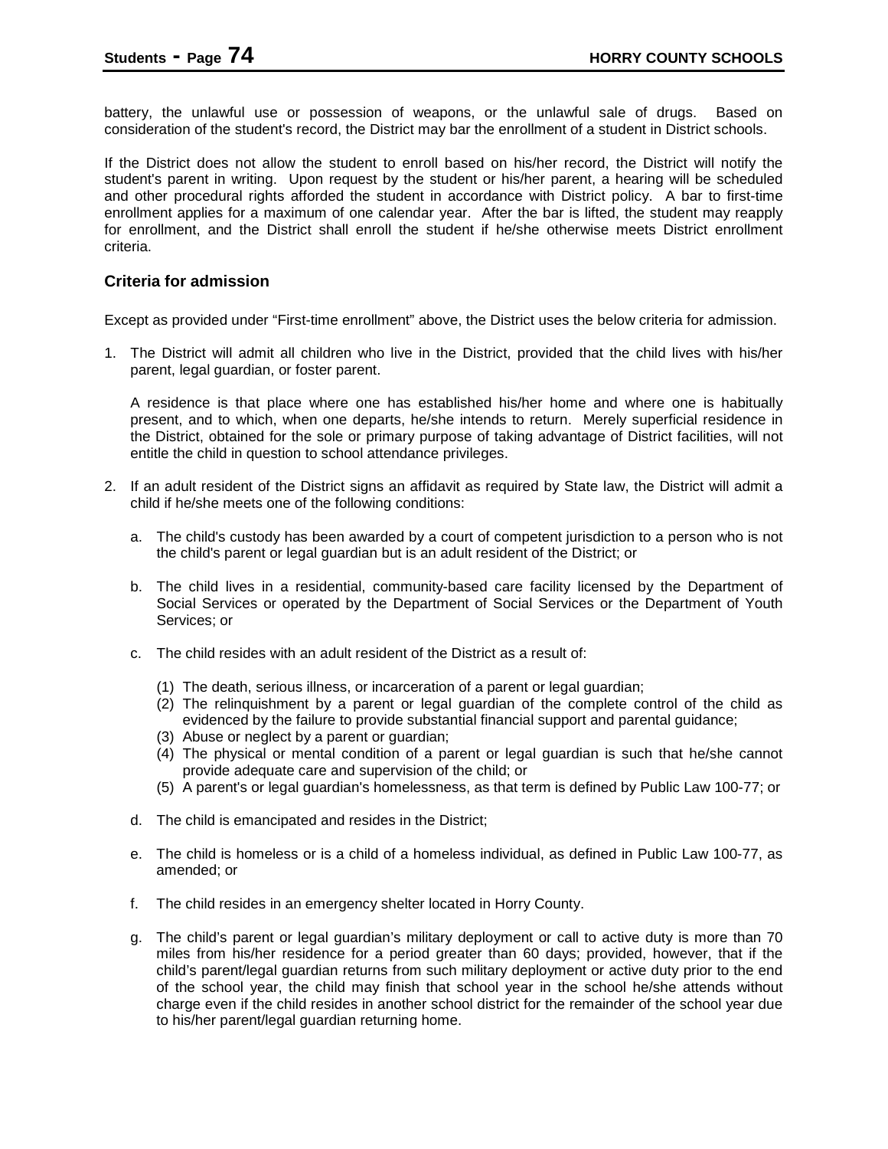battery, the unlawful use or possession of weapons, or the unlawful sale of drugs. Based on consideration of the student's record, the District may bar the enrollment of a student in District schools.

If the District does not allow the student to enroll based on his/her record, the District will notify the student's parent in writing. Upon request by the student or his/her parent, a hearing will be scheduled and other procedural rights afforded the student in accordance with District policy. A bar to first-time enrollment applies for a maximum of one calendar year. After the bar is lifted, the student may reapply for enrollment, and the District shall enroll the student if he/she otherwise meets District enrollment criteria.

### <span id="page-7-0"></span>**Criteria for admission**

Except as provided under "First-time enrollment" above, the District uses the below criteria for admission.

1. The District will admit all children who live in the District, provided that the child lives with his/her parent, legal guardian, or foster parent.

A residence is that place where one has established his/her home and where one is habitually present, and to which, when one departs, he/she intends to return. Merely superficial residence in the District, obtained for the sole or primary purpose of taking advantage of District facilities, will not entitle the child in question to school attendance privileges.

- 2. If an adult resident of the District signs an affidavit as required by State law, the District will admit a child if he/she meets one of the following conditions:
	- a. The child's custody has been awarded by a court of competent jurisdiction to a person who is not the child's parent or legal guardian but is an adult resident of the District; or
	- b. The child lives in a residential, community-based care facility licensed by the Department of Social Services or operated by the Department of Social Services or the Department of Youth Services; or
	- c. The child resides with an adult resident of the District as a result of:
		- (1) The death, serious illness, or incarceration of a parent or legal guardian;
		- (2) The relinquishment by a parent or legal guardian of the complete control of the child as evidenced by the failure to provide substantial financial support and parental guidance;
		- (3) Abuse or neglect by a parent or guardian;
		- (4) The physical or mental condition of a parent or legal guardian is such that he/she cannot provide adequate care and supervision of the child; or
		- (5) A parent's or legal guardian's homelessness, as that term is defined by Public Law 100-77; or
	- d. The child is emancipated and resides in the District;
	- e. The child is homeless or is a child of a homeless individual, as defined in Public Law 100-77, as amended; or
	- f. The child resides in an emergency shelter located in Horry County.
	- g. The child's parent or legal guardian's military deployment or call to active duty is more than 70 miles from his/her residence for a period greater than 60 days; provided, however, that if the child's parent/legal guardian returns from such military deployment or active duty prior to the end of the school year, the child may finish that school year in the school he/she attends without charge even if the child resides in another school district for the remainder of the school year due to his/her parent/legal guardian returning home.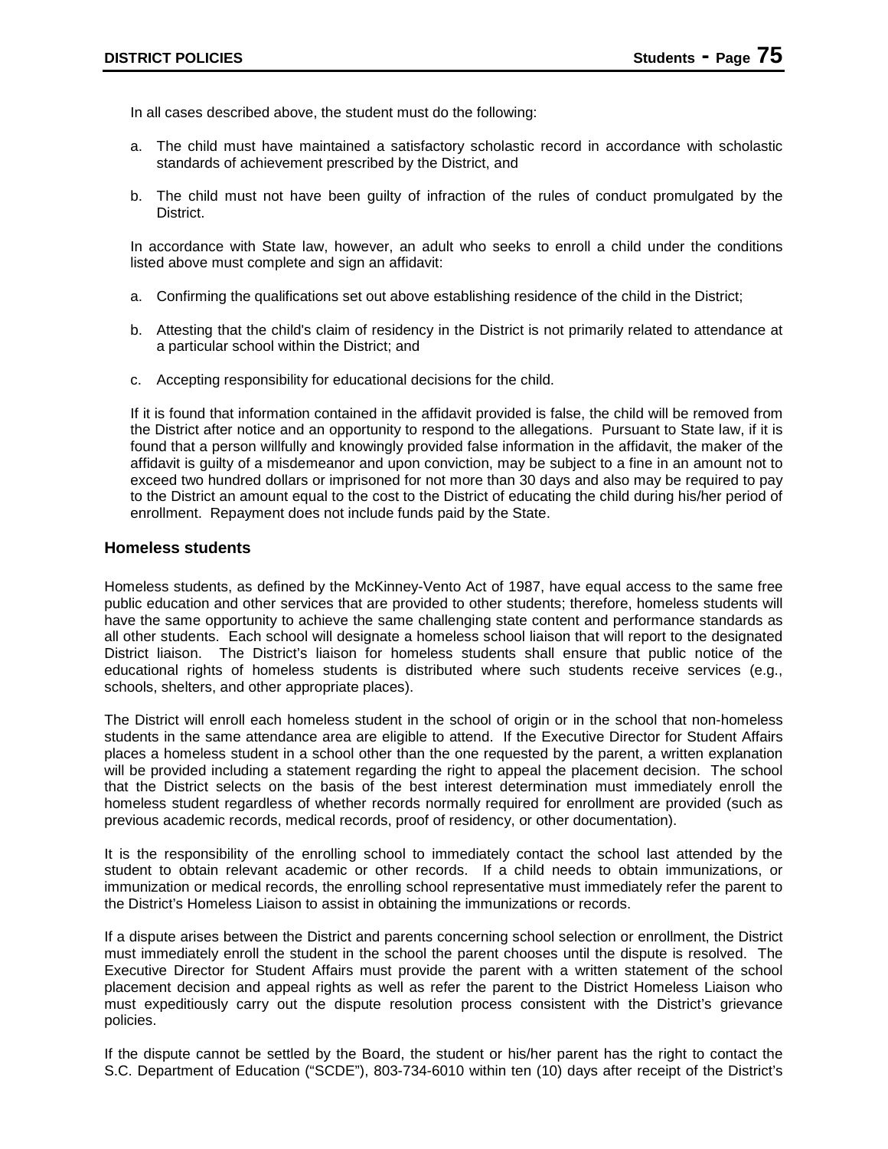In all cases described above, the student must do the following:

- a. The child must have maintained a satisfactory scholastic record in accordance with scholastic standards of achievement prescribed by the District, and
- b. The child must not have been guilty of infraction of the rules of conduct promulgated by the District.

In accordance with State law, however, an adult who seeks to enroll a child under the conditions listed above must complete and sign an affidavit:

- a. Confirming the qualifications set out above establishing residence of the child in the District;
- b. Attesting that the child's claim of residency in the District is not primarily related to attendance at a particular school within the District; and
- c. Accepting responsibility for educational decisions for the child.

If it is found that information contained in the affidavit provided is false, the child will be removed from the District after notice and an opportunity to respond to the allegations. Pursuant to State law, if it is found that a person willfully and knowingly provided false information in the affidavit, the maker of the affidavit is guilty of a misdemeanor and upon conviction, may be subject to a fine in an amount not to exceed two hundred dollars or imprisoned for not more than 30 days and also may be required to pay to the District an amount equal to the cost to the District of educating the child during his/her period of enrollment. Repayment does not include funds paid by the State.

#### <span id="page-8-0"></span>**Homeless students**

Homeless students, as defined by the McKinney-Vento Act of 1987, have equal access to the same free public education and other services that are provided to other students; therefore, homeless students will have the same opportunity to achieve the same challenging state content and performance standards as all other students. Each school will designate a homeless school liaison that will report to the designated District liaison. The District's liaison for homeless students shall ensure that public notice of the educational rights of homeless students is distributed where such students receive services (e.g., schools, shelters, and other appropriate places).

The District will enroll each homeless student in the school of origin or in the school that non-homeless students in the same attendance area are eligible to attend. If the Executive Director for Student Affairs places a homeless student in a school other than the one requested by the parent, a written explanation will be provided including a statement regarding the right to appeal the placement decision. The school that the District selects on the basis of the best interest determination must immediately enroll the homeless student regardless of whether records normally required for enrollment are provided (such as previous academic records, medical records, proof of residency, or other documentation).

It is the responsibility of the enrolling school to immediately contact the school last attended by the student to obtain relevant academic or other records. If a child needs to obtain immunizations, or immunization or medical records, the enrolling school representative must immediately refer the parent to the District's Homeless Liaison to assist in obtaining the immunizations or records.

If a dispute arises between the District and parents concerning school selection or enrollment, the District must immediately enroll the student in the school the parent chooses until the dispute is resolved. The Executive Director for Student Affairs must provide the parent with a written statement of the school placement decision and appeal rights as well as refer the parent to the District Homeless Liaison who must expeditiously carry out the dispute resolution process consistent with the District's grievance policies.

If the dispute cannot be settled by the Board, the student or his/her parent has the right to contact the S.C. Department of Education ("SCDE"), 803-734-6010 within ten (10) days after receipt of the District's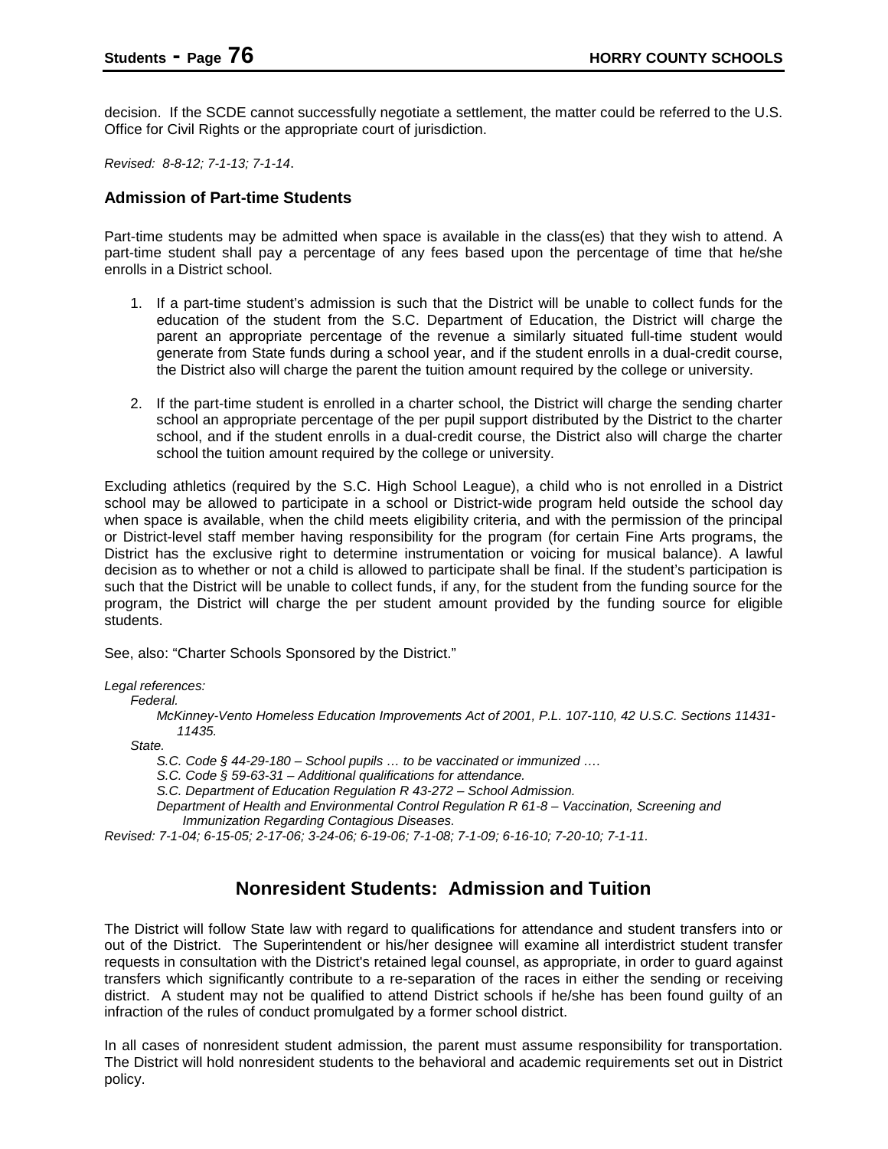decision. If the SCDE cannot successfully negotiate a settlement, the matter could be referred to the U.S. Office for Civil Rights or the appropriate court of jurisdiction.

<span id="page-9-0"></span>*Revised: 8-8-12; 7-1-13; 7-1-14*.

### **Admission of Part-time Students**

Part-time students may be admitted when space is available in the class(es) that they wish to attend. A part-time student shall pay a percentage of any fees based upon the percentage of time that he/she enrolls in a District school.

- 1. If a part-time student's admission is such that the District will be unable to collect funds for the education of the student from the S.C. Department of Education, the District will charge the parent an appropriate percentage of the revenue a similarly situated full-time student would generate from State funds during a school year, and if the student enrolls in a dual-credit course, the District also will charge the parent the tuition amount required by the college or university.
- 2. If the part-time student is enrolled in a charter school, the District will charge the sending charter school an appropriate percentage of the per pupil support distributed by the District to the charter school, and if the student enrolls in a dual-credit course, the District also will charge the charter school the tuition amount required by the college or university.

Excluding athletics (required by the S.C. High School League), a child who is not enrolled in a District school may be allowed to participate in a school or District-wide program held outside the school day when space is available, when the child meets eligibility criteria, and with the permission of the principal or District-level staff member having responsibility for the program (for certain Fine Arts programs, the District has the exclusive right to determine instrumentation or voicing for musical balance). A lawful decision as to whether or not a child is allowed to participate shall be final. If the student's participation is such that the District will be unable to collect funds, if any, for the student from the funding source for the program, the District will charge the per student amount provided by the funding source for eligible students.

See, also: "Charter Schools Sponsored by the District."

*Legal references:*

*Federal.*

*McKinney-Vento Homeless Education Improvements Act of 2001, P.L. 107-110, 42 U.S.C. Sections 11431- 11435.*

*State.*

*S.C. Code § 44-29-180 – School pupils … to be vaccinated or immunized ….*

*S.C. Code § 59-63-31 – Additional qualifications for attendance.*

*S.C. Department of Education Regulation R 43-272 – School Admission.*

*Department of Health and Environmental Control Regulation R 61-8 – Vaccination, Screening and Immunization Regarding Contagious Diseases.*

<span id="page-9-1"></span>*Revised: 7-1-04; 6-15-05; 2-17-06; 3-24-06; 6-19-06; 7-1-08; 7-1-09; 6-16-10; 7-20-10; 7-1-11.*

# **Nonresident Students: Admission and Tuition**

The District will follow State law with regard to qualifications for attendance and student transfers into or out of the District. The Superintendent or his/her designee will examine all interdistrict student transfer requests in consultation with the District's retained legal counsel, as appropriate, in order to guard against transfers which significantly contribute to a re-separation of the races in either the sending or receiving district. A student may not be qualified to attend District schools if he/she has been found guilty of an infraction of the rules of conduct promulgated by a former school district.

In all cases of nonresident student admission, the parent must assume responsibility for transportation. The District will hold nonresident students to the behavioral and academic requirements set out in District policy.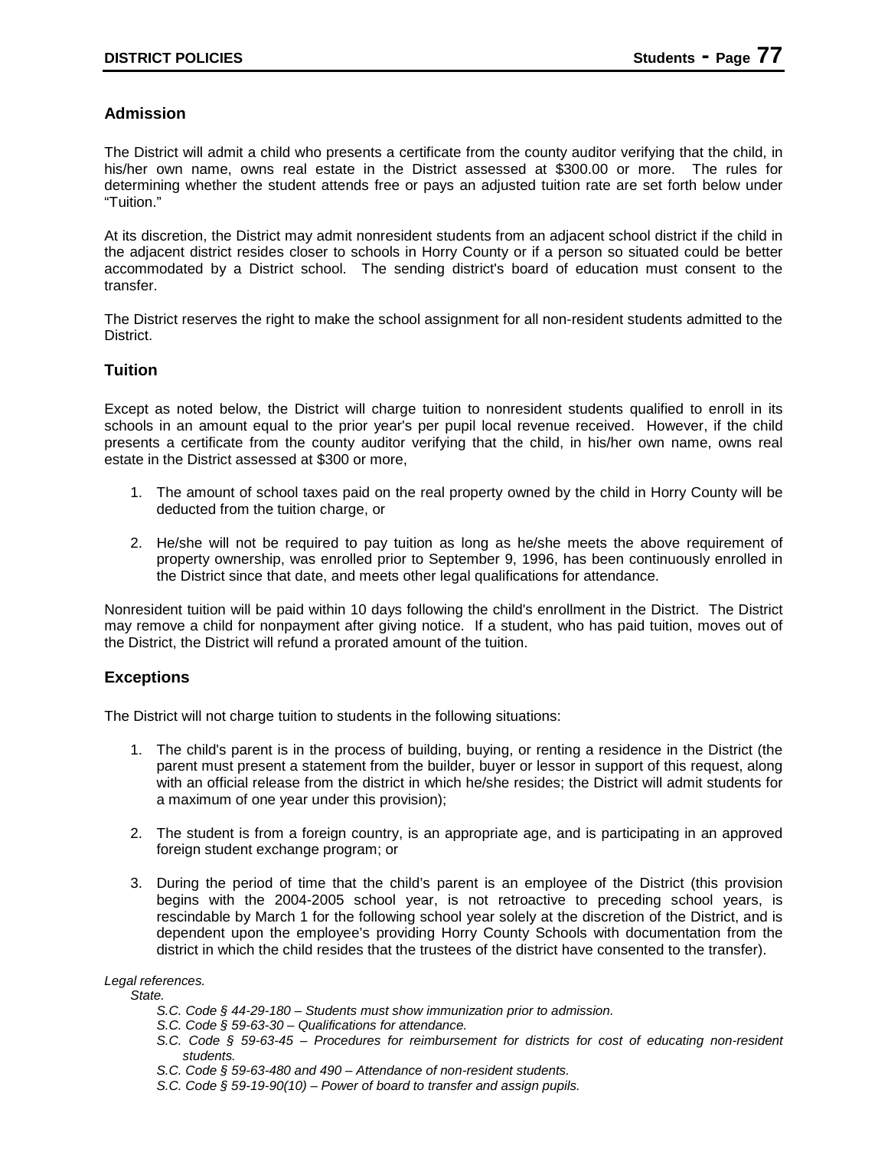# <span id="page-10-0"></span>**Admission**

The District will admit a child who presents a certificate from the county auditor verifying that the child, in his/her own name, owns real estate in the District assessed at \$300.00 or more. The rules for determining whether the student attends free or pays an adjusted tuition rate are set forth below under "Tuition."

At its discretion, the District may admit nonresident students from an adjacent school district if the child in the adjacent district resides closer to schools in Horry County or if a person so situated could be better accommodated by a District school. The sending district's board of education must consent to the transfer.

The District reserves the right to make the school assignment for all non-resident students admitted to the District.

# <span id="page-10-1"></span>**Tuition**

Except as noted below, the District will charge tuition to nonresident students qualified to enroll in its schools in an amount equal to the prior year's per pupil local revenue received. However, if the child presents a certificate from the county auditor verifying that the child, in his/her own name, owns real estate in the District assessed at \$300 or more,

- 1. The amount of school taxes paid on the real property owned by the child in Horry County will be deducted from the tuition charge, or
- 2. He/she will not be required to pay tuition as long as he/she meets the above requirement of property ownership, was enrolled prior to September 9, 1996, has been continuously enrolled in the District since that date, and meets other legal qualifications for attendance.

Nonresident tuition will be paid within 10 days following the child's enrollment in the District. The District may remove a child for nonpayment after giving notice. If a student, who has paid tuition, moves out of the District, the District will refund a prorated amount of the tuition.

## <span id="page-10-2"></span>**Exceptions**

The District will not charge tuition to students in the following situations:

- 1. The child's parent is in the process of building, buying, or renting a residence in the District (the parent must present a statement from the builder, buyer or lessor in support of this request, along with an official release from the district in which he/she resides; the District will admit students for a maximum of one year under this provision);
- 2. The student is from a foreign country, is an appropriate age, and is participating in an approved foreign student exchange program; or
- 3. During the period of time that the child's parent is an employee of the District (this provision begins with the 2004-2005 school year, is not retroactive to preceding school years, is rescindable by March 1 for the following school year solely at the discretion of the District, and is dependent upon the employee's providing Horry County Schools with documentation from the district in which the child resides that the trustees of the district have consented to the transfer).

#### *Legal references.*

- *State.*
	- *S.C. Code § 44-29-180 – Students must show immunization prior to admission.*
	- *S.C. Code § 59-63-30 – Qualifications for attendance.*
	- *S.C. Code § 59-63-45 – Procedures for reimbursement for districts for cost of educating non-resident students.*
	- *S.C. Code § 59-63-480 and 490 – Attendance of non-resident students.*
	- *S.C. Code § 59-19-90(10) – Power of board to transfer and assign pupils.*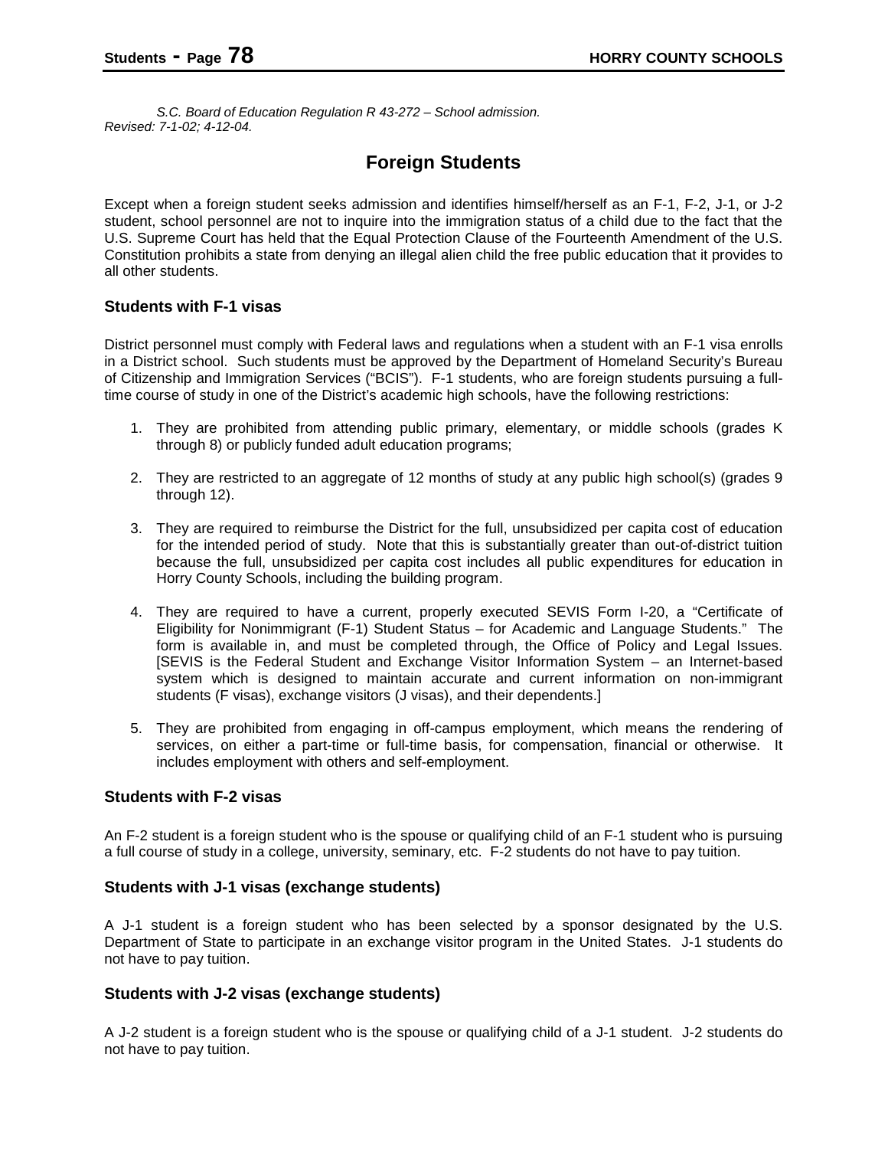<span id="page-11-0"></span>*S.C. Board of Education Regulation R 43-272 – School admission. Revised: 7-1-02; 4-12-04.*

# **Foreign Students**

Except when a foreign student seeks admission and identifies himself/herself as an F-1, F-2, J-1, or J-2 student, school personnel are not to inquire into the immigration status of a child due to the fact that the U.S. Supreme Court has held that the Equal Protection Clause of the Fourteenth Amendment of the U.S. Constitution prohibits a state from denying an illegal alien child the free public education that it provides to all other students.

# <span id="page-11-1"></span>**Students with F-1 visas**

District personnel must comply with Federal laws and regulations when a student with an F-1 visa enrolls in a District school. Such students must be approved by the Department of Homeland Security's Bureau of Citizenship and Immigration Services ("BCIS"). F-1 students, who are foreign students pursuing a fulltime course of study in one of the District's academic high schools, have the following restrictions:

- 1. They are prohibited from attending public primary, elementary, or middle schools (grades K through 8) or publicly funded adult education programs;
- 2. They are restricted to an aggregate of 12 months of study at any public high school(s) (grades 9 through 12).
- 3. They are required to reimburse the District for the full, unsubsidized per capita cost of education for the intended period of study. Note that this is substantially greater than out-of-district tuition because the full, unsubsidized per capita cost includes all public expenditures for education in Horry County Schools, including the building program.
- 4. They are required to have a current, properly executed SEVIS Form I-20, a "Certificate of Eligibility for Nonimmigrant (F-1) Student Status – for Academic and Language Students." The form is available in, and must be completed through, the Office of Policy and Legal Issues. [SEVIS is the Federal Student and Exchange Visitor Information System – an Internet-based system which is designed to maintain accurate and current information on non-immigrant students (F visas), exchange visitors (J visas), and their dependents.]
- 5. They are prohibited from engaging in off-campus employment, which means the rendering of services, on either a part-time or full-time basis, for compensation, financial or otherwise. It includes employment with others and self-employment.

## <span id="page-11-2"></span>**Students with F-2 visas**

An F-2 student is a foreign student who is the spouse or qualifying child of an F-1 student who is pursuing a full course of study in a college, university, seminary, etc. F-2 students do not have to pay tuition.

## <span id="page-11-3"></span>**Students with J-1 visas (exchange students)**

A J-1 student is a foreign student who has been selected by a sponsor designated by the U.S. Department of State to participate in an exchange visitor program in the United States. J-1 students do not have to pay tuition.

## <span id="page-11-4"></span>**Students with J-2 visas (exchange students)**

A J-2 student is a foreign student who is the spouse or qualifying child of a J-1 student. J-2 students do not have to pay tuition.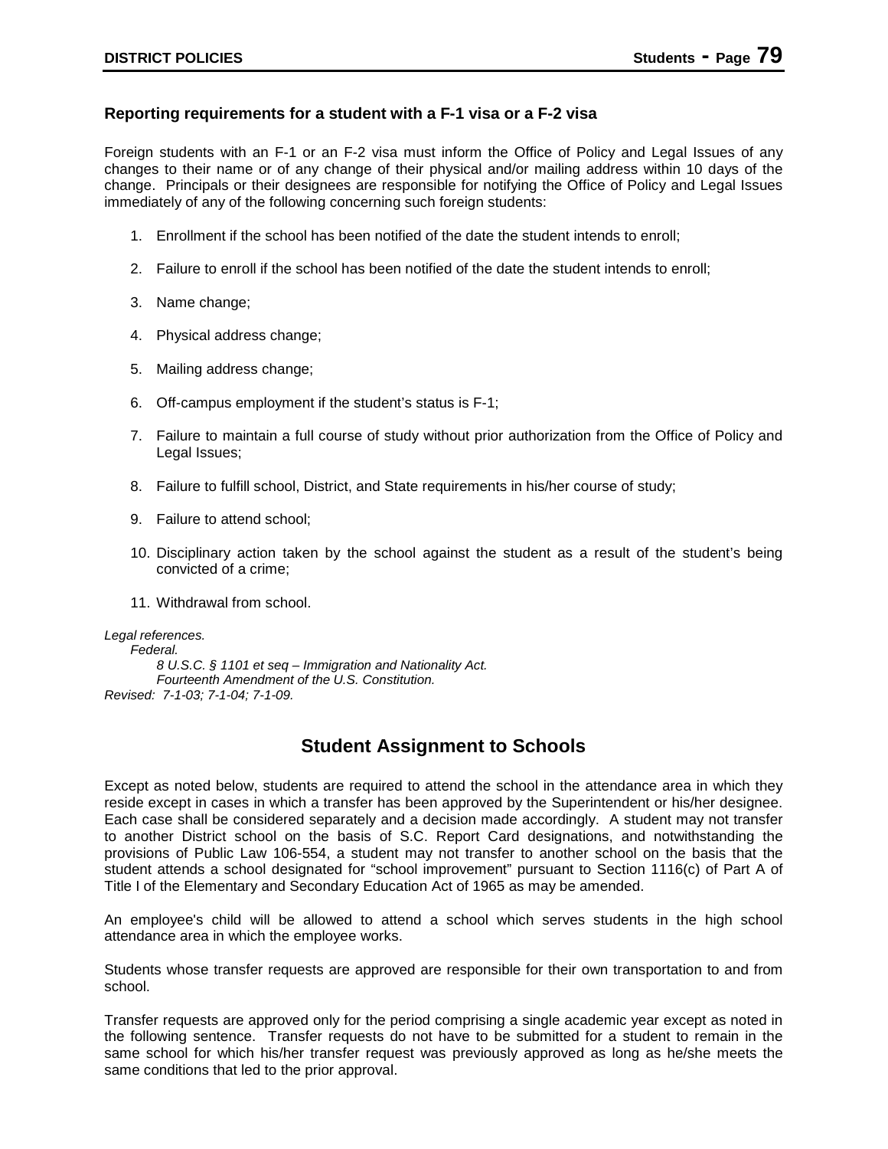# <span id="page-12-0"></span>**Reporting requirements for a student with a F-1 visa or a F-2 visa**

Foreign students with an F-1 or an F-2 visa must inform the Office of Policy and Legal Issues of any changes to their name or of any change of their physical and/or mailing address within 10 days of the change. Principals or their designees are responsible for notifying the Office of Policy and Legal Issues immediately of any of the following concerning such foreign students:

- 1. Enrollment if the school has been notified of the date the student intends to enroll;
- 2. Failure to enroll if the school has been notified of the date the student intends to enroll;
- 3. Name change;
- 4. Physical address change;
- 5. Mailing address change;
- 6. Off-campus employment if the student's status is F-1;
- 7. Failure to maintain a full course of study without prior authorization from the Office of Policy and Legal Issues;
- 8. Failure to fulfill school, District, and State requirements in his/her course of study;
- 9. Failure to attend school;
- 10. Disciplinary action taken by the school against the student as a result of the student's being convicted of a crime;
- 11. Withdrawal from school.

#### *Legal references.*

*Federal. 8 U.S.C. § 1101 et seq – Immigration and Nationality Act. Fourteenth Amendment of the U.S. Constitution. Revised: 7-1-03; 7-1-04; 7-1-09.*

# **Student Assignment to Schools**

<span id="page-12-1"></span>Except as noted below, students are required to attend the school in the attendance area in which they reside except in cases in which a transfer has been approved by the Superintendent or his/her designee. Each case shall be considered separately and a decision made accordingly. A student may not transfer to another District school on the basis of S.C. Report Card designations, and notwithstanding the provisions of Public Law 106-554, a student may not transfer to another school on the basis that the student attends a school designated for "school improvement" pursuant to Section 1116(c) of Part A of Title I of the Elementary and Secondary Education Act of 1965 as may be amended.

An employee's child will be allowed to attend a school which serves students in the high school attendance area in which the employee works.

Students whose transfer requests are approved are responsible for their own transportation to and from school.

Transfer requests are approved only for the period comprising a single academic year except as noted in the following sentence. Transfer requests do not have to be submitted for a student to remain in the same school for which his/her transfer request was previously approved as long as he/she meets the same conditions that led to the prior approval.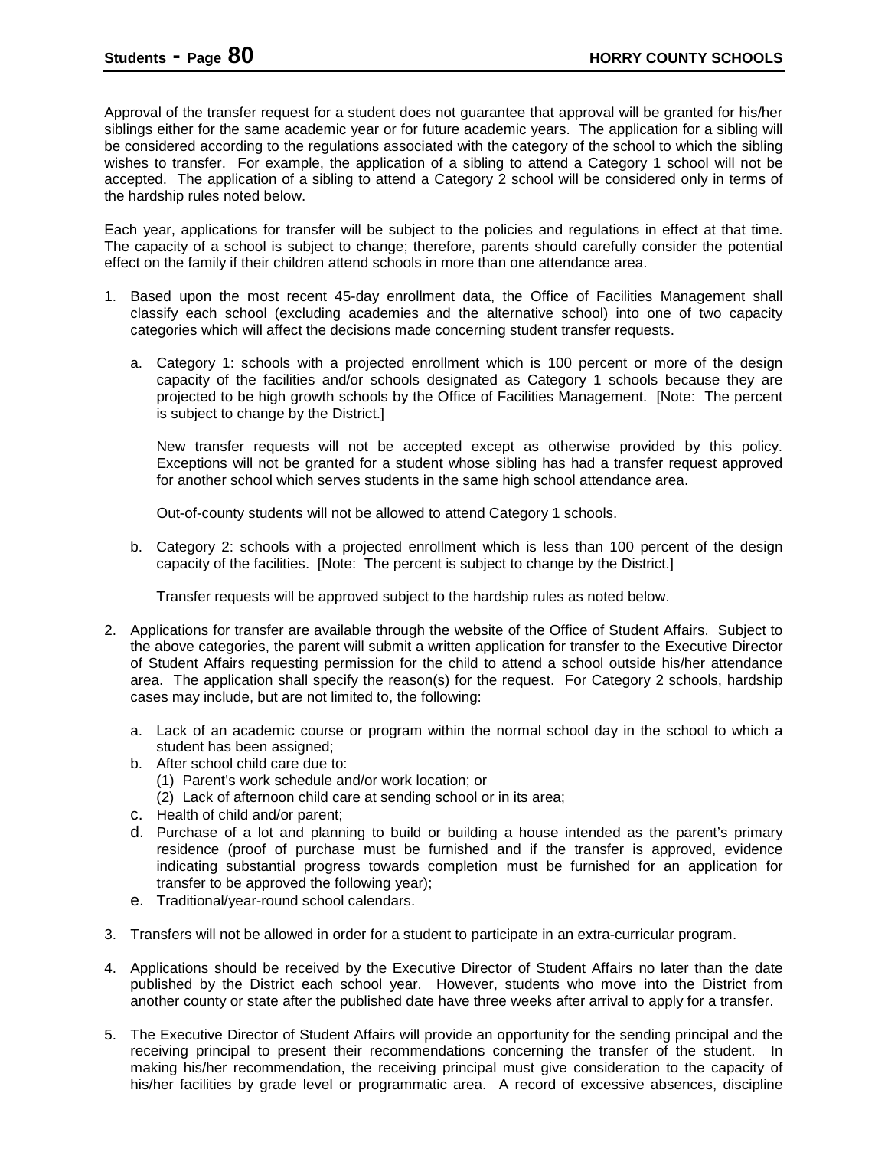Approval of the transfer request for a student does not guarantee that approval will be granted for his/her siblings either for the same academic year or for future academic years. The application for a sibling will be considered according to the regulations associated with the category of the school to which the sibling wishes to transfer. For example, the application of a sibling to attend a Category 1 school will not be accepted. The application of a sibling to attend a Category 2 school will be considered only in terms of the hardship rules noted below.

Each year, applications for transfer will be subject to the policies and regulations in effect at that time. The capacity of a school is subject to change; therefore, parents should carefully consider the potential effect on the family if their children attend schools in more than one attendance area.

- 1. Based upon the most recent 45-day enrollment data, the Office of Facilities Management shall classify each school (excluding academies and the alternative school) into one of two capacity categories which will affect the decisions made concerning student transfer requests.
	- a. Category 1: schools with a projected enrollment which is 100 percent or more of the design capacity of the facilities and/or schools designated as Category 1 schools because they are projected to be high growth schools by the Office of Facilities Management. [Note: The percent is subject to change by the District.]

New transfer requests will not be accepted except as otherwise provided by this policy. Exceptions will not be granted for a student whose sibling has had a transfer request approved for another school which serves students in the same high school attendance area.

Out-of-county students will not be allowed to attend Category 1 schools.

b. Category 2: schools with a projected enrollment which is less than 100 percent of the design capacity of the facilities. [Note: The percent is subject to change by the District.]

Transfer requests will be approved subject to the hardship rules as noted below.

- 2. Applications for transfer are available through the website of the Office of Student Affairs. Subject to the above categories, the parent will submit a written application for transfer to the Executive Director of Student Affairs requesting permission for the child to attend a school outside his/her attendance area. The application shall specify the reason(s) for the request. For Category 2 schools, hardship cases may include, but are not limited to, the following:
	- a. Lack of an academic course or program within the normal school day in the school to which a student has been assigned;
	- b. After school child care due to:
		- (1) Parent's work schedule and/or work location; or
		- (2) Lack of afternoon child care at sending school or in its area;
	- c. Health of child and/or parent;
	- d. Purchase of a lot and planning to build or building a house intended as the parent's primary residence (proof of purchase must be furnished and if the transfer is approved, evidence indicating substantial progress towards completion must be furnished for an application for transfer to be approved the following year);
	- e. Traditional/year-round school calendars.
- 3. Transfers will not be allowed in order for a student to participate in an extra-curricular program.
- 4. Applications should be received by the Executive Director of Student Affairs no later than the date published by the District each school year. However, students who move into the District from another county or state after the published date have three weeks after arrival to apply for a transfer.
- 5. The Executive Director of Student Affairs will provide an opportunity for the sending principal and the receiving principal to present their recommendations concerning the transfer of the student. In making his/her recommendation, the receiving principal must give consideration to the capacity of his/her facilities by grade level or programmatic area. A record of excessive absences, discipline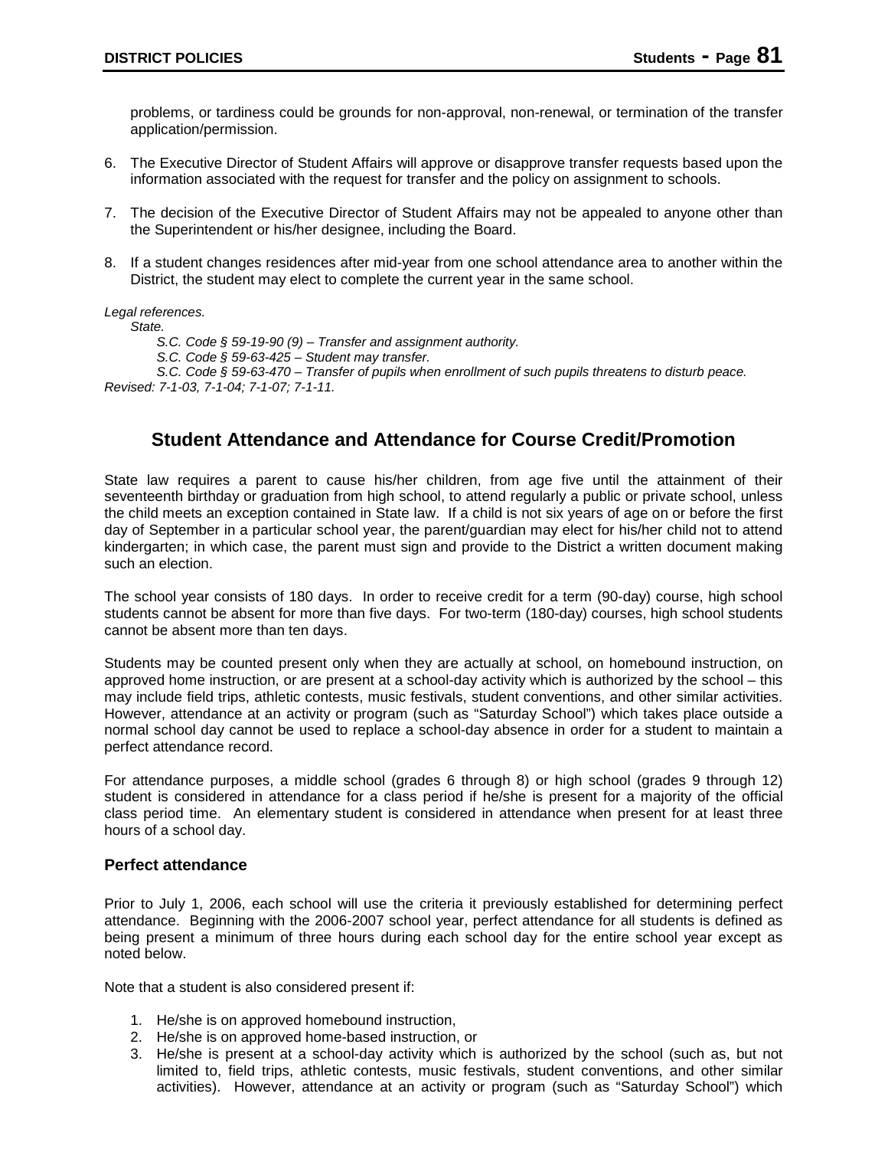problems, or tardiness could be grounds for non-approval, non-renewal, or termination of the transfer application/permission.

- 6. The Executive Director of Student Affairs will approve or disapprove transfer requests based upon the information associated with the request for transfer and the policy on assignment to schools.
- 7. The decision of the Executive Director of Student Affairs may not be appealed to anyone other than the Superintendent or his/her designee, including the Board.
- 8. If a student changes residences after mid-year from one school attendance area to another within the District, the student may elect to complete the current year in the same school.

#### *Legal references.*

*State.*

*S.C. Code § 59-19-90 (9) – Transfer and assignment authority.*

*S.C. Code § 59-63-425 – Student may transfer.*

<span id="page-14-0"></span>*S.C. Code § 59-63-470 – Transfer of pupils when enrollment of such pupils threatens to disturb peace. Revised: 7-1-03, 7-1-04; 7-1-07; 7-1-11.*

# **Student Attendance and Attendance for Course Credit/Promotion**

State law requires a parent to cause his/her children, from age five until the attainment of their seventeenth birthday or graduation from high school, to attend regularly a public or private school, unless the child meets an exception contained in State law. If a child is not six years of age on or before the first day of September in a particular school year, the parent/guardian may elect for his/her child not to attend kindergarten; in which case, the parent must sign and provide to the District a written document making such an election.

The school year consists of 180 days. In order to receive credit for a term (90-day) course, high school students cannot be absent for more than five days. For two-term (180-day) courses, high school students cannot be absent more than ten days.

Students may be counted present only when they are actually at school, on homebound instruction, on approved home instruction, or are present at a school-day activity which is authorized by the school – this may include field trips, athletic contests, music festivals, student conventions, and other similar activities. However, attendance at an activity or program (such as "Saturday School") which takes place outside a normal school day cannot be used to replace a school-day absence in order for a student to maintain a perfect attendance record.

For attendance purposes, a middle school (grades 6 through 8) or high school (grades 9 through 12) student is considered in attendance for a class period if he/she is present for a majority of the official class period time. An elementary student is considered in attendance when present for at least three hours of a school day.

#### <span id="page-14-1"></span>**Perfect attendance**

Prior to July 1, 2006, each school will use the criteria it previously established for determining perfect attendance. Beginning with the 2006-2007 school year, perfect attendance for all students is defined as being present a minimum of three hours during each school day for the entire school year except as noted below.

Note that a student is also considered present if:

- 1. He/she is on approved homebound instruction,
- 2. He/she is on approved home-based instruction, or
- 3. He/she is present at a school-day activity which is authorized by the school (such as, but not limited to, field trips, athletic contests, music festivals, student conventions, and other similar activities). However, attendance at an activity or program (such as "Saturday School") which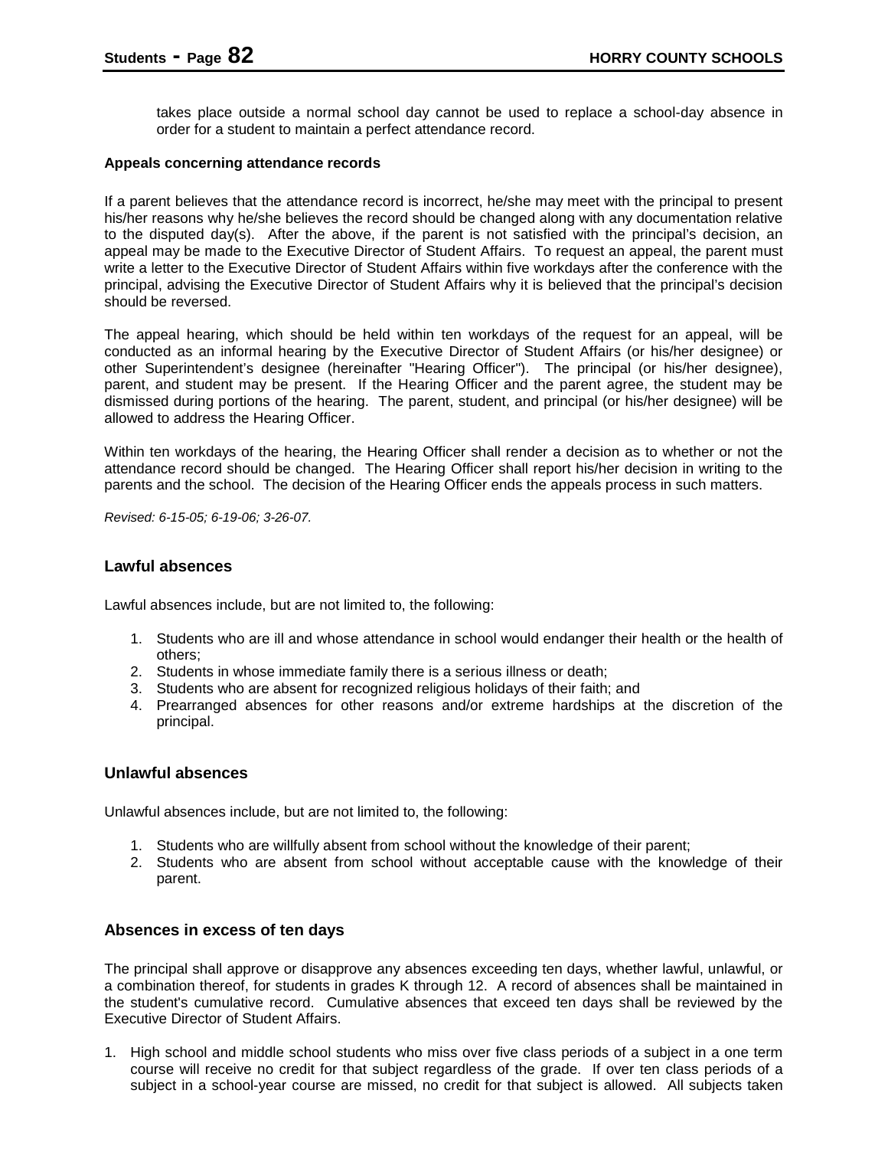takes place outside a normal school day cannot be used to replace a school-day absence in order for a student to maintain a perfect attendance record.

### **Appeals concerning attendance records**

If a parent believes that the attendance record is incorrect, he/she may meet with the principal to present his/her reasons why he/she believes the record should be changed along with any documentation relative to the disputed day(s). After the above, if the parent is not satisfied with the principal's decision, an appeal may be made to the Executive Director of Student Affairs. To request an appeal, the parent must write a letter to the Executive Director of Student Affairs within five workdays after the conference with the principal, advising the Executive Director of Student Affairs why it is believed that the principal's decision should be reversed.

The appeal hearing, which should be held within ten workdays of the request for an appeal, will be conducted as an informal hearing by the Executive Director of Student Affairs (or his/her designee) or other Superintendent's designee (hereinafter "Hearing Officer"). The principal (or his/her designee), parent, and student may be present. If the Hearing Officer and the parent agree, the student may be dismissed during portions of the hearing. The parent, student, and principal (or his/her designee) will be allowed to address the Hearing Officer.

Within ten workdays of the hearing, the Hearing Officer shall render a decision as to whether or not the attendance record should be changed. The Hearing Officer shall report his/her decision in writing to the parents and the school. The decision of the Hearing Officer ends the appeals process in such matters.

*Revised: 6-15-05; 6-19-06; 3-26-07.*

### <span id="page-15-0"></span>**Lawful absences**

Lawful absences include, but are not limited to, the following:

- 1. Students who are ill and whose attendance in school would endanger their health or the health of others;
- 2. Students in whose immediate family there is a serious illness or death;
- 3. Students who are absent for recognized religious holidays of their faith; and
- 4. Prearranged absences for other reasons and/or extreme hardships at the discretion of the principal.

### <span id="page-15-1"></span>**Unlawful absences**

Unlawful absences include, but are not limited to, the following:

- 1. Students who are willfully absent from school without the knowledge of their parent;
- 2. Students who are absent from school without acceptable cause with the knowledge of their parent.

## <span id="page-15-2"></span>**Absences in excess of ten days**

The principal shall approve or disapprove any absences exceeding ten days, whether lawful, unlawful, or a combination thereof, for students in grades K through 12. A record of absences shall be maintained in the student's cumulative record. Cumulative absences that exceed ten days shall be reviewed by the Executive Director of Student Affairs.

1. High school and middle school students who miss over five class periods of a subject in a one term course will receive no credit for that subject regardless of the grade. If over ten class periods of a subject in a school-year course are missed, no credit for that subject is allowed. All subjects taken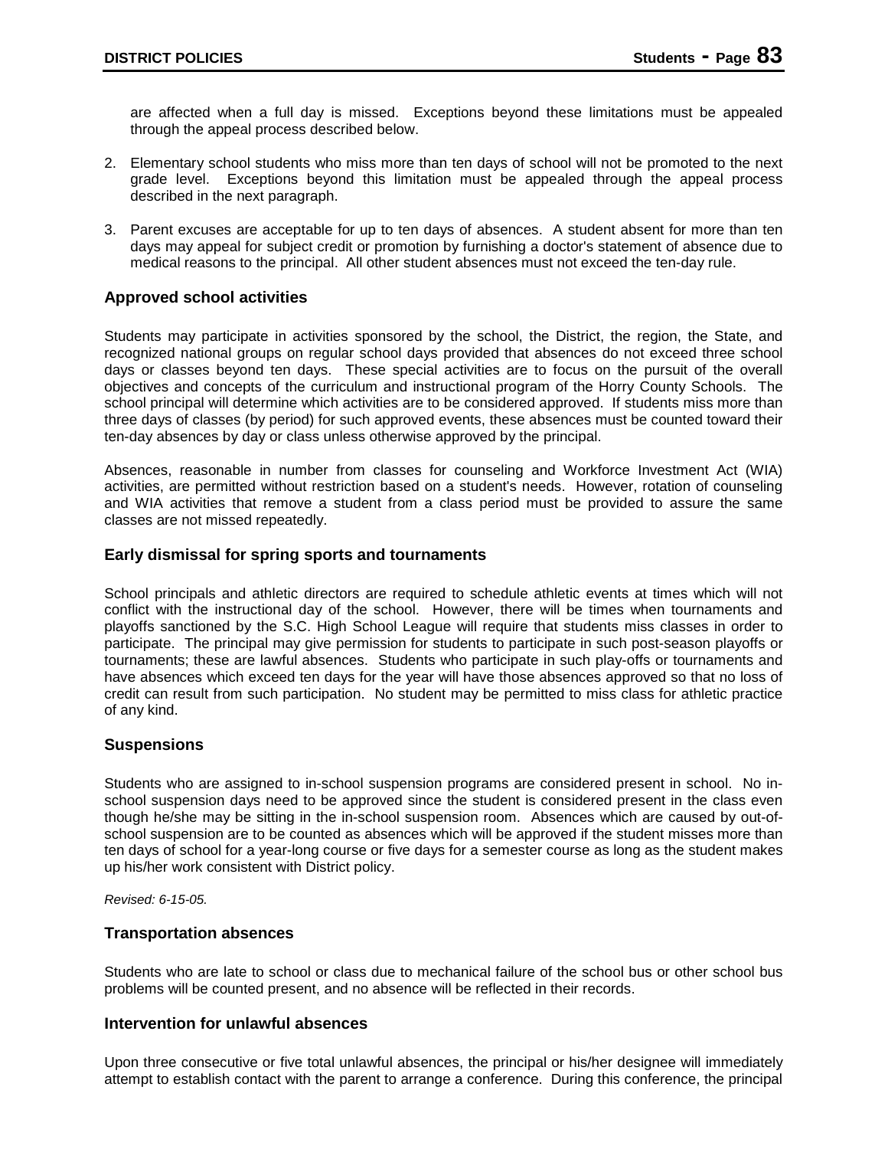are affected when a full day is missed. Exceptions beyond these limitations must be appealed through the appeal process described below.

- 2. Elementary school students who miss more than ten days of school will not be promoted to the next grade level. Exceptions beyond this limitation must be appealed through the appeal process described in the next paragraph.
- 3. Parent excuses are acceptable for up to ten days of absences. A student absent for more than ten days may appeal for subject credit or promotion by furnishing a doctor's statement of absence due to medical reasons to the principal. All other student absences must not exceed the ten-day rule.

## <span id="page-16-0"></span>**Approved school activities**

Students may participate in activities sponsored by the school, the District, the region, the State, and recognized national groups on regular school days provided that absences do not exceed three school days or classes beyond ten days. These special activities are to focus on the pursuit of the overall objectives and concepts of the curriculum and instructional program of the Horry County Schools. The school principal will determine which activities are to be considered approved. If students miss more than three days of classes (by period) for such approved events, these absences must be counted toward their ten-day absences by day or class unless otherwise approved by the principal.

Absences, reasonable in number from classes for counseling and Workforce Investment Act (WIA) activities, are permitted without restriction based on a student's needs. However, rotation of counseling and WIA activities that remove a student from a class period must be provided to assure the same classes are not missed repeatedly.

### <span id="page-16-1"></span>**Early dismissal for spring sports and tournaments**

School principals and athletic directors are required to schedule athletic events at times which will not conflict with the instructional day of the school. However, there will be times when tournaments and playoffs sanctioned by the S.C. High School League will require that students miss classes in order to participate. The principal may give permission for students to participate in such post-season playoffs or tournaments; these are lawful absences. Students who participate in such play-offs or tournaments and have absences which exceed ten days for the year will have those absences approved so that no loss of credit can result from such participation. No student may be permitted to miss class for athletic practice of any kind.

## <span id="page-16-2"></span>**Suspensions**

Students who are assigned to in-school suspension programs are considered present in school. No inschool suspension days need to be approved since the student is considered present in the class even though he/she may be sitting in the in-school suspension room. Absences which are caused by out-ofschool suspension are to be counted as absences which will be approved if the student misses more than ten days of school for a year-long course or five days for a semester course as long as the student makes up his/her work consistent with District policy.

<span id="page-16-3"></span>*Revised: 6-15-05.*

#### **Transportation absences**

Students who are late to school or class due to mechanical failure of the school bus or other school bus problems will be counted present, and no absence will be reflected in their records.

### <span id="page-16-4"></span>**Intervention for unlawful absences**

Upon three consecutive or five total unlawful absences, the principal or his/her designee will immediately attempt to establish contact with the parent to arrange a conference. During this conference, the principal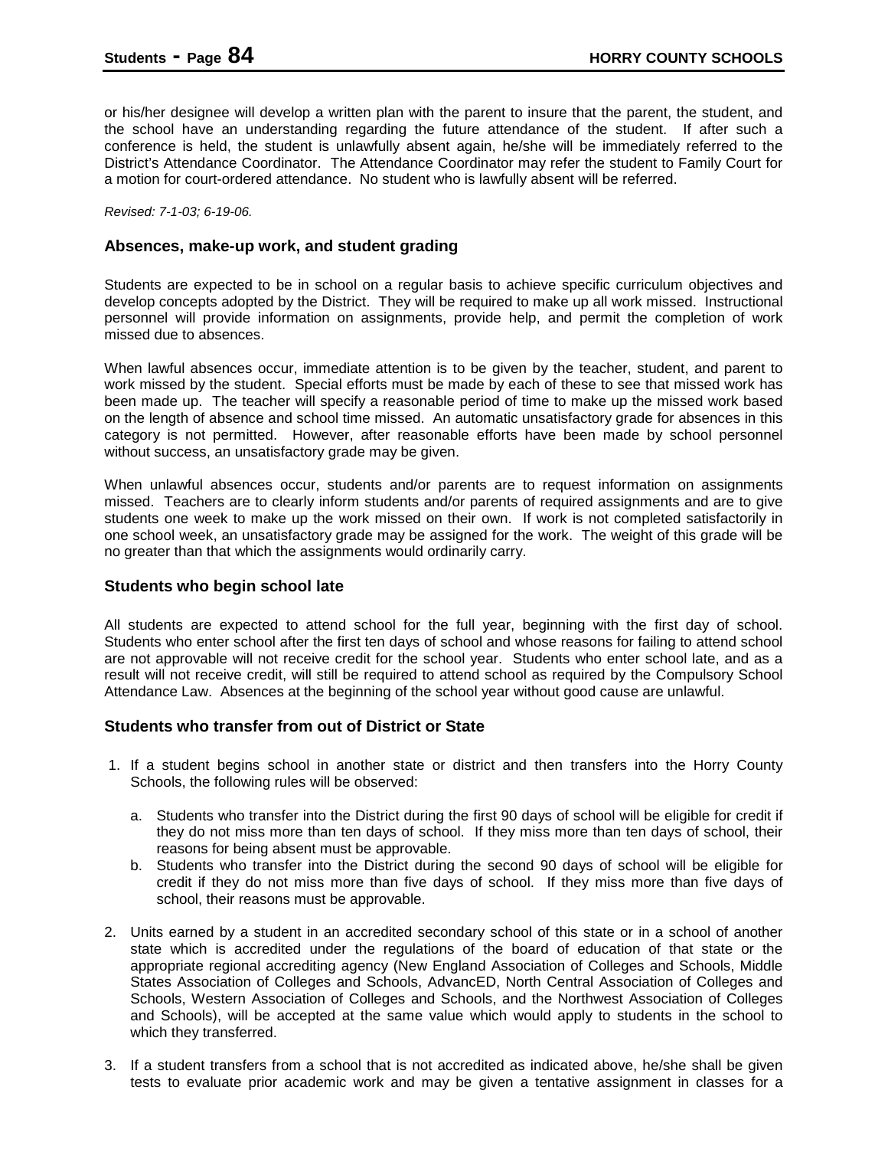or his/her designee will develop a written plan with the parent to insure that the parent, the student, and the school have an understanding regarding the future attendance of the student. If after such a conference is held, the student is unlawfully absent again, he/she will be immediately referred to the District's Attendance Coordinator. The Attendance Coordinator may refer the student to Family Court for a motion for court-ordered attendance. No student who is lawfully absent will be referred.

<span id="page-17-0"></span>*Revised: 7-1-03; 6-19-06.*

### **Absences, make-up work, and student grading**

Students are expected to be in school on a regular basis to achieve specific curriculum objectives and develop concepts adopted by the District. They will be required to make up all work missed. Instructional personnel will provide information on assignments, provide help, and permit the completion of work missed due to absences.

When lawful absences occur, immediate attention is to be given by the teacher, student, and parent to work missed by the student. Special efforts must be made by each of these to see that missed work has been made up. The teacher will specify a reasonable period of time to make up the missed work based on the length of absence and school time missed. An automatic unsatisfactory grade for absences in this category is not permitted. However, after reasonable efforts have been made by school personnel without success, an unsatisfactory grade may be given.

When unlawful absences occur, students and/or parents are to request information on assignments missed. Teachers are to clearly inform students and/or parents of required assignments and are to give students one week to make up the work missed on their own. If work is not completed satisfactorily in one school week, an unsatisfactory grade may be assigned for the work. The weight of this grade will be no greater than that which the assignments would ordinarily carry.

#### <span id="page-17-1"></span>**Students who begin school late**

All students are expected to attend school for the full year, beginning with the first day of school. Students who enter school after the first ten days of school and whose reasons for failing to attend school are not approvable will not receive credit for the school year. Students who enter school late, and as a result will not receive credit, will still be required to attend school as required by the Compulsory School Attendance Law. Absences at the beginning of the school year without good cause are unlawful.

## <span id="page-17-2"></span>**Students who transfer from out of District or State**

- 1. If a student begins school in another state or district and then transfers into the Horry County Schools, the following rules will be observed:
	- a. Students who transfer into the District during the first 90 days of school will be eligible for credit if they do not miss more than ten days of school. If they miss more than ten days of school, their reasons for being absent must be approvable.
	- b. Students who transfer into the District during the second 90 days of school will be eligible for credit if they do not miss more than five days of school. If they miss more than five days of school, their reasons must be approvable.
- 2. Units earned by a student in an accredited secondary school of this state or in a school of another state which is accredited under the regulations of the board of education of that state or the appropriate regional accrediting agency (New England Association of Colleges and Schools, Middle States Association of Colleges and Schools, AdvancED, North Central Association of Colleges and Schools, Western Association of Colleges and Schools, and the Northwest Association of Colleges and Schools), will be accepted at the same value which would apply to students in the school to which they transferred.
- 3. If a student transfers from a school that is not accredited as indicated above, he/she shall be given tests to evaluate prior academic work and may be given a tentative assignment in classes for a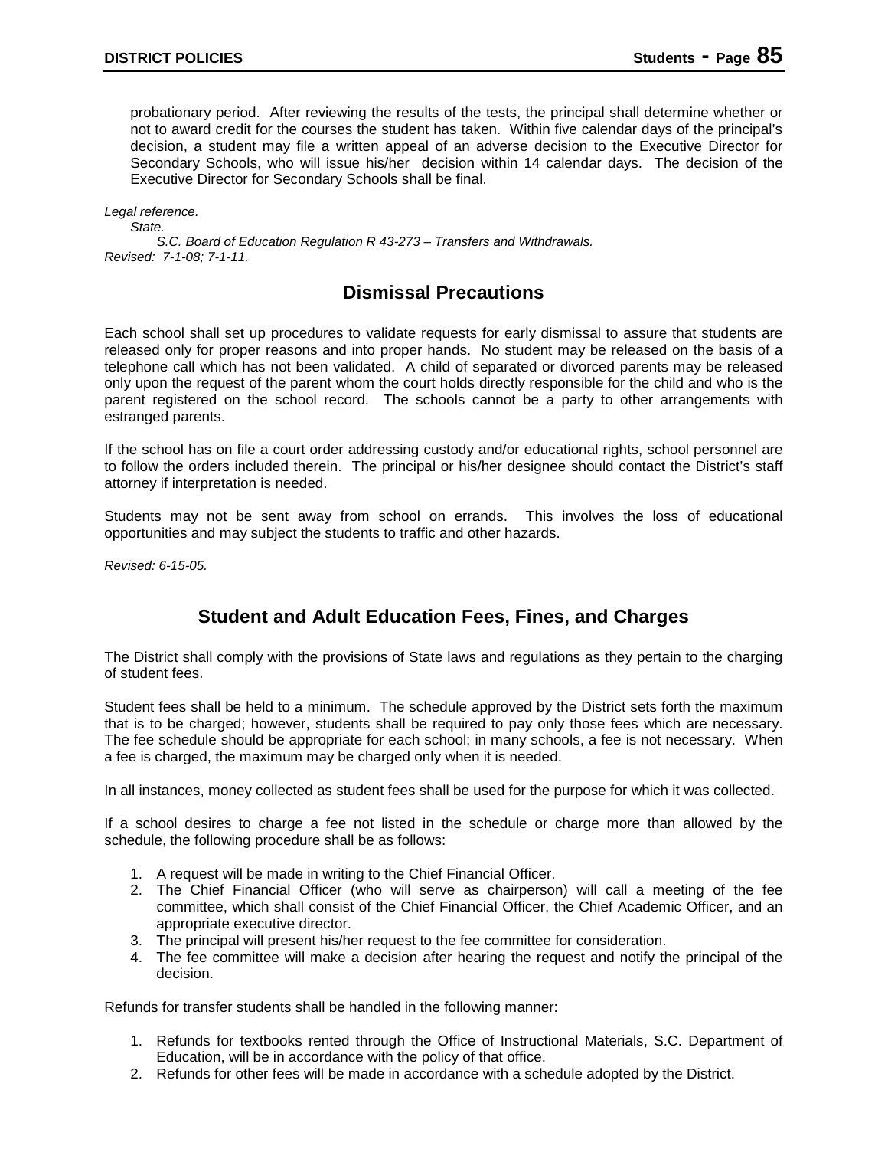probationary period. After reviewing the results of the tests, the principal shall determine whether or not to award credit for the courses the student has taken. Within five calendar days of the principal's decision, a student may file a written appeal of an adverse decision to the Executive Director for Secondary Schools, who will issue his/her decision within 14 calendar days. The decision of the Executive Director for Secondary Schools shall be final.

*Legal reference.*

<span id="page-18-0"></span>*State. S.C. Board of Education Regulation R 43-273 – Transfers and Withdrawals. Revised: 7-1-08; 7-1-11.*

# **Dismissal Precautions**

Each school shall set up procedures to validate requests for early dismissal to assure that students are released only for proper reasons and into proper hands. No student may be released on the basis of a telephone call which has not been validated. A child of separated or divorced parents may be released only upon the request of the parent whom the court holds directly responsible for the child and who is the parent registered on the school record. The schools cannot be a party to other arrangements with estranged parents.

If the school has on file a court order addressing custody and/or educational rights, school personnel are to follow the orders included therein. The principal or his/her designee should contact the District's staff attorney if interpretation is needed.

Students may not be sent away from school on errands. This involves the loss of educational opportunities and may subject the students to traffic and other hazards.

<span id="page-18-1"></span>*Revised: 6-15-05.*

# **Student and Adult Education Fees, Fines, and Charges**

The District shall comply with the provisions of State laws and regulations as they pertain to the charging of student fees.

Student fees shall be held to a minimum. The schedule approved by the District sets forth the maximum that is to be charged; however, students shall be required to pay only those fees which are necessary. The fee schedule should be appropriate for each school; in many schools, a fee is not necessary. When a fee is charged, the maximum may be charged only when it is needed.

In all instances, money collected as student fees shall be used for the purpose for which it was collected.

If a school desires to charge a fee not listed in the schedule or charge more than allowed by the schedule, the following procedure shall be as follows:

- 1. A request will be made in writing to the Chief Financial Officer.
- 2. The Chief Financial Officer (who will serve as chairperson) will call a meeting of the fee committee, which shall consist of the Chief Financial Officer, the Chief Academic Officer, and an appropriate executive director.
- 3. The principal will present his/her request to the fee committee for consideration.
- 4. The fee committee will make a decision after hearing the request and notify the principal of the decision.

Refunds for transfer students shall be handled in the following manner:

- 1. Refunds for textbooks rented through the Office of Instructional Materials, S.C. Department of Education, will be in accordance with the policy of that office.
- 2. Refunds for other fees will be made in accordance with a schedule adopted by the District.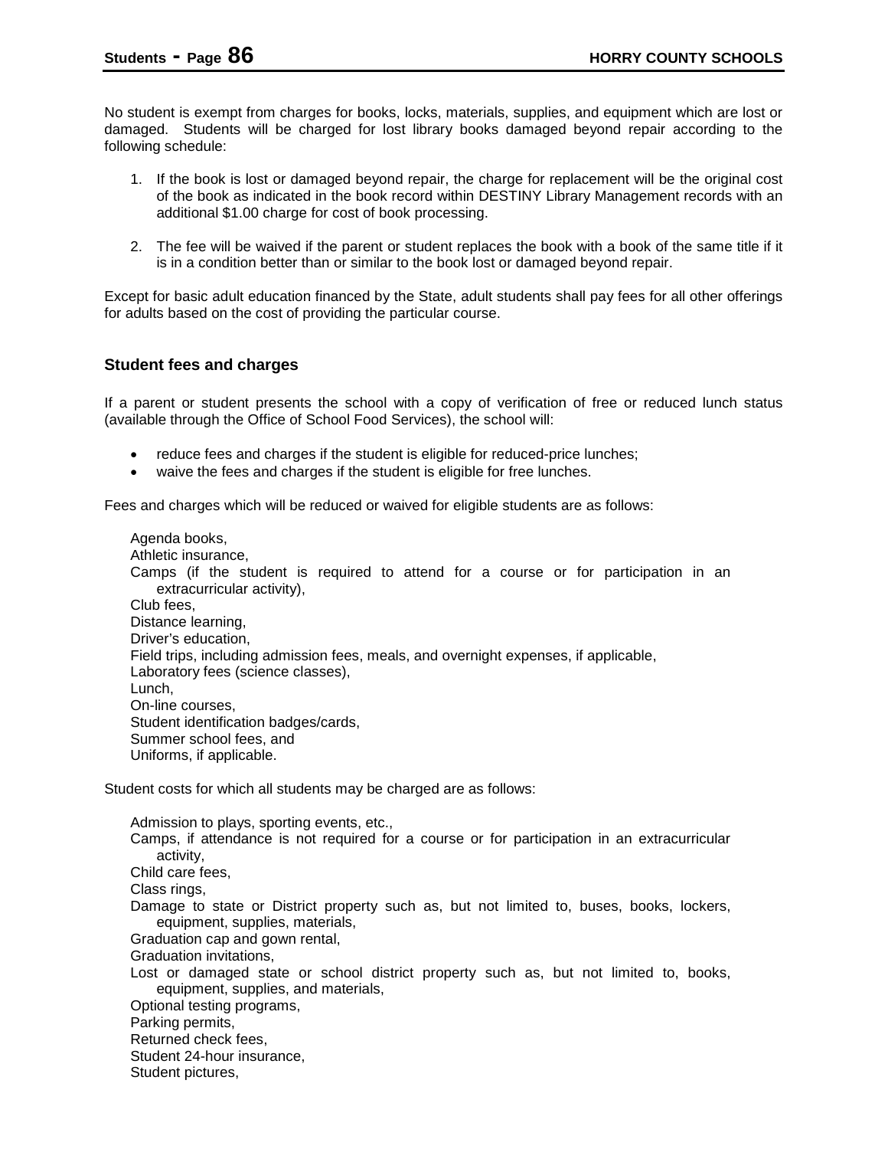No student is exempt from charges for books, locks, materials, supplies, and equipment which are lost or damaged. Students will be charged for lost library books damaged beyond repair according to the following schedule:

- 1. If the book is lost or damaged beyond repair, the charge for replacement will be the original cost of the book as indicated in the book record within DESTINY Library Management records with an additional \$1.00 charge for cost of book processing.
- 2. The fee will be waived if the parent or student replaces the book with a book of the same title if it is in a condition better than or similar to the book lost or damaged beyond repair.

Except for basic adult education financed by the State, adult students shall pay fees for all other offerings for adults based on the cost of providing the particular course.

## <span id="page-19-0"></span>**Student fees and charges**

If a parent or student presents the school with a copy of verification of free or reduced lunch status (available through the Office of School Food Services), the school will:

- reduce fees and charges if the student is eligible for reduced-price lunches;
- waive the fees and charges if the student is eligible for free lunches.

Fees and charges which will be reduced or waived for eligible students are as follows:

Agenda books, Athletic insurance, Camps (if the student is required to attend for a course or for participation in an extracurricular activity), Club fees, Distance learning, Driver's education, Field trips, including admission fees, meals, and overnight expenses, if applicable, Laboratory fees (science classes), Lunch, On-line courses, Student identification badges/cards, Summer school fees, and Uniforms, if applicable.

Student costs for which all students may be charged are as follows:

Admission to plays, sporting events, etc., Camps, if attendance is not required for a course or for participation in an extracurricular activity, Child care fees, Class rings, Damage to state or District property such as, but not limited to, buses, books, lockers, equipment, supplies, materials, Graduation cap and gown rental, Graduation invitations, Lost or damaged state or school district property such as, but not limited to, books, equipment, supplies, and materials, Optional testing programs, Parking permits, Returned check fees, Student 24-hour insurance, Student pictures,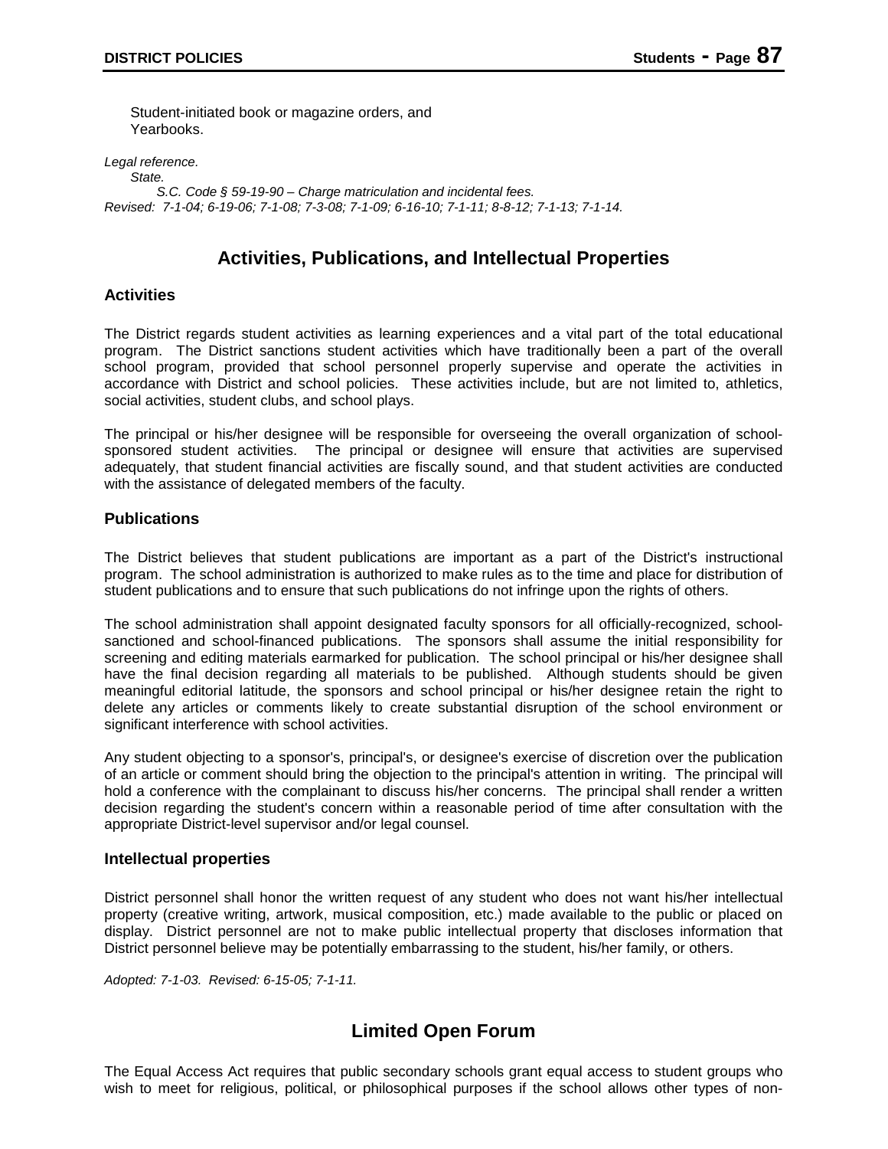Student-initiated book or magazine orders, and Yearbooks.

*Legal reference. State. S.C. Code § 59-19-90 – Charge matriculation and incidental fees. Revised: 7-1-04; 6-19-06; 7-1-08; 7-3-08; 7-1-09; 6-16-10; 7-1-11; 8-8-12; 7-1-13; 7-1-14.*

# **Activities, Publications, and Intellectual Properties**

# <span id="page-20-1"></span><span id="page-20-0"></span>**Activities**

The District regards student activities as learning experiences and a vital part of the total educational program. The District sanctions student activities which have traditionally been a part of the overall school program, provided that school personnel properly supervise and operate the activities in accordance with District and school policies. These activities include, but are not limited to, athletics, social activities, student clubs, and school plays.

The principal or his/her designee will be responsible for overseeing the overall organization of schoolsponsored student activities. The principal or designee will ensure that activities are supervised adequately, that student financial activities are fiscally sound, and that student activities are conducted with the assistance of delegated members of the faculty.

## <span id="page-20-2"></span>**Publications**

The District believes that student publications are important as a part of the District's instructional program. The school administration is authorized to make rules as to the time and place for distribution of student publications and to ensure that such publications do not infringe upon the rights of others.

The school administration shall appoint designated faculty sponsors for all officially-recognized, schoolsanctioned and school-financed publications. The sponsors shall assume the initial responsibility for screening and editing materials earmarked for publication. The school principal or his/her designee shall have the final decision regarding all materials to be published. Although students should be given meaningful editorial latitude, the sponsors and school principal or his/her designee retain the right to delete any articles or comments likely to create substantial disruption of the school environment or significant interference with school activities.

Any student objecting to a sponsor's, principal's, or designee's exercise of discretion over the publication of an article or comment should bring the objection to the principal's attention in writing. The principal will hold a conference with the complainant to discuss his/her concerns. The principal shall render a written decision regarding the student's concern within a reasonable period of time after consultation with the appropriate District-level supervisor and/or legal counsel.

## <span id="page-20-3"></span>**Intellectual properties**

District personnel shall honor the written request of any student who does not want his/her intellectual property (creative writing, artwork, musical composition, etc.) made available to the public or placed on display. District personnel are not to make public intellectual property that discloses information that District personnel believe may be potentially embarrassing to the student, his/her family, or others.

<span id="page-20-4"></span>*Adopted: 7-1-03. Revised: 6-15-05; 7-1-11.*

# **Limited Open Forum**

The Equal Access Act requires that public secondary schools grant equal access to student groups who wish to meet for religious, political, or philosophical purposes if the school allows other types of non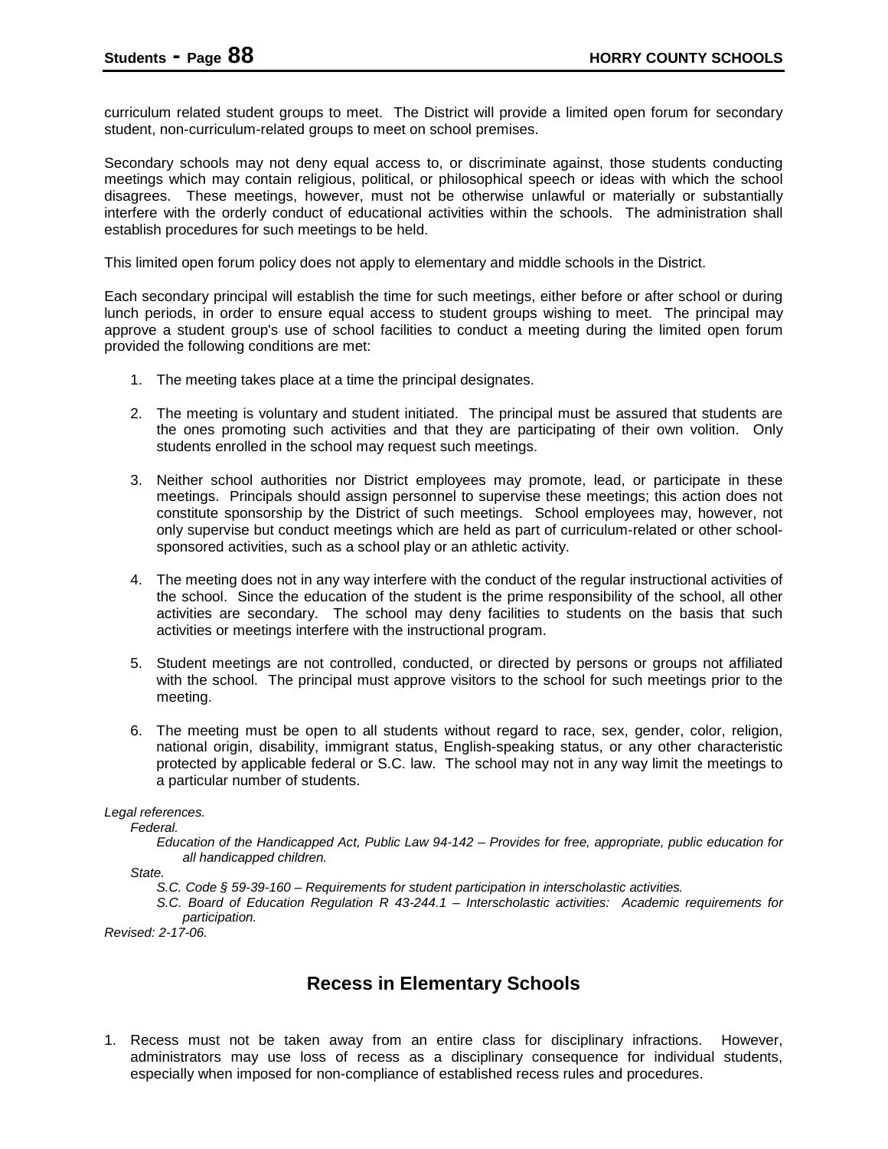curriculum related student groups to meet. The District will provide a limited open forum for secondary student, non-curriculum-related groups to meet on school premises.

Secondary schools may not deny equal access to, or discriminate against, those students conducting meetings which may contain religious, political, or philosophical speech or ideas with which the school disagrees. These meetings, however, must not be otherwise unlawful or materially or substantially interfere with the orderly conduct of educational activities within the schools. The administration shall establish procedures for such meetings to be held.

This limited open forum policy does not apply to elementary and middle schools in the District.

Each secondary principal will establish the time for such meetings, either before or after school or during lunch periods, in order to ensure equal access to student groups wishing to meet. The principal may approve a student group's use of school facilities to conduct a meeting during the limited open forum provided the following conditions are met:

- 1. The meeting takes place at a time the principal designates.
- 2. The meeting is voluntary and student initiated. The principal must be assured that students are the ones promoting such activities and that they are participating of their own volition. Only students enrolled in the school may request such meetings.
- 3. Neither school authorities nor District employees may promote, lead, or participate in these meetings. Principals should assign personnel to supervise these meetings; this action does not constitute sponsorship by the District of such meetings. School employees may, however, not only supervise but conduct meetings which are held as part of curriculum-related or other schoolsponsored activities, such as a school play or an athletic activity.
- 4. The meeting does not in any way interfere with the conduct of the regular instructional activities of the school. Since the education of the student is the prime responsibility of the school, all other activities are secondary. The school may deny facilities to students on the basis that such activities or meetings interfere with the instructional program.
- 5. Student meetings are not controlled, conducted, or directed by persons or groups not affiliated with the school. The principal must approve visitors to the school for such meetings prior to the meeting.
- 6. The meeting must be open to all students without regard to race, sex, gender, color, religion, national origin, disability, immigrant status, English-speaking status, or any other characteristic protected by applicable federal or S.C. law. The school may not in any way limit the meetings to a particular number of students.

#### *Legal references.*

*Federal.*

*Education of the Handicapped Act, Public Law 94-142 – Provides for free, appropriate, public education for all handicapped children.*

*State.*

*S.C. Code § 59-39-160 – Requirements for student participation in interscholastic activities.*

*S.C. Board of Education Regulation R 43-244.1 – Interscholastic activities: Academic requirements for participation.*

<span id="page-21-0"></span>*Revised: 2-17-06.*

# **Recess in Elementary Schools**

1. Recess must not be taken away from an entire class for disciplinary infractions. However, administrators may use loss of recess as a disciplinary consequence for individual students, especially when imposed for non-compliance of established recess rules and procedures.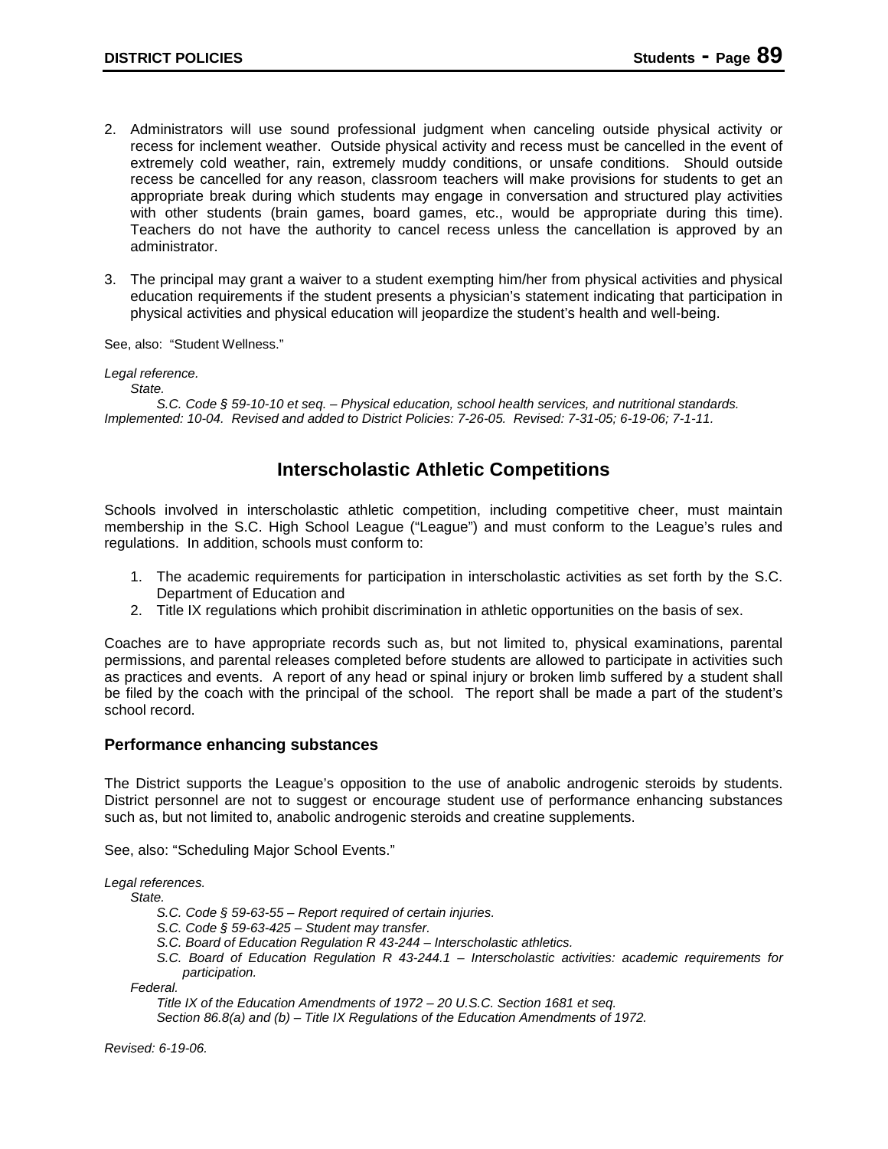- 2. Administrators will use sound professional judgment when canceling outside physical activity or recess for inclement weather. Outside physical activity and recess must be cancelled in the event of extremely cold weather, rain, extremely muddy conditions, or unsafe conditions. Should outside recess be cancelled for any reason, classroom teachers will make provisions for students to get an appropriate break during which students may engage in conversation and structured play activities with other students (brain games, board games, etc., would be appropriate during this time). Teachers do not have the authority to cancel recess unless the cancellation is approved by an administrator.
- 3. The principal may grant a waiver to a student exempting him/her from physical activities and physical education requirements if the student presents a physician's statement indicating that participation in physical activities and physical education will jeopardize the student's health and well-being.

See, also: "Student Wellness."

#### *Legal reference.*

*State.*

<span id="page-22-0"></span>*S.C. Code § 59-10-10 et seq. – Physical education, school health services, and nutritional standards. Implemented: 10-04. Revised and added to District Policies: 7-26-05. Revised: 7-31-05; 6-19-06; 7-1-11.*

# **Interscholastic Athletic Competitions**

Schools involved in interscholastic athletic competition, including competitive cheer, must maintain membership in the S.C. High School League ("League") and must conform to the League's rules and regulations. In addition, schools must conform to:

- 1. The academic requirements for participation in interscholastic activities as set forth by the S.C. Department of Education and
- 2. Title IX regulations which prohibit discrimination in athletic opportunities on the basis of sex.

Coaches are to have appropriate records such as, but not limited to, physical examinations, parental permissions, and parental releases completed before students are allowed to participate in activities such as practices and events. A report of any head or spinal injury or broken limb suffered by a student shall be filed by the coach with the principal of the school. The report shall be made a part of the student's school record.

#### <span id="page-22-1"></span>**Performance enhancing substances**

The District supports the League's opposition to the use of anabolic androgenic steroids by students. District personnel are not to suggest or encourage student use of performance enhancing substances such as, but not limited to, anabolic androgenic steroids and creatine supplements.

See, also: "Scheduling Major School Events."

*Legal references.*

*State.*

- *S.C. Code § 59-63-55 – Report required of certain injuries.*
- *S.C. Code § 59-63-425 – Student may transfer.*
- *S.C. Board of Education Regulation R 43-244 – Interscholastic athletics.*
- *S.C. Board of Education Regulation R 43-244.1 – Interscholastic activities: academic requirements for participation.*

*Federal.*

*Title IX of the Education Amendments of 1972 – 20 U.S.C. Section 1681 et seq.*

*Section 86.8(a) and (b) – Title IX Regulations of the Education Amendments of 1972.*

*Revised: 6-19-06.*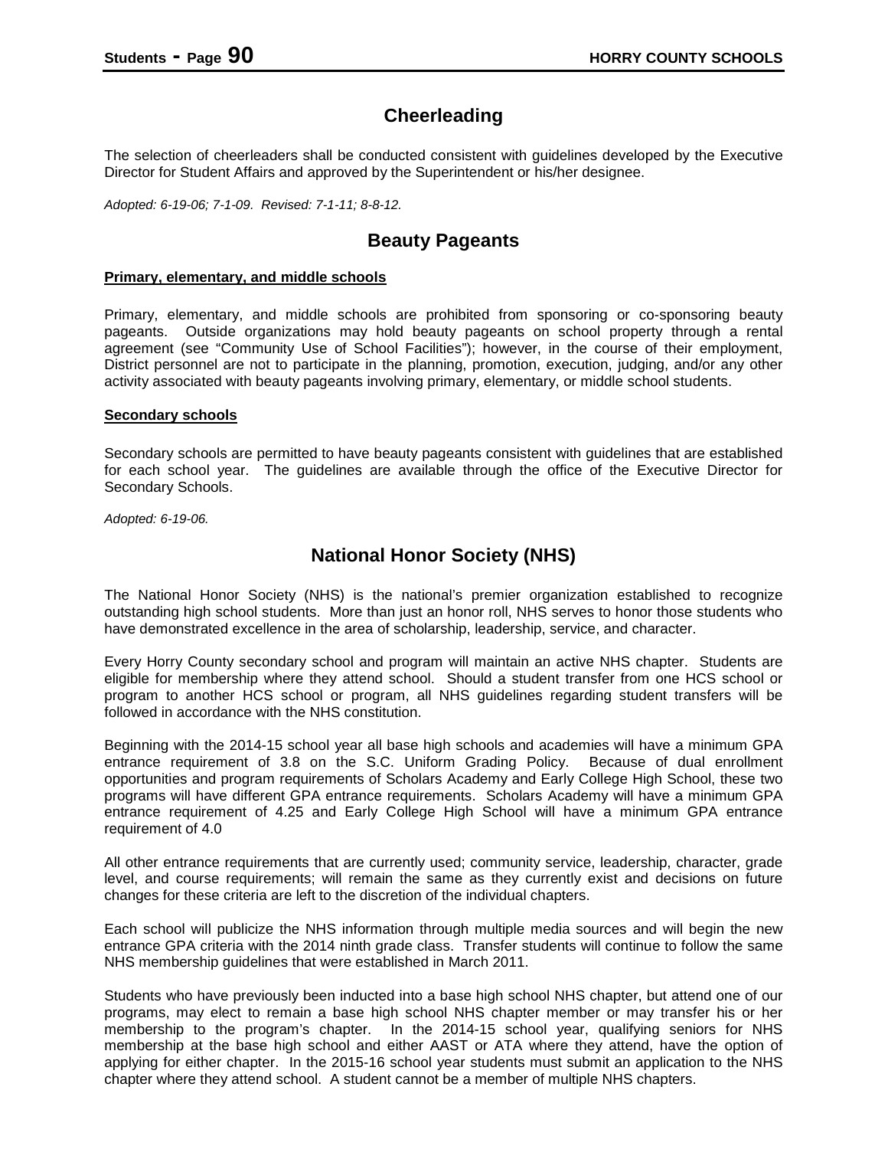# **Cheerleading**

<span id="page-23-0"></span>The selection of cheerleaders shall be conducted consistent with guidelines developed by the Executive Director for Student Affairs and approved by the Superintendent or his/her designee.

<span id="page-23-1"></span>*Adopted: 6-19-06; 7-1-09. Revised: 7-1-11; 8-8-12.*

# **Beauty Pageants**

#### **Primary, elementary, and middle schools**

Primary, elementary, and middle schools are prohibited from sponsoring or co-sponsoring beauty pageants. Outside organizations may hold beauty pageants on school property through a rental agreement (see "Community Use of School Facilities"); however, in the course of their employment, District personnel are not to participate in the planning, promotion, execution, judging, and/or any other activity associated with beauty pageants involving primary, elementary, or middle school students.

#### **Secondary schools**

Secondary schools are permitted to have beauty pageants consistent with guidelines that are established for each school year. The guidelines are available through the office of the Executive Director for Secondary Schools.

<span id="page-23-2"></span>*Adopted: 6-19-06.*

# **National Honor Society (NHS)**

The National Honor Society (NHS) is the national's premier organization established to recognize outstanding high school students. More than just an honor roll, NHS serves to honor those students who have demonstrated excellence in the area of scholarship, leadership, service, and character.

Every Horry County secondary school and program will maintain an active NHS chapter. Students are eligible for membership where they attend school. Should a student transfer from one HCS school or program to another HCS school or program, all NHS guidelines regarding student transfers will be followed in accordance with the NHS constitution.

Beginning with the 2014-15 school year all base high schools and academies will have a minimum GPA entrance requirement of 3.8 on the S.C. Uniform Grading Policy. Because of dual enrollment opportunities and program requirements of Scholars Academy and Early College High School, these two programs will have different GPA entrance requirements. Scholars Academy will have a minimum GPA entrance requirement of 4.25 and Early College High School will have a minimum GPA entrance requirement of 4.0

All other entrance requirements that are currently used; community service, leadership, character, grade level, and course requirements; will remain the same as they currently exist and decisions on future changes for these criteria are left to the discretion of the individual chapters.

Each school will publicize the NHS information through multiple media sources and will begin the new entrance GPA criteria with the 2014 ninth grade class. Transfer students will continue to follow the same NHS membership guidelines that were established in March 2011.

Students who have previously been inducted into a base high school NHS chapter, but attend one of our programs, may elect to remain a base high school NHS chapter member or may transfer his or her membership to the program's chapter. In the 2014-15 school year, qualifying seniors for NHS membership at the base high school and either AAST or ATA where they attend, have the option of applying for either chapter. In the 2015-16 school year students must submit an application to the NHS chapter where they attend school. A student cannot be a member of multiple NHS chapters.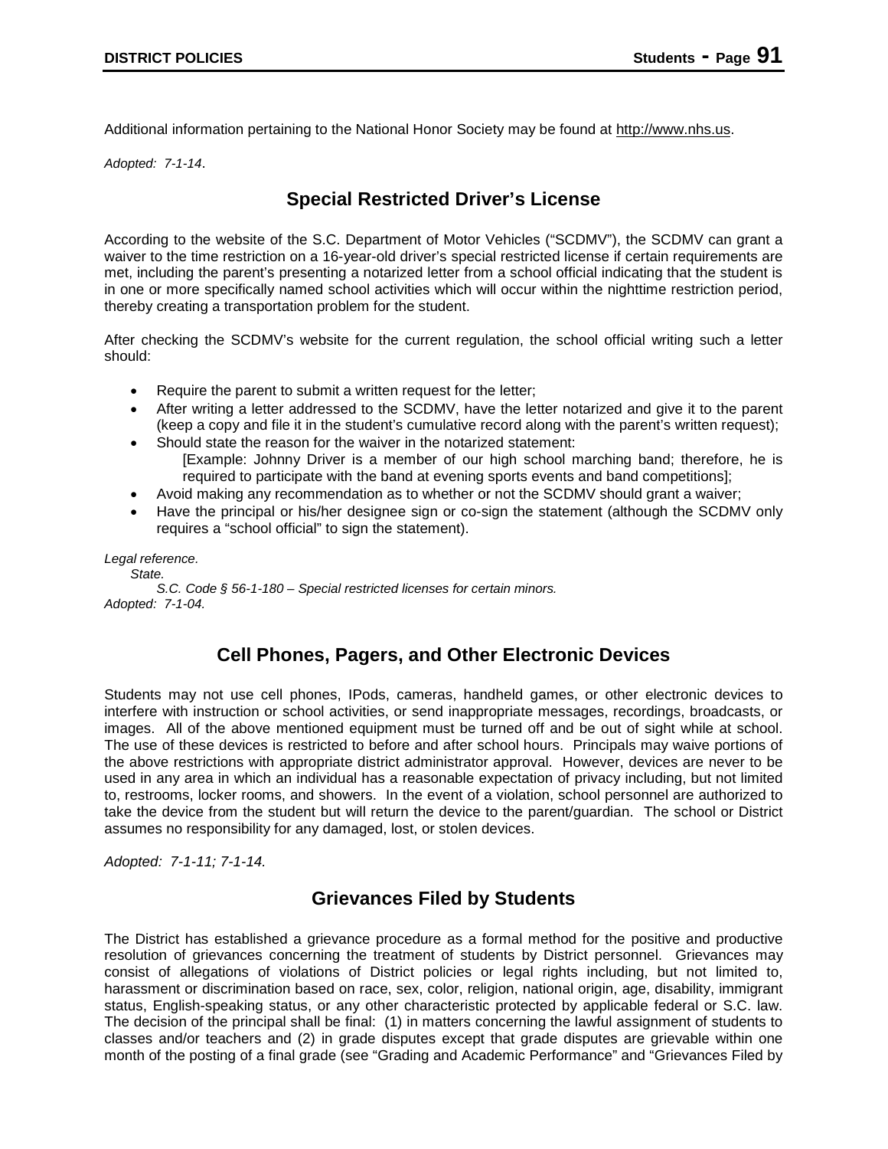Additional information pertaining to the National Honor Society may be found at [http://www.nhs.us.](http://www.nhs.us/)

<span id="page-24-0"></span>*Adopted: 7-1-14*.

# **Special Restricted Driver's License**

According to the website of the S.C. Department of Motor Vehicles ("SCDMV"), the SCDMV can grant a waiver to the time restriction on a 16-year-old driver's special restricted license if certain requirements are met, including the parent's presenting a notarized letter from a school official indicating that the student is in one or more specifically named school activities which will occur within the nighttime restriction period, thereby creating a transportation problem for the student.

After checking the SCDMV's website for the current regulation, the school official writing such a letter should:

- Require the parent to submit a written request for the letter;
- After writing a letter addressed to the SCDMV, have the letter notarized and give it to the parent (keep a copy and file it in the student's cumulative record along with the parent's written request);
- Should state the reason for the waiver in the notarized statement: [Example: Johnny Driver is a member of our high school marching band; therefore, he is required to participate with the band at evening sports events and band competitions];
- Avoid making any recommendation as to whether or not the SCDMV should grant a waiver;
- Have the principal or his/her designee sign or co-sign the statement (although the SCDMV only requires a "school official" to sign the statement).

*Legal reference.*

*State. S.C. Code § 56-1-180 – Special restricted licenses for certain minors.*

<span id="page-24-1"></span>*Adopted: 7-1-04.*

# **Cell Phones, Pagers, and Other Electronic Devices**

Students may not use cell phones, IPods, cameras, handheld games, or other electronic devices to interfere with instruction or school activities, or send inappropriate messages, recordings, broadcasts, or images. All of the above mentioned equipment must be turned off and be out of sight while at school. The use of these devices is restricted to before and after school hours. Principals may waive portions of the above restrictions with appropriate district administrator approval. However, devices are never to be used in any area in which an individual has a reasonable expectation of privacy including, but not limited to, restrooms, locker rooms, and showers. In the event of a violation, school personnel are authorized to take the device from the student but will return the device to the parent/guardian. The school or District assumes no responsibility for any damaged, lost, or stolen devices.

<span id="page-24-2"></span>*Adopted: 7-1-11; 7-1-14.*

# **Grievances Filed by Students**

The District has established a grievance procedure as a formal method for the positive and productive resolution of grievances concerning the treatment of students by District personnel. Grievances may consist of allegations of violations of District policies or legal rights including, but not limited to, harassment or discrimination based on race, sex, color, religion, national origin, age, disability, immigrant status, English-speaking status, or any other characteristic protected by applicable federal or S.C. law. The decision of the principal shall be final: (1) in matters concerning the lawful assignment of students to classes and/or teachers and (2) in grade disputes except that grade disputes are grievable within one month of the posting of a final grade (see "Grading and Academic Performance" and "Grievances Filed by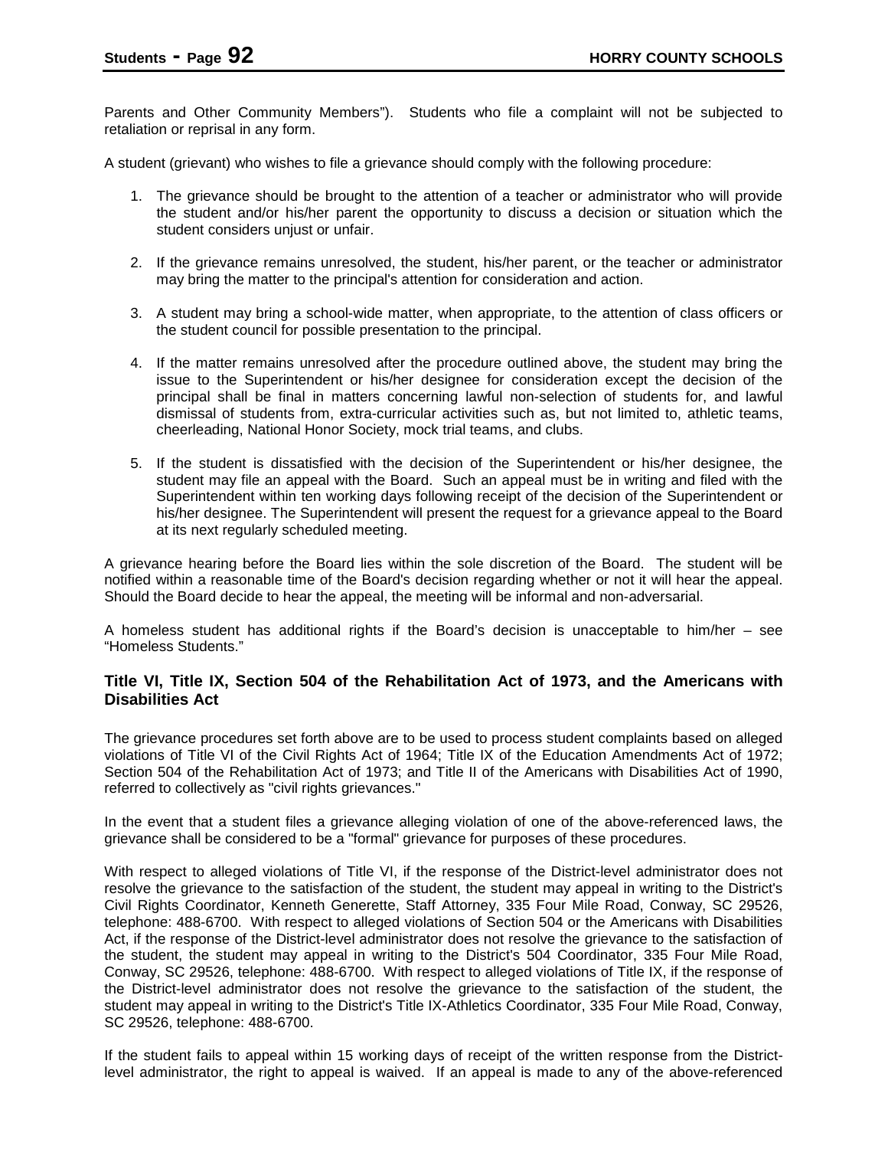Parents and Other Community Members"). Students who file a complaint will not be subjected to retaliation or reprisal in any form.

A student (grievant) who wishes to file a grievance should comply with the following procedure:

- 1. The grievance should be brought to the attention of a teacher or administrator who will provide the student and/or his/her parent the opportunity to discuss a decision or situation which the student considers unjust or unfair.
- 2. If the grievance remains unresolved, the student, his/her parent, or the teacher or administrator may bring the matter to the principal's attention for consideration and action.
- 3. A student may bring a school-wide matter, when appropriate, to the attention of class officers or the student council for possible presentation to the principal.
- 4. If the matter remains unresolved after the procedure outlined above, the student may bring the issue to the Superintendent or his/her designee for consideration except the decision of the principal shall be final in matters concerning lawful non-selection of students for, and lawful dismissal of students from, extra-curricular activities such as, but not limited to, athletic teams, cheerleading, National Honor Society, mock trial teams, and clubs.
- 5. If the student is dissatisfied with the decision of the Superintendent or his/her designee, the student may file an appeal with the Board. Such an appeal must be in writing and filed with the Superintendent within ten working days following receipt of the decision of the Superintendent or his/her designee. The Superintendent will present the request for a grievance appeal to the Board at its next regularly scheduled meeting.

A grievance hearing before the Board lies within the sole discretion of the Board. The student will be notified within a reasonable time of the Board's decision regarding whether or not it will hear the appeal. Should the Board decide to hear the appeal, the meeting will be informal and non-adversarial.

A homeless student has additional rights if the Board's decision is unacceptable to him/her – see "Homeless Students."

## <span id="page-25-0"></span>**Title VI, Title IX, Section 504 of the Rehabilitation Act of 1973, and the Americans with Disabilities Act**

The grievance procedures set forth above are to be used to process student complaints based on alleged violations of Title VI of the Civil Rights Act of 1964; Title IX of the Education Amendments Act of 1972; Section 504 of the Rehabilitation Act of 1973; and Title II of the Americans with Disabilities Act of 1990, referred to collectively as "civil rights grievances."

In the event that a student files a grievance alleging violation of one of the above-referenced laws, the grievance shall be considered to be a "formal" grievance for purposes of these procedures.

With respect to alleged violations of Title VI, if the response of the District-level administrator does not resolve the grievance to the satisfaction of the student, the student may appeal in writing to the District's Civil Rights Coordinator, Kenneth Generette, Staff Attorney, 335 Four Mile Road, Conway, SC 29526, telephone: 488-6700. With respect to alleged violations of Section 504 or the Americans with Disabilities Act, if the response of the District-level administrator does not resolve the grievance to the satisfaction of the student, the student may appeal in writing to the District's 504 Coordinator, 335 Four Mile Road, Conway, SC 29526, telephone: 488-6700. With respect to alleged violations of Title IX, if the response of the District-level administrator does not resolve the grievance to the satisfaction of the student, the student may appeal in writing to the District's Title IX-Athletics Coordinator, 335 Four Mile Road, Conway, SC 29526, telephone: 488-6700.

If the student fails to appeal within 15 working days of receipt of the written response from the Districtlevel administrator, the right to appeal is waived. If an appeal is made to any of the above-referenced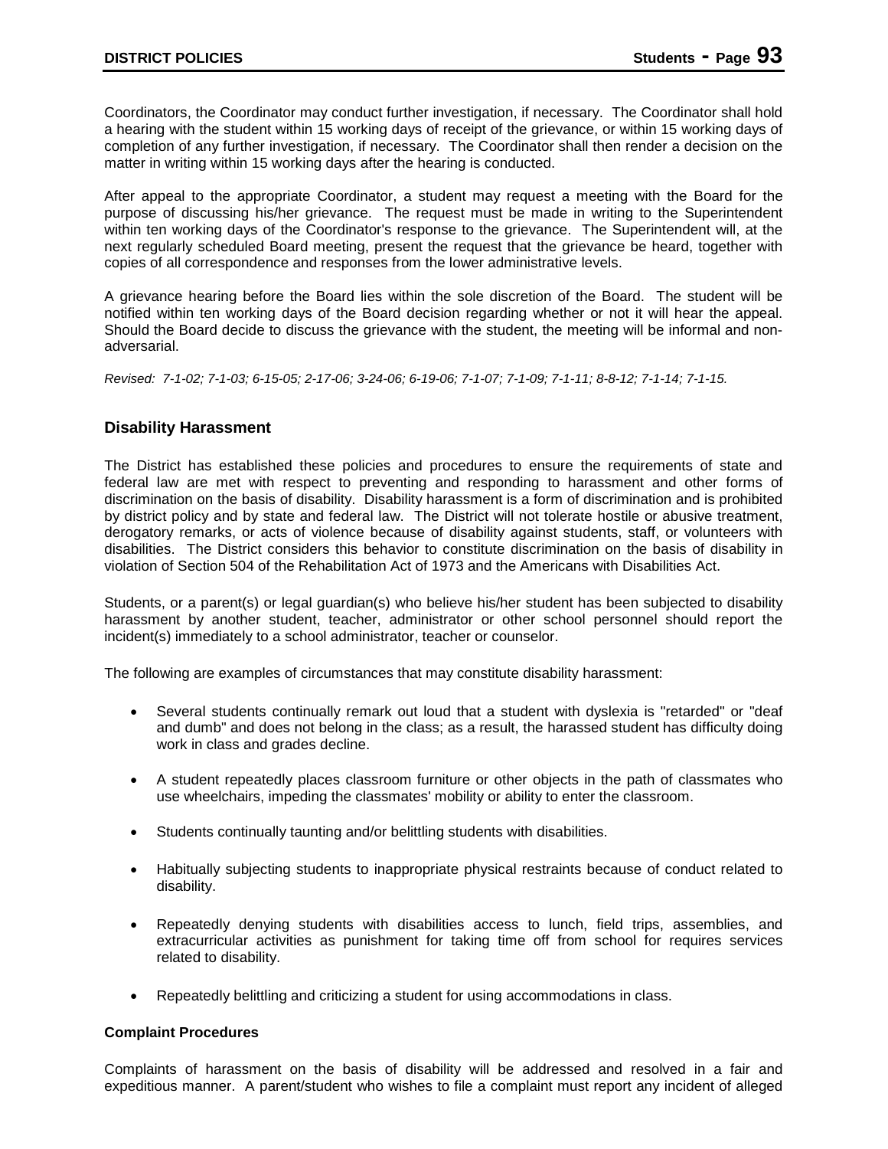Coordinators, the Coordinator may conduct further investigation, if necessary. The Coordinator shall hold a hearing with the student within 15 working days of receipt of the grievance, or within 15 working days of completion of any further investigation, if necessary. The Coordinator shall then render a decision on the matter in writing within 15 working days after the hearing is conducted.

After appeal to the appropriate Coordinator, a student may request a meeting with the Board for the purpose of discussing his/her grievance. The request must be made in writing to the Superintendent within ten working days of the Coordinator's response to the grievance. The Superintendent will, at the next regularly scheduled Board meeting, present the request that the grievance be heard, together with copies of all correspondence and responses from the lower administrative levels.

A grievance hearing before the Board lies within the sole discretion of the Board. The student will be notified within ten working days of the Board decision regarding whether or not it will hear the appeal. Should the Board decide to discuss the grievance with the student, the meeting will be informal and nonadversarial.

*Revised: 7-1-02; 7-1-03; 6-15-05; 2-17-06; 3-24-06; 6-19-06; 7-1-07; 7-1-09; 7-1-11; 8-8-12; 7-1-14; 7-1-15.*

# <span id="page-26-0"></span>**Disability Harassment**

The District has established these policies and procedures to ensure the requirements of state and federal law are met with respect to preventing and responding to harassment and other forms of discrimination on the basis of disability. Disability harassment is a form of discrimination and is prohibited by district policy and by state and federal law. The District will not tolerate hostile or abusive treatment, derogatory remarks, or acts of violence because of disability against students, staff, or volunteers with disabilities. The District considers this behavior to constitute discrimination on the basis of disability in violation of Section 504 of the Rehabilitation Act of 1973 and the Americans with Disabilities Act.

Students, or a parent(s) or legal guardian(s) who believe his/her student has been subjected to disability harassment by another student, teacher, administrator or other school personnel should report the incident(s) immediately to a school administrator, teacher or counselor.

The following are examples of circumstances that may constitute disability harassment:

- Several students continually remark out loud that a student with dyslexia is "retarded" or "deaf and dumb" and does not belong in the class; as a result, the harassed student has difficulty doing work in class and grades decline.
- A student repeatedly places classroom furniture or other objects in the path of classmates who use wheelchairs, impeding the classmates' mobility or ability to enter the classroom.
- Students continually taunting and/or belittling students with disabilities.
- Habitually subjecting students to inappropriate physical restraints because of conduct related to disability.
- Repeatedly denying students with disabilities access to lunch, field trips, assemblies, and extracurricular activities as punishment for taking time off from school for requires services related to disability.
- Repeatedly belittling and criticizing a student for using accommodations in class.

#### **Complaint Procedures**

Complaints of harassment on the basis of disability will be addressed and resolved in a fair and expeditious manner. A parent/student who wishes to file a complaint must report any incident of alleged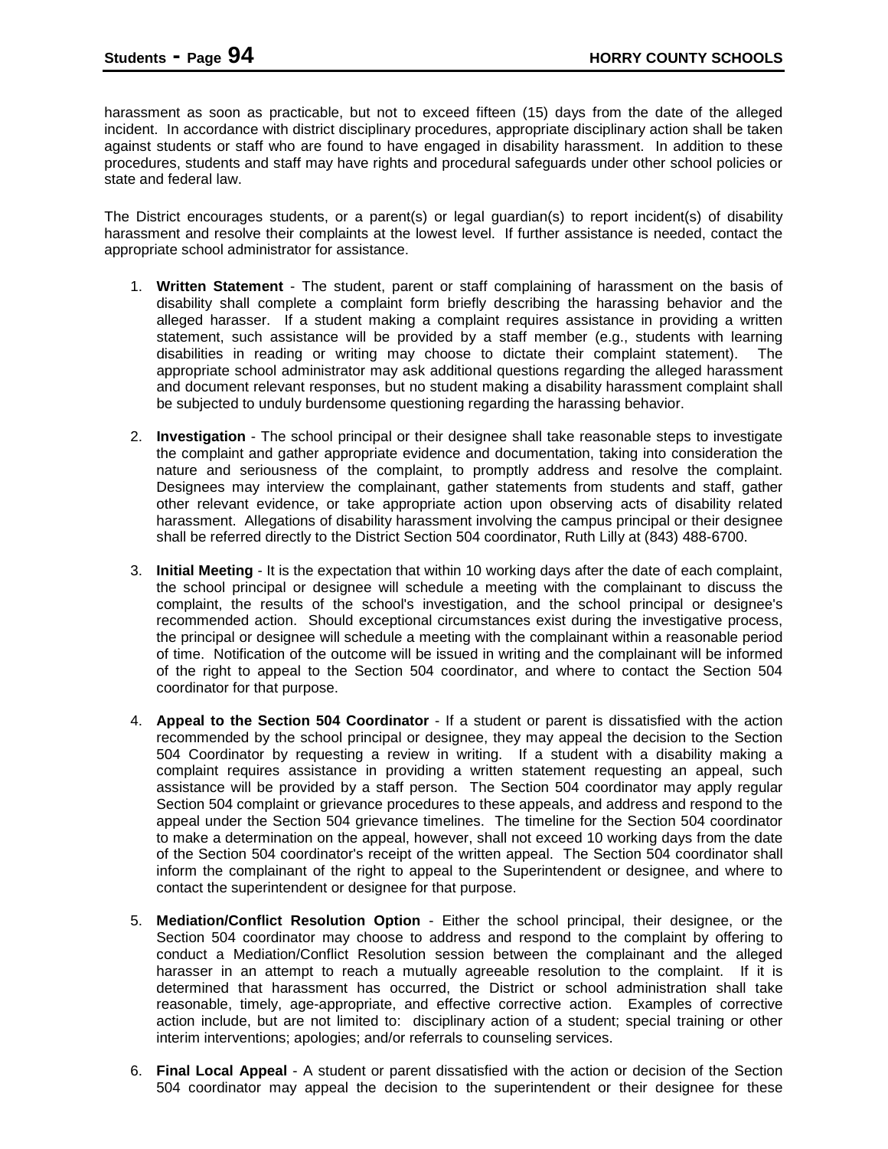harassment as soon as practicable, but not to exceed fifteen (15) days from the date of the alleged incident.In accordance with district disciplinary procedures, appropriate disciplinary action shall be taken against students or staff who are found to have engaged in disability harassment. In addition to these procedures, students and staff may have rights and procedural safeguards under other school policies or state and federal law.

The District encourages students, or a parent(s) or legal guardian(s) to report incident(s) of disability harassment and resolve their complaints at the lowest level. If further assistance is needed, contact the appropriate school administrator for assistance.

- 1. **Written Statement**  The student, parent or staff complaining of harassment on the basis of disability shall complete a complaint form briefly describing the harassing behavior and the alleged harasser. If a student making a complaint requires assistance in providing a written statement, such assistance will be provided by a staff member (e.g., students with learning disabilities in reading or writing may choose to dictate their complaint statement). The appropriate school administrator may ask additional questions regarding the alleged harassment and document relevant responses, but no student making a disability harassment complaint shall be subjected to unduly burdensome questioning regarding the harassing behavior.
- 2. **Investigation**  The school principal or their designee shall take reasonable steps to investigate the complaint and gather appropriate evidence and documentation, taking into consideration the nature and seriousness of the complaint, to promptly address and resolve the complaint. Designees may interview the complainant, gather statements from students and staff, gather other relevant evidence, or take appropriate action upon observing acts of disability related harassment. Allegations of disability harassment involving the campus principal or their designee shall be referred directly to the District Section 504 coordinator, Ruth Lilly at (843) 488-6700.
- 3. **Initial Meeting**  It is the expectation that within 10 working days after the date of each complaint, the school principal or designee will schedule a meeting with the complainant to discuss the complaint, the results of the school's investigation, and the school principal or designee's recommended action. Should exceptional circumstances exist during the investigative process, the principal or designee will schedule a meeting with the complainant within a reasonable period of time. Notification of the outcome will be issued in writing and the complainant will be informed of the right to appeal to the Section 504 coordinator, and where to contact the Section 504 coordinator for that purpose.
- 4. **Appeal to the Section 504 Coordinator**  If a student or parent is dissatisfied with the action recommended by the school principal or designee, they may appeal the decision to the Section 504 Coordinator by requesting a review in writing. If a student with a disability making a complaint requires assistance in providing a written statement requesting an appeal, such assistance will be provided by a staff person. The Section 504 coordinator may apply regular Section 504 complaint or grievance procedures to these appeals, and address and respond to the appeal under the Section 504 grievance timelines. The timeline for the Section 504 coordinator to make a determination on the appeal, however, shall not exceed 10 working days from the date of the Section 504 coordinator's receipt of the written appeal. The Section 504 coordinator shall inform the complainant of the right to appeal to the Superintendent or designee, and where to contact the superintendent or designee for that purpose.
- 5. **Mediation/Conflict Resolution Option**  Either the school principal, their designee, or the Section 504 coordinator may choose to address and respond to the complaint by offering to conduct a Mediation/Conflict Resolution session between the complainant and the alleged harasser in an attempt to reach a mutually agreeable resolution to the complaint. If it is determined that harassment has occurred, the District or school administration shall take reasonable, timely, age-appropriate, and effective corrective action. Examples of corrective action include, but are not limited to: disciplinary action of a student; special training or other interim interventions; apologies; and/or referrals to counseling services.
- 6. **Final Local Appeal**  A student or parent dissatisfied with the action or decision of the Section 504 coordinator may appeal the decision to the superintendent or their designee for these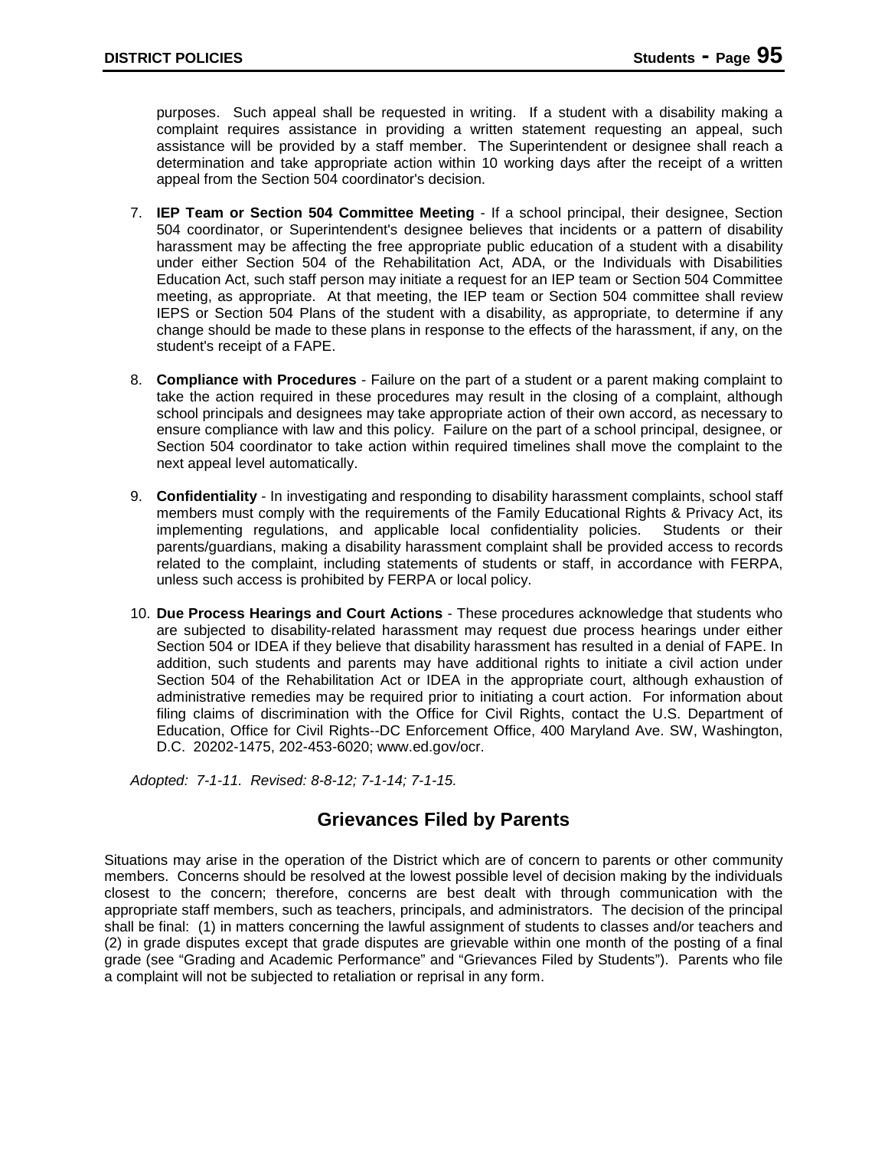purposes. Such appeal shall be requested in writing. If a student with a disability making a complaint requires assistance in providing a written statement requesting an appeal, such assistance will be provided by a staff member. The Superintendent or designee shall reach a determination and take appropriate action within 10 working days after the receipt of a written appeal from the Section 504 coordinator's decision.

- 7. **IEP Team or Section 504 Committee Meeting**  If a school principal, their designee, Section 504 coordinator, or Superintendent's designee believes that incidents or a pattern of disability harassment may be affecting the free appropriate public education of a student with a disability under either Section 504 of the Rehabilitation Act, ADA, or the Individuals with Disabilities Education Act, such staff person may initiate a request for an IEP team or Section 504 Committee meeting, as appropriate. At that meeting, the IEP team or Section 504 committee shall review IEPS or Section 504 Plans of the student with a disability, as appropriate, to determine if any change should be made to these plans in response to the effects of the harassment, if any, on the student's receipt of a FAPE.
- 8. **Compliance with Procedures**  Failure on the part of a student or a parent making complaint to take the action required in these procedures may result in the closing of a complaint, although school principals and designees may take appropriate action of their own accord, as necessary to ensure compliance with law and this policy. Failure on the part of a school principal, designee, or Section 504 coordinator to take action within required timelines shall move the complaint to the next appeal level automatically.
- 9. **Confidentiality**  In investigating and responding to disability harassment complaints, school staff members must comply with the requirements of the Family Educational Rights & Privacy Act, its implementing regulations, and applicable local confidentiality policies. Students or their parents/guardians, making a disability harassment complaint shall be provided access to records related to the complaint, including statements of students or staff, in accordance with FERPA, unless such access is prohibited by FERPA or local policy.
- 10. **Due Process Hearings and Court Actions**  These procedures acknowledge that students who are subjected to disability-related harassment may request due process hearings under either Section 504 or IDEA if they believe that disability harassment has resulted in a denial of FAPE. In addition, such students and parents may have additional rights to initiate a civil action under Section 504 of the Rehabilitation Act or IDEA in the appropriate court, although exhaustion of administrative remedies may be required prior to initiating a court action. For information about filing claims of discrimination with the Office for Civil Rights, contact the U.S. Department of Education, Office for Civil Rights--DC Enforcement Office, 400 Maryland Ave. SW, Washington, D.C. 20202-1475, 202-453-6020; www.ed.gov/ocr.

*Adopted: 7-1-11. Revised: 8-8-12; 7-1-14; 7-1-15.*

# **Grievances Filed by Parents**

<span id="page-28-0"></span>Situations may arise in the operation of the District which are of concern to parents or other community members. Concerns should be resolved at the lowest possible level of decision making by the individuals closest to the concern; therefore, concerns are best dealt with through communication with the appropriate staff members, such as teachers, principals, and administrators. The decision of the principal shall be final: (1) in matters concerning the lawful assignment of students to classes and/or teachers and (2) in grade disputes except that grade disputes are grievable within one month of the posting of a final grade (see "Grading and Academic Performance" and "Grievances Filed by Students"). Parents who file a complaint will not be subjected to retaliation or reprisal in any form.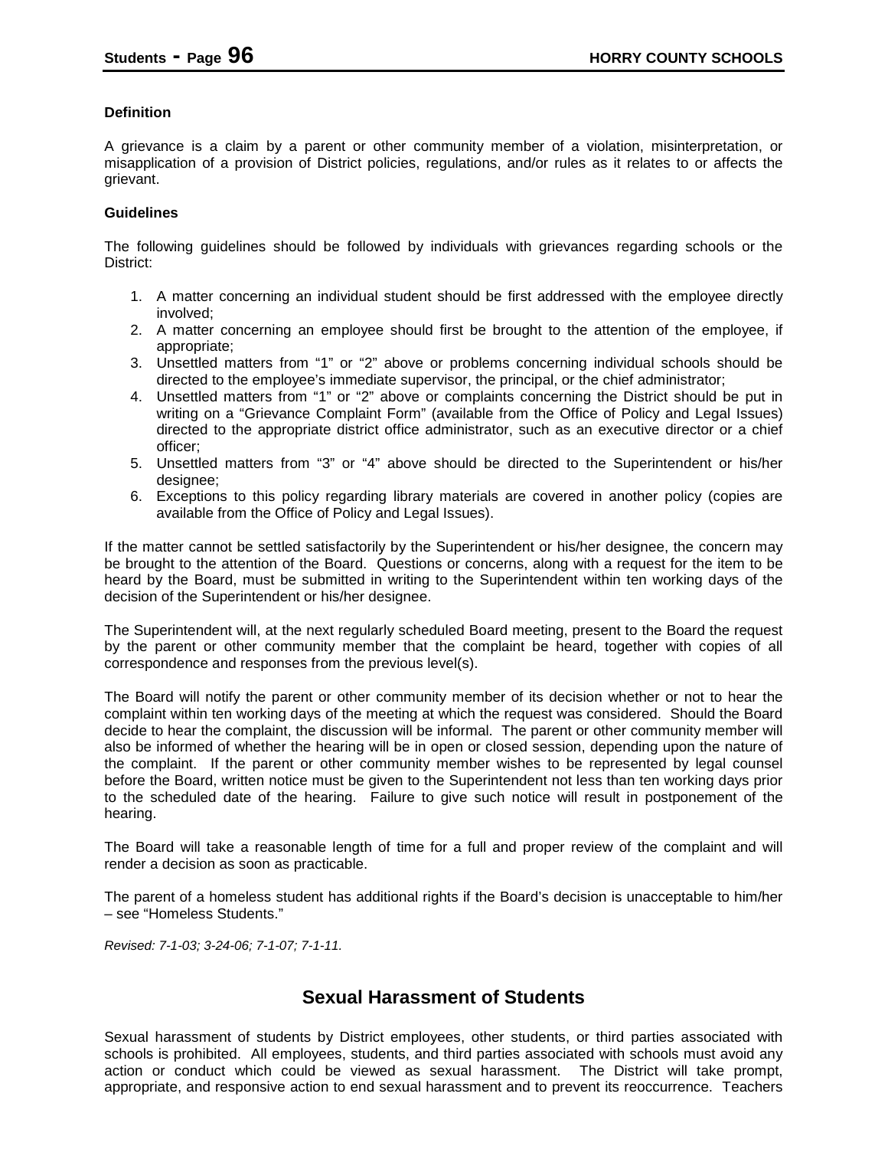#### **Definition**

A grievance is a claim by a parent or other community member of a violation, misinterpretation, or misapplication of a provision of District policies, regulations, and/or rules as it relates to or affects the grievant.

#### **Guidelines**

The following guidelines should be followed by individuals with grievances regarding schools or the District:

- 1. A matter concerning an individual student should be first addressed with the employee directly involved;
- 2. A matter concerning an employee should first be brought to the attention of the employee, if appropriate;
- 3. Unsettled matters from "1" or "2" above or problems concerning individual schools should be directed to the employee's immediate supervisor, the principal, or the chief administrator;
- 4. Unsettled matters from "1" or "2" above or complaints concerning the District should be put in writing on a "Grievance Complaint Form" (available from the Office of Policy and Legal Issues) directed to the appropriate district office administrator, such as an executive director or a chief officer;
- 5. Unsettled matters from "3" or "4" above should be directed to the Superintendent or his/her designee;
- 6. Exceptions to this policy regarding library materials are covered in another policy (copies are available from the Office of Policy and Legal Issues).

If the matter cannot be settled satisfactorily by the Superintendent or his/her designee, the concern may be brought to the attention of the Board. Questions or concerns, along with a request for the item to be heard by the Board, must be submitted in writing to the Superintendent within ten working days of the decision of the Superintendent or his/her designee.

The Superintendent will, at the next regularly scheduled Board meeting, present to the Board the request by the parent or other community member that the complaint be heard, together with copies of all correspondence and responses from the previous level(s).

The Board will notify the parent or other community member of its decision whether or not to hear the complaint within ten working days of the meeting at which the request was considered. Should the Board decide to hear the complaint, the discussion will be informal. The parent or other community member will also be informed of whether the hearing will be in open or closed session, depending upon the nature of the complaint. If the parent or other community member wishes to be represented by legal counsel before the Board, written notice must be given to the Superintendent not less than ten working days prior to the scheduled date of the hearing. Failure to give such notice will result in postponement of the hearing.

The Board will take a reasonable length of time for a full and proper review of the complaint and will render a decision as soon as practicable.

The parent of a homeless student has additional rights if the Board's decision is unacceptable to him/her – see "Homeless Students."

<span id="page-29-0"></span>*Revised: 7-1-03; 3-24-06; 7-1-07; 7-1-11.*

# **Sexual Harassment of Students**

Sexual harassment of students by District employees, other students, or third parties associated with schools is prohibited. All employees, students, and third parties associated with schools must avoid any action or conduct which could be viewed as sexual harassment. The District will take prompt, appropriate, and responsive action to end sexual harassment and to prevent its reoccurrence. Teachers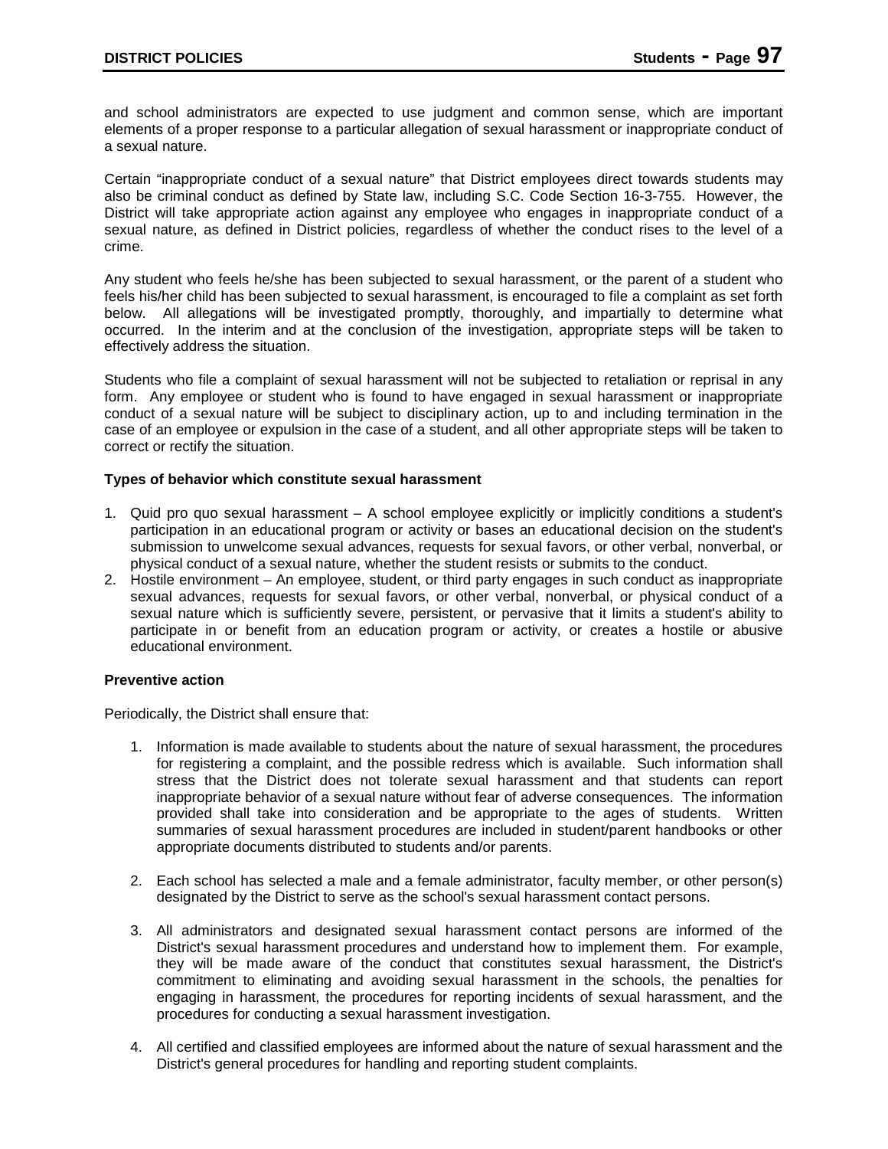and school administrators are expected to use judgment and common sense, which are important elements of a proper response to a particular allegation of sexual harassment or inappropriate conduct of a sexual nature.

Certain "inappropriate conduct of a sexual nature" that District employees direct towards students may also be criminal conduct as defined by State law, including S.C. Code Section 16-3-755. However, the District will take appropriate action against any employee who engages in inappropriate conduct of a sexual nature, as defined in District policies, regardless of whether the conduct rises to the level of a crime.

Any student who feels he/she has been subjected to sexual harassment, or the parent of a student who feels his/her child has been subjected to sexual harassment, is encouraged to file a complaint as set forth below. All allegations will be investigated promptly, thoroughly, and impartially to determine what occurred. In the interim and at the conclusion of the investigation, appropriate steps will be taken to effectively address the situation.

Students who file a complaint of sexual harassment will not be subjected to retaliation or reprisal in any form. Any employee or student who is found to have engaged in sexual harassment or inappropriate conduct of a sexual nature will be subject to disciplinary action, up to and including termination in the case of an employee or expulsion in the case of a student, and all other appropriate steps will be taken to correct or rectify the situation.

#### **Types of behavior which constitute sexual harassment**

- 1. Quid pro quo sexual harassment A school employee explicitly or implicitly conditions a student's participation in an educational program or activity or bases an educational decision on the student's submission to unwelcome sexual advances, requests for sexual favors, or other verbal, nonverbal, or physical conduct of a sexual nature, whether the student resists or submits to the conduct.
- 2. Hostile environment An employee, student, or third party engages in such conduct as inappropriate sexual advances, requests for sexual favors, or other verbal, nonverbal, or physical conduct of a sexual nature which is sufficiently severe, persistent, or pervasive that it limits a student's ability to participate in or benefit from an education program or activity, or creates a hostile or abusive educational environment.

#### **Preventive action**

Periodically, the District shall ensure that:

- 1. Information is made available to students about the nature of sexual harassment, the procedures for registering a complaint, and the possible redress which is available. Such information shall stress that the District does not tolerate sexual harassment and that students can report inappropriate behavior of a sexual nature without fear of adverse consequences. The information provided shall take into consideration and be appropriate to the ages of students. Written summaries of sexual harassment procedures are included in student/parent handbooks or other appropriate documents distributed to students and/or parents.
- 2. Each school has selected a male and a female administrator, faculty member, or other person(s) designated by the District to serve as the school's sexual harassment contact persons.
- 3. All administrators and designated sexual harassment contact persons are informed of the District's sexual harassment procedures and understand how to implement them. For example, they will be made aware of the conduct that constitutes sexual harassment, the District's commitment to eliminating and avoiding sexual harassment in the schools, the penalties for engaging in harassment, the procedures for reporting incidents of sexual harassment, and the procedures for conducting a sexual harassment investigation.
- 4. All certified and classified employees are informed about the nature of sexual harassment and the District's general procedures for handling and reporting student complaints.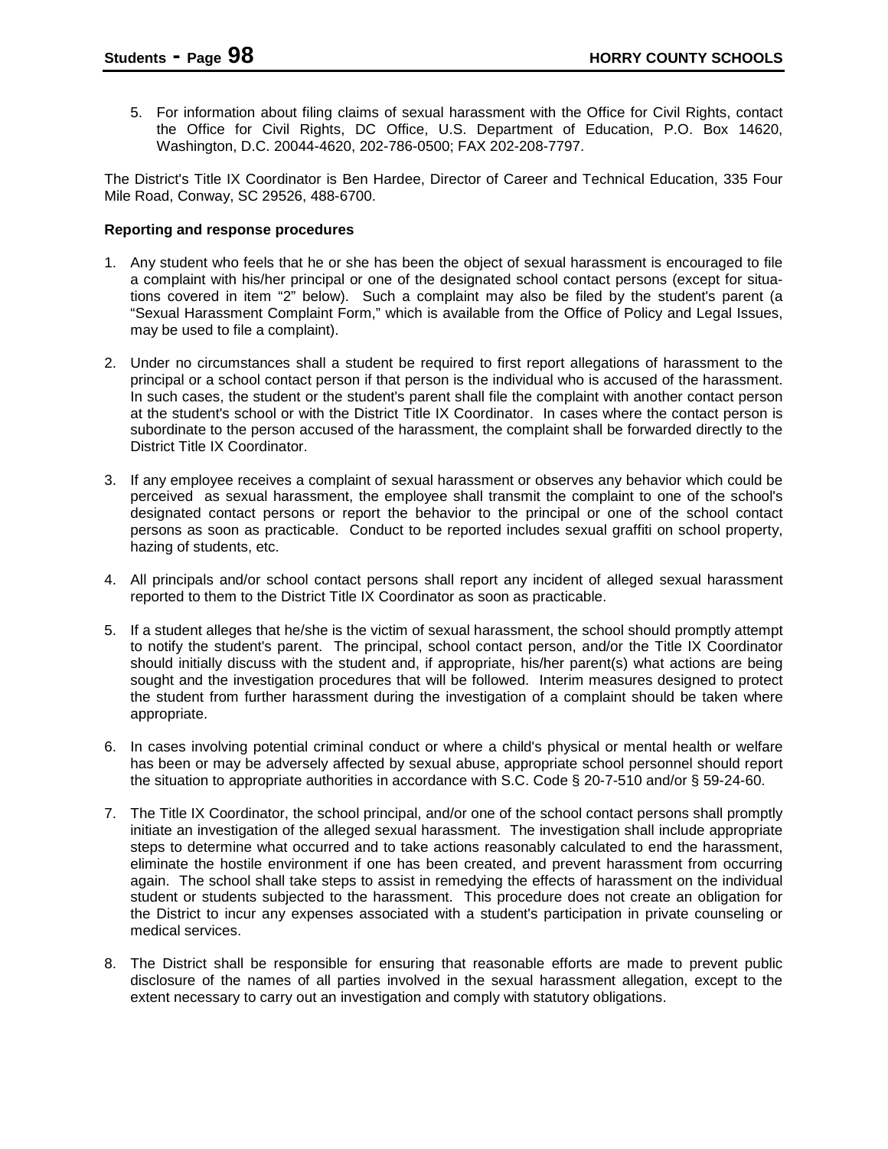5. For information about filing claims of sexual harassment with the Office for Civil Rights, contact the Office for Civil Rights, DC Office, U.S. Department of Education, P.O. Box 14620, Washington, D.C. 20044-4620, 202-786-0500; FAX 202-208-7797.

The District's Title IX Coordinator is Ben Hardee, Director of Career and Technical Education, 335 Four Mile Road, Conway, SC 29526, 488-6700.

#### **Reporting and response procedures**

- 1. Any student who feels that he or she has been the object of sexual harassment is encouraged to file a complaint with his/her principal or one of the designated school contact persons (except for situations covered in item "2" below). Such a complaint may also be filed by the student's parent (a "Sexual Harassment Complaint Form," which is available from the Office of Policy and Legal Issues, may be used to file a complaint).
- 2. Under no circumstances shall a student be required to first report allegations of harassment to the principal or a school contact person if that person is the individual who is accused of the harassment. In such cases, the student or the student's parent shall file the complaint with another contact person at the student's school or with the District Title IX Coordinator. In cases where the contact person is subordinate to the person accused of the harassment, the complaint shall be forwarded directly to the District Title IX Coordinator.
- 3. If any employee receives a complaint of sexual harassment or observes any behavior which could be perceived as sexual harassment, the employee shall transmit the complaint to one of the school's designated contact persons or report the behavior to the principal or one of the school contact persons as soon as practicable. Conduct to be reported includes sexual graffiti on school property, hazing of students, etc.
- 4. All principals and/or school contact persons shall report any incident of alleged sexual harassment reported to them to the District Title IX Coordinator as soon as practicable.
- 5. If a student alleges that he/she is the victim of sexual harassment, the school should promptly attempt to notify the student's parent. The principal, school contact person, and/or the Title IX Coordinator should initially discuss with the student and, if appropriate, his/her parent(s) what actions are being sought and the investigation procedures that will be followed. Interim measures designed to protect the student from further harassment during the investigation of a complaint should be taken where appropriate.
- 6. In cases involving potential criminal conduct or where a child's physical or mental health or welfare has been or may be adversely affected by sexual abuse, appropriate school personnel should report the situation to appropriate authorities in accordance with S.C. Code § 20-7-510 and/or § 59-24-60.
- 7. The Title IX Coordinator, the school principal, and/or one of the school contact persons shall promptly initiate an investigation of the alleged sexual harassment. The investigation shall include appropriate steps to determine what occurred and to take actions reasonably calculated to end the harassment, eliminate the hostile environment if one has been created, and prevent harassment from occurring again. The school shall take steps to assist in remedying the effects of harassment on the individual student or students subjected to the harassment. This procedure does not create an obligation for the District to incur any expenses associated with a student's participation in private counseling or medical services.
- 8. The District shall be responsible for ensuring that reasonable efforts are made to prevent public disclosure of the names of all parties involved in the sexual harassment allegation, except to the extent necessary to carry out an investigation and comply with statutory obligations.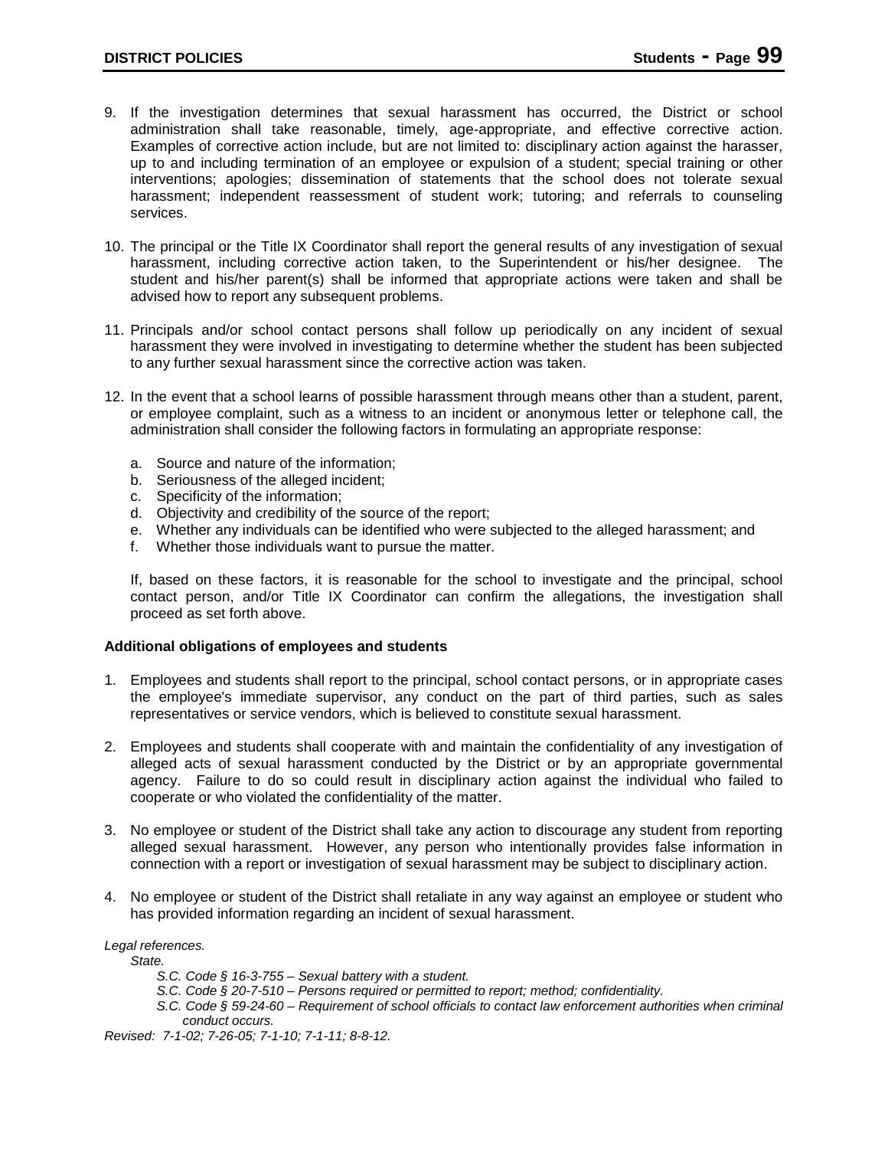- 9. If the investigation determines that sexual harassment has occurred, the District or school administration shall take reasonable, timely, age-appropriate, and effective corrective action. Examples of corrective action include, but are not limited to: disciplinary action against the harasser, up to and including termination of an employee or expulsion of a student; special training or other interventions; apologies; dissemination of statements that the school does not tolerate sexual harassment; independent reassessment of student work; tutoring; and referrals to counseling services.
- 10. The principal or the Title IX Coordinator shall report the general results of any investigation of sexual harassment, including corrective action taken, to the Superintendent or his/her designee. The student and his/her parent(s) shall be informed that appropriate actions were taken and shall be advised how to report any subsequent problems.
- 11. Principals and/or school contact persons shall follow up periodically on any incident of sexual harassment they were involved in investigating to determine whether the student has been subjected to any further sexual harassment since the corrective action was taken.
- 12. In the event that a school learns of possible harassment through means other than a student, parent, or employee complaint, such as a witness to an incident or anonymous letter or telephone call, the administration shall consider the following factors in formulating an appropriate response:
	- a. Source and nature of the information;
	- b. Seriousness of the alleged incident;
	- c. Specificity of the information;
	- d. Objectivity and credibility of the source of the report;
	- e. Whether any individuals can be identified who were subjected to the alleged harassment; and
	- f. Whether those individuals want to pursue the matter.

If, based on these factors, it is reasonable for the school to investigate and the principal, school contact person, and/or Title IX Coordinator can confirm the allegations, the investigation shall proceed as set forth above.

#### **Additional obligations of employees and students**

- 1. Employees and students shall report to the principal, school contact persons, or in appropriate cases the employee's immediate supervisor, any conduct on the part of third parties, such as sales representatives or service vendors, which is believed to constitute sexual harassment.
- 2. Employees and students shall cooperate with and maintain the confidentiality of any investigation of alleged acts of sexual harassment conducted by the District or by an appropriate governmental agency. Failure to do so could result in disciplinary action against the individual who failed to cooperate or who violated the confidentiality of the matter.
- 3. No employee or student of the District shall take any action to discourage any student from reporting alleged sexual harassment. However, any person who intentionally provides false information in connection with a report or investigation of sexual harassment may be subject to disciplinary action.
- 4. No employee or student of the District shall retaliate in any way against an employee or student who has provided information regarding an incident of sexual harassment.

### *Legal references.*

*State.*

- *S.C. Code § 16-3-755 – Sexual battery with a student.*
- *S.C. Code § 20-7-510 – Persons required or permitted to report; method; confidentiality.*
- *S.C. Code § 59-24-60 – Requirement of school officials to contact law enforcement authorities when criminal conduct occurs.*

*Revised: 7-1-02; 7-26-05; 7-1-10; 7-1-11; 8-8-12.*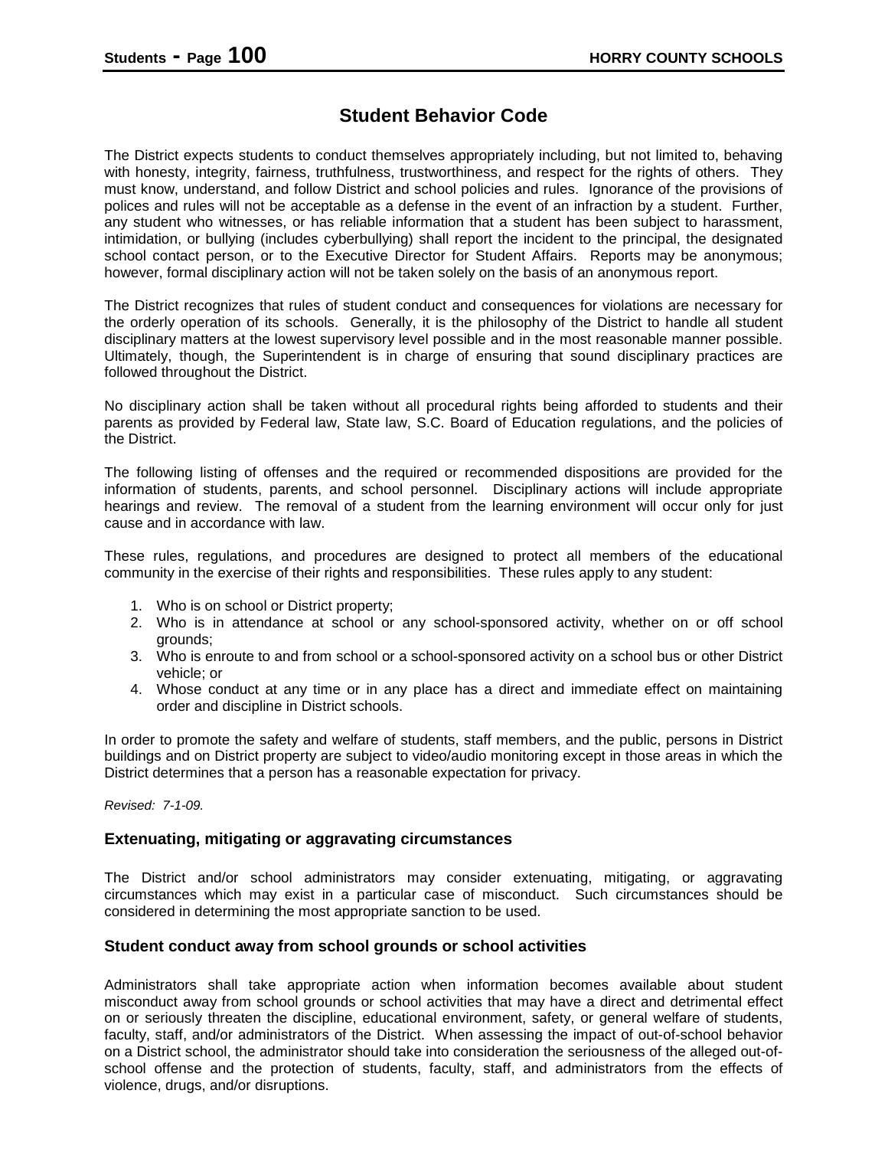# **Student Behavior Code**

<span id="page-33-0"></span>The District expects students to conduct themselves appropriately including, but not limited to, behaving with honesty, integrity, fairness, truthfulness, trustworthiness, and respect for the rights of others. They must know, understand, and follow District and school policies and rules. Ignorance of the provisions of polices and rules will not be acceptable as a defense in the event of an infraction by a student. Further, any student who witnesses, or has reliable information that a student has been subject to harassment, intimidation, or bullying (includes cyberbullying) shall report the incident to the principal, the designated school contact person, or to the Executive Director for Student Affairs. Reports may be anonymous; however, formal disciplinary action will not be taken solely on the basis of an anonymous report.

The District recognizes that rules of student conduct and consequences for violations are necessary for the orderly operation of its schools. Generally, it is the philosophy of the District to handle all student disciplinary matters at the lowest supervisory level possible and in the most reasonable manner possible. Ultimately, though, the Superintendent is in charge of ensuring that sound disciplinary practices are followed throughout the District.

No disciplinary action shall be taken without all procedural rights being afforded to students and their parents as provided by Federal law, State law, S.C. Board of Education regulations, and the policies of the District.

The following listing of offenses and the required or recommended dispositions are provided for the information of students, parents, and school personnel. Disciplinary actions will include appropriate hearings and review. The removal of a student from the learning environment will occur only for just cause and in accordance with law.

These rules, regulations, and procedures are designed to protect all members of the educational community in the exercise of their rights and responsibilities. These rules apply to any student:

- 1. Who is on school or District property;
- 2. Who is in attendance at school or any school-sponsored activity, whether on or off school grounds;
- 3. Who is enroute to and from school or a school-sponsored activity on a school bus or other District vehicle; or
- 4. Whose conduct at any time or in any place has a direct and immediate effect on maintaining order and discipline in District schools.

In order to promote the safety and welfare of students, staff members, and the public, persons in District buildings and on District property are subject to video/audio monitoring except in those areas in which the District determines that a person has a reasonable expectation for privacy.

#### <span id="page-33-1"></span>*Revised: 7-1-09.*

#### **Extenuating, mitigating or aggravating circumstances**

The District and/or school administrators may consider extenuating, mitigating, or aggravating circumstances which may exist in a particular case of misconduct. Such circumstances should be considered in determining the most appropriate sanction to be used.

## <span id="page-33-2"></span>**Student conduct away from school grounds or school activities**

Administrators shall take appropriate action when information becomes available about student misconduct away from school grounds or school activities that may have a direct and detrimental effect on or seriously threaten the discipline, educational environment, safety, or general welfare of students, faculty, staff, and/or administrators of the District. When assessing the impact of out-of-school behavior on a District school, the administrator should take into consideration the seriousness of the alleged out-ofschool offense and the protection of students, faculty, staff, and administrators from the effects of violence, drugs, and/or disruptions.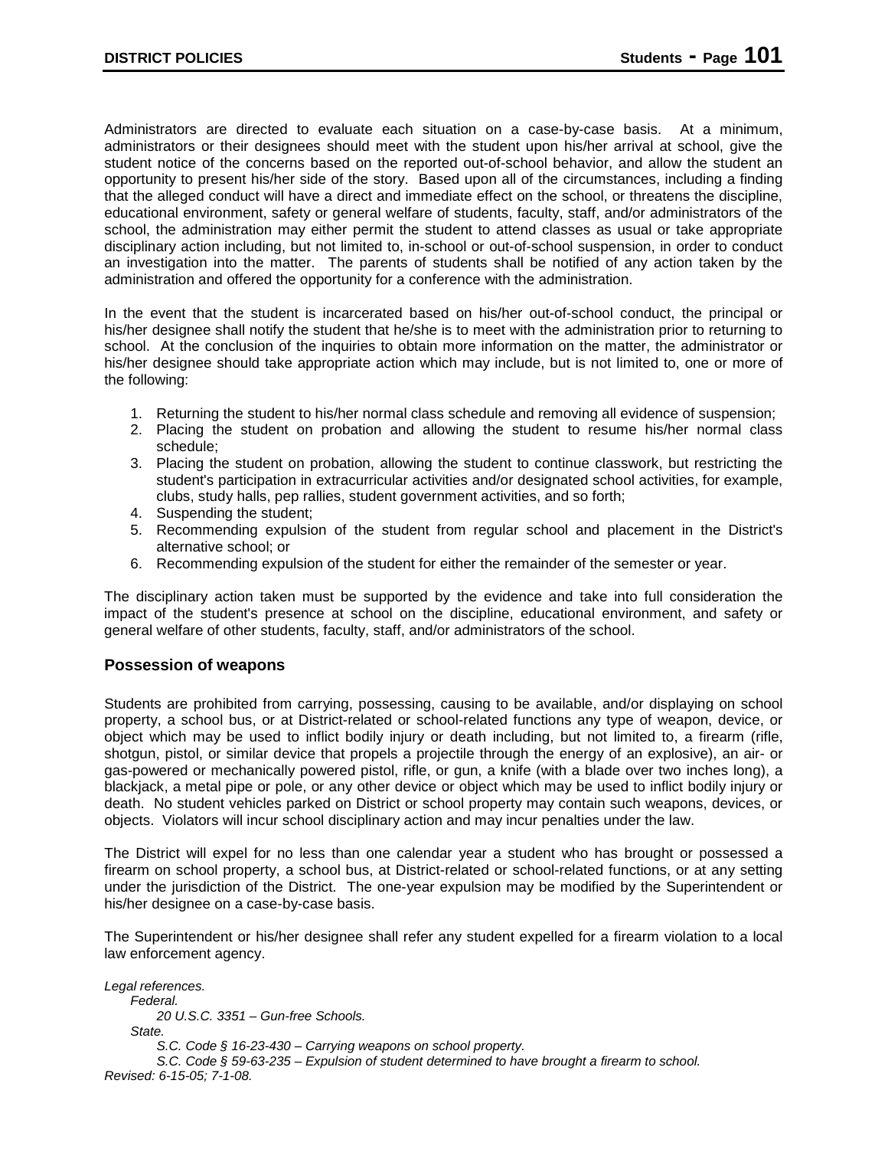Administrators are directed to evaluate each situation on a case-by-case basis. At a minimum, administrators or their designees should meet with the student upon his/her arrival at school, give the student notice of the concerns based on the reported out-of-school behavior, and allow the student an opportunity to present his/her side of the story. Based upon all of the circumstances, including a finding that the alleged conduct will have a direct and immediate effect on the school, or threatens the discipline, educational environment, safety or general welfare of students, faculty, staff, and/or administrators of the school, the administration may either permit the student to attend classes as usual or take appropriate disciplinary action including, but not limited to, in-school or out-of-school suspension, in order to conduct an investigation into the matter. The parents of students shall be notified of any action taken by the administration and offered the opportunity for a conference with the administration.

In the event that the student is incarcerated based on his/her out-of-school conduct, the principal or his/her designee shall notify the student that he/she is to meet with the administration prior to returning to school. At the conclusion of the inquiries to obtain more information on the matter, the administrator or his/her designee should take appropriate action which may include, but is not limited to, one or more of the following:

- 1. Returning the student to his/her normal class schedule and removing all evidence of suspension;
- 2. Placing the student on probation and allowing the student to resume his/her normal class schedule;
- 3. Placing the student on probation, allowing the student to continue classwork, but restricting the student's participation in extracurricular activities and/or designated school activities, for example, clubs, study halls, pep rallies, student government activities, and so forth;
- 4. Suspending the student;
- 5. Recommending expulsion of the student from regular school and placement in the District's alternative school; or
- 6. Recommending expulsion of the student for either the remainder of the semester or year.

The disciplinary action taken must be supported by the evidence and take into full consideration the impact of the student's presence at school on the discipline, educational environment, and safety or general welfare of other students, faculty, staff, and/or administrators of the school.

## <span id="page-34-0"></span>**Possession of weapons**

Students are prohibited from carrying, possessing, causing to be available, and/or displaying on school property, a school bus, or at District-related or school-related functions any type of weapon, device, or object which may be used to inflict bodily injury or death including, but not limited to, a firearm (rifle, shotgun, pistol, or similar device that propels a projectile through the energy of an explosive), an air- or gas-powered or mechanically powered pistol, rifle, or gun, a knife (with a blade over two inches long), a blackjack, a metal pipe or pole, or any other device or object which may be used to inflict bodily injury or death. No student vehicles parked on District or school property may contain such weapons, devices, or objects. Violators will incur school disciplinary action and may incur penalties under the law.

The District will expel for no less than one calendar year a student who has brought or possessed a firearm on school property, a school bus, at District-related or school-related functions, or at any setting under the jurisdiction of the District. The one-year expulsion may be modified by the Superintendent or his/her designee on a case-by-case basis.

The Superintendent or his/her designee shall refer any student expelled for a firearm violation to a local law enforcement agency.

*Legal references. Federal. 20 U.S.C. 3351 – Gun-free Schools. State. S.C. Code § 16-23-430 – Carrying weapons on school property. S.C. Code § 59-63-235 – Expulsion of student determined to have brought a firearm to school. Revised: 6-15-05; 7-1-08.*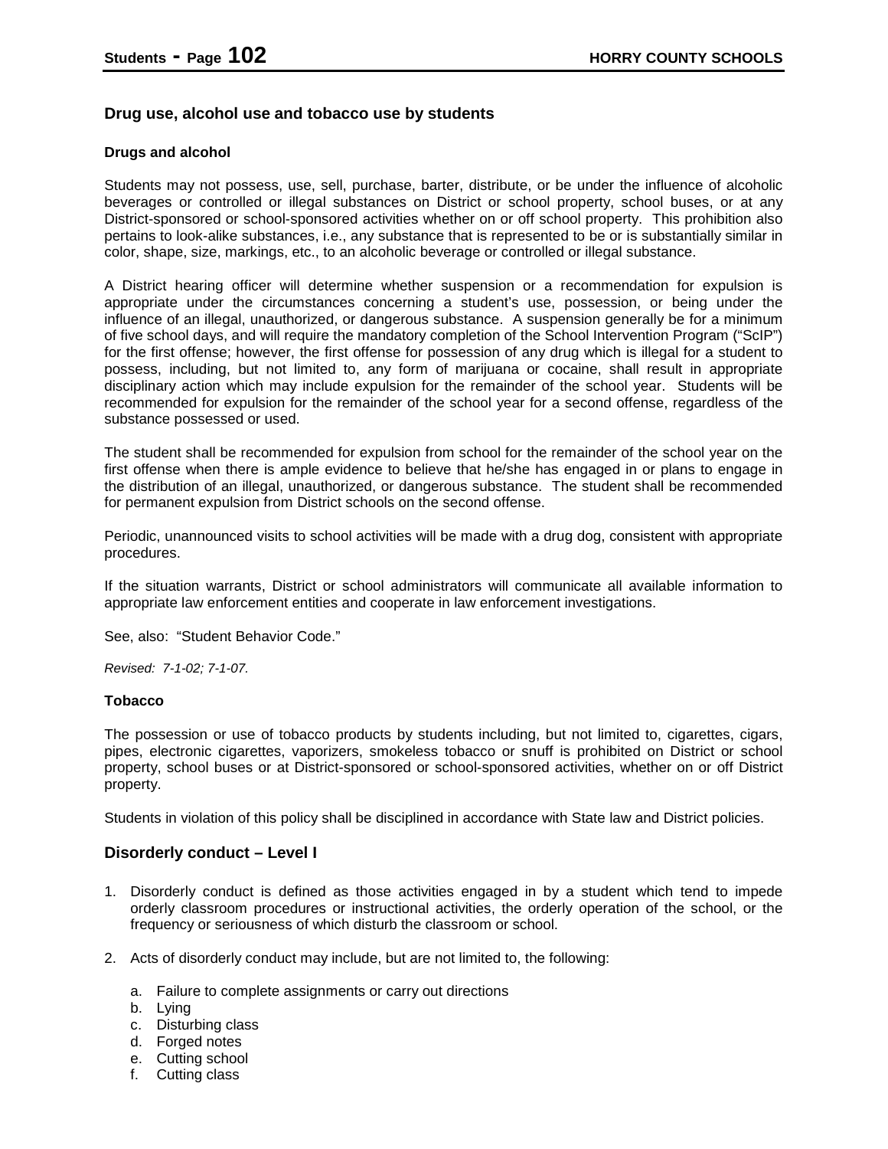# <span id="page-35-0"></span>**Drug use, alcohol use and tobacco use by students**

### **Drugs and alcohol**

Students may not possess, use, sell, purchase, barter, distribute, or be under the influence of alcoholic beverages or controlled or illegal substances on District or school property, school buses, or at any District-sponsored or school-sponsored activities whether on or off school property. This prohibition also pertains to look-alike substances, i.e., any substance that is represented to be or is substantially similar in color, shape, size, markings, etc., to an alcoholic beverage or controlled or illegal substance.

A District hearing officer will determine whether suspension or a recommendation for expulsion is appropriate under the circumstances concerning a student's use, possession, or being under the influence of an illegal, unauthorized, or dangerous substance. A suspension generally be for a minimum of five school days, and will require the mandatory completion of the School Intervention Program ("ScIP") for the first offense; however, the first offense for possession of any drug which is illegal for a student to possess, including, but not limited to, any form of marijuana or cocaine, shall result in appropriate disciplinary action which may include expulsion for the remainder of the school year. Students will be recommended for expulsion for the remainder of the school year for a second offense, regardless of the substance possessed or used.

The student shall be recommended for expulsion from school for the remainder of the school year on the first offense when there is ample evidence to believe that he/she has engaged in or plans to engage in the distribution of an illegal, unauthorized, or dangerous substance. The student shall be recommended for permanent expulsion from District schools on the second offense.

Periodic, unannounced visits to school activities will be made with a drug dog, consistent with appropriate procedures.

If the situation warrants, District or school administrators will communicate all available information to appropriate law enforcement entities and cooperate in law enforcement investigations.

See, also: "Student Behavior Code."

*Revised: 7-1-02; 7-1-07.*

#### **Tobacco**

The possession or use of tobacco products by students including, but not limited to, cigarettes, cigars, pipes, electronic cigarettes, vaporizers, smokeless tobacco or snuff is prohibited on District or school property, school buses or at District-sponsored or school-sponsored activities, whether on or off District property.

<span id="page-35-1"></span>Students in violation of this policy shall be disciplined in accordance with State law and District policies.

## **Disorderly conduct – Level I**

- 1. Disorderly conduct is defined as those activities engaged in by a student which tend to impede orderly classroom procedures or instructional activities, the orderly operation of the school, or the frequency or seriousness of which disturb the classroom or school.
- 2. Acts of disorderly conduct may include, but are not limited to, the following:
	- a. Failure to complete assignments or carry out directions
	- b. Lying
	- c. Disturbing class
	- d. Forged notes
	- e. Cutting school
	- f. Cutting class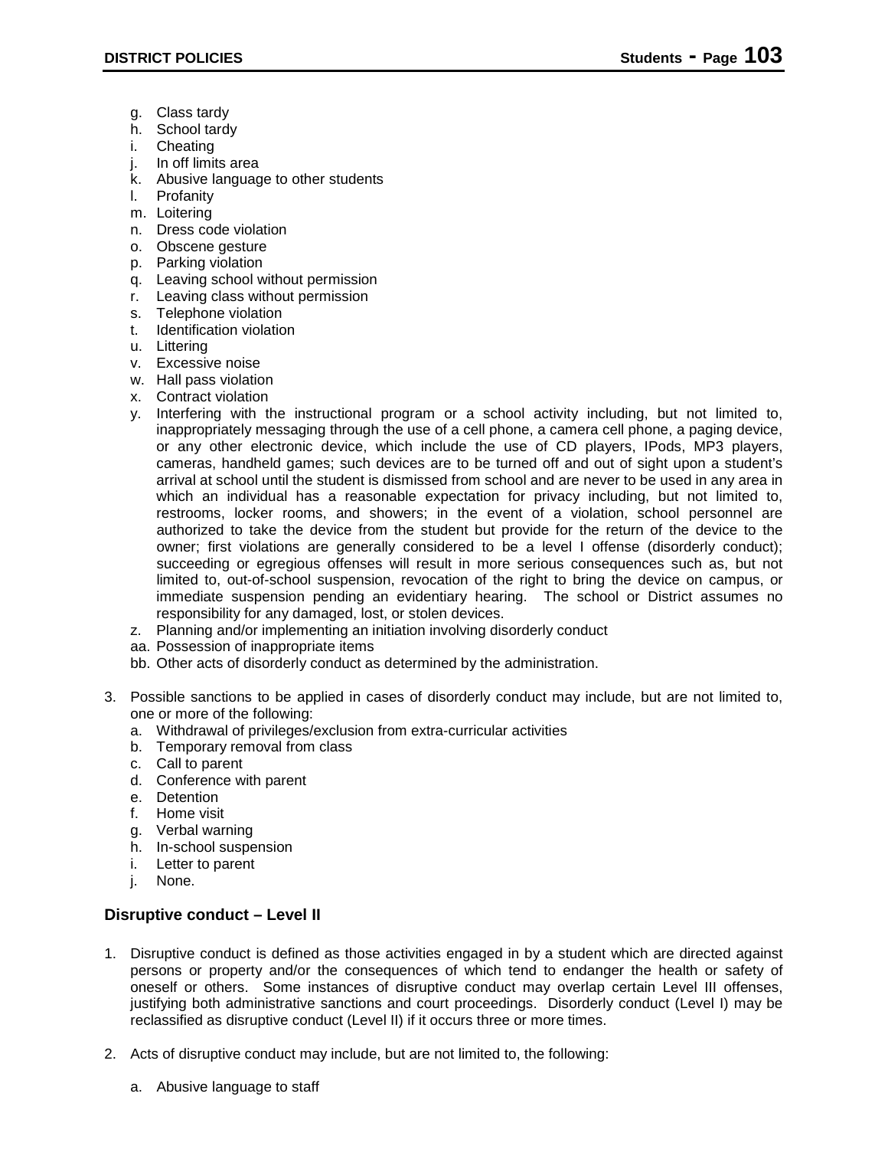- g. Class tardy
- h. School tardy
- i. Cheating
- j. In off limits area
- k. Abusive language to other students
- l. Profanity
- m. Loitering
- n. Dress code violation
- o. Obscene gesture
- p. Parking violation
- q. Leaving school without permission
- r. Leaving class without permission
- s. Telephone violation
- t. Identification violation
- u. Littering
- v. Excessive noise
- w. Hall pass violation
- x. Contract violation
- y. Interfering with the instructional program or a school activity including, but not limited to, inappropriately messaging through the use of a cell phone, a camera cell phone, a paging device, or any other electronic device, which include the use of CD players, IPods, MP3 players, cameras, handheld games; such devices are to be turned off and out of sight upon a student's arrival at school until the student is dismissed from school and are never to be used in any area in which an individual has a reasonable expectation for privacy including, but not limited to, restrooms, locker rooms, and showers; in the event of a violation, school personnel are authorized to take the device from the student but provide for the return of the device to the owner; first violations are generally considered to be a level I offense (disorderly conduct); succeeding or egregious offenses will result in more serious consequences such as, but not limited to, out-of-school suspension, revocation of the right to bring the device on campus, or immediate suspension pending an evidentiary hearing. The school or District assumes no responsibility for any damaged, lost, or stolen devices.
- z. Planning and/or implementing an initiation involving disorderly conduct
- aa. Possession of inappropriate items
- bb. Other acts of disorderly conduct as determined by the administration.
- 3. Possible sanctions to be applied in cases of disorderly conduct may include, but are not limited to, one or more of the following:
	- a. Withdrawal of privileges/exclusion from extra-curricular activities
	- b. Temporary removal from class
	- c. Call to parent
	- d. Conference with parent
	- e. Detention
	- f. Home visit
	- g. Verbal warning
	- h. In-school suspension
	- i. Letter to parent
	- j. None.

## **Disruptive conduct – Level II**

- 1. Disruptive conduct is defined as those activities engaged in by a student which are directed against persons or property and/or the consequences of which tend to endanger the health or safety of oneself or others. Some instances of disruptive conduct may overlap certain Level III offenses, justifying both administrative sanctions and court proceedings. Disorderly conduct (Level I) may be reclassified as disruptive conduct (Level II) if it occurs three or more times.
- 2. Acts of disruptive conduct may include, but are not limited to, the following:
	- a. Abusive language to staff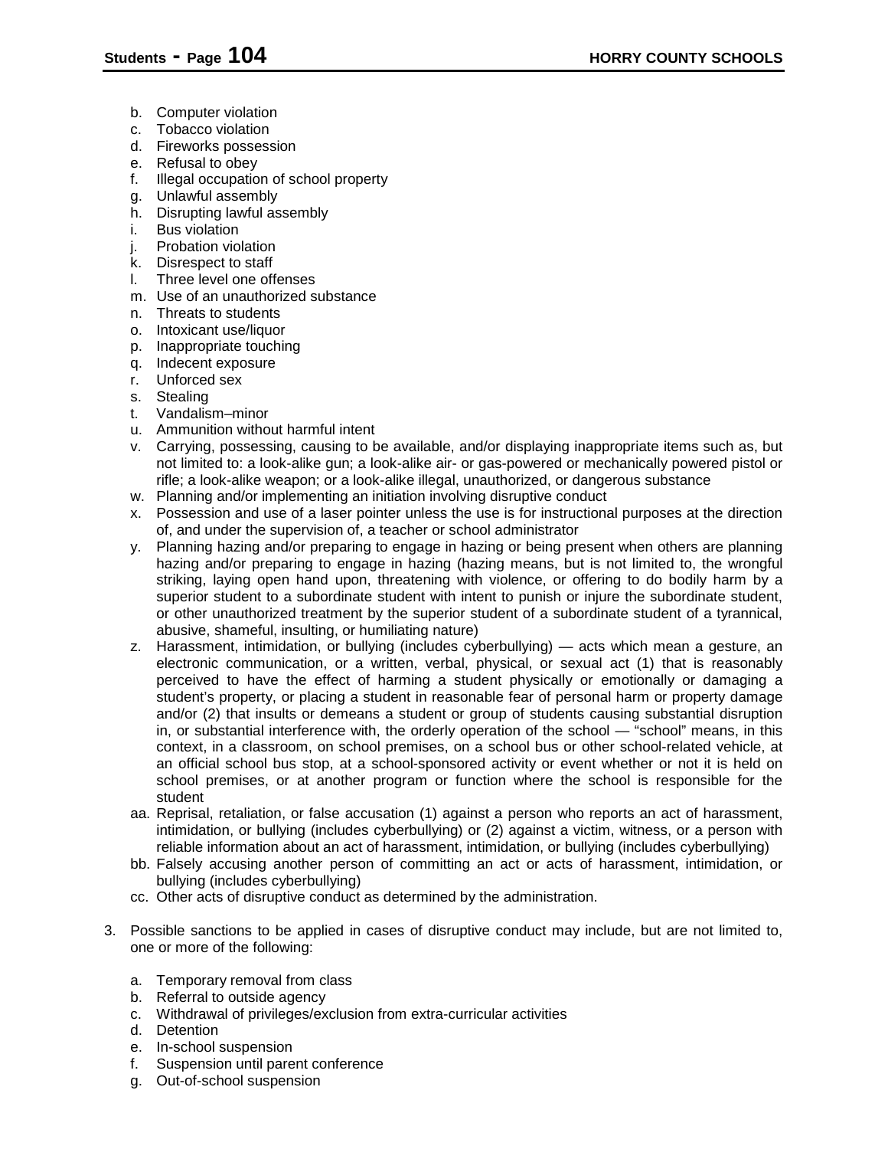- b. Computer violation
- c. Tobacco violation
- d. Fireworks possession
- e. Refusal to obey
- f. Illegal occupation of school property
- g. Unlawful assembly
- h. Disrupting lawful assembly
- i. Bus violation
- j. Probation violation
- k. Disrespect to staff
- l. Three level one offenses
- m. Use of an unauthorized substance
- n. Threats to students
- o. Intoxicant use/liquor
- p. Inappropriate touching
- q. Indecent exposure
- r. Unforced sex
- s. Stealing
- t. Vandalism–minor
- u. Ammunition without harmful intent
- v. Carrying, possessing, causing to be available, and/or displaying inappropriate items such as, but not limited to: a look-alike gun; a look-alike air- or gas-powered or mechanically powered pistol or rifle; a look-alike weapon; or a look-alike illegal, unauthorized, or dangerous substance
- w. Planning and/or implementing an initiation involving disruptive conduct
- x. Possession and use of a laser pointer unless the use is for instructional purposes at the direction of, and under the supervision of, a teacher or school administrator
- y. Planning hazing and/or preparing to engage in hazing or being present when others are planning hazing and/or preparing to engage in hazing (hazing means, but is not limited to, the wrongful striking, laying open hand upon, threatening with violence, or offering to do bodily harm by a superior student to a subordinate student with intent to punish or injure the subordinate student, or other unauthorized treatment by the superior student of a subordinate student of a tyrannical, abusive, shameful, insulting, or humiliating nature)
- z. Harassment, intimidation, or bullying (includes cyberbullying) acts which mean a gesture, an electronic communication, or a written, verbal, physical, or sexual act (1) that is reasonably perceived to have the effect of harming a student physically or emotionally or damaging a student's property, or placing a student in reasonable fear of personal harm or property damage and/or (2) that insults or demeans a student or group of students causing substantial disruption in, or substantial interference with, the orderly operation of the school — "school" means, in this context, in a classroom, on school premises, on a school bus or other school-related vehicle, at an official school bus stop, at a school-sponsored activity or event whether or not it is held on school premises, or at another program or function where the school is responsible for the student
- aa. Reprisal, retaliation, or false accusation (1) against a person who reports an act of harassment, intimidation, or bullying (includes cyberbullying) or (2) against a victim, witness, or a person with reliable information about an act of harassment, intimidation, or bullying (includes cyberbullying)
- bb. Falsely accusing another person of committing an act or acts of harassment, intimidation, or bullying (includes cyberbullying)
- cc. Other acts of disruptive conduct as determined by the administration.
- 3. Possible sanctions to be applied in cases of disruptive conduct may include, but are not limited to, one or more of the following:
	- a. Temporary removal from class
	- b. Referral to outside agency
	- c. Withdrawal of privileges/exclusion from extra-curricular activities
	- d. Detention
	- e. In-school suspension
	- f. Suspension until parent conference
	- g. Out-of-school suspension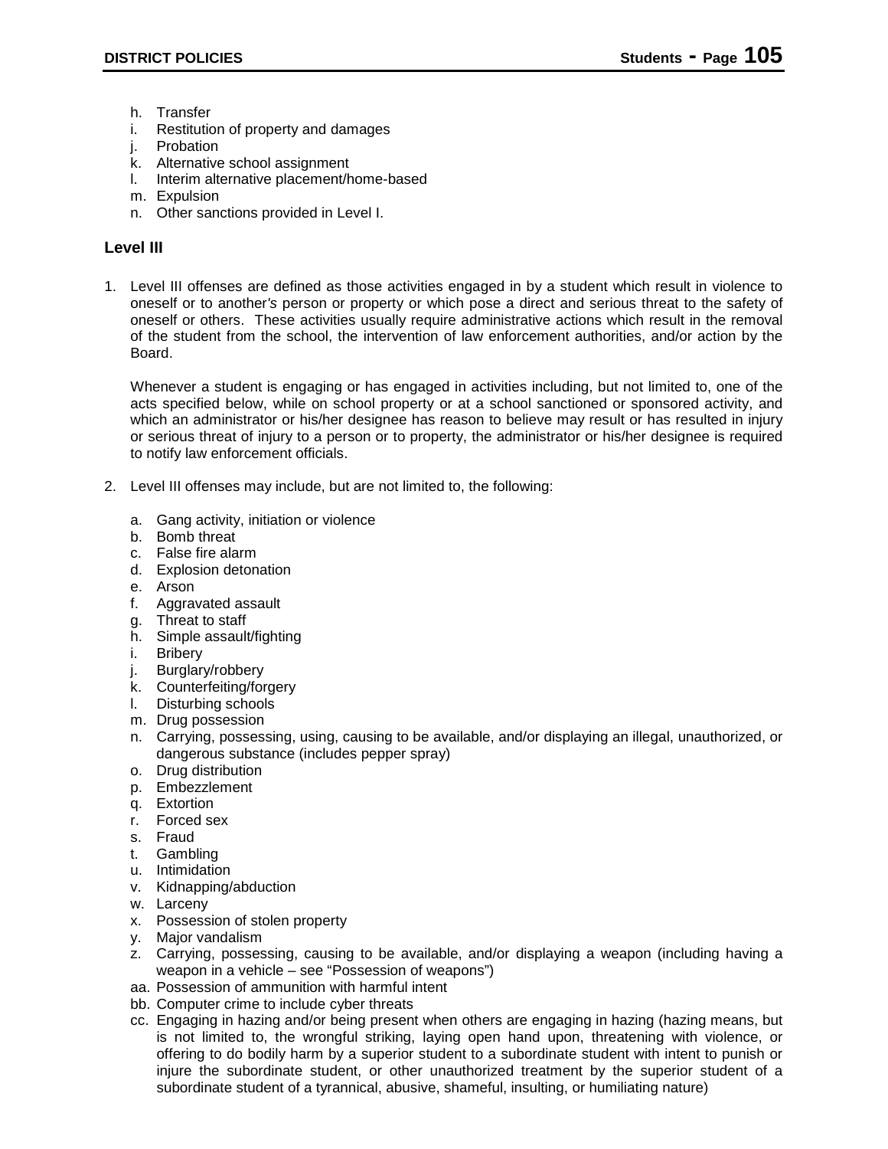- h. Transfer
- i. Restitution of property and damages
- j. Probation
- k. Alternative school assignment
- l. Interim alternative placement/home-based
- m. Expulsion
- n. Other sanctions provided in Level I.

## **Level III**

1. Level III offenses are defined as those activities engaged in by a student which result in violence to oneself or to another*'s* person or property or which pose a direct and serious threat to the safety of oneself or others. These activities usually require administrative actions which result in the removal of the student from the school, the intervention of law enforcement authorities, and/or action by the Board.

Whenever a student is engaging or has engaged in activities including, but not limited to, one of the acts specified below, while on school property or at a school sanctioned or sponsored activity, and which an administrator or his/her designee has reason to believe may result or has resulted in injury or serious threat of injury to a person or to property, the administrator or his/her designee is required to notify law enforcement officials.

- 2. Level III offenses may include, but are not limited to, the following:
	- a. Gang activity, initiation or violence
	- b. Bomb threat
	- c. False fire alarm
	- d. Explosion detonation
	- e. Arson
	- f. Aggravated assault
	- g. Threat to staff
	- h. Simple assault/fighting
	- i. Bribery
	- j. Burglary/robbery
	- k. Counterfeiting/forgery
	- l. Disturbing schools
	- m. Drug possession
	- n. Carrying, possessing, using, causing to be available, and/or displaying an illegal, unauthorized, or dangerous substance (includes pepper spray)
	- o. Drug distribution
	- p. Embezzlement
	- q. Extortion
	- r. Forced sex
	- s. Fraud
	- t. Gambling
	- u. Intimidation
	- v. Kidnapping/abduction
	- w. Larceny
	- x. Possession of stolen property
	- y. Major vandalism
	- z. Carrying, possessing, causing to be available, and/or displaying a weapon (including having a weapon in a vehicle – see "Possession of weapons")
	- aa. Possession of ammunition with harmful intent
	- bb. Computer crime to include cyber threats
	- cc. Engaging in hazing and/or being present when others are engaging in hazing (hazing means, but is not limited to, the wrongful striking, laying open hand upon, threatening with violence, or offering to do bodily harm by a superior student to a subordinate student with intent to punish or injure the subordinate student, or other unauthorized treatment by the superior student of a subordinate student of a tyrannical, abusive, shameful, insulting, or humiliating nature)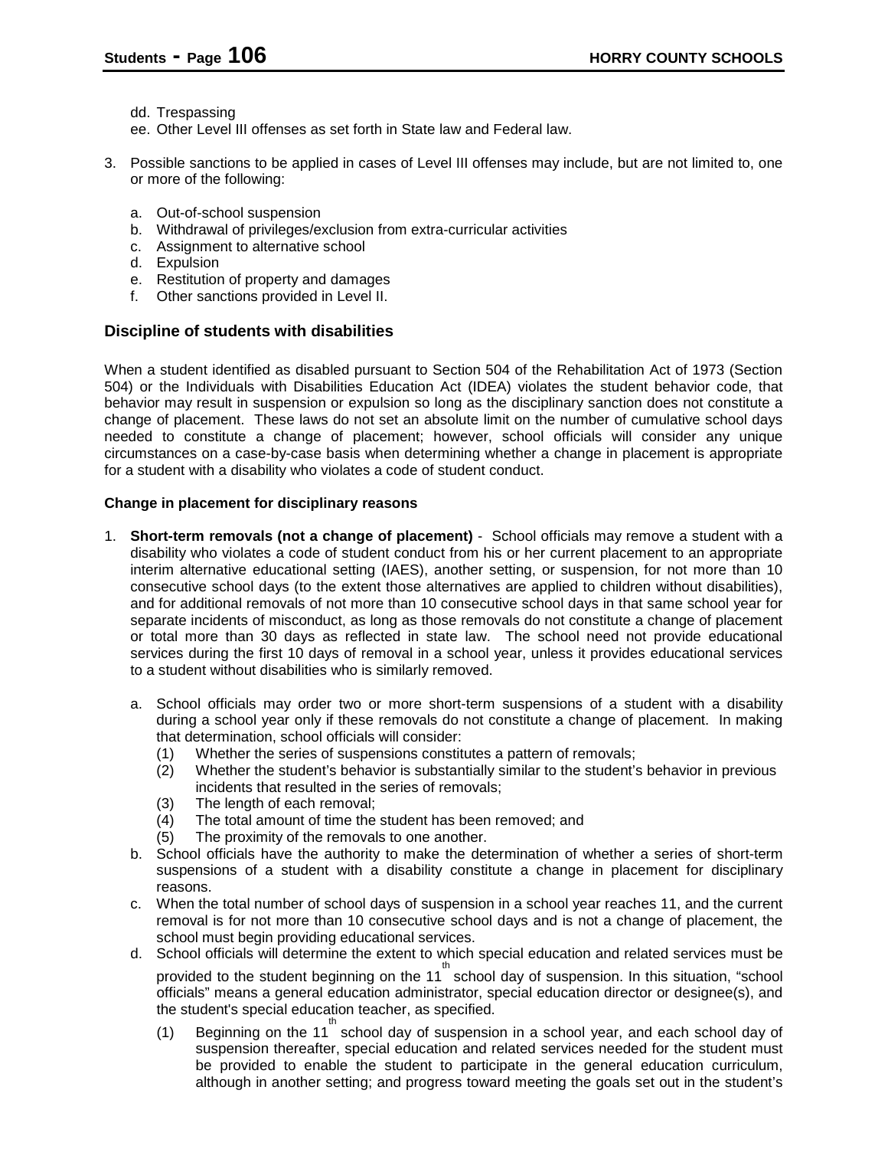- dd. Trespassing
- ee. Other Level III offenses as set forth in State law and Federal law.
- 3. Possible sanctions to be applied in cases of Level III offenses may include, but are not limited to, one or more of the following:
	- a. Out-of-school suspension
	- b. Withdrawal of privileges/exclusion from extra-curricular activities
	- c. Assignment to alternative school
	- d. Expulsion
	- e. Restitution of property and damages
	- f. Other sanctions provided in Level II.

#### **Discipline of students with disabilities**

When a student identified as disabled pursuant to Section 504 of the Rehabilitation Act of 1973 (Section 504) or the Individuals with Disabilities Education Act (IDEA) violates the student behavior code, that behavior may result in suspension or expulsion so long as the disciplinary sanction does not constitute a change of placement. These laws do not set an absolute limit on the number of cumulative school days needed to constitute a change of placement; however, school officials will consider any unique circumstances on a case-by-case basis when determining whether a change in placement is appropriate for a student with a disability who violates a code of student conduct.

#### **Change in placement for disciplinary reasons**

- 1. **Short-term removals (not a change of placement)** School officials may remove a student with a disability who violates a code of student conduct from his or her current placement to an appropriate interim alternative educational setting (IAES), another setting, or suspension, for not more than 10 consecutive school days (to the extent those alternatives are applied to children without disabilities), and for additional removals of not more than 10 consecutive school days in that same school year for separate incidents of misconduct, as long as those removals do not constitute a change of placement or total more than 30 days as reflected in state law. The school need not provide educational services during the first 10 days of removal in a school year, unless it provides educational services to a student without disabilities who is similarly removed.
	- a. School officials may order two or more short-term suspensions of a student with a disability during a school year only if these removals do not constitute a change of placement. In making that determination, school officials will consider:
		- (1) Whether the series of suspensions constitutes a pattern of removals;
		- (2) Whether the student's behavior is substantially similar to the student's behavior in previous incidents that resulted in the series of removals;
		- (3) The length of each removal;
		- (4) The total amount of time the student has been removed; and
		- (5) The proximity of the removals to one another.
	- b. School officials have the authority to make the determination of whether a series of short-term suspensions of a student with a disability constitute a change in placement for disciplinary reasons.
	- c. When the total number of school days of suspension in a school year reaches 11, and the current removal is for not more than 10 consecutive school days and is not a change of placement, the school must begin providing educational services.
	- d. School officials will determine the extent to which special education and related services must be provided to the student beginning on the 11<sup>th</sup> school day of suspension. In this situation, "school officials" means a general education administrator, special education director or designee(s), and the student's special education teacher, as specified.
		- (1) Beginning on the 11<sup>th</sup> school day of suspension in a school year, and each school day of suspension thereafter, special education and related services needed for the student must be provided to enable the student to participate in the general education curriculum, although in another setting; and progress toward meeting the goals set out in the student's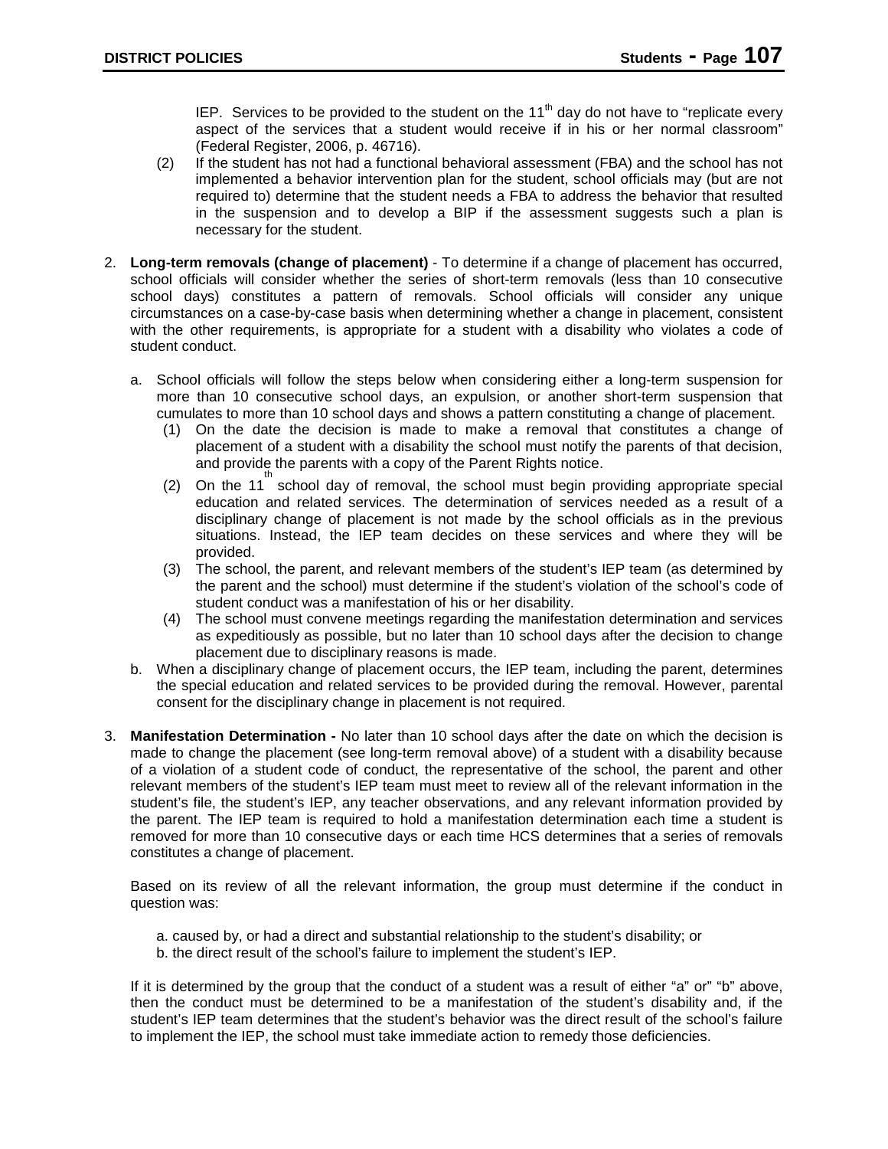IEP. Services to be provided to the student on the  $11<sup>th</sup>$  day do not have to "replicate every aspect of the services that a student would receive if in his or her normal classroom" (Federal Register, 2006, p. 46716).

- (2) If the student has not had a functional behavioral assessment (FBA) and the school has not implemented a behavior intervention plan for the student, school officials may (but are not required to) determine that the student needs a FBA to address the behavior that resulted in the suspension and to develop a BIP if the assessment suggests such a plan is necessary for the student.
- 2. **Long-term removals (change of placement)** To determine if a change of placement has occurred, school officials will consider whether the series of short-term removals (less than 10 consecutive school days) constitutes a pattern of removals. School officials will consider any unique circumstances on a case-by-case basis when determining whether a change in placement, consistent with the other requirements, is appropriate for a student with a disability who violates a code of student conduct.
	- a. School officials will follow the steps below when considering either a long-term suspension for more than 10 consecutive school days, an expulsion, or another short-term suspension that cumulates to more than 10 school days and shows a pattern constituting a change of placement.
		- (1) On the date the decision is made to make a removal that constitutes a change of placement of a student with a disability the school must notify the parents of that decision, and provide the parents with a copy of the Parent Rights notice.
		- (2) On the 11<sup>th</sup> school day of removal, the school must begin providing appropriate special education and related services. The determination of services needed as a result of a disciplinary change of placement is not made by the school officials as in the previous situations. Instead, the IEP team decides on these services and where they will be provided.
		- (3) The school, the parent, and relevant members of the student's IEP team (as determined by the parent and the school) must determine if the student's violation of the school's code of student conduct was a manifestation of his or her disability.
		- (4) The school must convene meetings regarding the manifestation determination and services as expeditiously as possible, but no later than 10 school days after the decision to change placement due to disciplinary reasons is made.
	- b. When a disciplinary change of placement occurs, the IEP team, including the parent, determines the special education and related services to be provided during the removal. However, parental consent for the disciplinary change in placement is not required.
- 3. **Manifestation Determination -** No later than 10 school days after the date on which the decision is made to change the placement (see long-term removal above) of a student with a disability because of a violation of a student code of conduct, the representative of the school, the parent and other relevant members of the student's IEP team must meet to review all of the relevant information in the student's file, the student's IEP, any teacher observations, and any relevant information provided by the parent. The IEP team is required to hold a manifestation determination each time a student is removed for more than 10 consecutive days or each time HCS determines that a series of removals constitutes a change of placement.

Based on its review of all the relevant information, the group must determine if the conduct in question was:

- a. caused by, or had a direct and substantial relationship to the student's disability; or
- b. the direct result of the school's failure to implement the student's IEP.

If it is determined by the group that the conduct of a student was a result of either "a" or" "b" above, then the conduct must be determined to be a manifestation of the student's disability and, if the student's IEP team determines that the student's behavior was the direct result of the school's failure to implement the IEP, the school must take immediate action to remedy those deficiencies.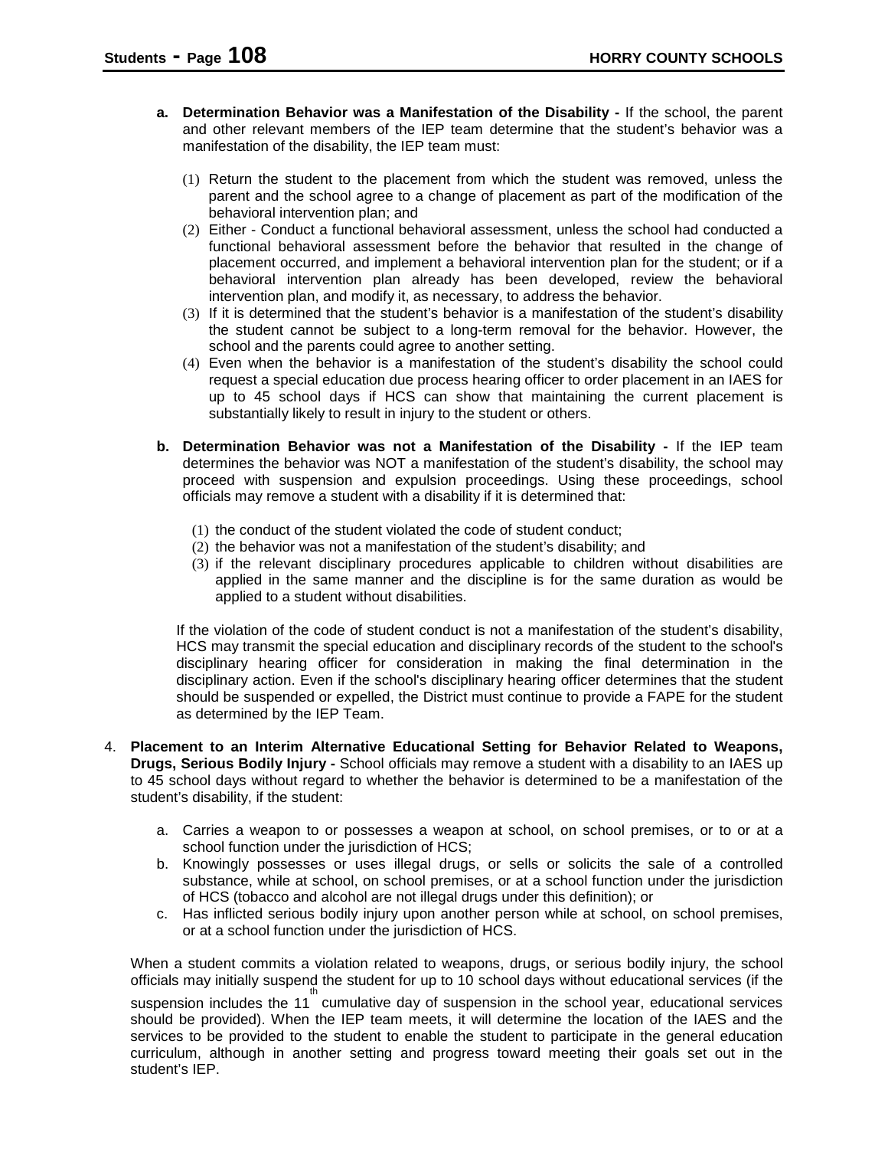- **a. Determination Behavior was a Manifestation of the Disability -** If the school, the parent and other relevant members of the IEP team determine that the student's behavior was a manifestation of the disability, the IEP team must:
	- (1) Return the student to the placement from which the student was removed, unless the parent and the school agree to a change of placement as part of the modification of the behavioral intervention plan; and
	- (2) Either Conduct a functional behavioral assessment, unless the school had conducted a functional behavioral assessment before the behavior that resulted in the change of placement occurred, and implement a behavioral intervention plan for the student; or if a behavioral intervention plan already has been developed, review the behavioral intervention plan, and modify it, as necessary, to address the behavior.
	- (3) If it is determined that the student's behavior is a manifestation of the student's disability the student cannot be subject to a long-term removal for the behavior. However, the school and the parents could agree to another setting.
	- (4) Even when the behavior is a manifestation of the student's disability the school could request a special education due process hearing officer to order placement in an IAES for up to 45 school days if HCS can show that maintaining the current placement is substantially likely to result in injury to the student or others.
- **b. Determination Behavior was not a Manifestation of the Disability -** If the IEP team determines the behavior was NOT a manifestation of the student's disability, the school may proceed with suspension and expulsion proceedings. Using these proceedings, school officials may remove a student with a disability if it is determined that:
	- (1) the conduct of the student violated the code of student conduct;
	- (2) the behavior was not a manifestation of the student's disability; and
	- (3) if the relevant disciplinary procedures applicable to children without disabilities are applied in the same manner and the discipline is for the same duration as would be applied to a student without disabilities.

If the violation of the code of student conduct is not a manifestation of the student's disability, HCS may transmit the special education and disciplinary records of the student to the school's disciplinary hearing officer for consideration in making the final determination in the disciplinary action. Even if the school's disciplinary hearing officer determines that the student should be suspended or expelled, the District must continue to provide a FAPE for the student as determined by the IEP Team.

- 4. **Placement to an Interim Alternative Educational Setting for Behavior Related to Weapons, Drugs, Serious Bodily Injury -** School officials may remove a student with a disability to an IAES up to 45 school days without regard to whether the behavior is determined to be a manifestation of the student's disability, if the student:
	- a. Carries a weapon to or possesses a weapon at school, on school premises, or to or at a school function under the jurisdiction of HCS;
	- b. Knowingly possesses or uses illegal drugs, or sells or solicits the sale of a controlled substance, while at school, on school premises, or at a school function under the jurisdiction of HCS (tobacco and alcohol are not illegal drugs under this definition); or
	- c. Has inflicted serious bodily injury upon another person while at school, on school premises, or at a school function under the jurisdiction of HCS.

When a student commits a violation related to weapons, drugs, or serious bodily injury, the school officials may initially suspend the student for up to 10 school days without educational services (if the suspension includes the 11<sup>th</sup> cumulative day of suspension in the school year, educational services should be provided). When the IEP team meets, it will determine the location of the IAES and the services to be provided to the student to enable the student to participate in the general education curriculum, although in another setting and progress toward meeting their goals set out in the student's IEP.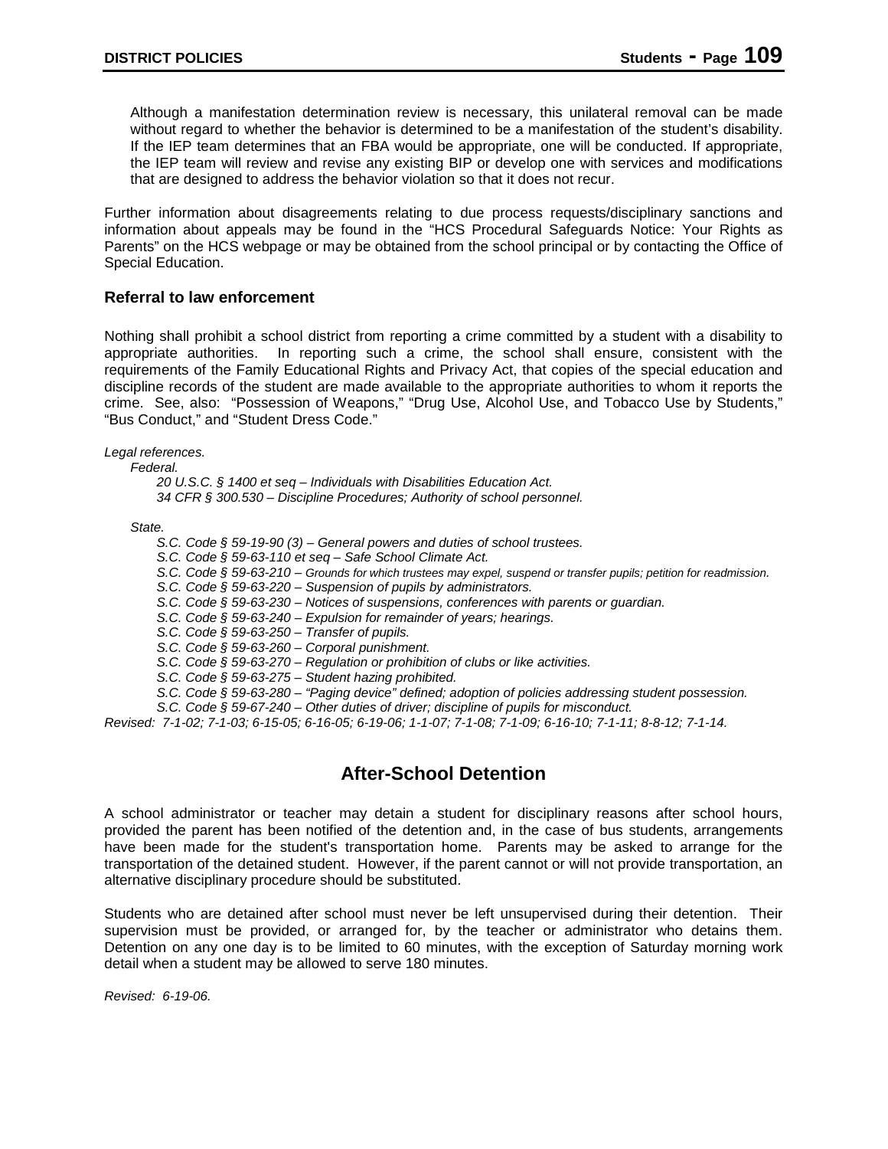Although a manifestation determination review is necessary, this unilateral removal can be made without regard to whether the behavior is determined to be a manifestation of the student's disability. If the IEP team determines that an FBA would be appropriate, one will be conducted. If appropriate, the IEP team will review and revise any existing BIP or develop one with services and modifications that are designed to address the behavior violation so that it does not recur.

Further information about disagreements relating to due process requests/disciplinary sanctions and information about appeals may be found in the "HCS Procedural Safeguards Notice: Your Rights as Parents" on the HCS webpage or may be obtained from the school principal or by contacting the Office of Special Education.

#### **Referral to law enforcement**

Nothing shall prohibit a school district from reporting a crime committed by a student with a disability to appropriate authorities. In reporting such a crime, the school shall ensure, consistent with the requirements of the Family Educational Rights and Privacy Act, that copies of the special education and discipline records of the student are made available to the appropriate authorities to whom it reports the crime. See, also: "Possession of Weapons," "Drug Use, Alcohol Use, and Tobacco Use by Students," "Bus Conduct," and "Student Dress Code."

*Legal references.*

*Federal.*

*20 U.S.C. § 1400 et seq – Individuals with Disabilities Education Act. 34 CFR § 300.530 – Discipline Procedures; Authority of school personnel.*

*State.*

*S.C. Code § 59-19-90 (3) – General powers and duties of school trustees.*

*S.C. Code § 59-63-110 et seq – Safe School Climate Act.*

*S.C. Code § 59-63-210 – Grounds for which trustees may expel, suspend or transfer pupils; petition for readmission.*

*S.C. Code § 59-63-220 – Suspension of pupils by administrators.*

*S.C. Code § 59-63-230 – Notices of suspensions, conferences with parents or guardian.*

*S.C. Code § 59-63-240 – Expulsion for remainder of years; hearings.*

*S.C. Code § 59-63-250 – Transfer of pupils.*

*S.C. Code § 59-63-260 – Corporal punishment.*

*S.C. Code § 59-63-270 – Regulation or prohibition of clubs or like activities.*

*S.C. Code § 59-63-275 – Student hazing prohibited.*

*S.C. Code § 59-63-280 – "Paging device" defined; adoption of policies addressing student possession.*

*S.C. Code § 59-67-240 – Other duties of driver; discipline of pupils for misconduct.*

*Revised: 7-1-02; 7-1-03; 6-15-05; 6-16-05; 6-19-06; 1-1-07; 7-1-08; 7-1-09; 6-16-10; 7-1-11; 8-8-12; 7-1-14.*

## **After-School Detention**

A school administrator or teacher may detain a student for disciplinary reasons after school hours, provided the parent has been notified of the detention and, in the case of bus students, arrangements have been made for the student's transportation home. Parents may be asked to arrange for the transportation of the detained student. However, if the parent cannot or will not provide transportation, an alternative disciplinary procedure should be substituted.

Students who are detained after school must never be left unsupervised during their detention. Their supervision must be provided, or arranged for, by the teacher or administrator who detains them. Detention on any one day is to be limited to 60 minutes, with the exception of Saturday morning work detail when a student may be allowed to serve 180 minutes.

*Revised: 6-19-06.*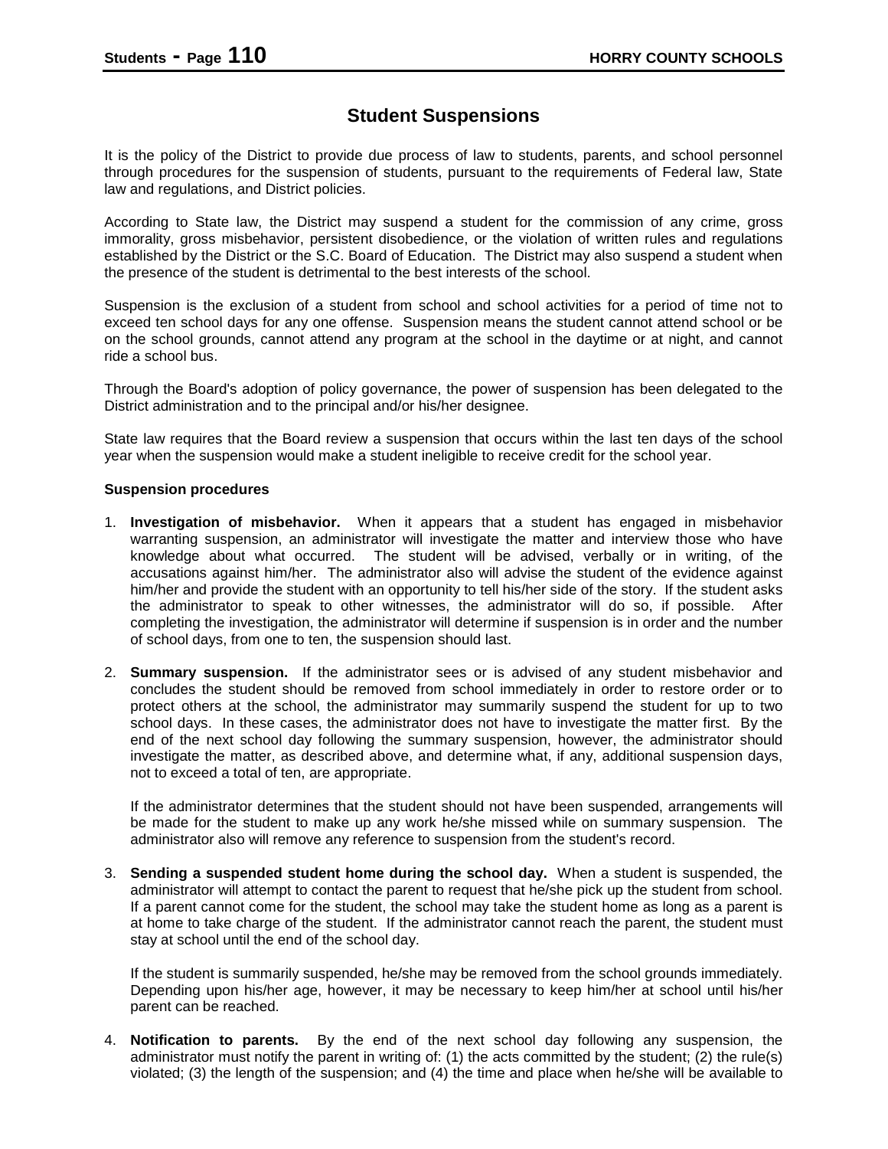## **Student Suspensions**

It is the policy of the District to provide due process of law to students, parents, and school personnel through procedures for the suspension of students, pursuant to the requirements of Federal law, State law and regulations, and District policies.

According to State law, the District may suspend a student for the commission of any crime, gross immorality, gross misbehavior, persistent disobedience, or the violation of written rules and regulations established by the District or the S.C. Board of Education. The District may also suspend a student when the presence of the student is detrimental to the best interests of the school.

Suspension is the exclusion of a student from school and school activities for a period of time not to exceed ten school days for any one offense. Suspension means the student cannot attend school or be on the school grounds, cannot attend any program at the school in the daytime or at night, and cannot ride a school bus.

Through the Board's adoption of policy governance, the power of suspension has been delegated to the District administration and to the principal and/or his/her designee.

State law requires that the Board review a suspension that occurs within the last ten days of the school year when the suspension would make a student ineligible to receive credit for the school year.

#### **Suspension procedures**

- 1. **Investigation of misbehavior.** When it appears that a student has engaged in misbehavior warranting suspension, an administrator will investigate the matter and interview those who have knowledge about what occurred. The student will be advised, verbally or in writing, of the accusations against him/her. The administrator also will advise the student of the evidence against him/her and provide the student with an opportunity to tell his/her side of the story. If the student asks the administrator to speak to other witnesses, the administrator will do so, if possible. After completing the investigation, the administrator will determine if suspension is in order and the number of school days, from one to ten, the suspension should last.
- 2. **Summary suspension.** If the administrator sees or is advised of any student misbehavior and concludes the student should be removed from school immediately in order to restore order or to protect others at the school, the administrator may summarily suspend the student for up to two school days. In these cases, the administrator does not have to investigate the matter first. By the end of the next school day following the summary suspension, however, the administrator should investigate the matter, as described above, and determine what, if any, additional suspension days, not to exceed a total of ten, are appropriate.

If the administrator determines that the student should not have been suspended, arrangements will be made for the student to make up any work he/she missed while on summary suspension. The administrator also will remove any reference to suspension from the student's record.

3. **Sending a suspended student home during the school day.** When a student is suspended, the administrator will attempt to contact the parent to request that he/she pick up the student from school. If a parent cannot come for the student, the school may take the student home as long as a parent is at home to take charge of the student. If the administrator cannot reach the parent, the student must stay at school until the end of the school day.

If the student is summarily suspended, he/she may be removed from the school grounds immediately. Depending upon his/her age, however, it may be necessary to keep him/her at school until his/her parent can be reached.

4. **Notification to parents.** By the end of the next school day following any suspension, the administrator must notify the parent in writing of: (1) the acts committed by the student; (2) the rule(s) violated; (3) the length of the suspension; and (4) the time and place when he/she will be available to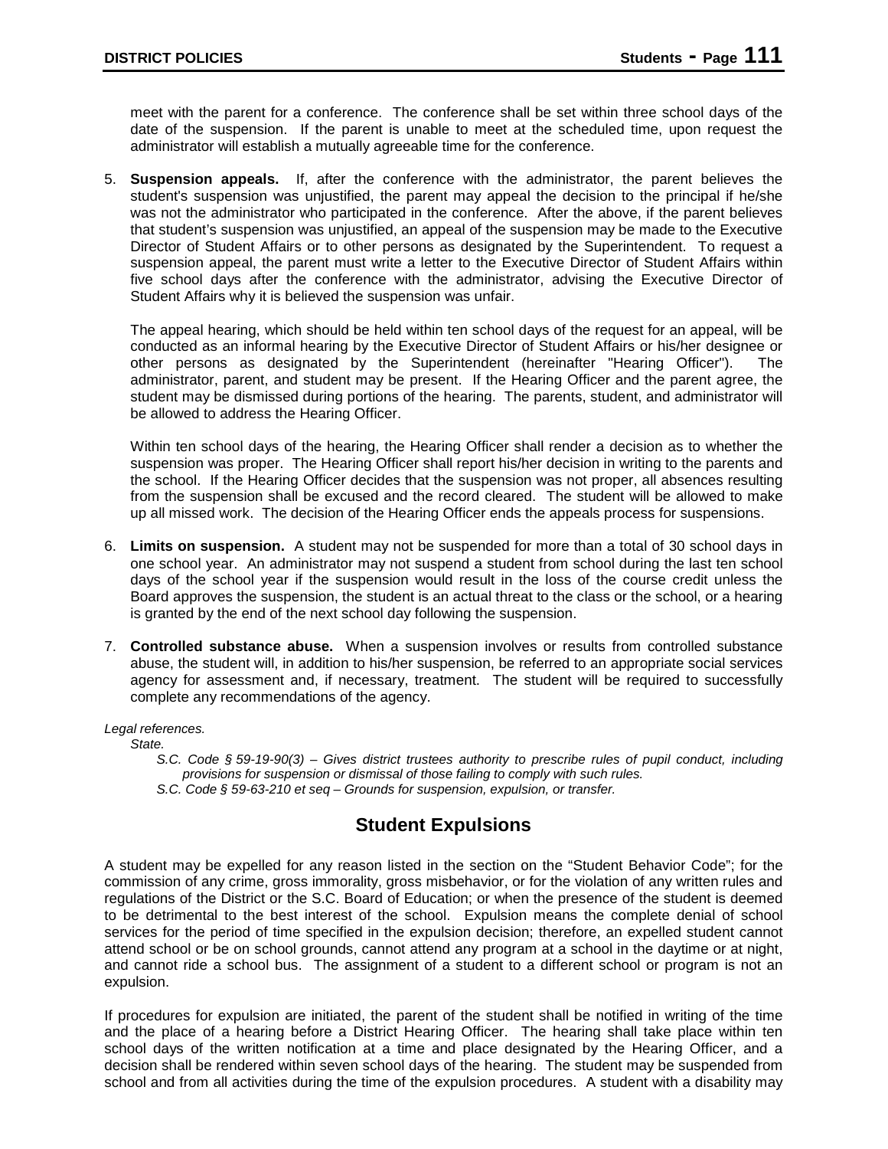meet with the parent for a conference. The conference shall be set within three school days of the date of the suspension. If the parent is unable to meet at the scheduled time, upon request the administrator will establish a mutually agreeable time for the conference.

5. **Suspension appeals.** If, after the conference with the administrator, the parent believes the student's suspension was unjustified, the parent may appeal the decision to the principal if he/she was not the administrator who participated in the conference. After the above, if the parent believes that student's suspension was unjustified, an appeal of the suspension may be made to the Executive Director of Student Affairs or to other persons as designated by the Superintendent. To request a suspension appeal, the parent must write a letter to the Executive Director of Student Affairs within five school days after the conference with the administrator, advising the Executive Director of Student Affairs why it is believed the suspension was unfair.

The appeal hearing, which should be held within ten school days of the request for an appeal, will be conducted as an informal hearing by the Executive Director of Student Affairs or his/her designee or other persons as designated by the Superintendent (hereinafter "Hearing Officer"). The administrator, parent, and student may be present. If the Hearing Officer and the parent agree, the student may be dismissed during portions of the hearing. The parents, student, and administrator will be allowed to address the Hearing Officer.

Within ten school days of the hearing, the Hearing Officer shall render a decision as to whether the suspension was proper. The Hearing Officer shall report his/her decision in writing to the parents and the school. If the Hearing Officer decides that the suspension was not proper, all absences resulting from the suspension shall be excused and the record cleared. The student will be allowed to make up all missed work. The decision of the Hearing Officer ends the appeals process for suspensions.

- 6. **Limits on suspension.** A student may not be suspended for more than a total of 30 school days in one school year. An administrator may not suspend a student from school during the last ten school days of the school year if the suspension would result in the loss of the course credit unless the Board approves the suspension, the student is an actual threat to the class or the school, or a hearing is granted by the end of the next school day following the suspension.
- 7. **Controlled substance abuse.** When a suspension involves or results from controlled substance abuse, the student will, in addition to his/her suspension, be referred to an appropriate social services agency for assessment and, if necessary, treatment. The student will be required to successfully complete any recommendations of the agency.

*Legal references.*

*State.*

- *S.C. Code § 59-19-90(3) – Gives district trustees authority to prescribe rules of pupil conduct, including provisions for suspension or dismissal of those failing to comply with such rules.*
- *S.C. Code § 59-63-210 et seq – Grounds for suspension, expulsion, or transfer.*

# **Student Expulsions**

A student may be expelled for any reason listed in the section on the "Student Behavior Code"; for the commission of any crime, gross immorality, gross misbehavior, or for the violation of any written rules and regulations of the District or the S.C. Board of Education; or when the presence of the student is deemed to be detrimental to the best interest of the school. Expulsion means the complete denial of school services for the period of time specified in the expulsion decision; therefore, an expelled student cannot attend school or be on school grounds, cannot attend any program at a school in the daytime or at night, and cannot ride a school bus. The assignment of a student to a different school or program is not an expulsion.

If procedures for expulsion are initiated, the parent of the student shall be notified in writing of the time and the place of a hearing before a District Hearing Officer. The hearing shall take place within ten school days of the written notification at a time and place designated by the Hearing Officer, and a decision shall be rendered within seven school days of the hearing. The student may be suspended from school and from all activities during the time of the expulsion procedures. A student with a disability may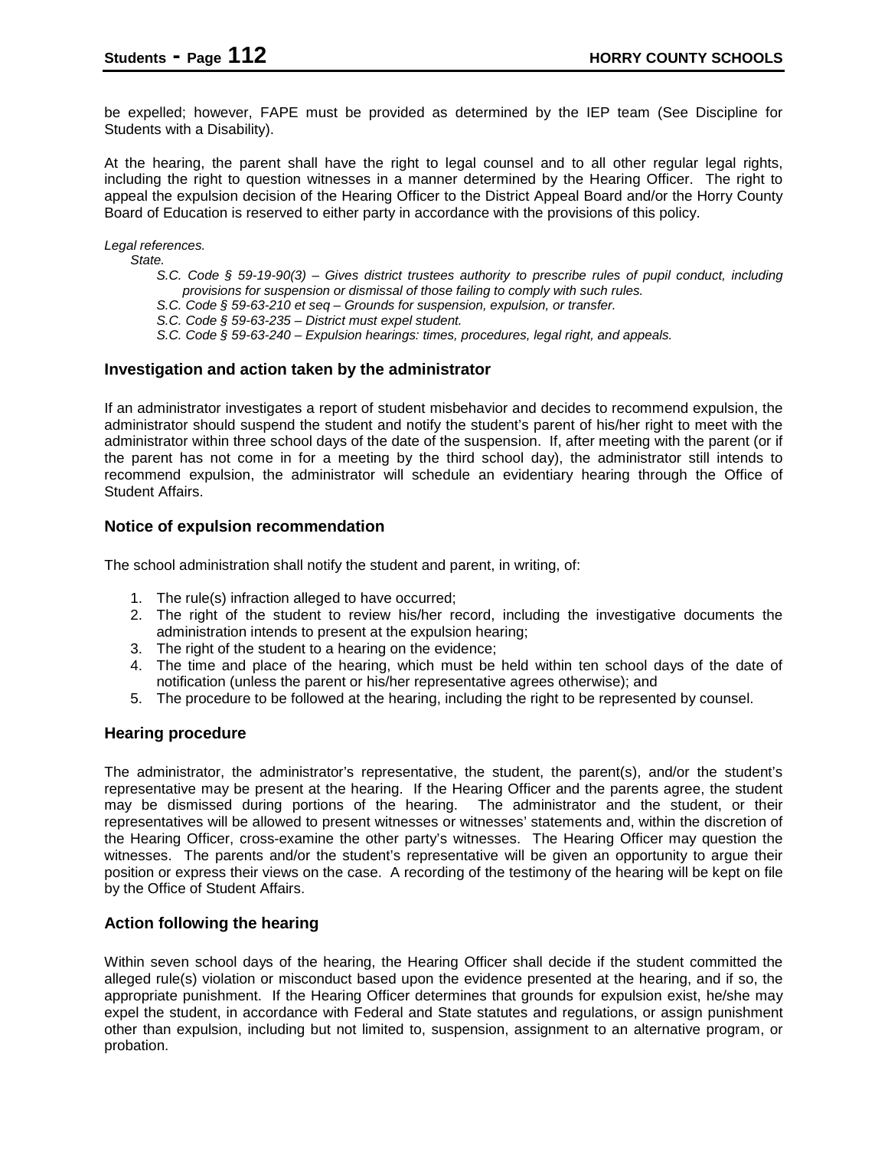be expelled; however, FAPE must be provided as determined by the IEP team (See Discipline for Students with a Disability).

At the hearing, the parent shall have the right to legal counsel and to all other regular legal rights, including the right to question witnesses in a manner determined by the Hearing Officer. The right to appeal the expulsion decision of the Hearing Officer to the District Appeal Board and/or the Horry County Board of Education is reserved to either party in accordance with the provisions of this policy.

*Legal references.*

*State.*

- *S.C. Code § 59-19-90(3) – Gives district trustees authority to prescribe rules of pupil conduct, including provisions for suspension or dismissal of those failing to comply with such rules.*
- *S.C. Code § 59-63-210 et seq – Grounds for suspension, expulsion, or transfer.*
- *S.C. Code § 59-63-235 – District must expel student.*
- *S.C. Code § 59-63-240 – Expulsion hearings: times, procedures, legal right, and appeals.*

### **Investigation and action taken by the administrator**

If an administrator investigates a report of student misbehavior and decides to recommend expulsion, the administrator should suspend the student and notify the student's parent of his/her right to meet with the administrator within three school days of the date of the suspension. If, after meeting with the parent (or if the parent has not come in for a meeting by the third school day), the administrator still intends to recommend expulsion, the administrator will schedule an evidentiary hearing through the Office of Student Affairs.

#### **Notice of expulsion recommendation**

The school administration shall notify the student and parent, in writing, of:

- 1. The rule(s) infraction alleged to have occurred;
- 2. The right of the student to review his/her record, including the investigative documents the administration intends to present at the expulsion hearing;
- 3. The right of the student to a hearing on the evidence;
- 4. The time and place of the hearing, which must be held within ten school days of the date of notification (unless the parent or his/her representative agrees otherwise); and
- 5. The procedure to be followed at the hearing, including the right to be represented by counsel.

#### **Hearing procedure**

The administrator, the administrator's representative, the student, the parent(s), and/or the student's representative may be present at the hearing. If the Hearing Officer and the parents agree, the student may be dismissed during portions of the hearing. The administrator and the student, or their may be dismissed during portions of the hearing. representatives will be allowed to present witnesses or witnesses' statements and, within the discretion of the Hearing Officer, cross-examine the other party's witnesses. The Hearing Officer may question the witnesses. The parents and/or the student's representative will be given an opportunity to argue their position or express their views on the case. A recording of the testimony of the hearing will be kept on file by the Office of Student Affairs.

### **Action following the hearing**

Within seven school days of the hearing, the Hearing Officer shall decide if the student committed the alleged rule(s) violation or misconduct based upon the evidence presented at the hearing, and if so, the appropriate punishment. If the Hearing Officer determines that grounds for expulsion exist, he/she may expel the student, in accordance with Federal and State statutes and regulations, or assign punishment other than expulsion, including but not limited to, suspension, assignment to an alternative program, or probation.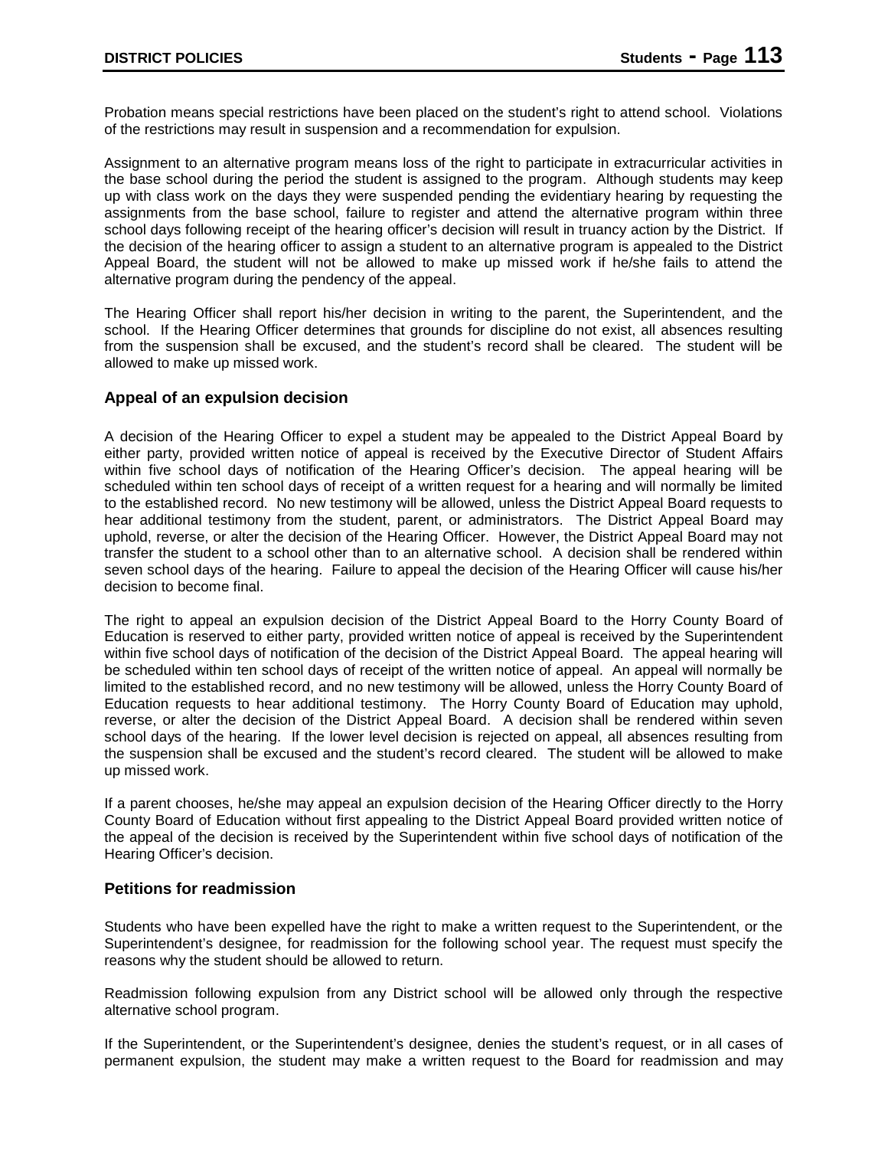Probation means special restrictions have been placed on the student's right to attend school. Violations of the restrictions may result in suspension and a recommendation for expulsion.

Assignment to an alternative program means loss of the right to participate in extracurricular activities in the base school during the period the student is assigned to the program. Although students may keep up with class work on the days they were suspended pending the evidentiary hearing by requesting the assignments from the base school, failure to register and attend the alternative program within three school days following receipt of the hearing officer's decision will result in truancy action by the District. If the decision of the hearing officer to assign a student to an alternative program is appealed to the District Appeal Board, the student will not be allowed to make up missed work if he/she fails to attend the alternative program during the pendency of the appeal.

The Hearing Officer shall report his/her decision in writing to the parent, the Superintendent, and the school. If the Hearing Officer determines that grounds for discipline do not exist, all absences resulting from the suspension shall be excused, and the student's record shall be cleared. The student will be allowed to make up missed work.

### **Appeal of an expulsion decision**

A decision of the Hearing Officer to expel a student may be appealed to the District Appeal Board by either party, provided written notice of appeal is received by the Executive Director of Student Affairs within five school days of notification of the Hearing Officer's decision. The appeal hearing will be scheduled within ten school days of receipt of a written request for a hearing and will normally be limited to the established record. No new testimony will be allowed, unless the District Appeal Board requests to hear additional testimony from the student, parent, or administrators. The District Appeal Board may uphold, reverse, or alter the decision of the Hearing Officer. However, the District Appeal Board may not transfer the student to a school other than to an alternative school. A decision shall be rendered within seven school days of the hearing. Failure to appeal the decision of the Hearing Officer will cause his/her decision to become final.

The right to appeal an expulsion decision of the District Appeal Board to the Horry County Board of Education is reserved to either party, provided written notice of appeal is received by the Superintendent within five school days of notification of the decision of the District Appeal Board. The appeal hearing will be scheduled within ten school days of receipt of the written notice of appeal. An appeal will normally be limited to the established record, and no new testimony will be allowed, unless the Horry County Board of Education requests to hear additional testimony. The Horry County Board of Education may uphold, reverse, or alter the decision of the District Appeal Board. A decision shall be rendered within seven school days of the hearing. If the lower level decision is rejected on appeal, all absences resulting from the suspension shall be excused and the student's record cleared. The student will be allowed to make up missed work.

If a parent chooses, he/she may appeal an expulsion decision of the Hearing Officer directly to the Horry County Board of Education without first appealing to the District Appeal Board provided written notice of the appeal of the decision is received by the Superintendent within five school days of notification of the Hearing Officer's decision.

### **Petitions for readmission**

Students who have been expelled have the right to make a written request to the Superintendent, or the Superintendent's designee, for readmission for the following school year. The request must specify the reasons why the student should be allowed to return.

Readmission following expulsion from any District school will be allowed only through the respective alternative school program.

If the Superintendent, or the Superintendent's designee, denies the student's request, or in all cases of permanent expulsion, the student may make a written request to the Board for readmission and may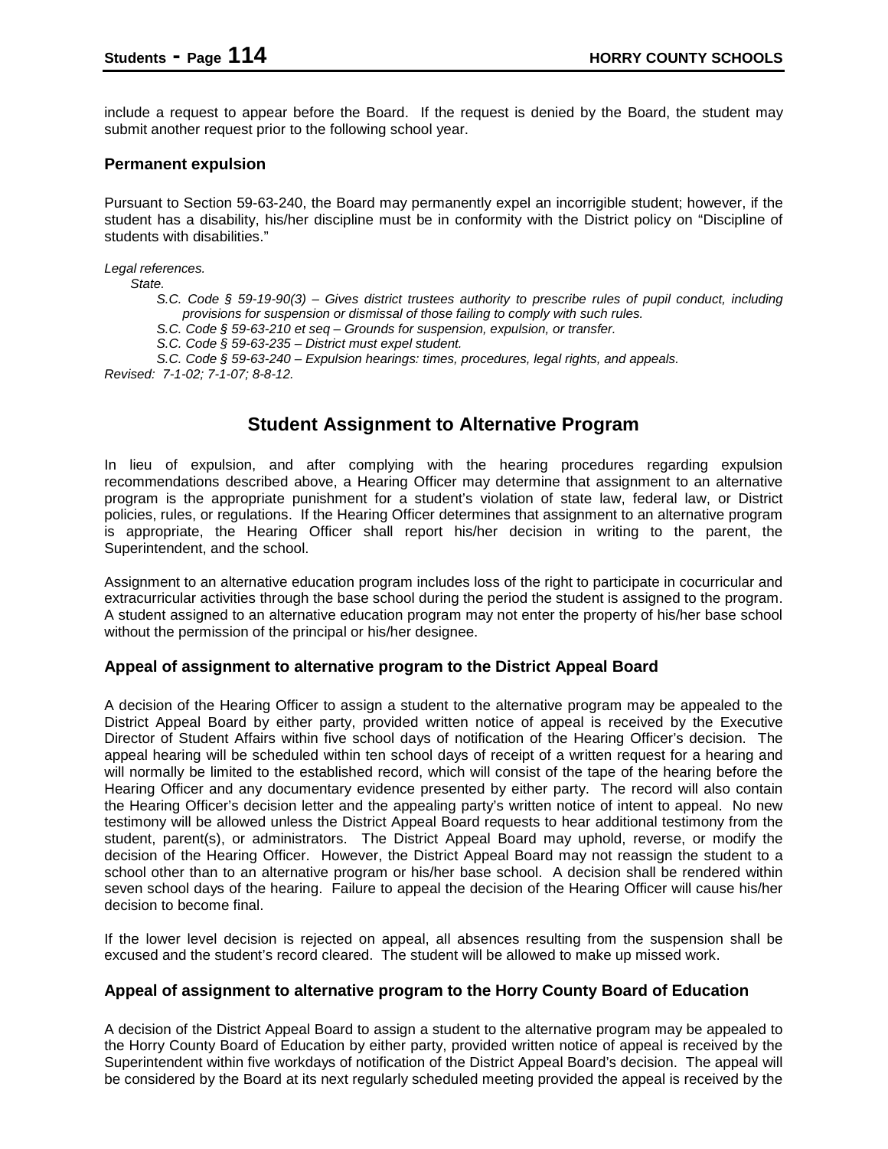include a request to appear before the Board. If the request is denied by the Board, the student may submit another request prior to the following school year.

#### **Permanent expulsion**

Pursuant to Section 59-63-240, the Board may permanently expel an incorrigible student; however, if the student has a disability, his/her discipline must be in conformity with the District policy on "Discipline of students with disabilities."

*Legal references.*

*State.*

*S.C. Code § 59-19-90(3) – Gives district trustees authority to prescribe rules of pupil conduct, including provisions for suspension or dismissal of those failing to comply with such rules.*

*S.C. Code § 59-63-210 et seq – Grounds for suspension, expulsion, or transfer.*

*S.C. Code § 59-63-235 – District must expel student.*

*S.C. Code § 59-63-240 – Expulsion hearings: times, procedures, legal rights, and appeals. Revised: 7-1-02; 7-1-07; 8-8-12.*

# **Student Assignment to Alternative Program**

In lieu of expulsion, and after complying with the hearing procedures regarding expulsion recommendations described above, a Hearing Officer may determine that assignment to an alternative program is the appropriate punishment for a student's violation of state law, federal law, or District policies, rules, or regulations. If the Hearing Officer determines that assignment to an alternative program is appropriate, the Hearing Officer shall report his/her decision in writing to the parent, the Superintendent, and the school.

Assignment to an alternative education program includes loss of the right to participate in cocurricular and extracurricular activities through the base school during the period the student is assigned to the program. A student assigned to an alternative education program may not enter the property of his/her base school without the permission of the principal or his/her designee.

### **Appeal of assignment to alternative program to the District Appeal Board**

A decision of the Hearing Officer to assign a student to the alternative program may be appealed to the District Appeal Board by either party, provided written notice of appeal is received by the Executive Director of Student Affairs within five school days of notification of the Hearing Officer's decision. The appeal hearing will be scheduled within ten school days of receipt of a written request for a hearing and will normally be limited to the established record, which will consist of the tape of the hearing before the Hearing Officer and any documentary evidence presented by either party. The record will also contain the Hearing Officer's decision letter and the appealing party's written notice of intent to appeal. No new testimony will be allowed unless the District Appeal Board requests to hear additional testimony from the student, parent(s), or administrators. The District Appeal Board may uphold, reverse, or modify the decision of the Hearing Officer. However, the District Appeal Board may not reassign the student to a school other than to an alternative program or his/her base school. A decision shall be rendered within seven school days of the hearing. Failure to appeal the decision of the Hearing Officer will cause his/her decision to become final.

If the lower level decision is rejected on appeal, all absences resulting from the suspension shall be excused and the student's record cleared. The student will be allowed to make up missed work.

### **Appeal of assignment to alternative program to the Horry County Board of Education**

A decision of the District Appeal Board to assign a student to the alternative program may be appealed to the Horry County Board of Education by either party, provided written notice of appeal is received by the Superintendent within five workdays of notification of the District Appeal Board's decision. The appeal will be considered by the Board at its next regularly scheduled meeting provided the appeal is received by the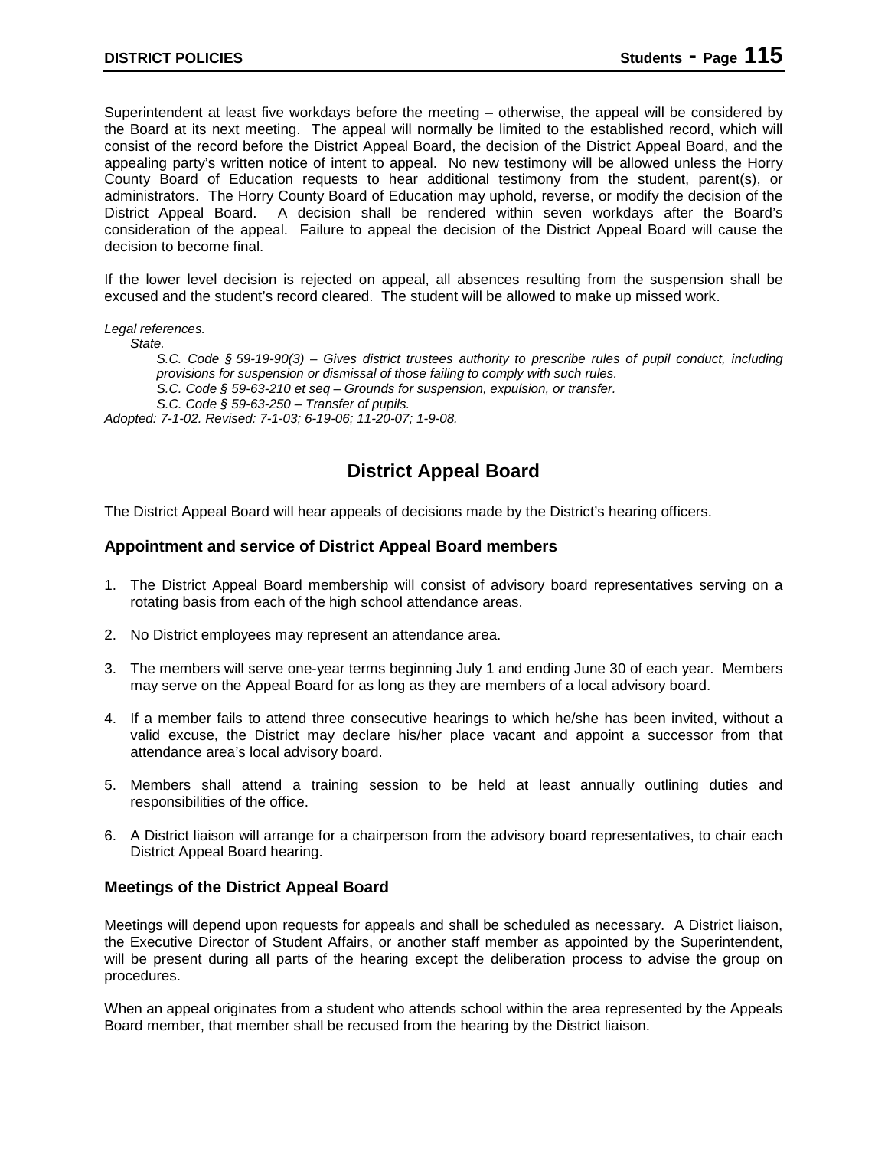Superintendent at least five workdays before the meeting – otherwise, the appeal will be considered by the Board at its next meeting. The appeal will normally be limited to the established record, which will consist of the record before the District Appeal Board, the decision of the District Appeal Board, and the appealing party's written notice of intent to appeal. No new testimony will be allowed unless the Horry County Board of Education requests to hear additional testimony from the student, parent(s), or administrators. The Horry County Board of Education may uphold, reverse, or modify the decision of the District Appeal Board. A decision shall be rendered within seven workdays after the Board's consideration of the appeal. Failure to appeal the decision of the District Appeal Board will cause the decision to become final.

If the lower level decision is rejected on appeal, all absences resulting from the suspension shall be excused and the student's record cleared. The student will be allowed to make up missed work.

#### *Legal references.*

*State.*

*S.C. Code § 59-19-90(3) – Gives district trustees authority to prescribe rules of pupil conduct, including provisions for suspension or dismissal of those failing to comply with such rules.*

*S.C. Code § 59-63-210 et seq – Grounds for suspension, expulsion, or transfer.*

*S.C. Code § 59-63-250 – Transfer of pupils.*

*Adopted: 7-1-02. Revised: 7-1-03; 6-19-06; 11-20-07; 1-9-08.*

# **District Appeal Board**

The District Appeal Board will hear appeals of decisions made by the District's hearing officers.

#### **Appointment and service of District Appeal Board members**

- 1. The District Appeal Board membership will consist of advisory board representatives serving on a rotating basis from each of the high school attendance areas.
- 2. No District employees may represent an attendance area.
- 3. The members will serve one-year terms beginning July 1 and ending June 30 of each year. Members may serve on the Appeal Board for as long as they are members of a local advisory board.
- 4. If a member fails to attend three consecutive hearings to which he/she has been invited, without a valid excuse, the District may declare his/her place vacant and appoint a successor from that attendance area's local advisory board.
- 5. Members shall attend a training session to be held at least annually outlining duties and responsibilities of the office.
- 6. A District liaison will arrange for a chairperson from the advisory board representatives, to chair each District Appeal Board hearing.

#### **Meetings of the District Appeal Board**

Meetings will depend upon requests for appeals and shall be scheduled as necessary. A District liaison, the Executive Director of Student Affairs, or another staff member as appointed by the Superintendent, will be present during all parts of the hearing except the deliberation process to advise the group on procedures.

When an appeal originates from a student who attends school within the area represented by the Appeals Board member, that member shall be recused from the hearing by the District liaison.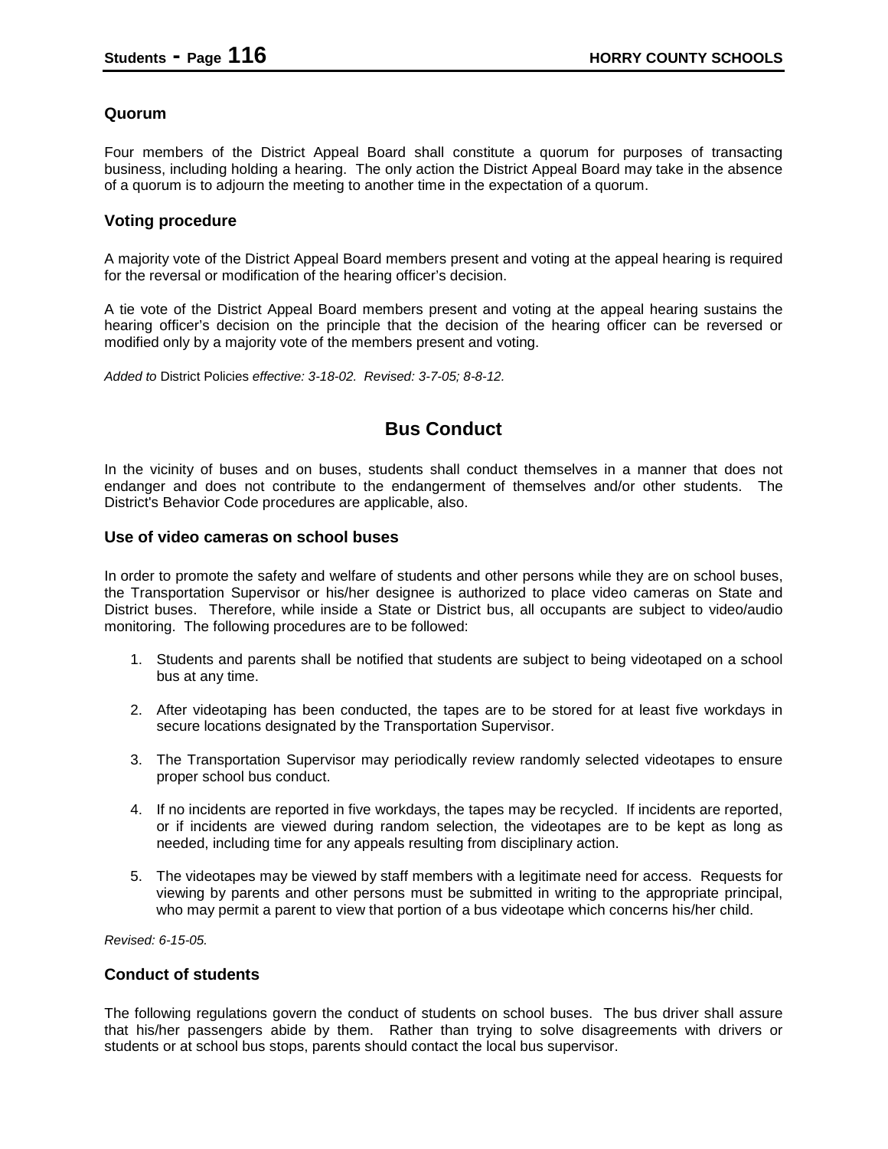#### **Quorum**

Four members of the District Appeal Board shall constitute a quorum for purposes of transacting business, including holding a hearing. The only action the District Appeal Board may take in the absence of a quorum is to adjourn the meeting to another time in the expectation of a quorum.

#### **Voting procedure**

A majority vote of the District Appeal Board members present and voting at the appeal hearing is required for the reversal or modification of the hearing officer's decision.

A tie vote of the District Appeal Board members present and voting at the appeal hearing sustains the hearing officer's decision on the principle that the decision of the hearing officer can be reversed or modified only by a majority vote of the members present and voting.

*Added to* District Policies *effective: 3-18-02. Revised: 3-7-05; 8-8-12.*

# **Bus Conduct**

In the vicinity of buses and on buses, students shall conduct themselves in a manner that does not endanger and does not contribute to the endangerment of themselves and/or other students. The District's Behavior Code procedures are applicable, also.

#### **Use of video cameras on school buses**

In order to promote the safety and welfare of students and other persons while they are on school buses, the Transportation Supervisor or his/her designee is authorized to place video cameras on State and District buses. Therefore, while inside a State or District bus, all occupants are subject to video/audio monitoring. The following procedures are to be followed:

- 1. Students and parents shall be notified that students are subject to being videotaped on a school bus at any time.
- 2. After videotaping has been conducted, the tapes are to be stored for at least five workdays in secure locations designated by the Transportation Supervisor.
- 3. The Transportation Supervisor may periodically review randomly selected videotapes to ensure proper school bus conduct.
- 4. If no incidents are reported in five workdays, the tapes may be recycled. If incidents are reported, or if incidents are viewed during random selection, the videotapes are to be kept as long as needed, including time for any appeals resulting from disciplinary action.
- 5. The videotapes may be viewed by staff members with a legitimate need for access. Requests for viewing by parents and other persons must be submitted in writing to the appropriate principal, who may permit a parent to view that portion of a bus videotape which concerns his/her child.

*Revised: 6-15-05.*

#### **Conduct of students**

The following regulations govern the conduct of students on school buses. The bus driver shall assure that his/her passengers abide by them. Rather than trying to solve disagreements with drivers or students or at school bus stops, parents should contact the local bus supervisor.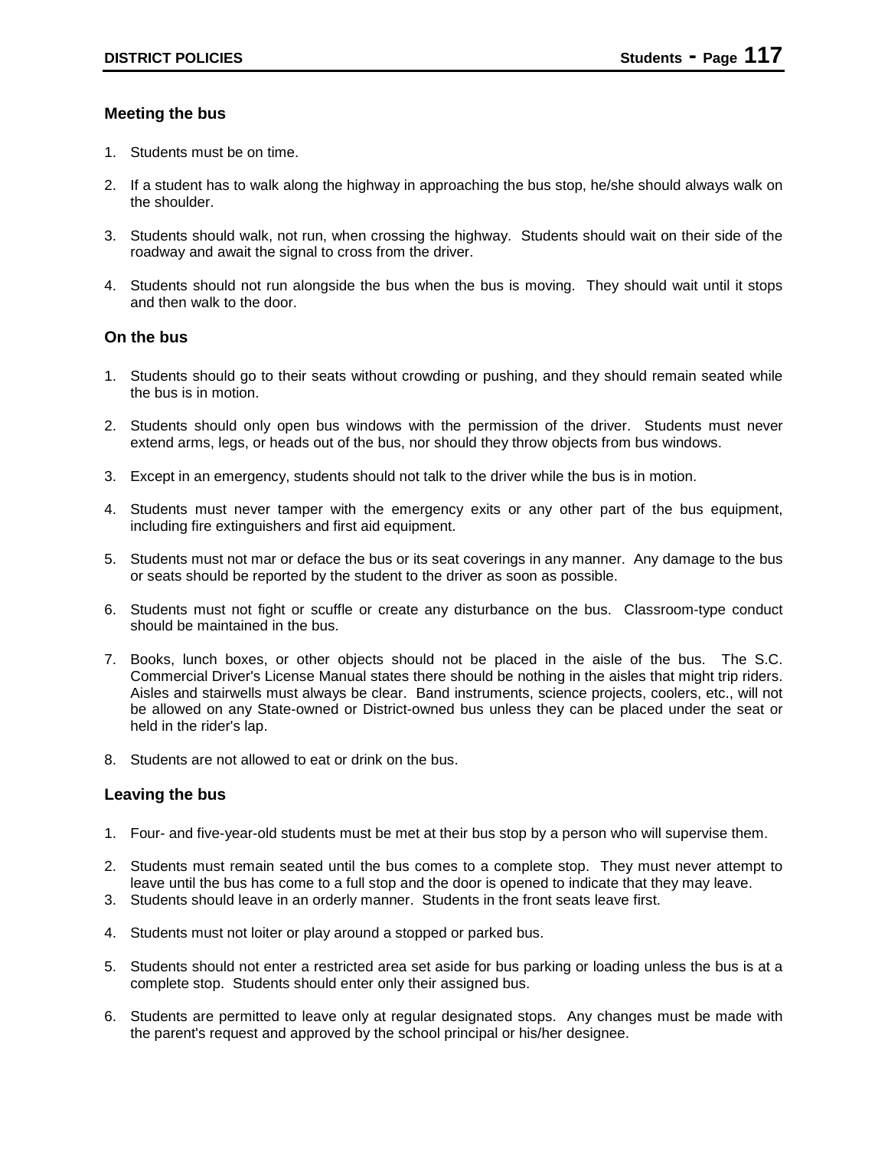### **Meeting the bus**

- 1. Students must be on time.
- 2. If a student has to walk along the highway in approaching the bus stop, he/she should always walk on the shoulder.
- 3. Students should walk, not run, when crossing the highway. Students should wait on their side of the roadway and await the signal to cross from the driver.
- 4. Students should not run alongside the bus when the bus is moving. They should wait until it stops and then walk to the door.

#### **On the bus**

- 1. Students should go to their seats without crowding or pushing, and they should remain seated while the bus is in motion.
- 2. Students should only open bus windows with the permission of the driver. Students must never extend arms, legs, or heads out of the bus, nor should they throw objects from bus windows.
- 3. Except in an emergency, students should not talk to the driver while the bus is in motion.
- 4. Students must never tamper with the emergency exits or any other part of the bus equipment, including fire extinguishers and first aid equipment.
- 5. Students must not mar or deface the bus or its seat coverings in any manner. Any damage to the bus or seats should be reported by the student to the driver as soon as possible.
- 6. Students must not fight or scuffle or create any disturbance on the bus. Classroom-type conduct should be maintained in the bus.
- 7. Books, lunch boxes, or other objects should not be placed in the aisle of the bus. The S.C. Commercial Driver's License Manual states there should be nothing in the aisles that might trip riders. Aisles and stairwells must always be clear. Band instruments, science projects, coolers, etc., will not be allowed on any State-owned or District-owned bus unless they can be placed under the seat or held in the rider's lap.
- 8. Students are not allowed to eat or drink on the bus.

### **Leaving the bus**

- 1. Four- and five-year-old students must be met at their bus stop by a person who will supervise them.
- 2. Students must remain seated until the bus comes to a complete stop. They must never attempt to leave until the bus has come to a full stop and the door is opened to indicate that they may leave.
- 3. Students should leave in an orderly manner. Students in the front seats leave first.
- 4. Students must not loiter or play around a stopped or parked bus.
- 5. Students should not enter a restricted area set aside for bus parking or loading unless the bus is at a complete stop. Students should enter only their assigned bus.
- 6. Students are permitted to leave only at regular designated stops. Any changes must be made with the parent's request and approved by the school principal or his/her designee.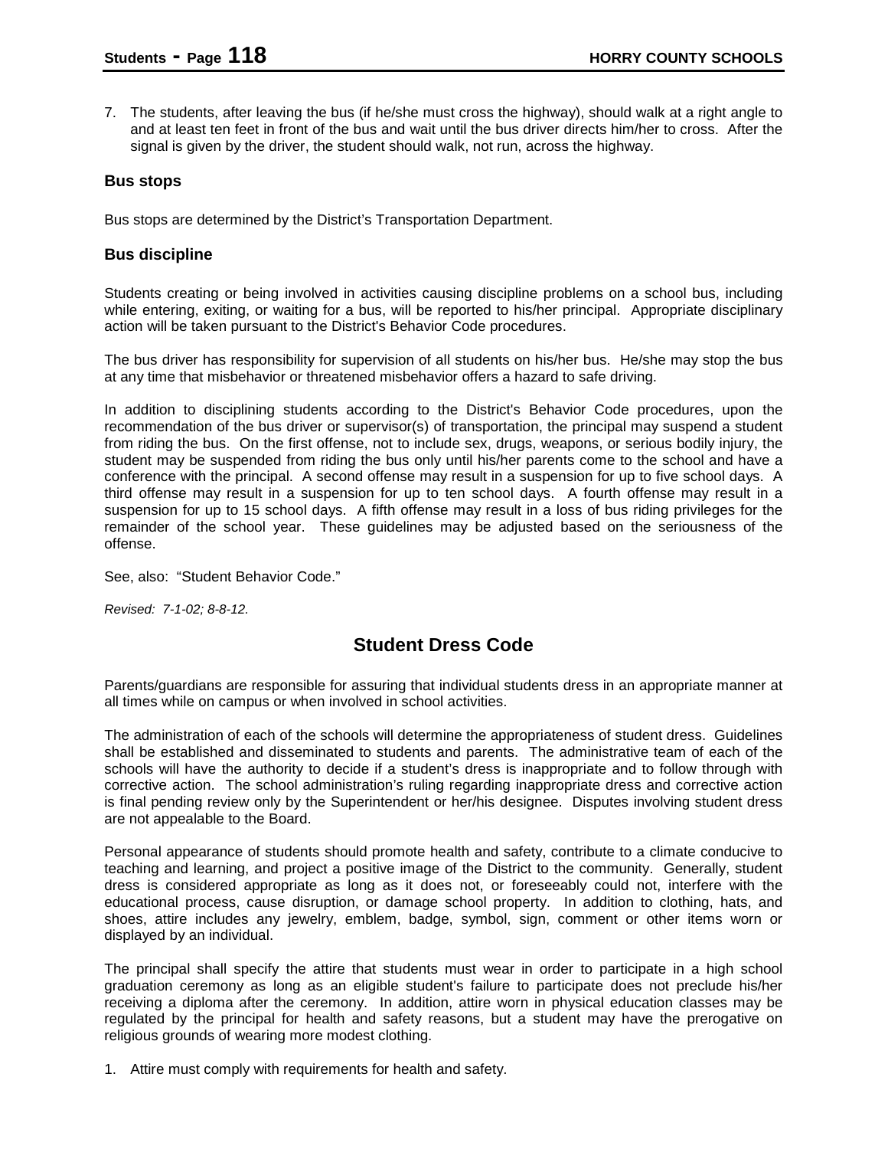7. The students, after leaving the bus (if he/she must cross the highway), should walk at a right angle to and at least ten feet in front of the bus and wait until the bus driver directs him/her to cross. After the signal is given by the driver, the student should walk, not run, across the highway.

#### **Bus stops**

Bus stops are determined by the District's Transportation Department.

#### **Bus discipline**

Students creating or being involved in activities causing discipline problems on a school bus, including while entering, exiting, or waiting for a bus, will be reported to his/her principal. Appropriate disciplinary action will be taken pursuant to the District's Behavior Code procedures.

The bus driver has responsibility for supervision of all students on his/her bus. He/she may stop the bus at any time that misbehavior or threatened misbehavior offers a hazard to safe driving.

In addition to disciplining students according to the District's Behavior Code procedures, upon the recommendation of the bus driver or supervisor(s) of transportation, the principal may suspend a student from riding the bus. On the first offense, not to include sex, drugs, weapons, or serious bodily injury, the student may be suspended from riding the bus only until his/her parents come to the school and have a conference with the principal. A second offense may result in a suspension for up to five school days. A third offense may result in a suspension for up to ten school days. A fourth offense may result in a suspension for up to 15 school days. A fifth offense may result in a loss of bus riding privileges for the remainder of the school year. These guidelines may be adjusted based on the seriousness of the offense.

See, also: "Student Behavior Code."

*Revised: 7-1-02; 8-8-12.*

# **Student Dress Code**

Parents/guardians are responsible for assuring that individual students dress in an appropriate manner at all times while on campus or when involved in school activities.

The administration of each of the schools will determine the appropriateness of student dress. Guidelines shall be established and disseminated to students and parents. The administrative team of each of the schools will have the authority to decide if a student's dress is inappropriate and to follow through with corrective action. The school administration's ruling regarding inappropriate dress and corrective action is final pending review only by the Superintendent or her/his designee. Disputes involving student dress are not appealable to the Board.

Personal appearance of students should promote health and safety, contribute to a climate conducive to teaching and learning, and project a positive image of the District to the community. Generally, student dress is considered appropriate as long as it does not, or foreseeably could not, interfere with the educational process, cause disruption, or damage school property. In addition to clothing, hats, and shoes, attire includes any jewelry, emblem, badge, symbol, sign, comment or other items worn or displayed by an individual.

The principal shall specify the attire that students must wear in order to participate in a high school graduation ceremony as long as an eligible student's failure to participate does not preclude his/her receiving a diploma after the ceremony. In addition, attire worn in physical education classes may be regulated by the principal for health and safety reasons, but a student may have the prerogative on religious grounds of wearing more modest clothing.

1. Attire must comply with requirements for health and safety.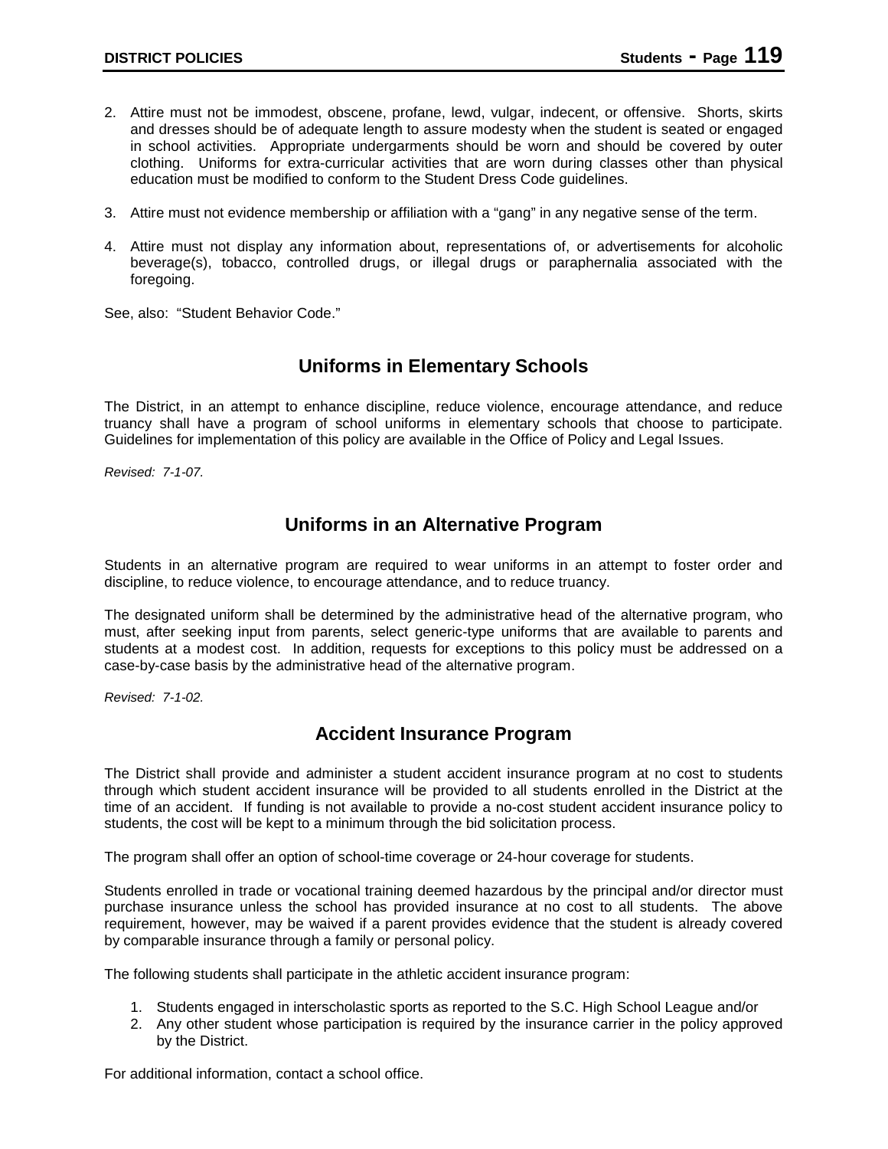- 2. Attire must not be immodest, obscene, profane, lewd, vulgar, indecent, or offensive. Shorts, skirts and dresses should be of adequate length to assure modesty when the student is seated or engaged in school activities. Appropriate undergarments should be worn and should be covered by outer clothing. Uniforms for extra-curricular activities that are worn during classes other than physical education must be modified to conform to the Student Dress Code guidelines.
- 3. Attire must not evidence membership or affiliation with a "gang" in any negative sense of the term.
- 4. Attire must not display any information about, representations of, or advertisements for alcoholic beverage(s), tobacco, controlled drugs, or illegal drugs or paraphernalia associated with the foregoing.

See, also: "Student Behavior Code."

# **Uniforms in Elementary Schools**

The District, in an attempt to enhance discipline, reduce violence, encourage attendance, and reduce truancy shall have a program of school uniforms in elementary schools that choose to participate. Guidelines for implementation of this policy are available in the Office of Policy and Legal Issues.

*Revised: 7-1-07.*

# **Uniforms in an Alternative Program**

Students in an alternative program are required to wear uniforms in an attempt to foster order and discipline, to reduce violence, to encourage attendance, and to reduce truancy.

The designated uniform shall be determined by the administrative head of the alternative program, who must, after seeking input from parents, select generic-type uniforms that are available to parents and students at a modest cost. In addition, requests for exceptions to this policy must be addressed on a case-by-case basis by the administrative head of the alternative program.

*Revised: 7-1-02.*

## **Accident Insurance Program**

The District shall provide and administer a student accident insurance program at no cost to students through which student accident insurance will be provided to all students enrolled in the District at the time of an accident. If funding is not available to provide a no-cost student accident insurance policy to students, the cost will be kept to a minimum through the bid solicitation process.

The program shall offer an option of school-time coverage or 24-hour coverage for students.

Students enrolled in trade or vocational training deemed hazardous by the principal and/or director must purchase insurance unless the school has provided insurance at no cost to all students. The above requirement, however, may be waived if a parent provides evidence that the student is already covered by comparable insurance through a family or personal policy.

The following students shall participate in the athletic accident insurance program:

- 1. Students engaged in interscholastic sports as reported to the S.C. High School League and/or
- 2. Any other student whose participation is required by the insurance carrier in the policy approved by the District.

For additional information, contact a school office.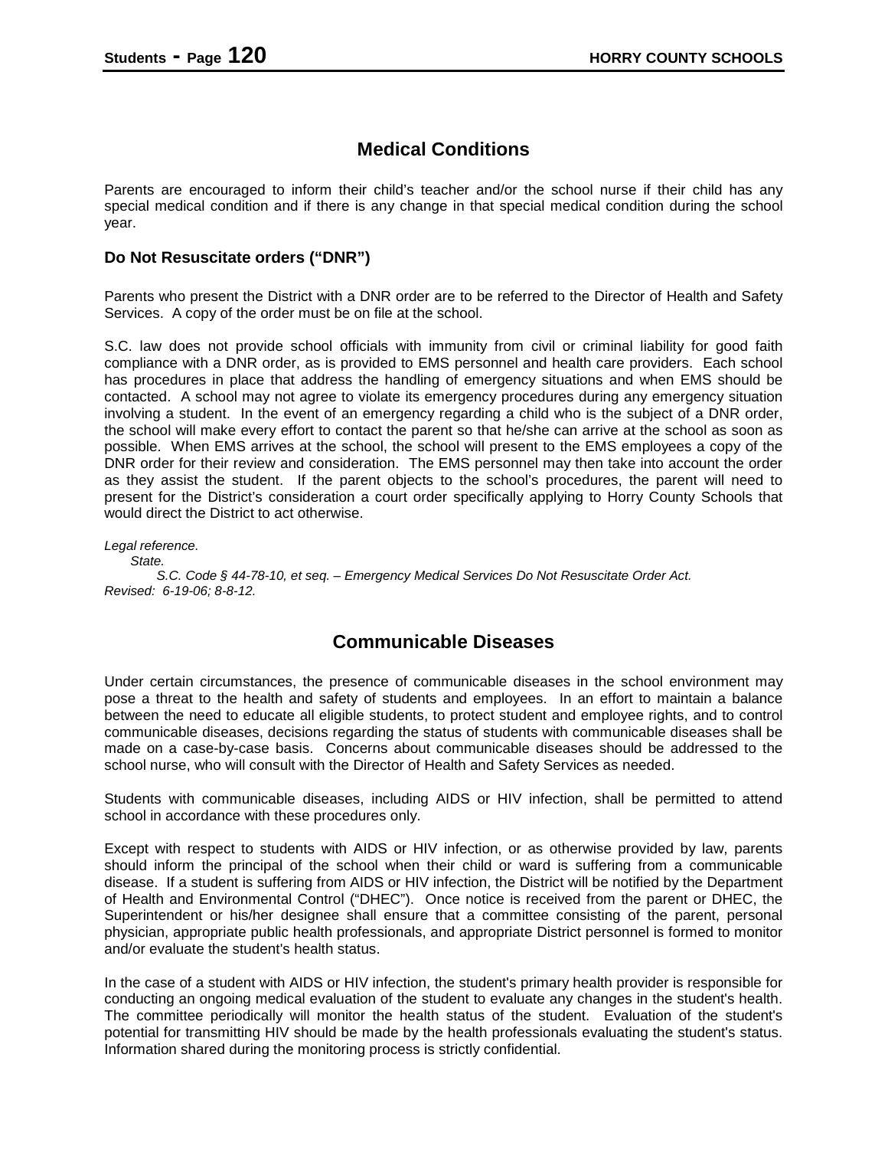# **Medical Conditions**

Parents are encouraged to inform their child's teacher and/or the school nurse if their child has any special medical condition and if there is any change in that special medical condition during the school year.

### **Do Not Resuscitate orders ("DNR")**

Parents who present the District with a DNR order are to be referred to the Director of Health and Safety Services. A copy of the order must be on file at the school.

S.C. law does not provide school officials with immunity from civil or criminal liability for good faith compliance with a DNR order, as is provided to EMS personnel and health care providers. Each school has procedures in place that address the handling of emergency situations and when EMS should be contacted. A school may not agree to violate its emergency procedures during any emergency situation involving a student. In the event of an emergency regarding a child who is the subject of a DNR order, the school will make every effort to contact the parent so that he/she can arrive at the school as soon as possible. When EMS arrives at the school, the school will present to the EMS employees a copy of the DNR order for their review and consideration. The EMS personnel may then take into account the order as they assist the student. If the parent objects to the school's procedures, the parent will need to present for the District's consideration a court order specifically applying to Horry County Schools that would direct the District to act otherwise.

*Legal reference.*

*State. S.C. Code § 44-78-10, et seq. – Emergency Medical Services Do Not Resuscitate Order Act. Revised: 6-19-06; 8-8-12.*

# **Communicable Diseases**

Under certain circumstances, the presence of communicable diseases in the school environment may pose a threat to the health and safety of students and employees. In an effort to maintain a balance between the need to educate all eligible students, to protect student and employee rights, and to control communicable diseases, decisions regarding the status of students with communicable diseases shall be made on a case-by-case basis. Concerns about communicable diseases should be addressed to the school nurse, who will consult with the Director of Health and Safety Services as needed.

Students with communicable diseases, including AIDS or HIV infection, shall be permitted to attend school in accordance with these procedures only.

Except with respect to students with AIDS or HIV infection, or as otherwise provided by law, parents should inform the principal of the school when their child or ward is suffering from a communicable disease. If a student is suffering from AIDS or HIV infection, the District will be notified by the Department of Health and Environmental Control ("DHEC"). Once notice is received from the parent or DHEC, the Superintendent or his/her designee shall ensure that a committee consisting of the parent, personal physician, appropriate public health professionals, and appropriate District personnel is formed to monitor and/or evaluate the student's health status.

In the case of a student with AIDS or HIV infection, the student's primary health provider is responsible for conducting an ongoing medical evaluation of the student to evaluate any changes in the student's health. The committee periodically will monitor the health status of the student. Evaluation of the student's potential for transmitting HIV should be made by the health professionals evaluating the student's status. Information shared during the monitoring process is strictly confidential.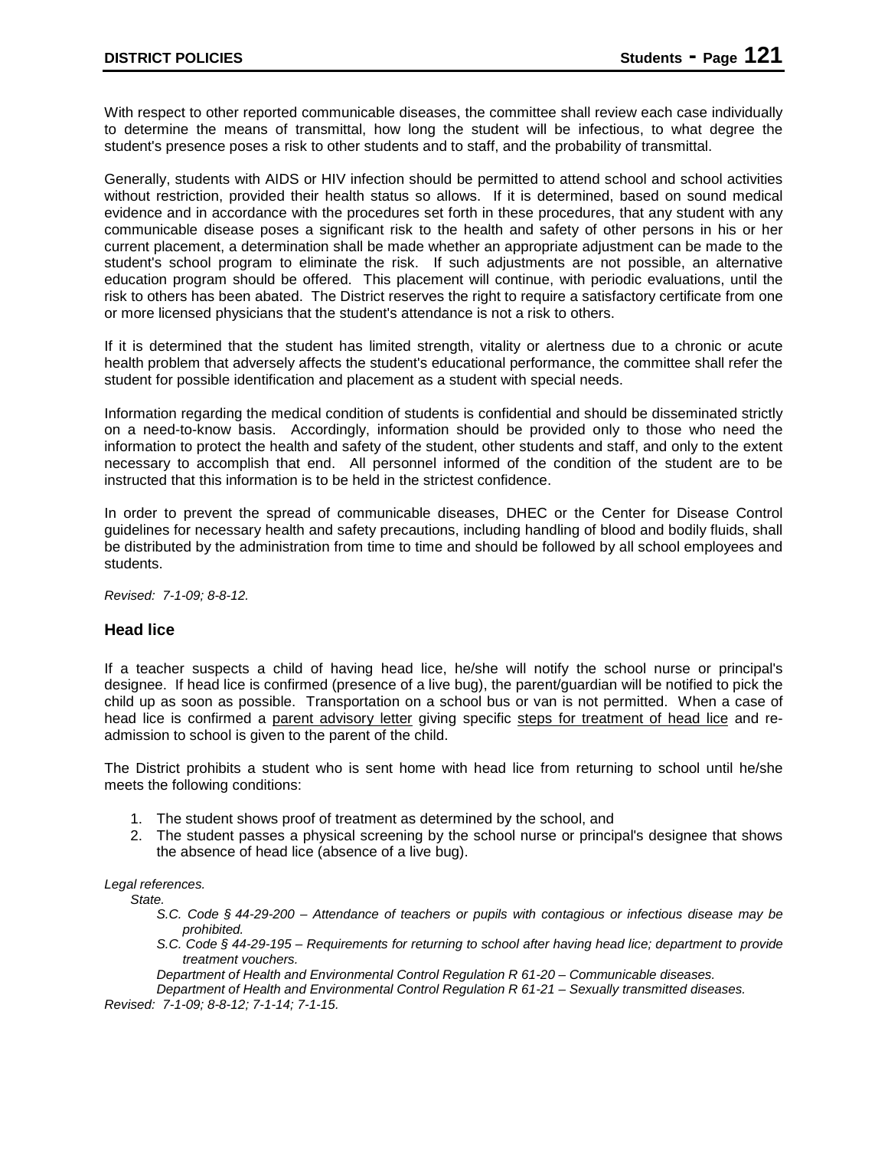With respect to other reported communicable diseases, the committee shall review each case individually to determine the means of transmittal, how long the student will be infectious, to what degree the student's presence poses a risk to other students and to staff, and the probability of transmittal.

Generally, students with AIDS or HIV infection should be permitted to attend school and school activities without restriction, provided their health status so allows. If it is determined, based on sound medical evidence and in accordance with the procedures set forth in these procedures, that any student with any communicable disease poses a significant risk to the health and safety of other persons in his or her current placement, a determination shall be made whether an appropriate adjustment can be made to the student's school program to eliminate the risk. If such adjustments are not possible, an alternative education program should be offered. This placement will continue, with periodic evaluations, until the risk to others has been abated. The District reserves the right to require a satisfactory certificate from one or more licensed physicians that the student's attendance is not a risk to others.

If it is determined that the student has limited strength, vitality or alertness due to a chronic or acute health problem that adversely affects the student's educational performance, the committee shall refer the student for possible identification and placement as a student with special needs.

Information regarding the medical condition of students is confidential and should be disseminated strictly on a need-to-know basis. Accordingly, information should be provided only to those who need the information to protect the health and safety of the student, other students and staff, and only to the extent necessary to accomplish that end. All personnel informed of the condition of the student are to be instructed that this information is to be held in the strictest confidence.

In order to prevent the spread of communicable diseases, DHEC or the Center for Disease Control guidelines for necessary health and safety precautions, including handling of blood and bodily fluids, shall be distributed by the administration from time to time and should be followed by all school employees and students.

*Revised: 7-1-09; 8-8-12.*

### **Head lice**

If a teacher suspects a child of having head lice, he/she will notify the school nurse or principal's designee. If head lice is confirmed (presence of a live bug), the parent/guardian will be notified to pick the child up as soon as possible. Transportation on a school bus or van is not permitted. When a case of head lice is confirmed a parent advisory letter giving specific steps for treatment of head lice and readmission to school is given to the parent of the child.

The District prohibits a student who is sent home with head lice from returning to school until he/she meets the following conditions:

- 1. The student shows proof of treatment as determined by the school, and
- 2. The student passes a physical screening by the school nurse or principal's designee that shows the absence of head lice (absence of a live bug).

*Legal references.*

*State.*

- *S.C. Code § 44-29-200 – Attendance of teachers or pupils with contagious or infectious disease may be prohibited.*
- *S.C. Code § 44-29-195 – Requirements for returning to school after having head lice; department to provide treatment vouchers.*

*Department of Health and Environmental Control Regulation R 61-20 – Communicable diseases.*

*Department of Health and Environmental Control Regulation R 61-21 – Sexually transmitted diseases. Revised: 7-1-09; 8-8-12; 7-1-14; 7-1-15.*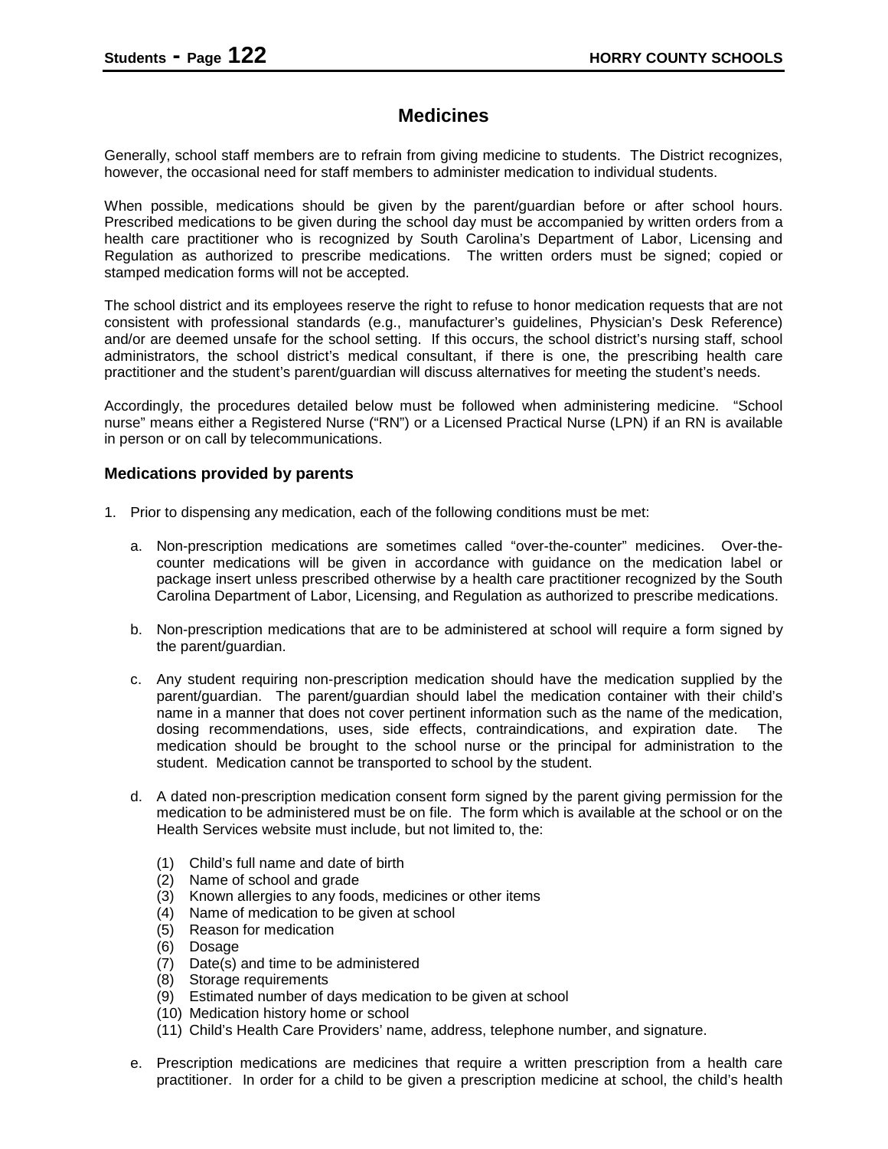## **Medicines**

Generally, school staff members are to refrain from giving medicine to students. The District recognizes, however, the occasional need for staff members to administer medication to individual students.

When possible, medications should be given by the parent/guardian before or after school hours. Prescribed medications to be given during the school day must be accompanied by written orders from a health care practitioner who is recognized by South Carolina's Department of Labor, Licensing and Regulation as authorized to prescribe medications. The written orders must be signed; copied or stamped medication forms will not be accepted.

The school district and its employees reserve the right to refuse to honor medication requests that are not consistent with professional standards (e.g., manufacturer's guidelines, Physician's Desk Reference) and/or are deemed unsafe for the school setting. If this occurs, the school district's nursing staff, school administrators, the school district's medical consultant, if there is one, the prescribing health care practitioner and the student's parent/guardian will discuss alternatives for meeting the student's needs.

Accordingly, the procedures detailed below must be followed when administering medicine. "School nurse" means either a Registered Nurse ("RN") or a Licensed Practical Nurse (LPN) if an RN is available in person or on call by telecommunications.

#### **Medications provided by parents**

- 1. Prior to dispensing any medication, each of the following conditions must be met:
	- a. Non-prescription medications are sometimes called "over-the-counter" medicines. Over-thecounter medications will be given in accordance with guidance on the medication label or package insert unless prescribed otherwise by a health care practitioner recognized by the South Carolina Department of Labor, Licensing, and Regulation as authorized to prescribe medications.
	- b. Non-prescription medications that are to be administered at school will require a form signed by the parent/guardian.
	- c. Any student requiring non-prescription medication should have the medication supplied by the parent/guardian. The parent/guardian should label the medication container with their child's name in a manner that does not cover pertinent information such as the name of the medication, dosing recommendations, uses, side effects, contraindications, and expiration date. The medication should be brought to the school nurse or the principal for administration to the student. Medication cannot be transported to school by the student.
	- d. A dated non-prescription medication consent form signed by the parent giving permission for the medication to be administered must be on file. The form which is available at the school or on the Health Services website must include, but not limited to, the:
		- (1) Child's full name and date of birth
		- (2) Name of school and grade
		- (3) Known allergies to any foods, medicines or other items
		- (4) Name of medication to be given at school
		- (5) Reason for medication
		- (6) Dosage
		- (7) Date(s) and time to be administered
		- (8) Storage requirements
		- (9) Estimated number of days medication to be given at school
		- (10) Medication history home or school
		- (11) Child's Health Care Providers' name, address, telephone number, and signature.
	- e. Prescription medications are medicines that require a written prescription from a health care practitioner. In order for a child to be given a prescription medicine at school, the child's health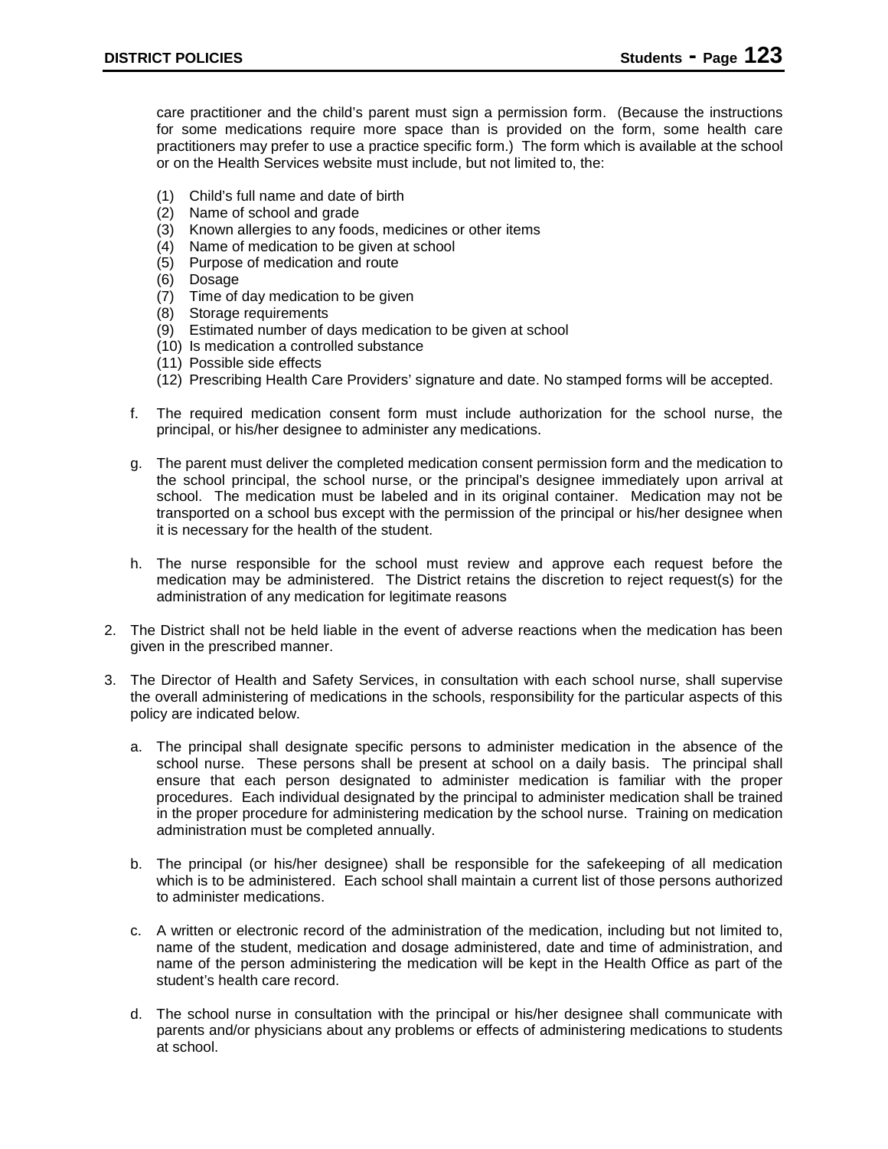care practitioner and the child's parent must sign a permission form. (Because the instructions for some medications require more space than is provided on the form, some health care practitioners may prefer to use a practice specific form.) The form which is available at the school or on the Health Services website must include, but not limited to, the:

- (1) Child's full name and date of birth
- (2) Name of school and grade
- (3) Known allergies to any foods, medicines or other items
- (4) Name of medication to be given at school
- (5) Purpose of medication and route
- (6) Dosage
- (7) Time of day medication to be given
- (8) Storage requirements
- (9) Estimated number of days medication to be given at school
- (10) Is medication a controlled substance
- (11) Possible side effects
- (12) Prescribing Health Care Providers' signature and date. No stamped forms will be accepted.
- f. The required medication consent form must include authorization for the school nurse, the principal, or his/her designee to administer any medications.
- g. The parent must deliver the completed medication consent permission form and the medication to the school principal, the school nurse, or the principal's designee immediately upon arrival at school. The medication must be labeled and in its original container. Medication may not be transported on a school bus except with the permission of the principal or his/her designee when it is necessary for the health of the student.
- h. The nurse responsible for the school must review and approve each request before the medication may be administered. The District retains the discretion to reject request(s) for the administration of any medication for legitimate reasons
- 2. The District shall not be held liable in the event of adverse reactions when the medication has been given in the prescribed manner.
- 3. The Director of Health and Safety Services, in consultation with each school nurse, shall supervise the overall administering of medications in the schools, responsibility for the particular aspects of this policy are indicated below.
	- a. The principal shall designate specific persons to administer medication in the absence of the school nurse. These persons shall be present at school on a daily basis. The principal shall ensure that each person designated to administer medication is familiar with the proper procedures. Each individual designated by the principal to administer medication shall be trained in the proper procedure for administering medication by the school nurse. Training on medication administration must be completed annually.
	- b. The principal (or his/her designee) shall be responsible for the safekeeping of all medication which is to be administered. Each school shall maintain a current list of those persons authorized to administer medications.
	- c. A written or electronic record of the administration of the medication, including but not limited to, name of the student, medication and dosage administered, date and time of administration, and name of the person administering the medication will be kept in the Health Office as part of the student's health care record.
	- d. The school nurse in consultation with the principal or his/her designee shall communicate with parents and/or physicians about any problems or effects of administering medications to students at school.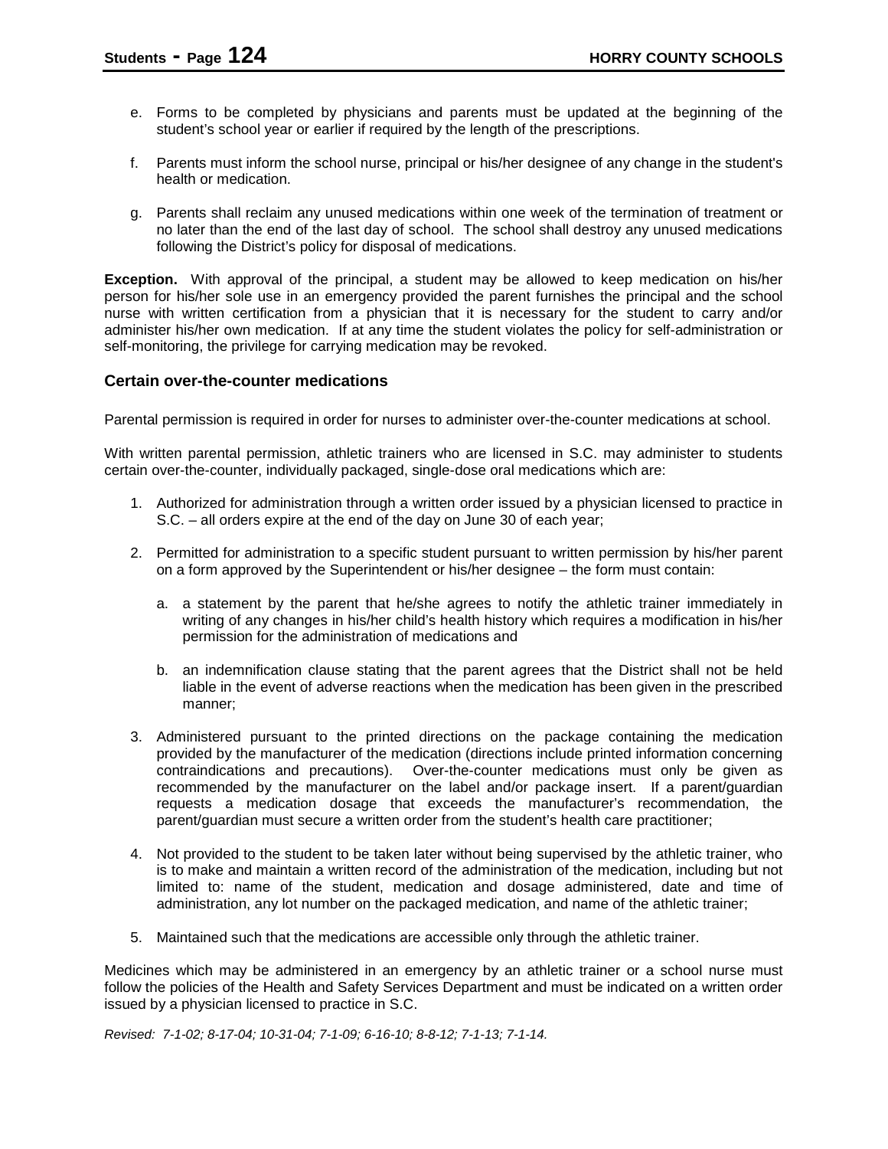- e. Forms to be completed by physicians and parents must be updated at the beginning of the student's school year or earlier if required by the length of the prescriptions.
- f. Parents must inform the school nurse, principal or his/her designee of any change in the student's health or medication.
- g. Parents shall reclaim any unused medications within one week of the termination of treatment or no later than the end of the last day of school. The school shall destroy any unused medications following the District's policy for disposal of medications.

**Exception.** With approval of the principal, a student may be allowed to keep medication on his/her person for his/her sole use in an emergency provided the parent furnishes the principal and the school nurse with written certification from a physician that it is necessary for the student to carry and/or administer his/her own medication. If at any time the student violates the policy for self-administration or self-monitoring, the privilege for carrying medication may be revoked.

#### **Certain over-the-counter medications**

Parental permission is required in order for nurses to administer over-the-counter medications at school.

With written parental permission, athletic trainers who are licensed in S.C. may administer to students certain over-the-counter, individually packaged, single-dose oral medications which are:

- 1. Authorized for administration through a written order issued by a physician licensed to practice in S.C. – all orders expire at the end of the day on June 30 of each year;
- 2. Permitted for administration to a specific student pursuant to written permission by his/her parent on a form approved by the Superintendent or his/her designee – the form must contain:
	- a. a statement by the parent that he/she agrees to notify the athletic trainer immediately in writing of any changes in his/her child's health history which requires a modification in his/her permission for the administration of medications and
	- b. an indemnification clause stating that the parent agrees that the District shall not be held liable in the event of adverse reactions when the medication has been given in the prescribed manner;
- 3. Administered pursuant to the printed directions on the package containing the medication provided by the manufacturer of the medication (directions include printed information concerning contraindications and precautions). Over-the-counter medications must only be given as recommended by the manufacturer on the label and/or package insert. If a parent/guardian requests a medication dosage that exceeds the manufacturer's recommendation, the parent/guardian must secure a written order from the student's health care practitioner;
- 4. Not provided to the student to be taken later without being supervised by the athletic trainer, who is to make and maintain a written record of the administration of the medication, including but not limited to: name of the student, medication and dosage administered, date and time of administration, any lot number on the packaged medication, and name of the athletic trainer;
- 5. Maintained such that the medications are accessible only through the athletic trainer.

Medicines which may be administered in an emergency by an athletic trainer or a school nurse must follow the policies of the Health and Safety Services Department and must be indicated on a written order issued by a physician licensed to practice in S.C.

*Revised: 7-1-02; 8-17-04; 10-31-04; 7-1-09; 6-16-10; 8-8-12; 7-1-13; 7-1-14.*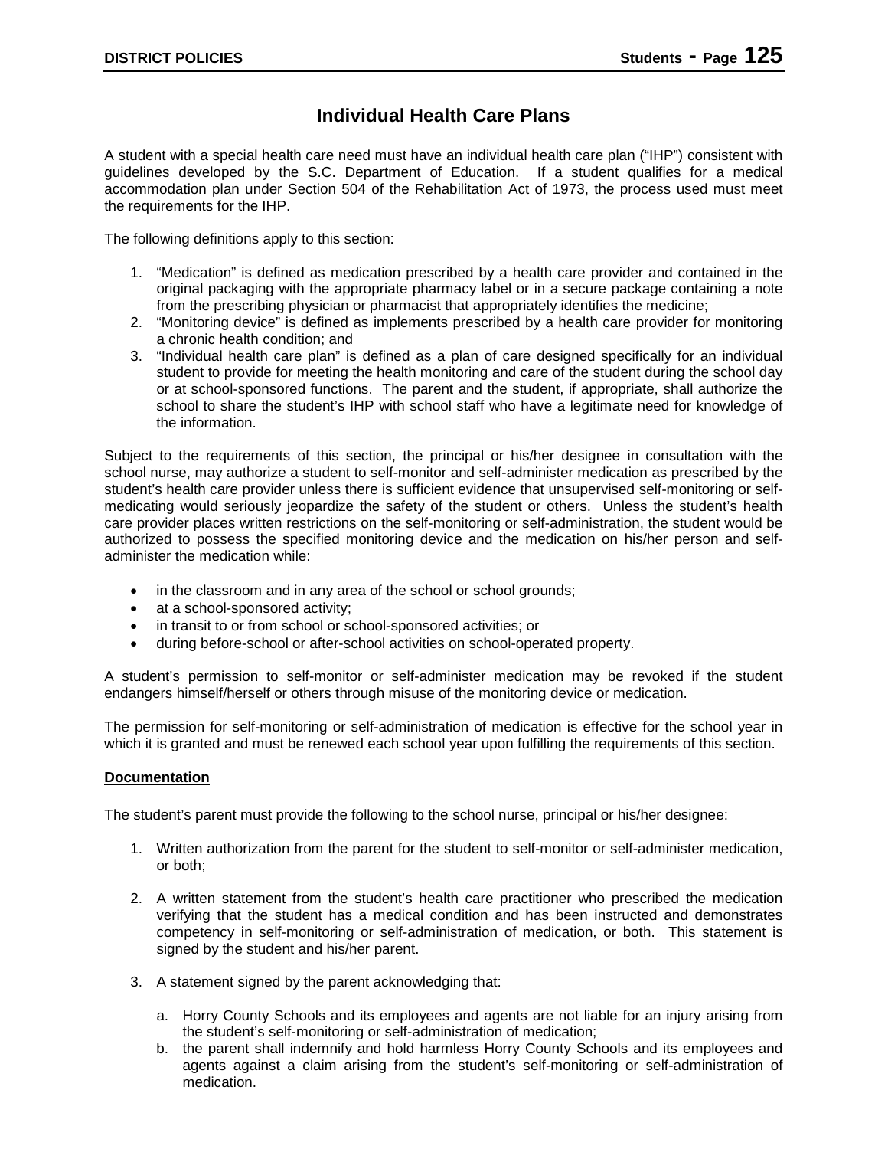# **Individual Health Care Plans**

A student with a special health care need must have an individual health care plan ("IHP") consistent with guidelines developed by the S.C. Department of Education. If a student qualifies for a medical accommodation plan under Section 504 of the Rehabilitation Act of 1973, the process used must meet the requirements for the IHP.

The following definitions apply to this section:

- 1. "Medication" is defined as medication prescribed by a health care provider and contained in the original packaging with the appropriate pharmacy label or in a secure package containing a note from the prescribing physician or pharmacist that appropriately identifies the medicine;
- 2. "Monitoring device" is defined as implements prescribed by a health care provider for monitoring a chronic health condition; and
- 3. "Individual health care plan" is defined as a plan of care designed specifically for an individual student to provide for meeting the health monitoring and care of the student during the school day or at school-sponsored functions. The parent and the student, if appropriate, shall authorize the school to share the student's IHP with school staff who have a legitimate need for knowledge of the information.

Subject to the requirements of this section, the principal or his/her designee in consultation with the school nurse, may authorize a student to self-monitor and self-administer medication as prescribed by the student's health care provider unless there is sufficient evidence that unsupervised self-monitoring or selfmedicating would seriously jeopardize the safety of the student or others. Unless the student's health care provider places written restrictions on the self-monitoring or self-administration, the student would be authorized to possess the specified monitoring device and the medication on his/her person and selfadminister the medication while:

- in the classroom and in any area of the school or school grounds;
- at a school-sponsored activity;
- in transit to or from school or school-sponsored activities; or
- during before-school or after-school activities on school-operated property.

A student's permission to self-monitor or self-administer medication may be revoked if the student endangers himself/herself or others through misuse of the monitoring device or medication.

The permission for self-monitoring or self-administration of medication is effective for the school year in which it is granted and must be renewed each school year upon fulfilling the requirements of this section.

#### **Documentation**

The student's parent must provide the following to the school nurse, principal or his/her designee:

- 1. Written authorization from the parent for the student to self-monitor or self-administer medication, or both;
- 2. A written statement from the student's health care practitioner who prescribed the medication verifying that the student has a medical condition and has been instructed and demonstrates competency in self-monitoring or self-administration of medication, or both. This statement is signed by the student and his/her parent.
- 3. A statement signed by the parent acknowledging that:
	- a. Horry County Schools and its employees and agents are not liable for an injury arising from the student's self-monitoring or self-administration of medication;
	- b. the parent shall indemnify and hold harmless Horry County Schools and its employees and agents against a claim arising from the student's self-monitoring or self-administration of medication.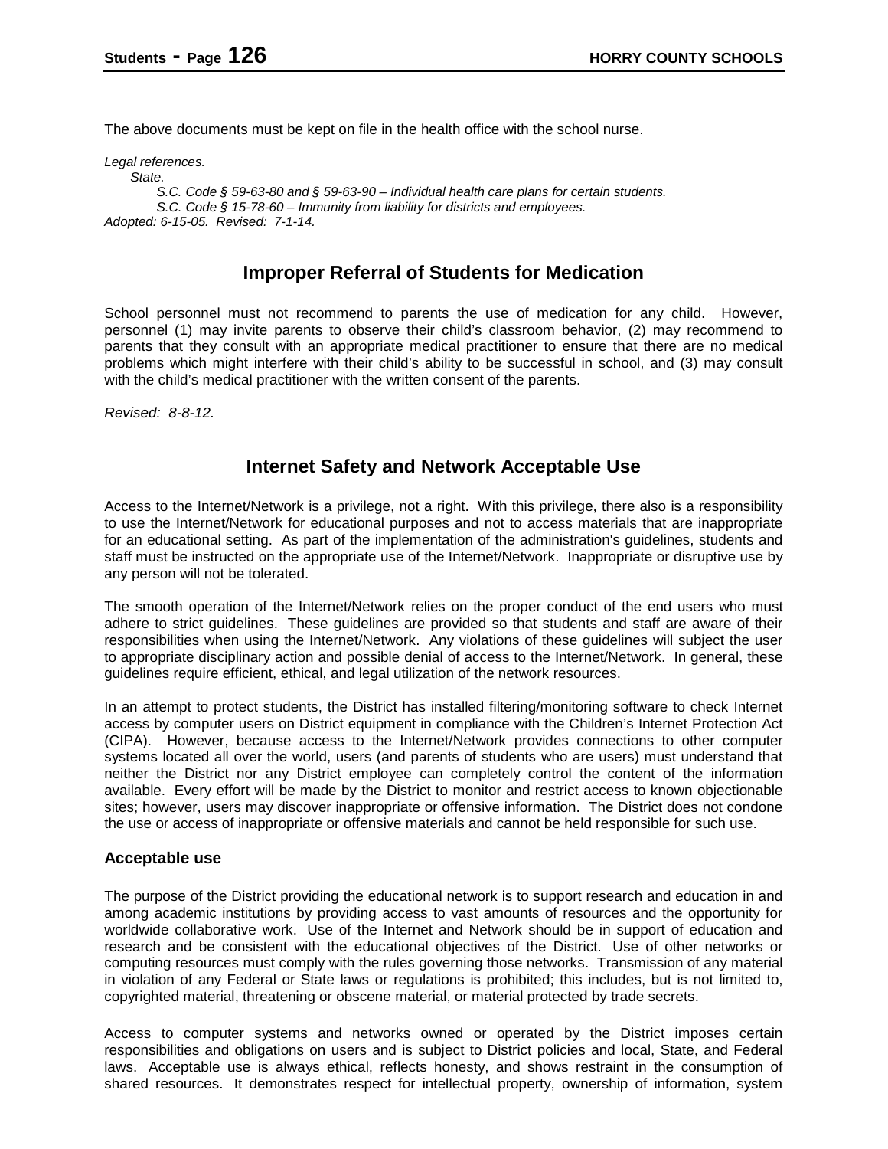The above documents must be kept on file in the health office with the school nurse.

*Legal references.*

*State. S.C. Code § 59-63-80 and § 59-63-90 – Individual health care plans for certain students. S.C. Code § 15-78-60 – Immunity from liability for districts and employees. Adopted: 6-15-05. Revised: 7-1-14.*

# **Improper Referral of Students for Medication**

School personnel must not recommend to parents the use of medication for any child. However, personnel (1) may invite parents to observe their child's classroom behavior, (2) may recommend to parents that they consult with an appropriate medical practitioner to ensure that there are no medical problems which might interfere with their child's ability to be successful in school, and (3) may consult with the child's medical practitioner with the written consent of the parents.

*Revised: 8-8-12.*

# **Internet Safety and Network Acceptable Use**

Access to the Internet/Network is a privilege, not a right. With this privilege, there also is a responsibility to use the Internet/Network for educational purposes and not to access materials that are inappropriate for an educational setting. As part of the implementation of the administration's guidelines, students and staff must be instructed on the appropriate use of the Internet/Network. Inappropriate or disruptive use by any person will not be tolerated.

The smooth operation of the Internet/Network relies on the proper conduct of the end users who must adhere to strict guidelines. These guidelines are provided so that students and staff are aware of their responsibilities when using the Internet/Network. Any violations of these guidelines will subject the user to appropriate disciplinary action and possible denial of access to the Internet/Network. In general, these guidelines require efficient, ethical, and legal utilization of the network resources.

In an attempt to protect students, the District has installed filtering/monitoring software to check Internet access by computer users on District equipment in compliance with the Children's Internet Protection Act (CIPA). However, because access to the Internet/Network provides connections to other computer systems located all over the world, users (and parents of students who are users) must understand that neither the District nor any District employee can completely control the content of the information available. Every effort will be made by the District to monitor and restrict access to known objectionable sites; however, users may discover inappropriate or offensive information. The District does not condone the use or access of inappropriate or offensive materials and cannot be held responsible for such use.

### **Acceptable use**

The purpose of the District providing the educational network is to support research and education in and among academic institutions by providing access to vast amounts of resources and the opportunity for worldwide collaborative work. Use of the Internet and Network should be in support of education and research and be consistent with the educational objectives of the District. Use of other networks or computing resources must comply with the rules governing those networks. Transmission of any material in violation of any Federal or State laws or regulations is prohibited; this includes, but is not limited to, copyrighted material, threatening or obscene material, or material protected by trade secrets.

Access to computer systems and networks owned or operated by the District imposes certain responsibilities and obligations on users and is subject to District policies and local, State, and Federal laws. Acceptable use is always ethical, reflects honesty, and shows restraint in the consumption of shared resources. It demonstrates respect for intellectual property, ownership of information, system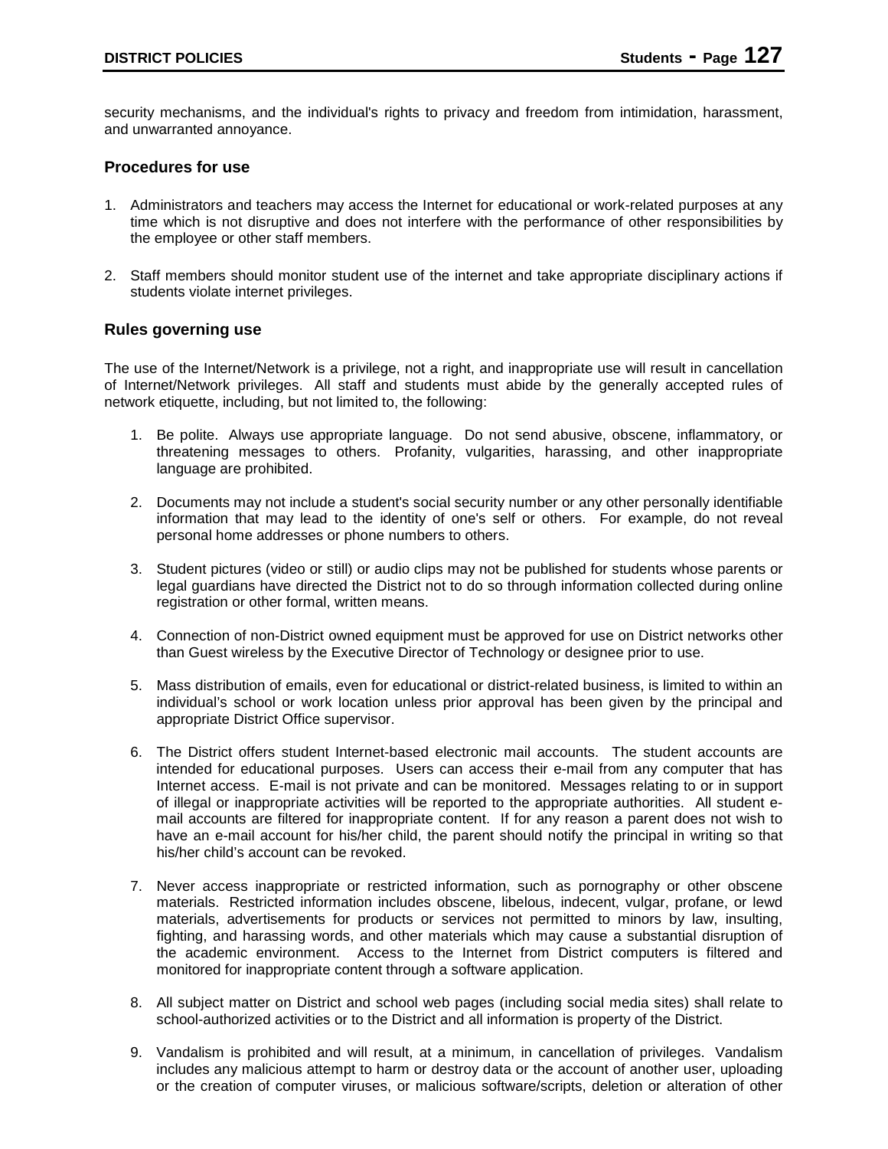security mechanisms, and the individual's rights to privacy and freedom from intimidation, harassment, and unwarranted annoyance.

### **Procedures for use**

- 1. Administrators and teachers may access the Internet for educational or work-related purposes at any time which is not disruptive and does not interfere with the performance of other responsibilities by the employee or other staff members.
- 2. Staff members should monitor student use of the internet and take appropriate disciplinary actions if students violate internet privileges.

### **Rules governing use**

The use of the Internet/Network is a privilege, not a right, and inappropriate use will result in cancellation of Internet/Network privileges. All staff and students must abide by the generally accepted rules of network etiquette, including, but not limited to, the following:

- 1. Be polite. Always use appropriate language. Do not send abusive, obscene, inflammatory, or threatening messages to others. Profanity, vulgarities, harassing, and other inappropriate language are prohibited.
- 2. Documents may not include a student's social security number or any other personally identifiable information that may lead to the identity of one's self or others. For example, do not reveal personal home addresses or phone numbers to others.
- 3. Student pictures (video or still) or audio clips may not be published for students whose parents or legal guardians have directed the District not to do so through information collected during online registration or other formal, written means.
- 4. Connection of non-District owned equipment must be approved for use on District networks other than Guest wireless by the Executive Director of Technology or designee prior to use.
- 5. Mass distribution of emails, even for educational or district-related business, is limited to within an individual's school or work location unless prior approval has been given by the principal and appropriate District Office supervisor.
- 6. The District offers student Internet-based electronic mail accounts. The student accounts are intended for educational purposes. Users can access their e-mail from any computer that has Internet access. E-mail is not private and can be monitored. Messages relating to or in support of illegal or inappropriate activities will be reported to the appropriate authorities. All student email accounts are filtered for inappropriate content. If for any reason a parent does not wish to have an e-mail account for his/her child, the parent should notify the principal in writing so that his/her child's account can be revoked.
- 7. Never access inappropriate or restricted information, such as pornography or other obscene materials. Restricted information includes obscene, libelous, indecent, vulgar, profane, or lewd materials, advertisements for products or services not permitted to minors by law, insulting, fighting, and harassing words, and other materials which may cause a substantial disruption of the academic environment. Access to the Internet from District computers is filtered and monitored for inappropriate content through a software application.
- 8. All subject matter on District and school web pages (including social media sites) shall relate to school-authorized activities or to the District and all information is property of the District.
- 9. Vandalism is prohibited and will result, at a minimum, in cancellation of privileges. Vandalism includes any malicious attempt to harm or destroy data or the account of another user, uploading or the creation of computer viruses, or malicious software/scripts, deletion or alteration of other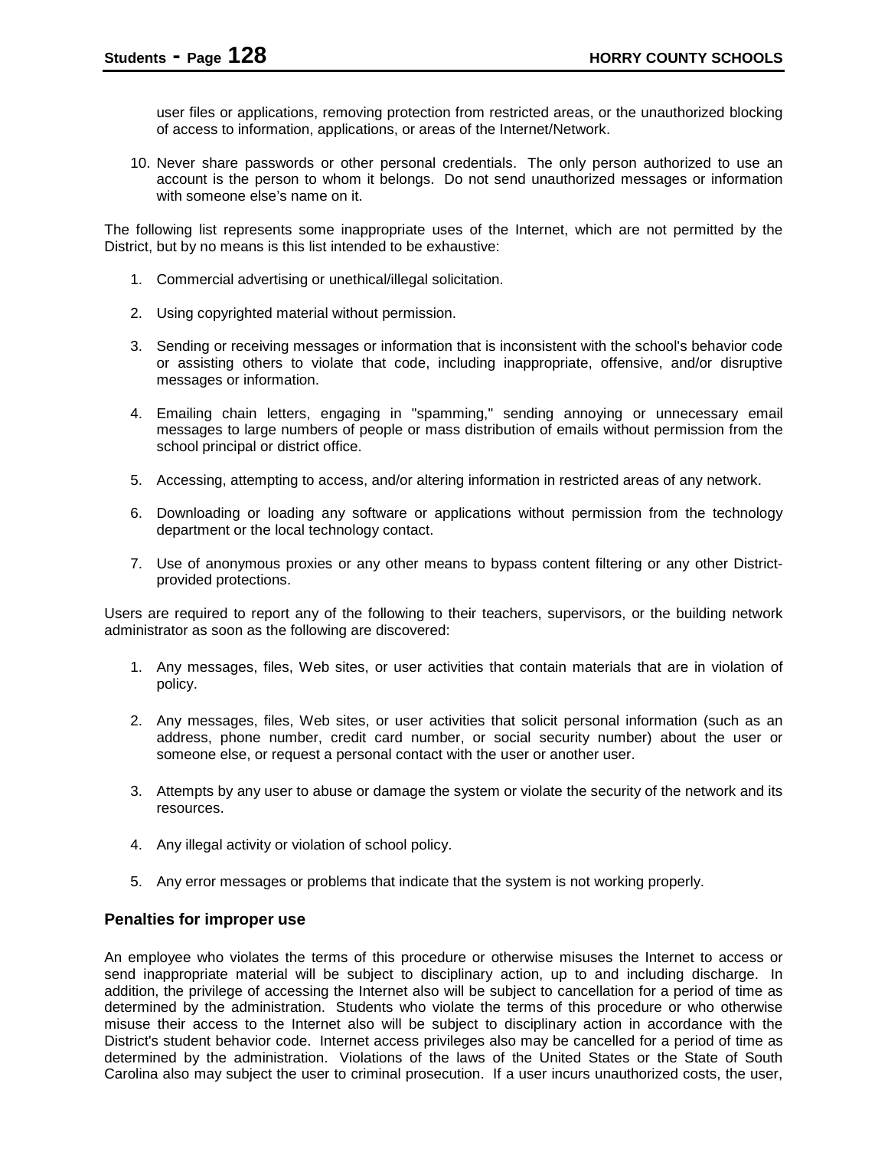user files or applications, removing protection from restricted areas, or the unauthorized blocking of access to information, applications, or areas of the Internet/Network.

10. Never share passwords or other personal credentials. The only person authorized to use an account is the person to whom it belongs. Do not send unauthorized messages or information with someone else's name on it.

The following list represents some inappropriate uses of the Internet, which are not permitted by the District, but by no means is this list intended to be exhaustive:

- 1. Commercial advertising or unethical/illegal solicitation.
- 2. Using copyrighted material without permission.
- 3. Sending or receiving messages or information that is inconsistent with the school's behavior code or assisting others to violate that code, including inappropriate, offensive, and/or disruptive messages or information.
- 4. Emailing chain letters, engaging in "spamming," sending annoying or unnecessary email messages to large numbers of people or mass distribution of emails without permission from the school principal or district office.
- 5. Accessing, attempting to access, and/or altering information in restricted areas of any network.
- 6. Downloading or loading any software or applications without permission from the technology department or the local technology contact.
- 7. Use of anonymous proxies or any other means to bypass content filtering or any other Districtprovided protections.

Users are required to report any of the following to their teachers, supervisors, or the building network administrator as soon as the following are discovered:

- 1. Any messages, files, Web sites, or user activities that contain materials that are in violation of policy.
- 2. Any messages, files, Web sites, or user activities that solicit personal information (such as an address, phone number, credit card number, or social security number) about the user or someone else, or request a personal contact with the user or another user.
- 3. Attempts by any user to abuse or damage the system or violate the security of the network and its resources.
- 4. Any illegal activity or violation of school policy.
- 5. Any error messages or problems that indicate that the system is not working properly.

#### **Penalties for improper use**

An employee who violates the terms of this procedure or otherwise misuses the Internet to access or send inappropriate material will be subject to disciplinary action, up to and including discharge. In addition, the privilege of accessing the Internet also will be subject to cancellation for a period of time as determined by the administration. Students who violate the terms of this procedure or who otherwise misuse their access to the Internet also will be subject to disciplinary action in accordance with the District's student behavior code. Internet access privileges also may be cancelled for a period of time as determined by the administration. Violations of the laws of the United States or the State of South Carolina also may subject the user to criminal prosecution. If a user incurs unauthorized costs, the user,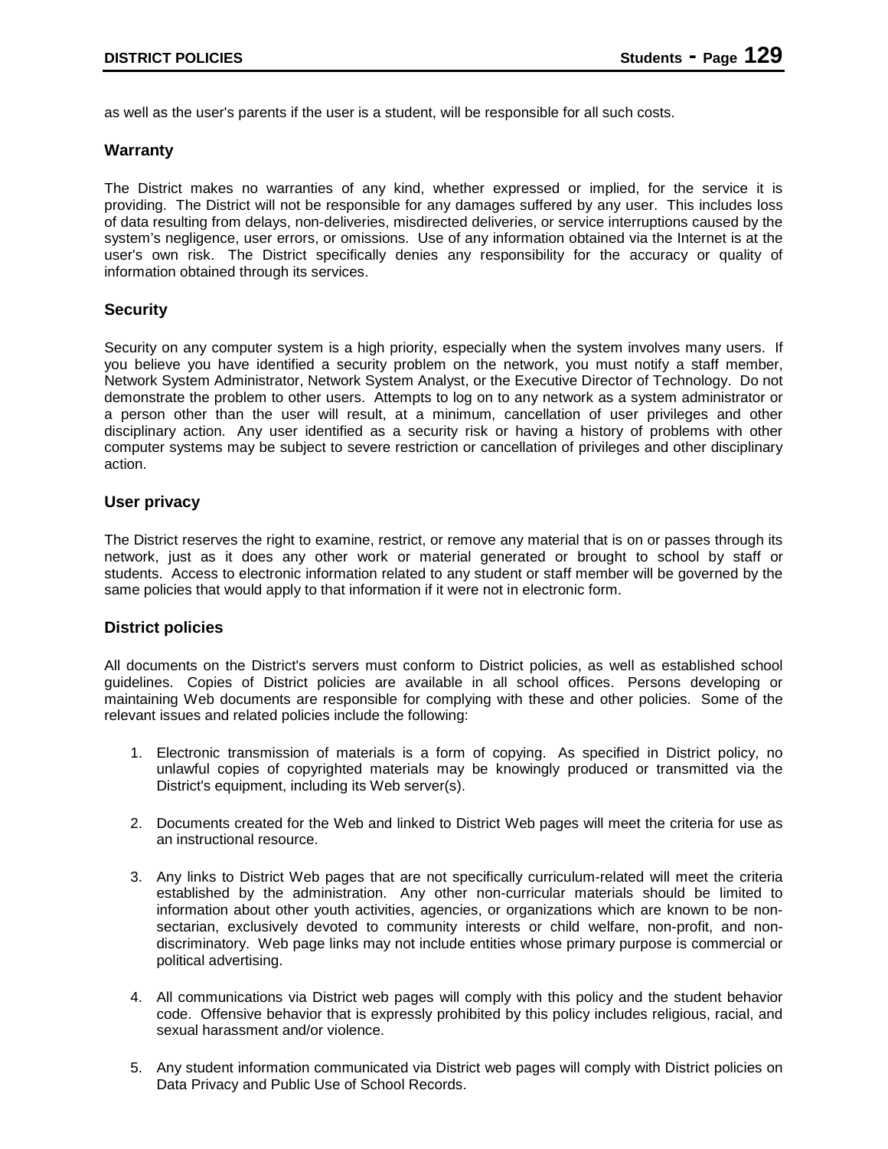as well as the user's parents if the user is a student, will be responsible for all such costs.

#### **Warranty**

The District makes no warranties of any kind, whether expressed or implied, for the service it is providing. The District will not be responsible for any damages suffered by any user. This includes loss of data resulting from delays, non-deliveries, misdirected deliveries, or service interruptions caused by the system's negligence, user errors, or omissions. Use of any information obtained via the Internet is at the user's own risk. The District specifically denies any responsibility for the accuracy or quality of information obtained through its services.

#### **Security**

Security on any computer system is a high priority, especially when the system involves many users. If you believe you have identified a security problem on the network, you must notify a staff member, Network System Administrator, Network System Analyst, or the Executive Director of Technology. Do not demonstrate the problem to other users. Attempts to log on to any network as a system administrator or a person other than the user will result, at a minimum, cancellation of user privileges and other disciplinary action. Any user identified as a security risk or having a history of problems with other computer systems may be subject to severe restriction or cancellation of privileges and other disciplinary action.

#### **User privacy**

The District reserves the right to examine, restrict, or remove any material that is on or passes through its network, just as it does any other work or material generated or brought to school by staff or students. Access to electronic information related to any student or staff member will be governed by the same policies that would apply to that information if it were not in electronic form.

### **District policies**

All documents on the District's servers must conform to District policies, as well as established school guidelines. Copies of District policies are available in all school offices. Persons developing or maintaining Web documents are responsible for complying with these and other policies. Some of the relevant issues and related policies include the following:

- 1. Electronic transmission of materials is a form of copying. As specified in District policy, no unlawful copies of copyrighted materials may be knowingly produced or transmitted via the District's equipment, including its Web server(s).
- 2. Documents created for the Web and linked to District Web pages will meet the criteria for use as an instructional resource.
- 3. Any links to District Web pages that are not specifically curriculum-related will meet the criteria established by the administration. Any other non-curricular materials should be limited to information about other youth activities, agencies, or organizations which are known to be nonsectarian, exclusively devoted to community interests or child welfare, non-profit, and nondiscriminatory. Web page links may not include entities whose primary purpose is commercial or political advertising.
- 4. All communications via District web pages will comply with this policy and the student behavior code. Offensive behavior that is expressly prohibited by this policy includes religious, racial, and sexual harassment and/or violence.
- 5. Any student information communicated via District web pages will comply with District policies on Data Privacy and Public Use of School Records.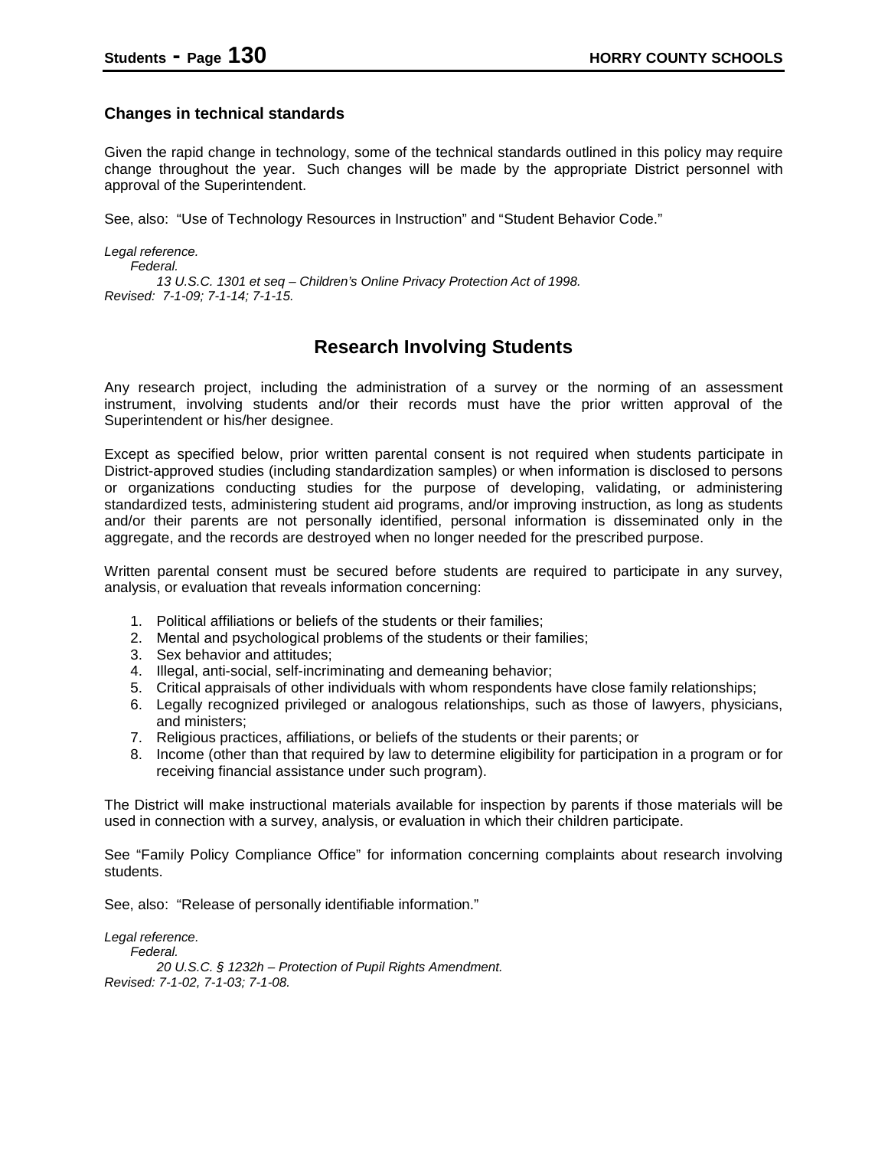### **Changes in technical standards**

Given the rapid change in technology, some of the technical standards outlined in this policy may require change throughout the year. Such changes will be made by the appropriate District personnel with approval of the Superintendent.

See, also: "Use of Technology Resources in Instruction" and "Student Behavior Code."

*Legal reference. Federal. 13 U.S.C. 1301 et seq – Children's Online Privacy Protection Act of 1998. Revised: 7-1-09; 7-1-14; 7-1-15.*

# **Research Involving Students**

Any research project, including the administration of a survey or the norming of an assessment instrument, involving students and/or their records must have the prior written approval of the Superintendent or his/her designee.

Except as specified below, prior written parental consent is not required when students participate in District-approved studies (including standardization samples) or when information is disclosed to persons or organizations conducting studies for the purpose of developing, validating, or administering standardized tests, administering student aid programs, and/or improving instruction, as long as students and/or their parents are not personally identified, personal information is disseminated only in the aggregate, and the records are destroyed when no longer needed for the prescribed purpose.

Written parental consent must be secured before students are required to participate in any survey, analysis, or evaluation that reveals information concerning:

- 1. Political affiliations or beliefs of the students or their families;
- 2. Mental and psychological problems of the students or their families;
- 3. Sex behavior and attitudes;
- 4. Illegal, anti-social, self-incriminating and demeaning behavior;
- 5. Critical appraisals of other individuals with whom respondents have close family relationships;
- 6. Legally recognized privileged or analogous relationships, such as those of lawyers, physicians, and ministers;
- 7. Religious practices, affiliations, or beliefs of the students or their parents; or
- 8. Income (other than that required by law to determine eligibility for participation in a program or for receiving financial assistance under such program).

The District will make instructional materials available for inspection by parents if those materials will be used in connection with a survey, analysis, or evaluation in which their children participate.

See "Family Policy Compliance Office" for information concerning complaints about research involving students.

See, also: "Release of personally identifiable information."

*Legal reference. Federal.*

*20 U.S.C. § 1232h – Protection of Pupil Rights Amendment. Revised: 7-1-02, 7-1-03; 7-1-08.*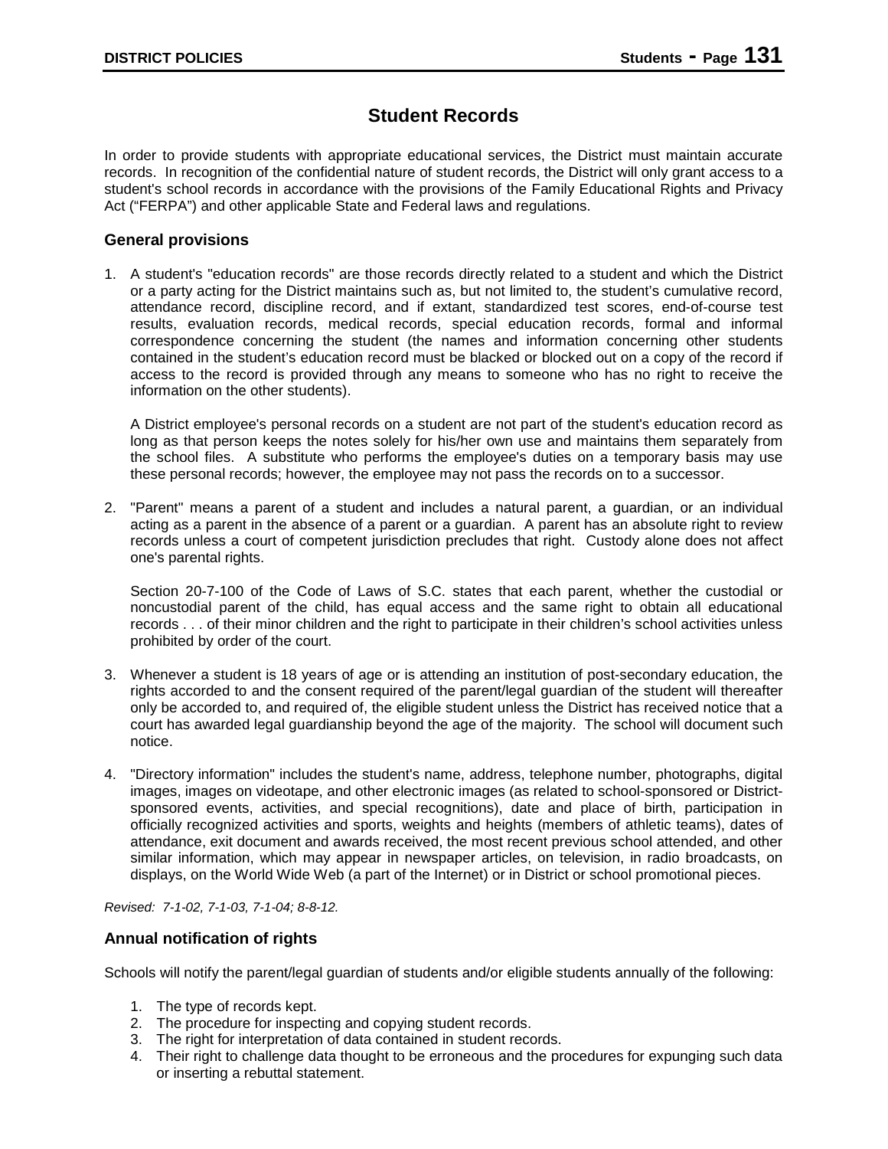# **Student Records**

In order to provide students with appropriate educational services, the District must maintain accurate records. In recognition of the confidential nature of student records, the District will only grant access to a student's school records in accordance with the provisions of the Family Educational Rights and Privacy Act ("FERPA") and other applicable State and Federal laws and regulations.

### **General provisions**

1. A student's "education records" are those records directly related to a student and which the District or a party acting for the District maintains such as, but not limited to, the student's cumulative record, attendance record, discipline record, and if extant, standardized test scores, end-of-course test results, evaluation records, medical records, special education records, formal and informal correspondence concerning the student (the names and information concerning other students contained in the student's education record must be blacked or blocked out on a copy of the record if access to the record is provided through any means to someone who has no right to receive the information on the other students).

A District employee's personal records on a student are not part of the student's education record as long as that person keeps the notes solely for his/her own use and maintains them separately from the school files. A substitute who performs the employee's duties on a temporary basis may use these personal records; however, the employee may not pass the records on to a successor.

2. "Parent" means a parent of a student and includes a natural parent, a guardian, or an individual acting as a parent in the absence of a parent or a guardian. A parent has an absolute right to review records unless a court of competent jurisdiction precludes that right. Custody alone does not affect one's parental rights.

Section 20-7-100 of the Code of Laws of S.C. states that each parent, whether the custodial or noncustodial parent of the child, has equal access and the same right to obtain all educational records . . . of their minor children and the right to participate in their children's school activities unless prohibited by order of the court.

- 3. Whenever a student is 18 years of age or is attending an institution of post-secondary education, the rights accorded to and the consent required of the parent/legal guardian of the student will thereafter only be accorded to, and required of, the eligible student unless the District has received notice that a court has awarded legal guardianship beyond the age of the majority. The school will document such notice.
- 4. "Directory information" includes the student's name, address, telephone number, photographs, digital images, images on videotape, and other electronic images (as related to school-sponsored or Districtsponsored events, activities, and special recognitions), date and place of birth, participation in officially recognized activities and sports, weights and heights (members of athletic teams), dates of attendance, exit document and awards received, the most recent previous school attended, and other similar information, which may appear in newspaper articles, on television, in radio broadcasts, on displays, on the World Wide Web (a part of the Internet) or in District or school promotional pieces.

*Revised: 7-1-02, 7-1-03, 7-1-04; 8-8-12.*

### **Annual notification of rights**

Schools will notify the parent/legal guardian of students and/or eligible students annually of the following:

- 1. The type of records kept.
- 2. The procedure for inspecting and copying student records.
- 3. The right for interpretation of data contained in student records.
- 4. Their right to challenge data thought to be erroneous and the procedures for expunging such data or inserting a rebuttal statement.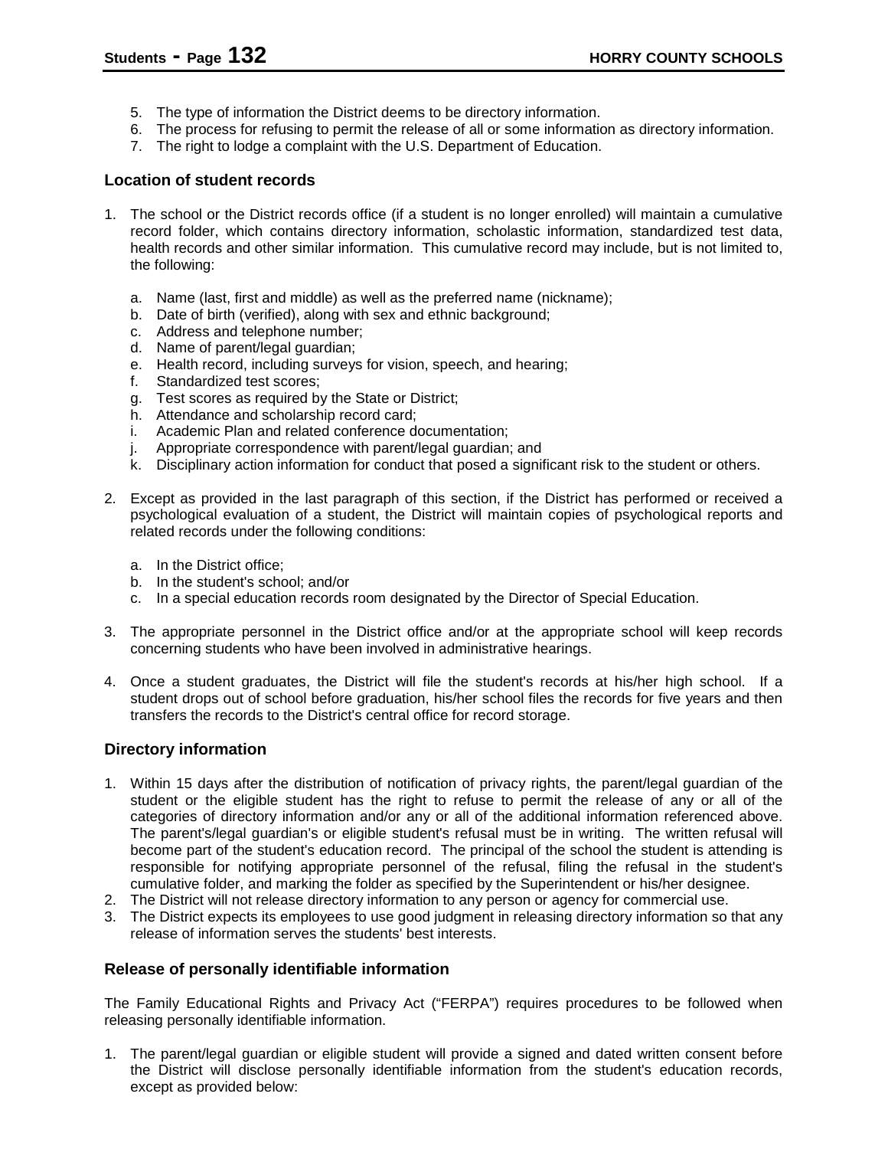- 5. The type of information the District deems to be directory information.
- 6. The process for refusing to permit the release of all or some information as directory information.
- 7. The right to lodge a complaint with the U.S. Department of Education.

#### **Location of student records**

- 1. The school or the District records office (if a student is no longer enrolled) will maintain a cumulative record folder, which contains directory information, scholastic information, standardized test data, health records and other similar information. This cumulative record may include, but is not limited to, the following:
	- a. Name (last, first and middle) as well as the preferred name (nickname);
	- b. Date of birth (verified), along with sex and ethnic background;
	- c. Address and telephone number;
	- d. Name of parent/legal guardian;
	- e. Health record, including surveys for vision, speech, and hearing;
	- f. Standardized test scores;
	- g. Test scores as required by the State or District;
	- h. Attendance and scholarship record card;
	- i. Academic Plan and related conference documentation;
	- j. Appropriate correspondence with parent/legal guardian; and
	- k. Disciplinary action information for conduct that posed a significant risk to the student or others.
- 2. Except as provided in the last paragraph of this section, if the District has performed or received a psychological evaluation of a student, the District will maintain copies of psychological reports and related records under the following conditions:
	- a. In the District office;
	- b. In the student's school; and/or
	- c. In a special education records room designated by the Director of Special Education.
- 3. The appropriate personnel in the District office and/or at the appropriate school will keep records concerning students who have been involved in administrative hearings.
- 4. Once a student graduates, the District will file the student's records at his/her high school. If a student drops out of school before graduation, his/her school files the records for five years and then transfers the records to the District's central office for record storage.

### **Directory information**

- 1. Within 15 days after the distribution of notification of privacy rights, the parent/legal guardian of the student or the eligible student has the right to refuse to permit the release of any or all of the categories of directory information and/or any or all of the additional information referenced above. The parent's/legal guardian's or eligible student's refusal must be in writing. The written refusal will become part of the student's education record. The principal of the school the student is attending is responsible for notifying appropriate personnel of the refusal, filing the refusal in the student's cumulative folder, and marking the folder as specified by the Superintendent or his/her designee.
- 2. The District will not release directory information to any person or agency for commercial use.
- 3. The District expects its employees to use good judgment in releasing directory information so that any release of information serves the students' best interests.

#### **Release of personally identifiable information**

The Family Educational Rights and Privacy Act ("FERPA") requires procedures to be followed when releasing personally identifiable information.

1. The parent/legal guardian or eligible student will provide a signed and dated written consent before the District will disclose personally identifiable information from the student's education records, except as provided below: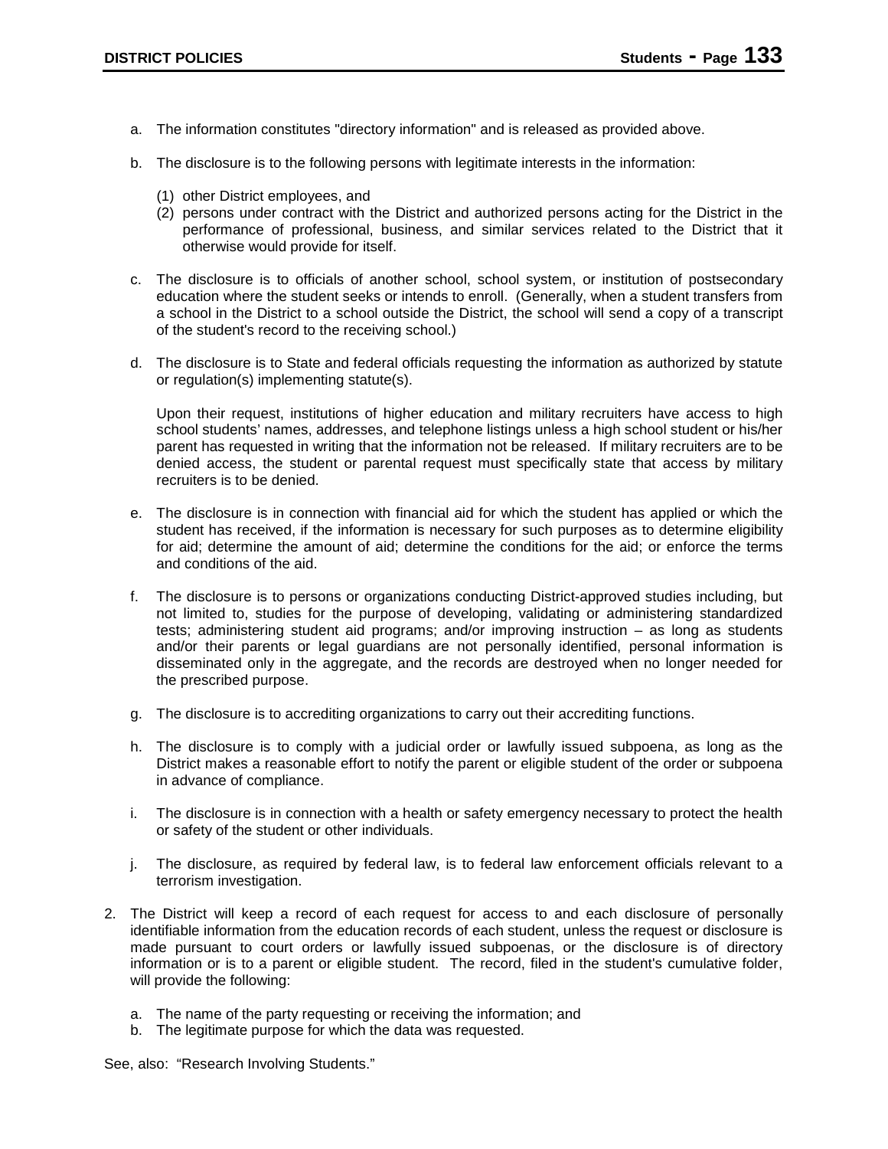- a. The information constitutes "directory information" and is released as provided above.
- b. The disclosure is to the following persons with legitimate interests in the information:
	- (1) other District employees, and
	- (2) persons under contract with the District and authorized persons acting for the District in the performance of professional, business, and similar services related to the District that it otherwise would provide for itself.
- c. The disclosure is to officials of another school, school system, or institution of postsecondary education where the student seeks or intends to enroll. (Generally, when a student transfers from a school in the District to a school outside the District, the school will send a copy of a transcript of the student's record to the receiving school.)
- d. The disclosure is to State and federal officials requesting the information as authorized by statute or regulation(s) implementing statute(s).

Upon their request, institutions of higher education and military recruiters have access to high school students' names, addresses, and telephone listings unless a high school student or his/her parent has requested in writing that the information not be released. If military recruiters are to be denied access, the student or parental request must specifically state that access by military recruiters is to be denied.

- e. The disclosure is in connection with financial aid for which the student has applied or which the student has received, if the information is necessary for such purposes as to determine eligibility for aid; determine the amount of aid; determine the conditions for the aid; or enforce the terms and conditions of the aid.
- f. The disclosure is to persons or organizations conducting District-approved studies including, but not limited to, studies for the purpose of developing, validating or administering standardized tests; administering student aid programs; and/or improving instruction – as long as students and/or their parents or legal guardians are not personally identified, personal information is disseminated only in the aggregate, and the records are destroyed when no longer needed for the prescribed purpose.
- g. The disclosure is to accrediting organizations to carry out their accrediting functions.
- h. The disclosure is to comply with a judicial order or lawfully issued subpoena, as long as the District makes a reasonable effort to notify the parent or eligible student of the order or subpoena in advance of compliance.
- i. The disclosure is in connection with a health or safety emergency necessary to protect the health or safety of the student or other individuals.
- j. The disclosure, as required by federal law, is to federal law enforcement officials relevant to a terrorism investigation.
- 2. The District will keep a record of each request for access to and each disclosure of personally identifiable information from the education records of each student, unless the request or disclosure is made pursuant to court orders or lawfully issued subpoenas, or the disclosure is of directory information or is to a parent or eligible student. The record, filed in the student's cumulative folder, will provide the following:
	- a. The name of the party requesting or receiving the information; and
	- b. The legitimate purpose for which the data was requested.

See, also: "Research Involving Students."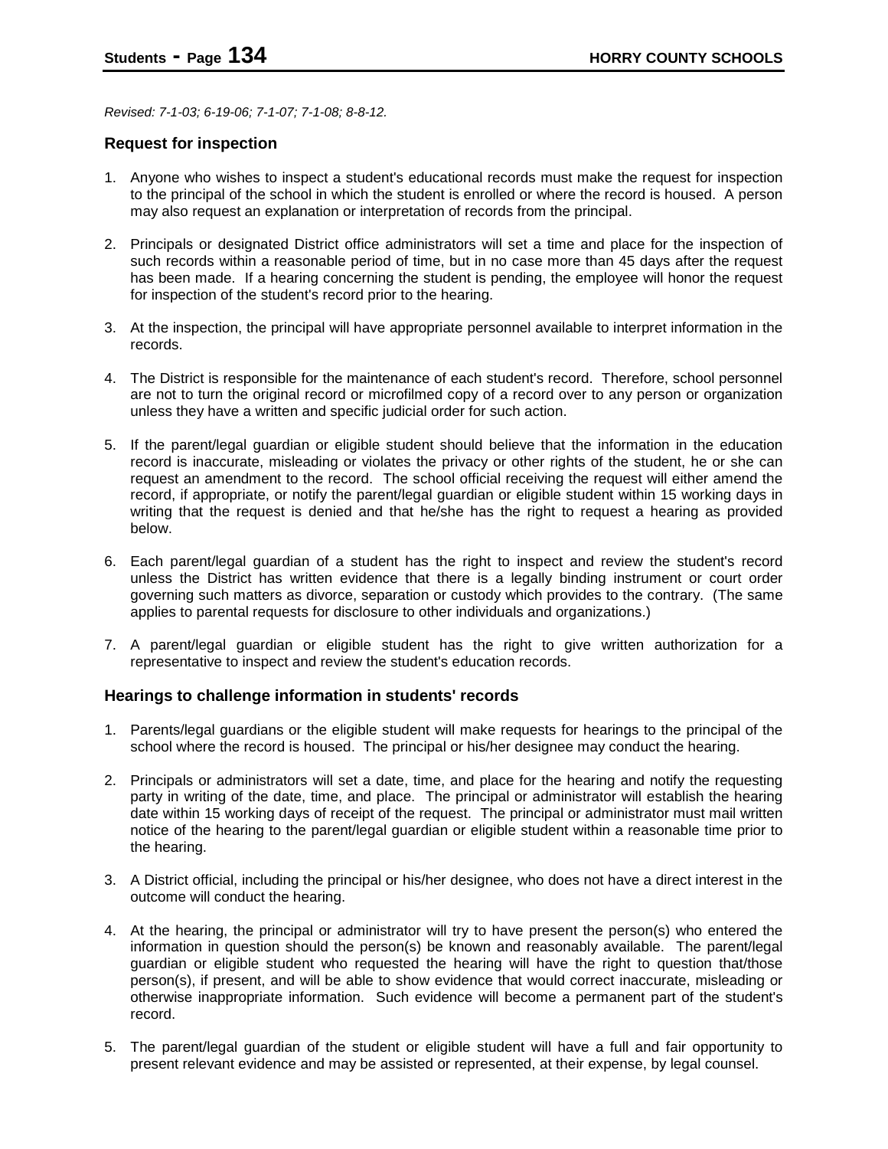*Revised: 7-1-03; 6-19-06; 7-1-07; 7-1-08; 8-8-12.*

### **Request for inspection**

- 1. Anyone who wishes to inspect a student's educational records must make the request for inspection to the principal of the school in which the student is enrolled or where the record is housed. A person may also request an explanation or interpretation of records from the principal.
- 2. Principals or designated District office administrators will set a time and place for the inspection of such records within a reasonable period of time, but in no case more than 45 days after the request has been made. If a hearing concerning the student is pending, the employee will honor the request for inspection of the student's record prior to the hearing.
- 3. At the inspection, the principal will have appropriate personnel available to interpret information in the records.
- 4. The District is responsible for the maintenance of each student's record. Therefore, school personnel are not to turn the original record or microfilmed copy of a record over to any person or organization unless they have a written and specific judicial order for such action.
- 5. If the parent/legal guardian or eligible student should believe that the information in the education record is inaccurate, misleading or violates the privacy or other rights of the student, he or she can request an amendment to the record. The school official receiving the request will either amend the record, if appropriate, or notify the parent/legal guardian or eligible student within 15 working days in writing that the request is denied and that he/she has the right to request a hearing as provided below.
- 6. Each parent/legal guardian of a student has the right to inspect and review the student's record unless the District has written evidence that there is a legally binding instrument or court order governing such matters as divorce, separation or custody which provides to the contrary. (The same applies to parental requests for disclosure to other individuals and organizations.)
- 7. A parent/legal guardian or eligible student has the right to give written authorization for a representative to inspect and review the student's education records.

#### **Hearings to challenge information in students' records**

- 1. Parents/legal guardians or the eligible student will make requests for hearings to the principal of the school where the record is housed. The principal or his/her designee may conduct the hearing.
- 2. Principals or administrators will set a date, time, and place for the hearing and notify the requesting party in writing of the date, time, and place. The principal or administrator will establish the hearing date within 15 working days of receipt of the request. The principal or administrator must mail written notice of the hearing to the parent/legal guardian or eligible student within a reasonable time prior to the hearing.
- 3. A District official, including the principal or his/her designee, who does not have a direct interest in the outcome will conduct the hearing.
- 4. At the hearing, the principal or administrator will try to have present the person(s) who entered the information in question should the person(s) be known and reasonably available. The parent/legal guardian or eligible student who requested the hearing will have the right to question that/those person(s), if present, and will be able to show evidence that would correct inaccurate, misleading or otherwise inappropriate information. Such evidence will become a permanent part of the student's record.
- 5. The parent/legal guardian of the student or eligible student will have a full and fair opportunity to present relevant evidence and may be assisted or represented, at their expense, by legal counsel.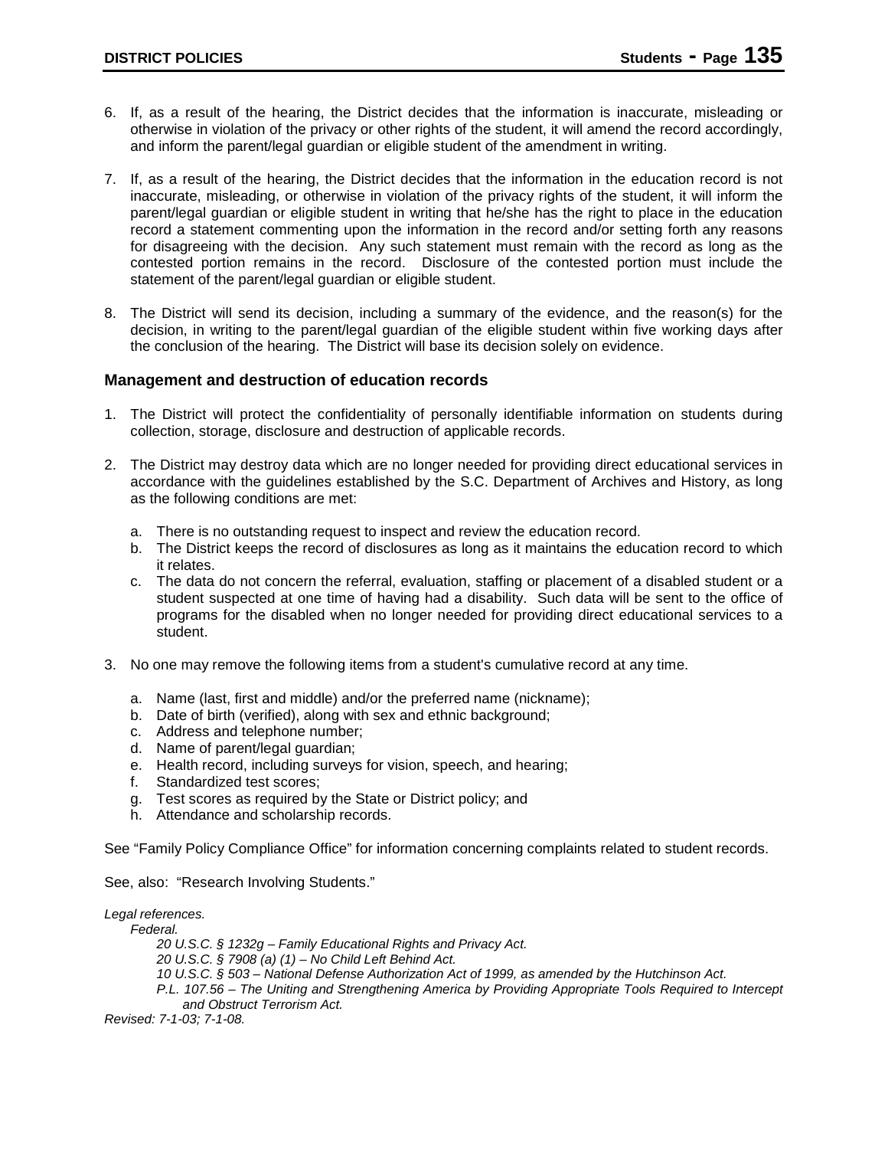- 6. If, as a result of the hearing, the District decides that the information is inaccurate, misleading or otherwise in violation of the privacy or other rights of the student, it will amend the record accordingly, and inform the parent/legal guardian or eligible student of the amendment in writing.
- 7. If, as a result of the hearing, the District decides that the information in the education record is not inaccurate, misleading, or otherwise in violation of the privacy rights of the student, it will inform the parent/legal guardian or eligible student in writing that he/she has the right to place in the education record a statement commenting upon the information in the record and/or setting forth any reasons for disagreeing with the decision. Any such statement must remain with the record as long as the contested portion remains in the record. Disclosure of the contested portion must include the statement of the parent/legal guardian or eligible student.
- 8. The District will send its decision, including a summary of the evidence, and the reason(s) for the decision, in writing to the parent/legal guardian of the eligible student within five working days after the conclusion of the hearing. The District will base its decision solely on evidence.

#### **Management and destruction of education records**

- 1. The District will protect the confidentiality of personally identifiable information on students during collection, storage, disclosure and destruction of applicable records.
- 2. The District may destroy data which are no longer needed for providing direct educational services in accordance with the guidelines established by the S.C. Department of Archives and History, as long as the following conditions are met:
	- a. There is no outstanding request to inspect and review the education record.
	- b. The District keeps the record of disclosures as long as it maintains the education record to which it relates.
	- c. The data do not concern the referral, evaluation, staffing or placement of a disabled student or a student suspected at one time of having had a disability. Such data will be sent to the office of programs for the disabled when no longer needed for providing direct educational services to a student.
- 3. No one may remove the following items from a student's cumulative record at any time.
	- a. Name (last, first and middle) and/or the preferred name (nickname);
	- b. Date of birth (verified), along with sex and ethnic background;
	- c. Address and telephone number;
	- d. Name of parent/legal guardian;
	- e. Health record, including surveys for vision, speech, and hearing;
	- f. Standardized test scores;
	- g. Test scores as required by the State or District policy; and
	- h. Attendance and scholarship records.

See "Family Policy Compliance Office" for information concerning complaints related to student records.

See, also: "Research Involving Students."

*Legal references.*

*Federal.*

- *20 U.S.C. § 1232g – Family Educational Rights and Privacy Act.*
- *20 U.S.C. § 7908 (a) (1) – No Child Left Behind Act.*
- *10 U.S.C. § 503 – National Defense Authorization Act of 1999, as amended by the Hutchinson Act.*

*P.L. 107.56 – The Uniting and Strengthening America by Providing Appropriate Tools Required to Intercept and Obstruct Terrorism Act.*

*Revised: 7-1-03; 7-1-08.*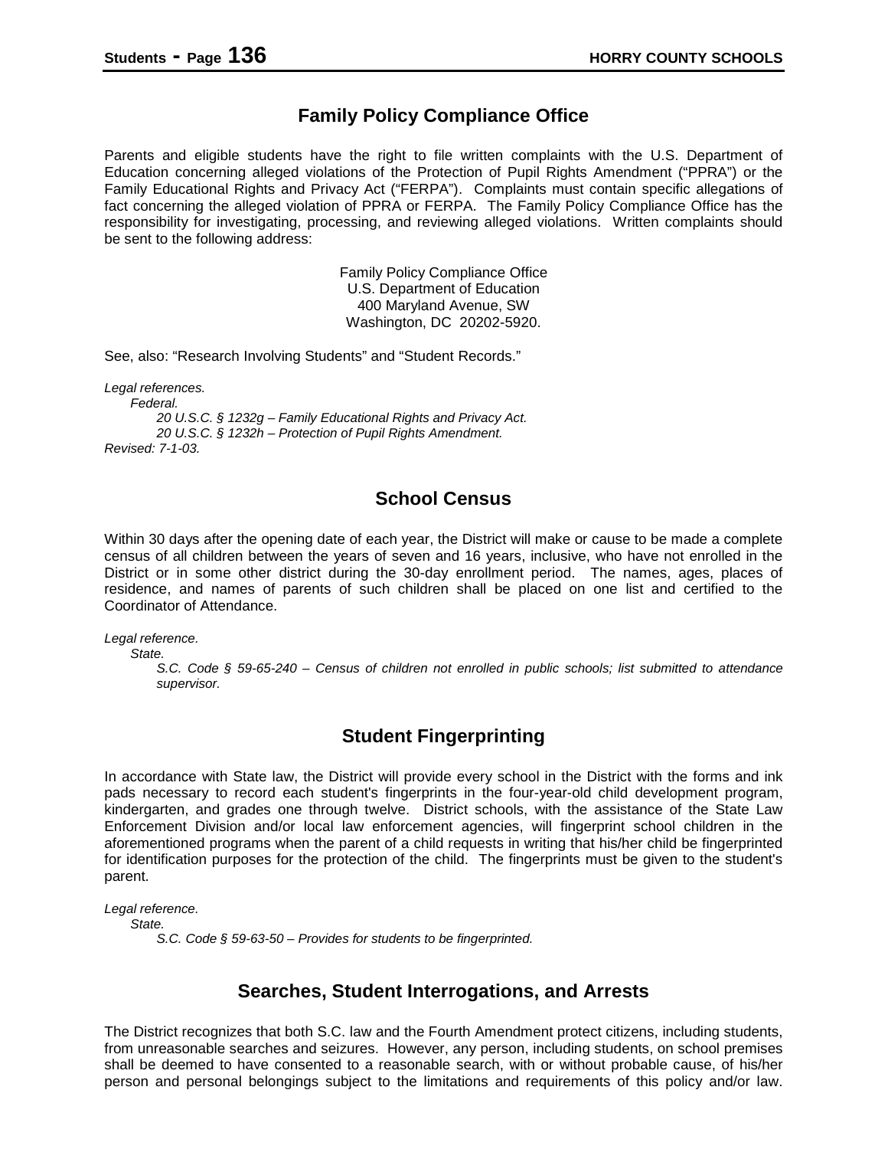## **Family Policy Compliance Office**

Parents and eligible students have the right to file written complaints with the U.S. Department of Education concerning alleged violations of the Protection of Pupil Rights Amendment ("PPRA") or the Family Educational Rights and Privacy Act ("FERPA"). Complaints must contain specific allegations of fact concerning the alleged violation of PPRA or FERPA. The Family Policy Compliance Office has the responsibility for investigating, processing, and reviewing alleged violations. Written complaints should be sent to the following address:

> Family Policy Compliance Office U.S. Department of Education 400 Maryland Avenue, SW Washington, DC 20202-5920.

See, also: "Research Involving Students" and "Student Records."

*Legal references.*

*Federal. 20 U.S.C. § 1232g – Family Educational Rights and Privacy Act. 20 U.S.C. § 1232h – Protection of Pupil Rights Amendment. Revised: 7-1-03.*

## **School Census**

Within 30 days after the opening date of each year, the District will make or cause to be made a complete census of all children between the years of seven and 16 years, inclusive, who have not enrolled in the District or in some other district during the 30-day enrollment period. The names, ages, places of residence, and names of parents of such children shall be placed on one list and certified to the Coordinator of Attendance.

*Legal reference.*

*State.*

*S.C. Code § 59-65-240 – Census of children not enrolled in public schools; list submitted to attendance supervisor.*

## **Student Fingerprinting**

In accordance with State law, the District will provide every school in the District with the forms and ink pads necessary to record each student's fingerprints in the four-year-old child development program, kindergarten, and grades one through twelve. District schools, with the assistance of the State Law Enforcement Division and/or local law enforcement agencies, will fingerprint school children in the aforementioned programs when the parent of a child requests in writing that his/her child be fingerprinted for identification purposes for the protection of the child. The fingerprints must be given to the student's parent.

*Legal reference.*

*State.*

*S.C. Code § 59-63-50 – Provides for students to be fingerprinted.*

## **Searches, Student Interrogations, and Arrests**

The District recognizes that both S.C. law and the Fourth Amendment protect citizens, including students, from unreasonable searches and seizures. However, any person, including students, on school premises shall be deemed to have consented to a reasonable search, with or without probable cause, of his/her person and personal belongings subject to the limitations and requirements of this policy and/or law.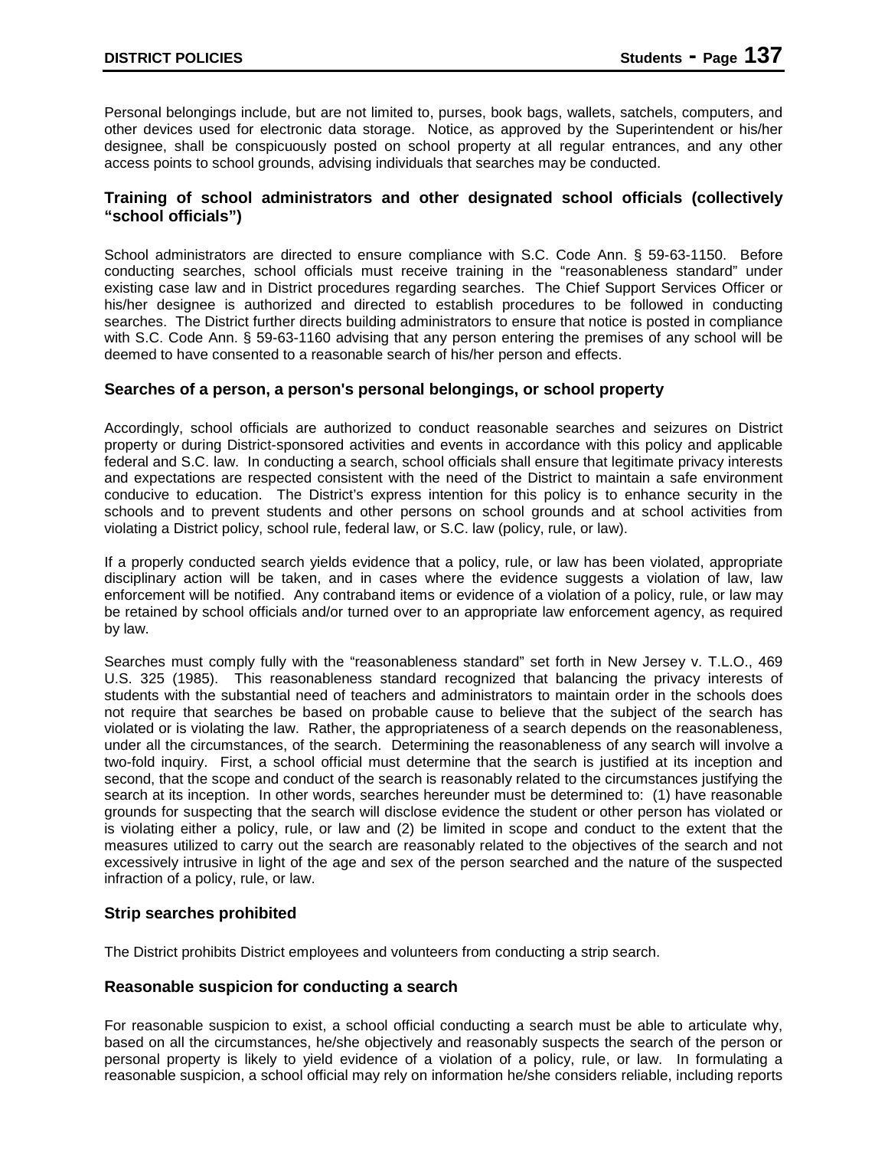Personal belongings include, but are not limited to, purses, book bags, wallets, satchels, computers, and other devices used for electronic data storage. Notice, as approved by the Superintendent or his/her designee, shall be conspicuously posted on school property at all regular entrances, and any other access points to school grounds, advising individuals that searches may be conducted.

### **Training of school administrators and other designated school officials (collectively "school officials")**

School administrators are directed to ensure compliance with S.C. Code Ann. § 59-63-1150. Before conducting searches, school officials must receive training in the "reasonableness standard" under existing case law and in District procedures regarding searches. The Chief Support Services Officer or his/her designee is authorized and directed to establish procedures to be followed in conducting searches. The District further directs building administrators to ensure that notice is posted in compliance with S.C. Code Ann. § 59-63-1160 advising that any person entering the premises of any school will be deemed to have consented to a reasonable search of his/her person and effects.

### **Searches of a person, a person's personal belongings, or school property**

Accordingly, school officials are authorized to conduct reasonable searches and seizures on District property or during District-sponsored activities and events in accordance with this policy and applicable federal and S.C. law. In conducting a search, school officials shall ensure that legitimate privacy interests and expectations are respected consistent with the need of the District to maintain a safe environment conducive to education. The District's express intention for this policy is to enhance security in the schools and to prevent students and other persons on school grounds and at school activities from violating a District policy, school rule, federal law, or S.C. law (policy, rule, or law).

If a properly conducted search yields evidence that a policy, rule, or law has been violated, appropriate disciplinary action will be taken, and in cases where the evidence suggests a violation of law, law enforcement will be notified. Any contraband items or evidence of a violation of a policy, rule, or law may be retained by school officials and/or turned over to an appropriate law enforcement agency, as required by law.

Searches must comply fully with the "reasonableness standard" set forth in New Jersey v. T.L.O., 469 U.S. 325 (1985). This reasonableness standard recognized that balancing the privacy interests of students with the substantial need of teachers and administrators to maintain order in the schools does not require that searches be based on probable cause to believe that the subject of the search has violated or is violating the law. Rather, the appropriateness of a search depends on the reasonableness, under all the circumstances, of the search. Determining the reasonableness of any search will involve a two-fold inquiry. First, a school official must determine that the search is justified at its inception and second, that the scope and conduct of the search is reasonably related to the circumstances justifying the search at its inception. In other words, searches hereunder must be determined to: (1) have reasonable grounds for suspecting that the search will disclose evidence the student or other person has violated or is violating either a policy, rule, or law and (2) be limited in scope and conduct to the extent that the measures utilized to carry out the search are reasonably related to the objectives of the search and not excessively intrusive in light of the age and sex of the person searched and the nature of the suspected infraction of a policy, rule, or law.

### **Strip searches prohibited**

The District prohibits District employees and volunteers from conducting a strip search.

#### **Reasonable suspicion for conducting a search**

For reasonable suspicion to exist, a school official conducting a search must be able to articulate why, based on all the circumstances, he/she objectively and reasonably suspects the search of the person or personal property is likely to yield evidence of a violation of a policy, rule, or law. In formulating a reasonable suspicion, a school official may rely on information he/she considers reliable, including reports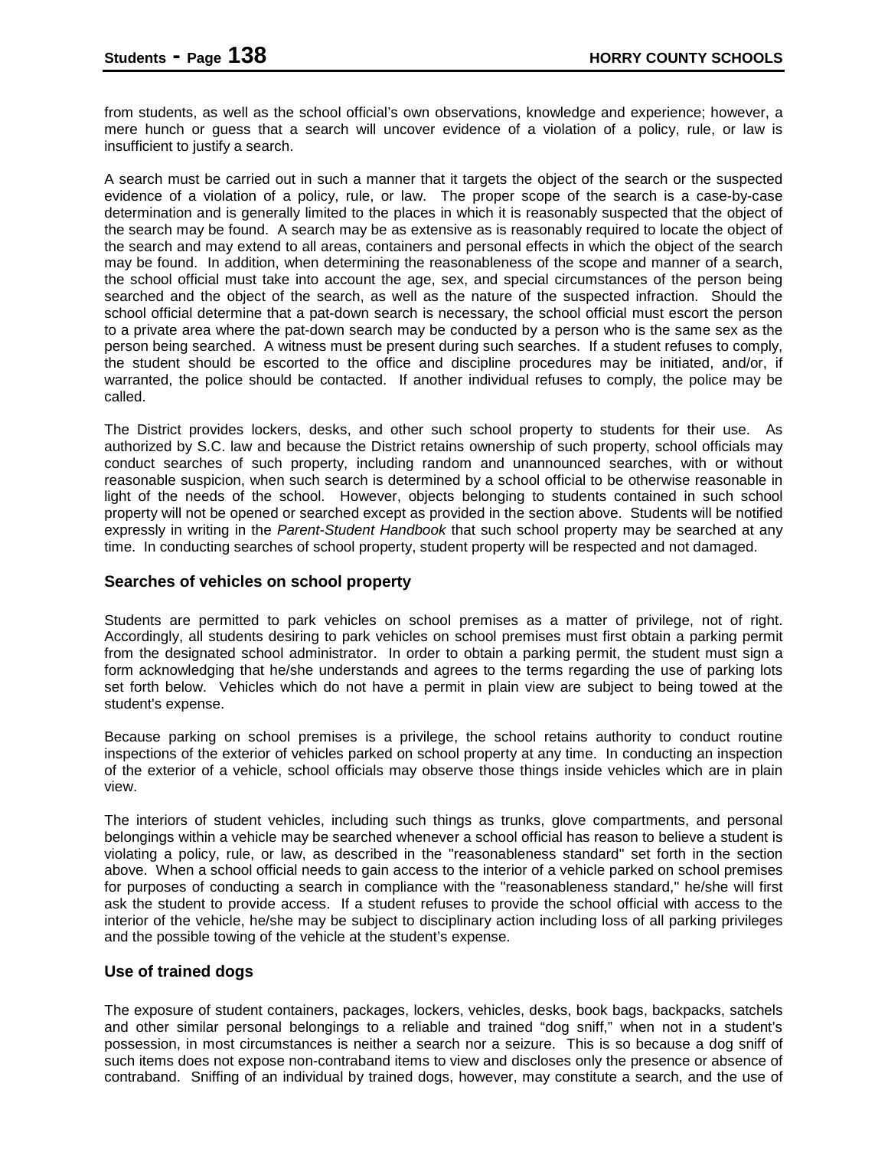from students, as well as the school official's own observations, knowledge and experience; however, a mere hunch or guess that a search will uncover evidence of a violation of a policy, rule, or law is insufficient to justify a search.

A search must be carried out in such a manner that it targets the object of the search or the suspected evidence of a violation of a policy, rule, or law. The proper scope of the search is a case-by-case determination and is generally limited to the places in which it is reasonably suspected that the object of the search may be found. A search may be as extensive as is reasonably required to locate the object of the search and may extend to all areas, containers and personal effects in which the object of the search may be found. In addition, when determining the reasonableness of the scope and manner of a search, the school official must take into account the age, sex, and special circumstances of the person being searched and the object of the search, as well as the nature of the suspected infraction. Should the school official determine that a pat-down search is necessary, the school official must escort the person to a private area where the pat-down search may be conducted by a person who is the same sex as the person being searched. A witness must be present during such searches. If a student refuses to comply, the student should be escorted to the office and discipline procedures may be initiated, and/or, if warranted, the police should be contacted. If another individual refuses to comply, the police may be called.

The District provides lockers, desks, and other such school property to students for their use. As authorized by S.C. law and because the District retains ownership of such property, school officials may conduct searches of such property, including random and unannounced searches, with or without reasonable suspicion, when such search is determined by a school official to be otherwise reasonable in light of the needs of the school. However, objects belonging to students contained in such school property will not be opened or searched except as provided in the section above. Students will be notified expressly in writing in the *Parent-Student Handbook* that such school property may be searched at any time. In conducting searches of school property, student property will be respected and not damaged.

### **Searches of vehicles on school property**

Students are permitted to park vehicles on school premises as a matter of privilege, not of right. Accordingly, all students desiring to park vehicles on school premises must first obtain a parking permit from the designated school administrator. In order to obtain a parking permit, the student must sign a form acknowledging that he/she understands and agrees to the terms regarding the use of parking lots set forth below. Vehicles which do not have a permit in plain view are subject to being towed at the student's expense.

Because parking on school premises is a privilege, the school retains authority to conduct routine inspections of the exterior of vehicles parked on school property at any time. In conducting an inspection of the exterior of a vehicle, school officials may observe those things inside vehicles which are in plain view.

The interiors of student vehicles, including such things as trunks, glove compartments, and personal belongings within a vehicle may be searched whenever a school official has reason to believe a student is violating a policy, rule, or law, as described in the "reasonableness standard" set forth in the section above. When a school official needs to gain access to the interior of a vehicle parked on school premises for purposes of conducting a search in compliance with the "reasonableness standard," he/she will first ask the student to provide access. If a student refuses to provide the school official with access to the interior of the vehicle, he/she may be subject to disciplinary action including loss of all parking privileges and the possible towing of the vehicle at the student's expense.

### **Use of trained dogs**

The exposure of student containers, packages, lockers, vehicles, desks, book bags, backpacks, satchels and other similar personal belongings to a reliable and trained "dog sniff," when not in a student's possession, in most circumstances is neither a search nor a seizure. This is so because a dog sniff of such items does not expose non-contraband items to view and discloses only the presence or absence of contraband. Sniffing of an individual by trained dogs, however, may constitute a search, and the use of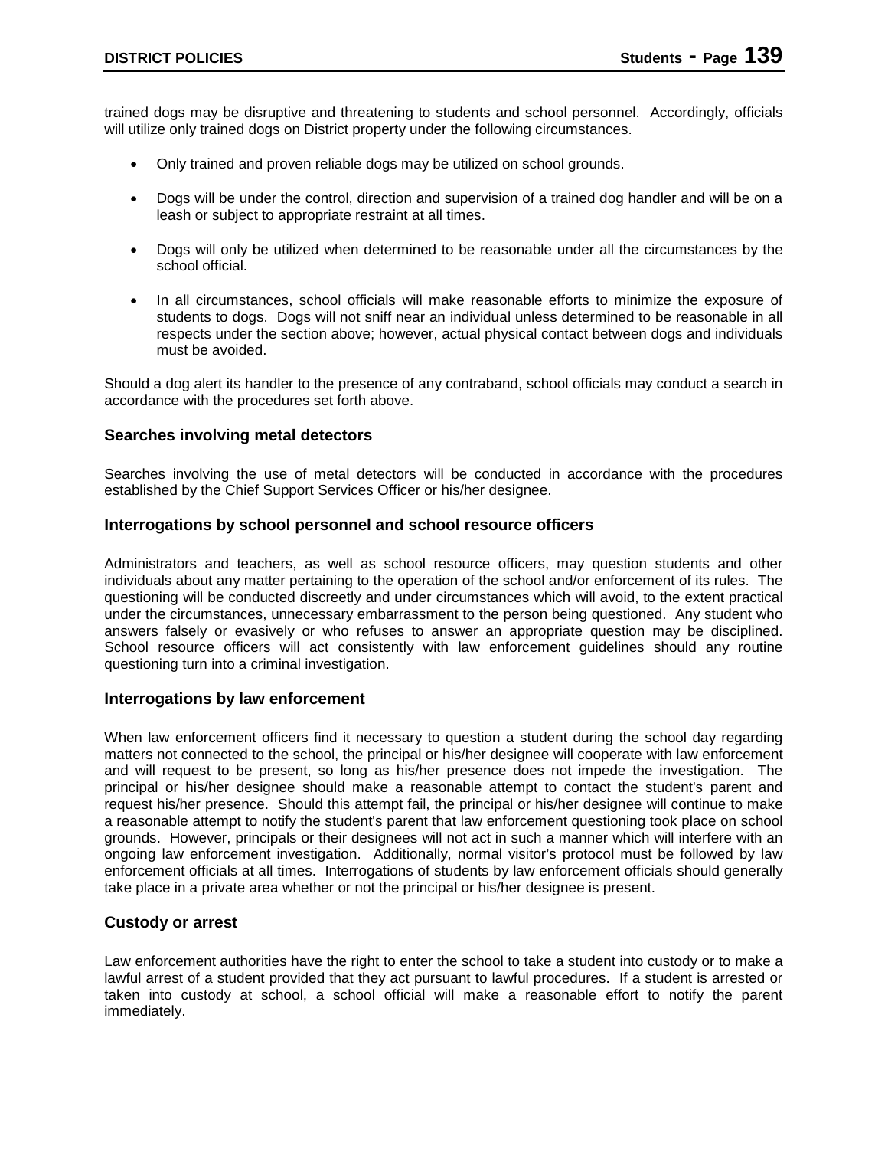trained dogs may be disruptive and threatening to students and school personnel. Accordingly, officials will utilize only trained dogs on District property under the following circumstances.

- Only trained and proven reliable dogs may be utilized on school grounds.
- Dogs will be under the control, direction and supervision of a trained dog handler and will be on a leash or subject to appropriate restraint at all times.
- Dogs will only be utilized when determined to be reasonable under all the circumstances by the school official.
- In all circumstances, school officials will make reasonable efforts to minimize the exposure of students to dogs. Dogs will not sniff near an individual unless determined to be reasonable in all respects under the section above; however, actual physical contact between dogs and individuals must be avoided.

Should a dog alert its handler to the presence of any contraband, school officials may conduct a search in accordance with the procedures set forth above.

#### **Searches involving metal detectors**

Searches involving the use of metal detectors will be conducted in accordance with the procedures established by the Chief Support Services Officer or his/her designee.

#### **Interrogations by school personnel and school resource officers**

Administrators and teachers, as well as school resource officers, may question students and other individuals about any matter pertaining to the operation of the school and/or enforcement of its rules. The questioning will be conducted discreetly and under circumstances which will avoid, to the extent practical under the circumstances, unnecessary embarrassment to the person being questioned. Any student who answers falsely or evasively or who refuses to answer an appropriate question may be disciplined. School resource officers will act consistently with law enforcement guidelines should any routine questioning turn into a criminal investigation.

#### **Interrogations by law enforcement**

When law enforcement officers find it necessary to question a student during the school day regarding matters not connected to the school, the principal or his/her designee will cooperate with law enforcement and will request to be present, so long as his/her presence does not impede the investigation. The principal or his/her designee should make a reasonable attempt to contact the student's parent and request his/her presence. Should this attempt fail, the principal or his/her designee will continue to make a reasonable attempt to notify the student's parent that law enforcement questioning took place on school grounds. However, principals or their designees will not act in such a manner which will interfere with an ongoing law enforcement investigation. Additionally, normal visitor's protocol must be followed by law enforcement officials at all times. Interrogations of students by law enforcement officials should generally take place in a private area whether or not the principal or his/her designee is present.

#### **Custody or arrest**

Law enforcement authorities have the right to enter the school to take a student into custody or to make a lawful arrest of a student provided that they act pursuant to lawful procedures. If a student is arrested or taken into custody at school, a school official will make a reasonable effort to notify the parent immediately.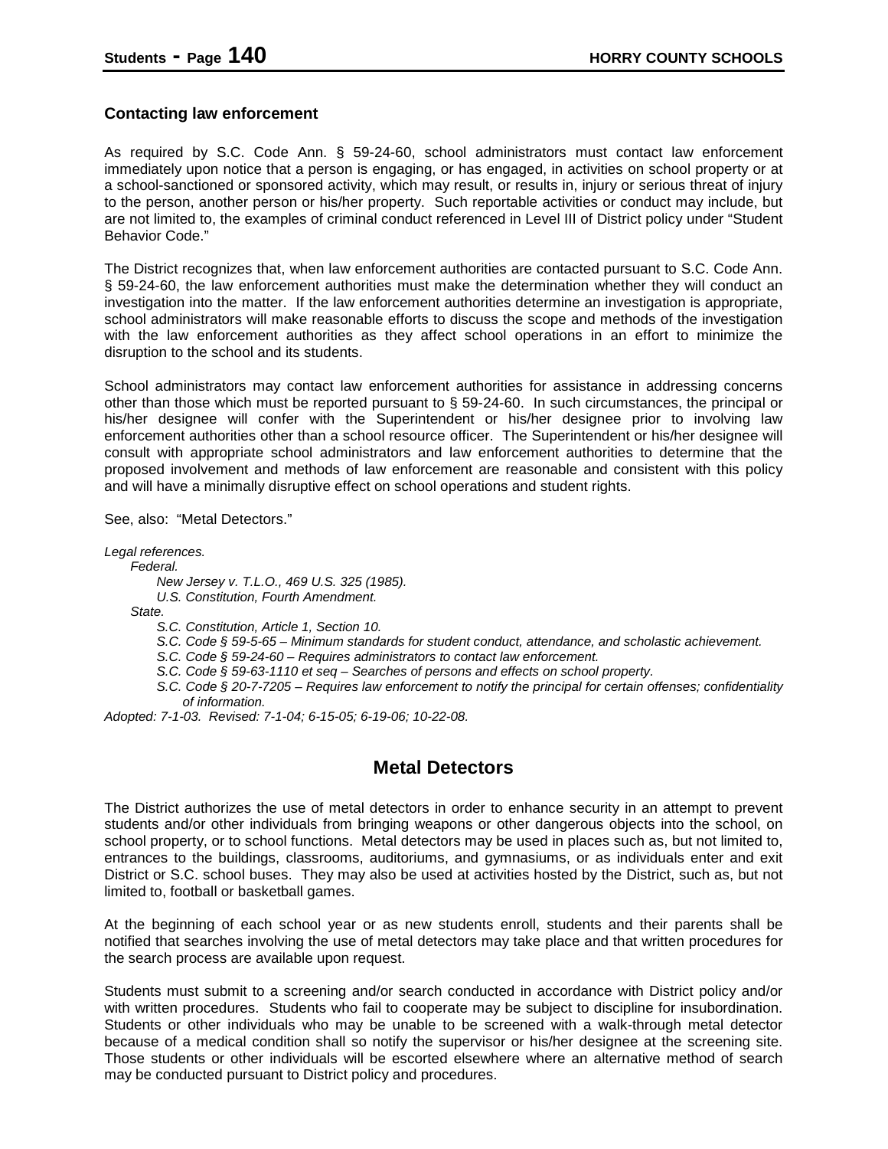### **Contacting law enforcement**

As required by S.C. Code Ann. § 59-24-60, school administrators must contact law enforcement immediately upon notice that a person is engaging, or has engaged, in activities on school property or at a school-sanctioned or sponsored activity, which may result, or results in, injury or serious threat of injury to the person, another person or his/her property. Such reportable activities or conduct may include, but are not limited to, the examples of criminal conduct referenced in Level III of District policy under "Student Behavior Code."

The District recognizes that, when law enforcement authorities are contacted pursuant to S.C. Code Ann. § 59-24-60, the law enforcement authorities must make the determination whether they will conduct an investigation into the matter. If the law enforcement authorities determine an investigation is appropriate, school administrators will make reasonable efforts to discuss the scope and methods of the investigation with the law enforcement authorities as they affect school operations in an effort to minimize the disruption to the school and its students.

School administrators may contact law enforcement authorities for assistance in addressing concerns other than those which must be reported pursuant to § 59-24-60. In such circumstances, the principal or his/her designee will confer with the Superintendent or his/her designee prior to involving law enforcement authorities other than a school resource officer. The Superintendent or his/her designee will consult with appropriate school administrators and law enforcement authorities to determine that the proposed involvement and methods of law enforcement are reasonable and consistent with this policy and will have a minimally disruptive effect on school operations and student rights.

See, also: "Metal Detectors."

*Legal references.*

*Federal.*

*New Jersey v. T.L.O., 469 U.S. 325 (1985).*

*U.S. Constitution, Fourth Amendment.*

*State.*

- *S.C. Constitution, Article 1, Section 10.*
- *S.C. Code § 59-5-65 – Minimum standards for student conduct, attendance, and scholastic achievement.*
- *S.C. Code § 59-24-60 – Requires administrators to contact law enforcement.*
- *S.C. Code § 59-63-1110 et seq – Searches of persons and effects on school property.*

*S.C. Code § 20-7-7205 – Requires law enforcement to notify the principal for certain offenses; confidentiality of information.*

*Adopted: 7-1-03. Revised: 7-1-04; 6-15-05; 6-19-06; 10-22-08.*

## **Metal Detectors**

The District authorizes the use of metal detectors in order to enhance security in an attempt to prevent students and/or other individuals from bringing weapons or other dangerous objects into the school, on school property, or to school functions. Metal detectors may be used in places such as, but not limited to, entrances to the buildings, classrooms, auditoriums, and gymnasiums, or as individuals enter and exit District or S.C. school buses. They may also be used at activities hosted by the District, such as, but not limited to, football or basketball games.

At the beginning of each school year or as new students enroll, students and their parents shall be notified that searches involving the use of metal detectors may take place and that written procedures for the search process are available upon request.

Students must submit to a screening and/or search conducted in accordance with District policy and/or with written procedures. Students who fail to cooperate may be subject to discipline for insubordination. Students or other individuals who may be unable to be screened with a walk-through metal detector because of a medical condition shall so notify the supervisor or his/her designee at the screening site. Those students or other individuals will be escorted elsewhere where an alternative method of search may be conducted pursuant to District policy and procedures.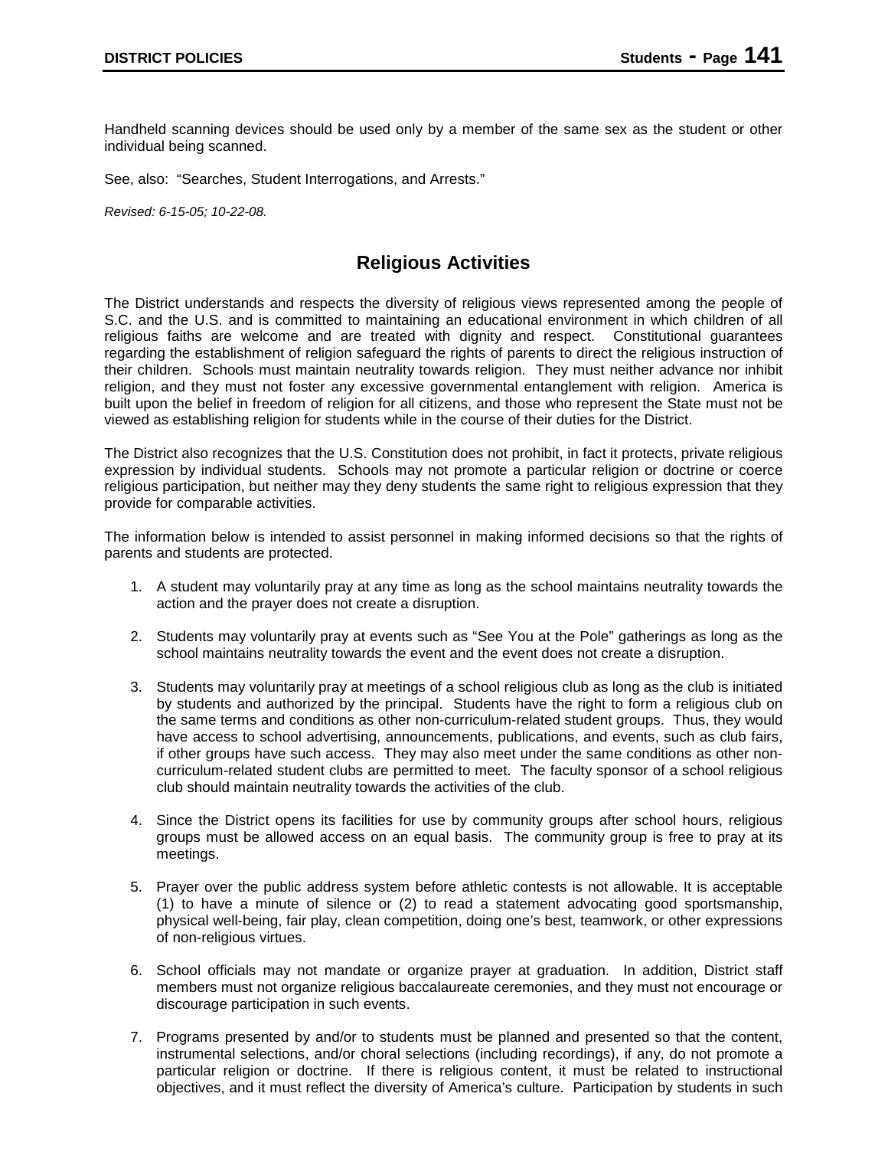Handheld scanning devices should be used only by a member of the same sex as the student or other individual being scanned.

See, also: "Searches, Student Interrogations, and Arrests."

*Revised: 6-15-05; 10-22-08.*

# **Religious Activities**

The District understands and respects the diversity of religious views represented among the people of S.C. and the U.S. and is committed to maintaining an educational environment in which children of all religious faiths are welcome and are treated with dignity and respect. Constitutional guarantees regarding the establishment of religion safeguard the rights of parents to direct the religious instruction of their children. Schools must maintain neutrality towards religion. They must neither advance nor inhibit religion, and they must not foster any excessive governmental entanglement with religion. America is built upon the belief in freedom of religion for all citizens, and those who represent the State must not be viewed as establishing religion for students while in the course of their duties for the District.

The District also recognizes that the U.S. Constitution does not prohibit, in fact it protects, private religious expression by individual students. Schools may not promote a particular religion or doctrine or coerce religious participation, but neither may they deny students the same right to religious expression that they provide for comparable activities.

The information below is intended to assist personnel in making informed decisions so that the rights of parents and students are protected.

- 1. A student may voluntarily pray at any time as long as the school maintains neutrality towards the action and the prayer does not create a disruption.
- 2. Students may voluntarily pray at events such as "See You at the Pole" gatherings as long as the school maintains neutrality towards the event and the event does not create a disruption.
- 3. Students may voluntarily pray at meetings of a school religious club as long as the club is initiated by students and authorized by the principal. Students have the right to form a religious club on the same terms and conditions as other non-curriculum-related student groups. Thus, they would have access to school advertising, announcements, publications, and events, such as club fairs, if other groups have such access. They may also meet under the same conditions as other noncurriculum-related student clubs are permitted to meet. The faculty sponsor of a school religious club should maintain neutrality towards the activities of the club.
- 4. Since the District opens its facilities for use by community groups after school hours, religious groups must be allowed access on an equal basis. The community group is free to pray at its meetings.
- 5. Prayer over the public address system before athletic contests is not allowable. It is acceptable (1) to have a minute of silence or (2) to read a statement advocating good sportsmanship, physical well-being, fair play, clean competition, doing one's best, teamwork, or other expressions of non-religious virtues.
- 6. School officials may not mandate or organize prayer at graduation. In addition, District staff members must not organize religious baccalaureate ceremonies, and they must not encourage or discourage participation in such events.
- 7. Programs presented by and/or to students must be planned and presented so that the content, instrumental selections, and/or choral selections (including recordings), if any, do not promote a particular religion or doctrine. If there is religious content, it must be related to instructional objectives, and it must reflect the diversity of America's culture. Participation by students in such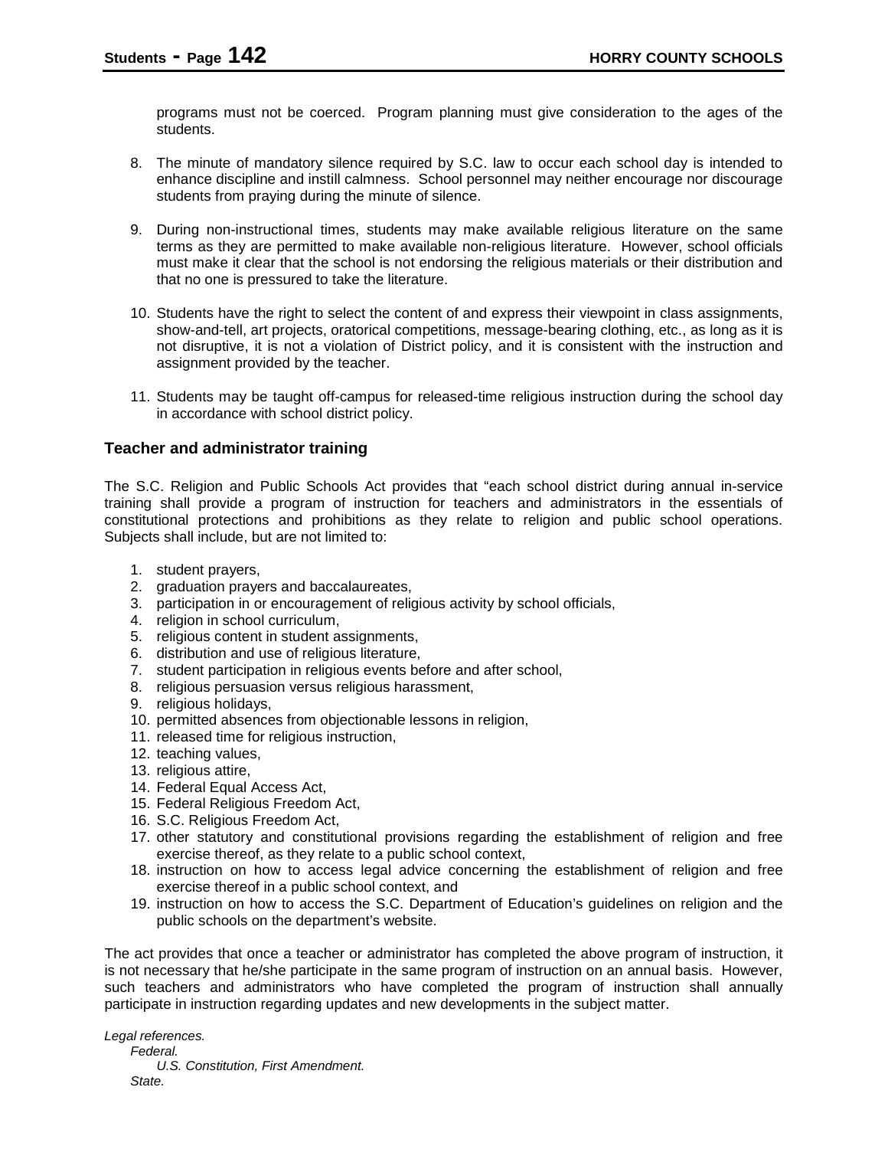programs must not be coerced. Program planning must give consideration to the ages of the students.

- 8. The minute of mandatory silence required by S.C. law to occur each school day is intended to enhance discipline and instill calmness. School personnel may neither encourage nor discourage students from praying during the minute of silence.
- 9. During non-instructional times, students may make available religious literature on the same terms as they are permitted to make available non-religious literature. However, school officials must make it clear that the school is not endorsing the religious materials or their distribution and that no one is pressured to take the literature.
- 10. Students have the right to select the content of and express their viewpoint in class assignments, show-and-tell, art projects, oratorical competitions, message-bearing clothing, etc., as long as it is not disruptive, it is not a violation of District policy, and it is consistent with the instruction and assignment provided by the teacher.
- 11. Students may be taught off-campus for released-time religious instruction during the school day in accordance with school district policy.

#### **Teacher and administrator training**

The S.C. Religion and Public Schools Act provides that "each school district during annual in-service training shall provide a program of instruction for teachers and administrators in the essentials of constitutional protections and prohibitions as they relate to religion and public school operations. Subjects shall include, but are not limited to:

- 1. student prayers,
- 2. graduation prayers and baccalaureates,
- 3. participation in or encouragement of religious activity by school officials,
- 4. religion in school curriculum,
- 5. religious content in student assignments,
- 6. distribution and use of religious literature,
- 7. student participation in religious events before and after school,
- 8. religious persuasion versus religious harassment,
- 9. religious holidays,
- 10. permitted absences from objectionable lessons in religion,
- 11. released time for religious instruction,
- 12. teaching values,
- 13. religious attire,
- 14. Federal Equal Access Act,
- 15. Federal Religious Freedom Act,
- 16. S.C. Religious Freedom Act,
- 17. other statutory and constitutional provisions regarding the establishment of religion and free exercise thereof, as they relate to a public school context,
- 18. instruction on how to access legal advice concerning the establishment of religion and free exercise thereof in a public school context, and
- 19. instruction on how to access the S.C. Department of Education's guidelines on religion and the public schools on the department's website.

The act provides that once a teacher or administrator has completed the above program of instruction, it is not necessary that he/she participate in the same program of instruction on an annual basis. However, such teachers and administrators who have completed the program of instruction shall annually participate in instruction regarding updates and new developments in the subject matter.

*Legal references.*

*Federal. U.S. Constitution, First Amendment. State.*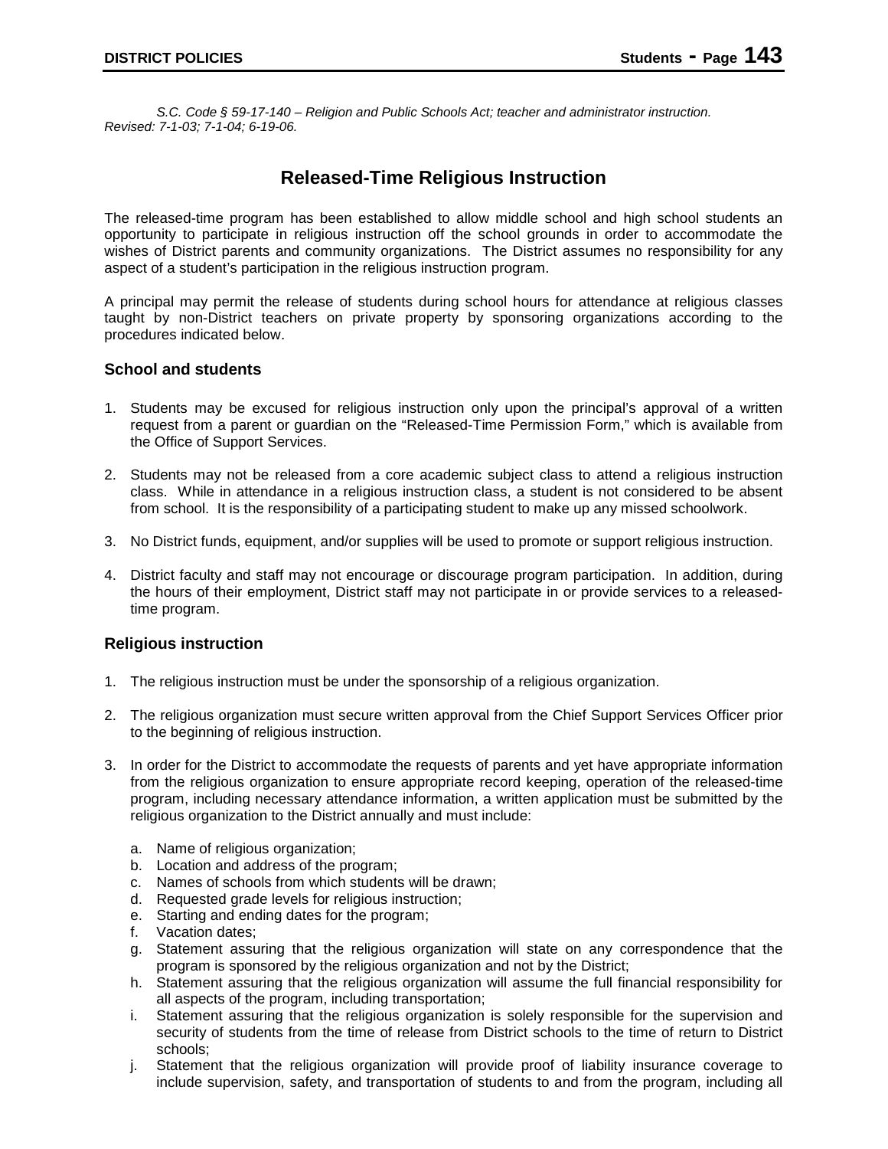*S.C. Code § 59-17-140 – Religion and Public Schools Act; teacher and administrator instruction. Revised: 7-1-03; 7-1-04; 6-19-06.*

# **Released-Time Religious Instruction**

The released-time program has been established to allow middle school and high school students an opportunity to participate in religious instruction off the school grounds in order to accommodate the wishes of District parents and community organizations. The District assumes no responsibility for any aspect of a student's participation in the religious instruction program.

A principal may permit the release of students during school hours for attendance at religious classes taught by non-District teachers on private property by sponsoring organizations according to the procedures indicated below.

#### **School and students**

- 1. Students may be excused for religious instruction only upon the principal's approval of a written request from a parent or guardian on the "Released-Time Permission Form," which is available from the Office of Support Services.
- 2. Students may not be released from a core academic subject class to attend a religious instruction class. While in attendance in a religious instruction class, a student is not considered to be absent from school. It is the responsibility of a participating student to make up any missed schoolwork.
- 3. No District funds, equipment, and/or supplies will be used to promote or support religious instruction.
- 4. District faculty and staff may not encourage or discourage program participation. In addition, during the hours of their employment, District staff may not participate in or provide services to a releasedtime program.

#### **Religious instruction**

- 1. The religious instruction must be under the sponsorship of a religious organization.
- 2. The religious organization must secure written approval from the Chief Support Services Officer prior to the beginning of religious instruction.
- 3. In order for the District to accommodate the requests of parents and yet have appropriate information from the religious organization to ensure appropriate record keeping, operation of the released-time program, including necessary attendance information, a written application must be submitted by the religious organization to the District annually and must include:
	- a. Name of religious organization;
	- b. Location and address of the program;
	- c. Names of schools from which students will be drawn;
	- d. Requested grade levels for religious instruction;
	- e. Starting and ending dates for the program;
	- f. Vacation dates;
	- g. Statement assuring that the religious organization will state on any correspondence that the program is sponsored by the religious organization and not by the District;
	- h. Statement assuring that the religious organization will assume the full financial responsibility for all aspects of the program, including transportation;
	- i. Statement assuring that the religious organization is solely responsible for the supervision and security of students from the time of release from District schools to the time of return to District schools;
	- j. Statement that the religious organization will provide proof of liability insurance coverage to include supervision, safety, and transportation of students to and from the program, including all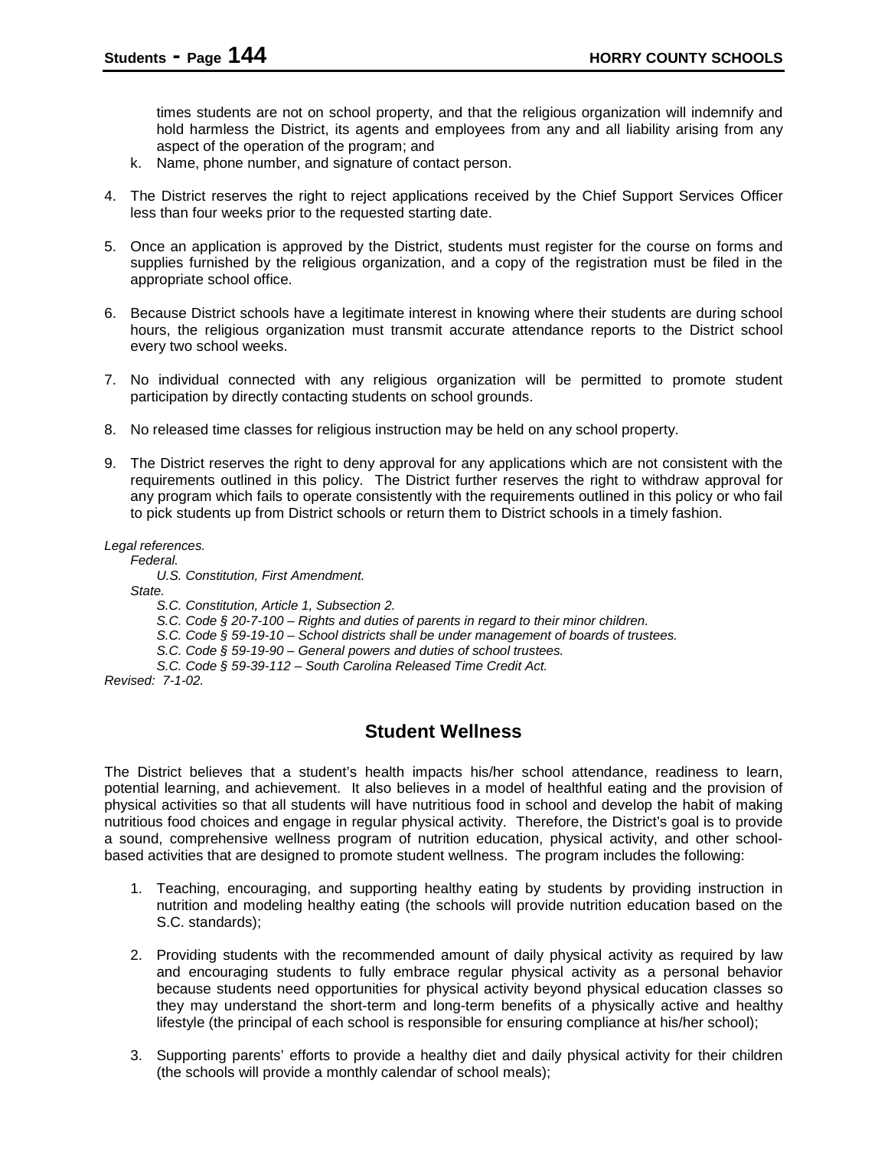times students are not on school property, and that the religious organization will indemnify and hold harmless the District, its agents and employees from any and all liability arising from any aspect of the operation of the program; and

- k. Name, phone number, and signature of contact person.
- 4. The District reserves the right to reject applications received by the Chief Support Services Officer less than four weeks prior to the requested starting date.
- 5. Once an application is approved by the District, students must register for the course on forms and supplies furnished by the religious organization, and a copy of the registration must be filed in the appropriate school office.
- 6. Because District schools have a legitimate interest in knowing where their students are during school hours, the religious organization must transmit accurate attendance reports to the District school every two school weeks.
- 7. No individual connected with any religious organization will be permitted to promote student participation by directly contacting students on school grounds.
- 8. No released time classes for religious instruction may be held on any school property.
- 9. The District reserves the right to deny approval for any applications which are not consistent with the requirements outlined in this policy. The District further reserves the right to withdraw approval for any program which fails to operate consistently with the requirements outlined in this policy or who fail to pick students up from District schools or return them to District schools in a timely fashion.

#### *Legal references.*

*Federal.*

*U.S. Constitution, First Amendment.*

*State.*

*S.C. Constitution, Article 1, Subsection 2.*

- *S.C. Code § 20-7-100 – Rights and duties of parents in regard to their minor children.*
- *S.C. Code § 59-19-10 – School districts shall be under management of boards of trustees.*
- *S.C. Code § 59-19-90 – General powers and duties of school trustees.*
- *S.C. Code § 59-39-112 – South Carolina Released Time Credit Act.*

*Revised: 7-1-02.*

## **Student Wellness**

The District believes that a student's health impacts his/her school attendance, readiness to learn, potential learning, and achievement. It also believes in a model of healthful eating and the provision of physical activities so that all students will have nutritious food in school and develop the habit of making nutritious food choices and engage in regular physical activity. Therefore, the District's goal is to provide a sound, comprehensive wellness program of nutrition education, physical activity, and other schoolbased activities that are designed to promote student wellness. The program includes the following:

- 1. Teaching, encouraging, and supporting healthy eating by students by providing instruction in nutrition and modeling healthy eating (the schools will provide nutrition education based on the S.C. standards);
- 2. Providing students with the recommended amount of daily physical activity as required by law and encouraging students to fully embrace regular physical activity as a personal behavior because students need opportunities for physical activity beyond physical education classes so they may understand the short-term and long-term benefits of a physically active and healthy lifestyle (the principal of each school is responsible for ensuring compliance at his/her school);
- 3. Supporting parents' efforts to provide a healthy diet and daily physical activity for their children (the schools will provide a monthly calendar of school meals);